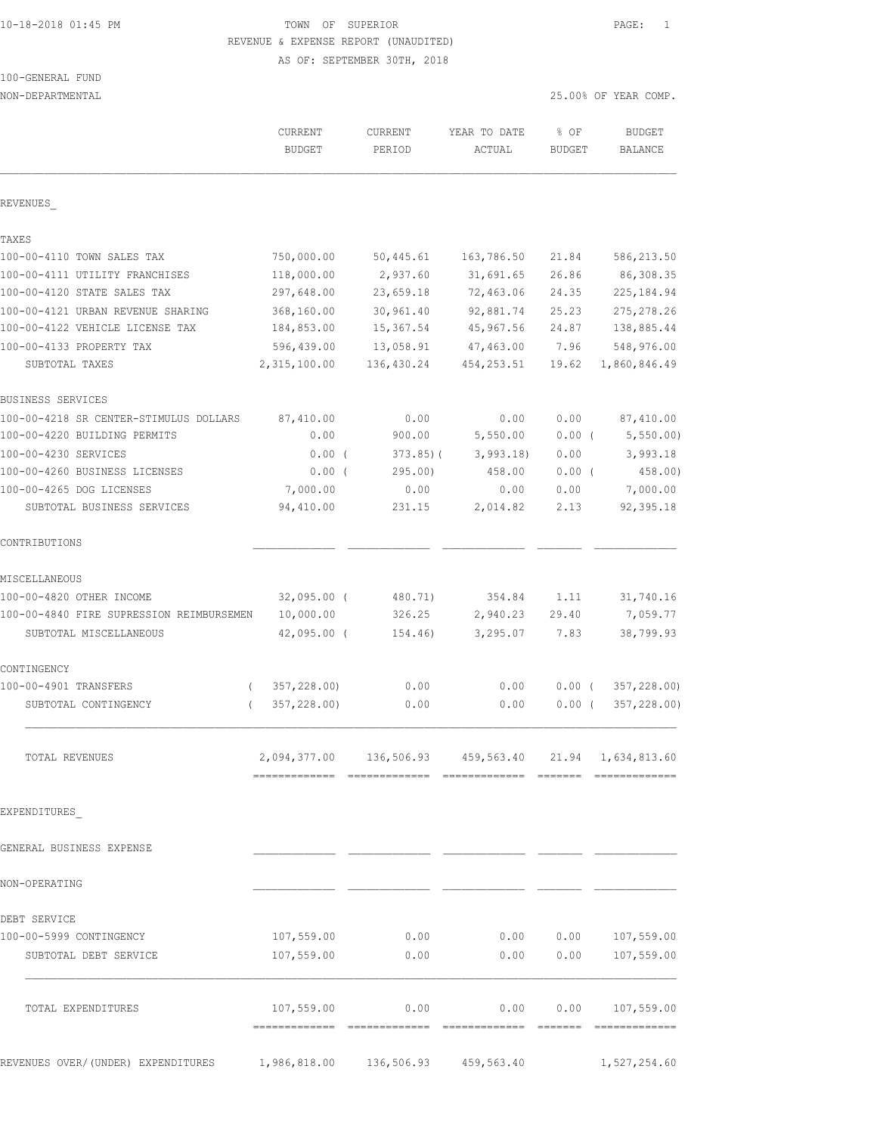# 10-18-2018 01:45 PM TOWN OF SUPERIOR PAGE: 1 REVENUE & EXPENSE REPORT (UNAUDITED)

AS OF: SEPTEMBER 30TH, 2018

|  | 100-GENERAL FUND |  |
|--|------------------|--|
|  |                  |  |

NON-DEPARTMENTAL 25.00% OF YEAR COMP.

|                                          | CURRENT<br><b>BUDGET</b>                              | CURRENT<br>PERIOD | YEAR TO DATE<br>ACTUAL | % OF<br><b>BUDGET</b> | <b>BUDGET</b><br>BALANCE |
|------------------------------------------|-------------------------------------------------------|-------------------|------------------------|-----------------------|--------------------------|
| REVENUES                                 |                                                       |                   |                        |                       |                          |
| TAXES                                    |                                                       |                   |                        |                       |                          |
| 100-00-4110 TOWN SALES TAX               | 750,000.00                                            | 50,445.61         | 163,786.50             | 21.84                 | 586, 213.50              |
| 100-00-4111 UTILITY FRANCHISES           | 118,000.00                                            | 2,937.60          | 31,691.65              | 26.86                 | 86,308.35                |
| 100-00-4120 STATE SALES TAX              | 297,648.00                                            | 23,659.18         | 72,463.06              | 24.35                 | 225, 184.94              |
| 100-00-4121 URBAN REVENUE SHARING        | 368,160.00                                            | 30,961.40         | 92,881.74              | 25.23                 | 275, 278.26              |
| 100-00-4122 VEHICLE LICENSE TAX          | 184,853.00                                            | 15,367.54         | 45,967.56              | 24.87                 | 138,885.44               |
| 100-00-4133 PROPERTY TAX                 | 596,439.00                                            | 13,058.91         | 47,463.00              | 7.96                  | 548,976.00               |
| SUBTOTAL TAXES                           | 2,315,100.00                                          | 136,430.24        | 454,253.51             | 19.62                 | 1,860,846.49             |
| BUSINESS SERVICES                        |                                                       |                   |                        |                       |                          |
| 100-00-4218 SR CENTER-STIMULUS DOLLARS   | 87,410.00                                             | 0.00              | 0.00                   | 0.00                  | 87,410.00                |
| 100-00-4220 BUILDING PERMITS             | 0.00                                                  | 900.00            | 5,550.00               | $0.00$ (              | 5, 550.00                |
| 100-00-4230 SERVICES                     | $0.00$ (                                              | $373.85$ ) (      | 3,993.18               | 0.00                  | 3,993.18                 |
| 100-00-4260 BUSINESS LICENSES            | $0.00$ (                                              | 295.00            | 458.00                 | $0.00$ (              | 458.00)                  |
| 100-00-4265 DOG LICENSES                 | 7,000.00                                              | 0.00              | 0.00                   | 0.00                  | 7,000.00                 |
| SUBTOTAL BUSINESS SERVICES               | 94,410.00                                             | 231.15            | 2,014.82               | 2.13                  | 92,395.18                |
| CONTRIBUTIONS                            |                                                       |                   |                        |                       |                          |
| MISCELLANEOUS                            |                                                       |                   |                        |                       |                          |
| 100-00-4820 OTHER INCOME                 | $32,095.00$ (                                         | 480.71)           | 354.84                 | 1.11                  | 31,740.16                |
| 100-00-4840 FIRE SUPRESSION REIMBURSEMEN | 10,000.00                                             | 326.25            | 2,940.23               | 29.40                 | 7,059.77                 |
| SUBTOTAL MISCELLANEOUS                   | $42,095.00$ (                                         | 154.46)           | 3,295.07               | 7.83                  | 38,799.93                |
| CONTINGENCY                              |                                                       |                   |                        |                       |                          |
| 100-00-4901 TRANSFERS<br>$\left($        | 357,228.00)                                           | 0.00              | 0.00                   | $0.00$ (              | 357,228.00)              |
| SUBTOTAL CONTINGENCY<br>$\left($         | 357,228.00)                                           | 0.00              | 0.00                   | $0.00$ (              | 357,228.00)              |
| TOTAL REVENUES                           | 2,094,377.00 136,506.93 459,563.40 21.94 1,634,813.60 |                   |                        |                       |                          |
| EXPENDITURES                             |                                                       |                   |                        |                       |                          |
| GENERAL BUSINESS EXPENSE                 |                                                       |                   |                        |                       |                          |
| NON-OPERATING                            |                                                       |                   |                        |                       |                          |
| DEBT SERVICE                             |                                                       |                   |                        |                       |                          |
| 100-00-5999 CONTINGENCY                  | 107,559.00                                            | 0.00              | 0.00                   | 0.00                  | 107,559.00               |
| SUBTOTAL DEBT SERVICE                    | 107,559.00                                            | 0.00              | 0.00                   | 0.00                  | 107,559.00               |
| TOTAL EXPENDITURES                       | 107,559.00                                            | 0.00              | 0.00                   | 0.00                  | 107,559.00               |
|                                          |                                                       |                   |                        |                       |                          |

REVENUES OVER/(UNDER) EXPENDITURES 1,986,818.00 136,506.93 459,563.40 1,527,254.60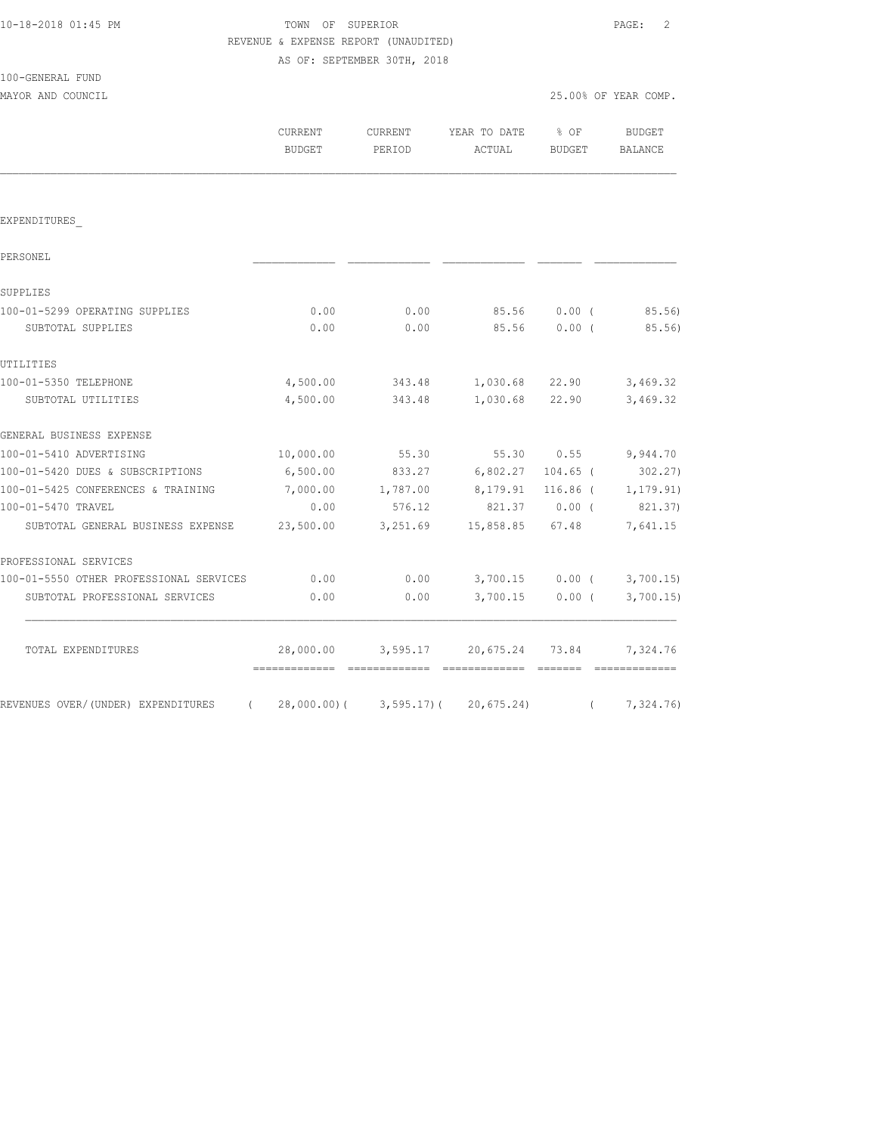100-GENERAL FUND

#### TOWN OF SUPERIOR **PAGE:** 2 REVENUE & EXPENSE REPORT (UNAUDITED) AS OF: SEPTEMBER 30TH, 2018

MAYOR AND COUNCIL 25.00% OF YEAR COMP.

|                                                | <b>CURRENT</b><br><b>BUDGET</b> | <b>CURRENT</b><br>PERIOD | YEAR TO DATE<br>ACTUAL | $8$ OF<br><b>BUDGET</b> | <b>BUDGET</b><br><b>BALANCE</b> |
|------------------------------------------------|---------------------------------|--------------------------|------------------------|-------------------------|---------------------------------|
|                                                |                                 |                          |                        |                         |                                 |
| EXPENDITURES                                   |                                 |                          |                        |                         |                                 |
| PERSONEL                                       |                                 |                          |                        |                         |                                 |
| SUPPLIES                                       |                                 |                          |                        |                         |                                 |
| 100-01-5299 OPERATING SUPPLIES                 | 0.00                            | 0.00                     | 85.56                  | 0.00(                   | 85.56)                          |
| SUBTOTAL SUPPLIES                              | 0.00                            | 0.00                     | 85.56                  | $0.00$ (                | 85.56)                          |
| UTILITIES                                      |                                 |                          |                        |                         |                                 |
| 100-01-5350 TELEPHONE                          | 4,500.00                        | 343.48                   | 1,030.68               | 22.90                   | 3,469.32                        |
| SUBTOTAL UTILITIES                             | 4,500.00                        | 343.48                   | 1,030.68               | 22.90                   | 3,469.32                        |
| GENERAL BUSINESS EXPENSE                       |                                 |                          |                        |                         |                                 |
| 100-01-5410 ADVERTISING                        | 10,000.00                       | 55.30                    | 55.30                  | 0.55                    | 9,944.70                        |
| 100-01-5420 DUES & SUBSCRIPTIONS               | 6,500.00                        | 833.27                   | 6,802.27               | $104.65$ (              | 302.27)                         |
| 100-01-5425 CONFERENCES & TRAINING             | 7,000.00                        | 1,787.00                 | 8,179.91               | $116.86$ (              | 1, 179.91)                      |
| 100-01-5470 TRAVEL                             | 0.00                            | 576.12                   | 821.37                 | $0.00$ (                | 821.37)                         |
| SUBTOTAL GENERAL BUSINESS EXPENSE              | 23,500.00                       | 3,251.69                 | 15,858.85              | 67.48                   | 7,641.15                        |
| PROFESSIONAL SERVICES                          |                                 |                          |                        |                         |                                 |
| 100-01-5550 OTHER PROFESSIONAL SERVICES        | 0.00                            | 0.00                     | 3,700.15               | $0.00$ (                | 3,700.15                        |
| SUBTOTAL PROFESSIONAL SERVICES                 | 0.00                            | 0.00                     | 3,700.15               | $0.00$ (                | 3,700.15                        |
| TOTAL EXPENDITURES                             | 28,000.00                       | 3,595.17                 | 20,675.24              | 73.84                   | 7,324.76                        |
| REVENUES OVER/(UNDER) EXPENDITURES<br>$\left($ | $28,000.00)$ (                  | $3,595.17$ ) (           | 20,675.24)             | $\left($                | 7,324.76)                       |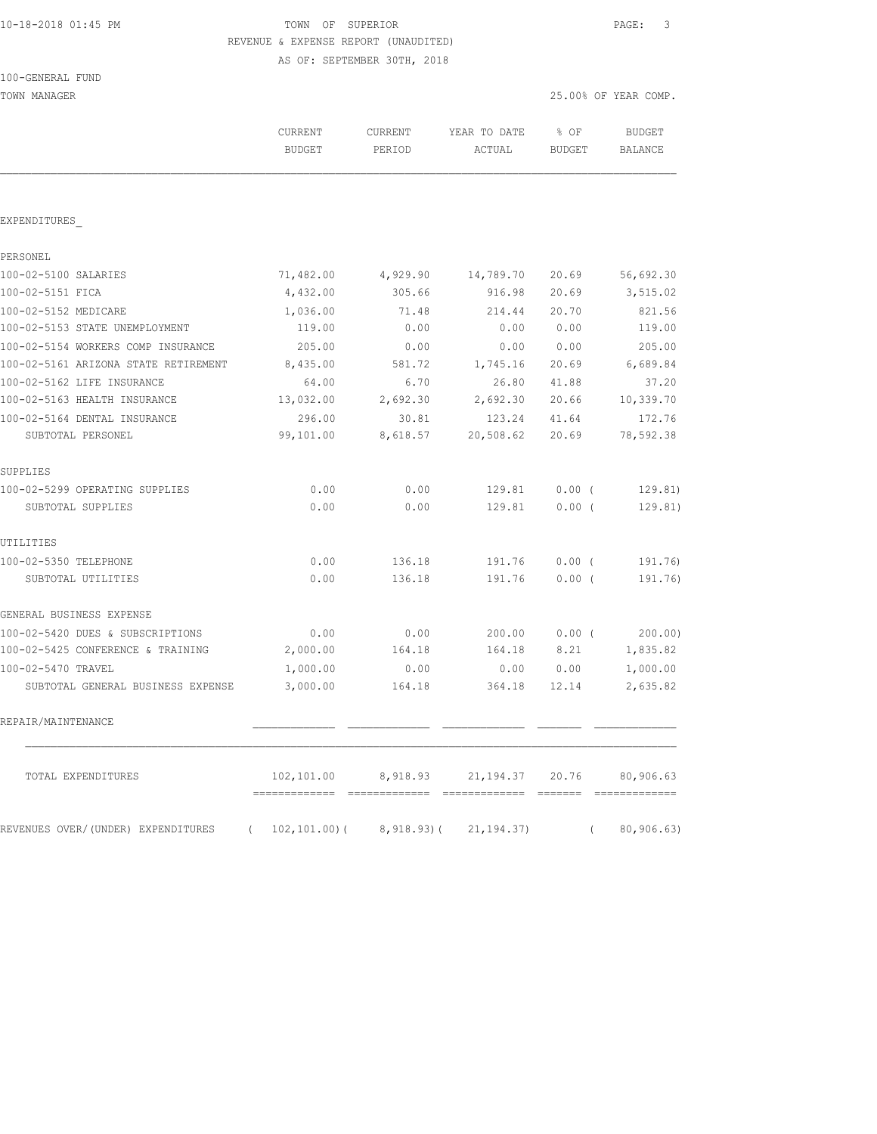## 10-18-2018 01:45 PM TOWN OF SUPERIOR PAGE: 3 REVENUE & EXPENSE REPORT (UNAUDITED)

AS OF: SEPTEMBER 30TH, 2018

TOWN MANAGER 25.00% OF YEAR COMP.

|                                      | <b>CURRENT</b><br>BUDGET    | CURRENT<br>PERIOD | YEAR TO DATE<br>ACTUAL | $8$ OF<br>BUDGET | BUDGET<br>BALANCE           |
|--------------------------------------|-----------------------------|-------------------|------------------------|------------------|-----------------------------|
| EXPENDITURES                         |                             |                   |                        |                  |                             |
| PERSONEL                             |                             |                   |                        |                  |                             |
| 100-02-5100 SALARIES                 | 71,482.00                   | 4,929.90          | 14,789.70              | 20.69            | 56,692.30                   |
| 100-02-5151 FICA                     | 4,432.00                    | 305.66            | 916.98                 | 20.69            | 3,515.02                    |
| 100-02-5152 MEDICARE                 | 1,036.00                    | 71.48             | 214.44                 | 20.70            | 821.56                      |
| 100-02-5153 STATE UNEMPLOYMENT       | 119.00                      | 0.00              | 0.00                   | 0.00             | 119.00                      |
| 100-02-5154 WORKERS COMP INSURANCE   | 205.00                      | 0.00              | 0.00                   | 0.00             | 205.00                      |
| 100-02-5161 ARIZONA STATE RETIREMENT | 8,435.00                    | 581.72            | 1,745.16               | 20.69            | 6,689.84                    |
| 100-02-5162 LIFE INSURANCE           | 64.00                       | 6.70              | 26.80                  | 41.88            | 37.20                       |
| 100-02-5163 HEALTH INSURANCE         | 13,032.00                   | 2,692.30          | 2,692.30               | 20.66            | 10,339.70                   |
| 100-02-5164 DENTAL INSURANCE         | 296.00                      | 30.81             | 123.24                 | 41.64            | 172.76                      |
| SUBTOTAL PERSONEL                    | 99,101.00                   | 8,618.57          | 20,508.62              | 20.69            | 78,592.38                   |
| SUPPLIES                             |                             |                   |                        |                  |                             |
| 100-02-5299 OPERATING SUPPLIES       | 0.00                        | 0.00              | 129.81                 | $0.00$ (         | 129.81)                     |
| SUBTOTAL SUPPLIES                    | 0.00                        | 0.00              | 129.81                 | $0.00$ (         | 129.81)                     |
| UTILITIES                            |                             |                   |                        |                  |                             |
| 100-02-5350 TELEPHONE                | 0.00                        | 136.18            | 191.76                 | $0.00$ (         | 191.76)                     |
| SUBTOTAL UTILITIES                   | 0.00                        | 136.18            | 191.76                 | 0.00(            | 191.76)                     |
| GENERAL BUSINESS EXPENSE             |                             |                   |                        |                  |                             |
| 100-02-5420 DUES & SUBSCRIPTIONS     | 0.00                        | 0.00              | 200.00                 | $0.00$ (         | 200.00)                     |
| 100-02-5425 CONFERENCE & TRAINING    | 2,000.00                    | 164.18            | 164.18                 | 8.21             | 1,835.82                    |
| 100-02-5470 TRAVEL                   | 1,000.00                    | 0.00              | 0.00                   | 0.00             | 1,000.00                    |
| SUBTOTAL GENERAL BUSINESS EXPENSE    | 3,000.00                    | 164.18            | 364.18                 | 12.14            | 2,635.82                    |
| REPAIR/MAINTENANCE                   |                             |                   |                        |                  |                             |
| TOTAL EXPENDITURES                   | 102,101.00                  | 8,918.93          | 21,194.37              | 20.76            | 80,906.63                   |
| REVENUES OVER/(UNDER) EXPENDITURES   | $102, 101.00$ (<br>$\left($ | $8,918.93)$ (     | 21, 194.37)            | $\left($         | =============<br>80, 906.63 |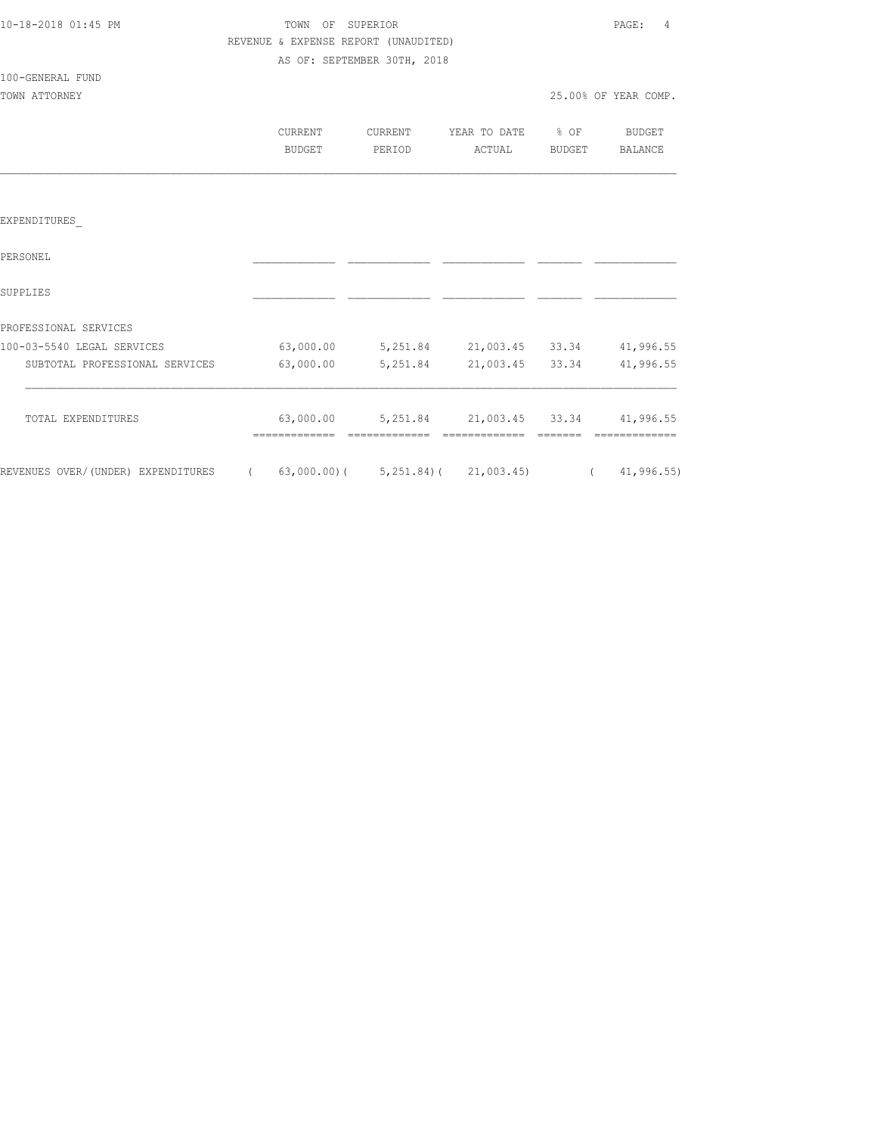| 10-18-2018 01:45 PM |  |  |
|---------------------|--|--|
|                     |  |  |

#### 10-18-2018 01:45 PM TOWN OF SUPERIOR PAGE: 4 REVENUE & EXPENSE REPORT (UNAUDITED) AS OF: SEPTEMBER 30TH, 2018

100-GENERAL FUND

TOWN ATTORNEY 25

|  | :5.00% OF YEAR COMP. |  |
|--|----------------------|--|
|  |                      |  |

| CURRENT | CURRENT       | YEAR TO DATE | % OF   | <b>BUDGET</b> |
|---------|---------------|--------------|--------|---------------|
| BUDGET  | <b>PERTOD</b> | ACTUAL       | BUDGET | BALANCE       |

### EXPENDITURES\_

| PERSONEL                           |                |            |            |       |            |
|------------------------------------|----------------|------------|------------|-------|------------|
| SUPPLIES                           |                |            |            |       |            |
| PROFESSIONAL SERVICES              |                |            |            |       |            |
| 100-03-5540 LEGAL SERVICES         | 63,000.00      | 5,251.84   | 21,003.45  | 33.34 | 41,996.55  |
| SUBTOTAL PROFESSIONAL SERVICES     | 63,000.00      | 5,251.84   | 21,003.45  | 33.34 | 41,996.55  |
| TOTAL EXPENDITURES                 | 63,000.00      | 5,251.84   | 21,003.45  | 33.34 | 41,996.55  |
| REVENUES OVER/(UNDER) EXPENDITURES | $63,000.00)$ ( | 5,251.84)( | 21,003.45) |       | 41,996.55) |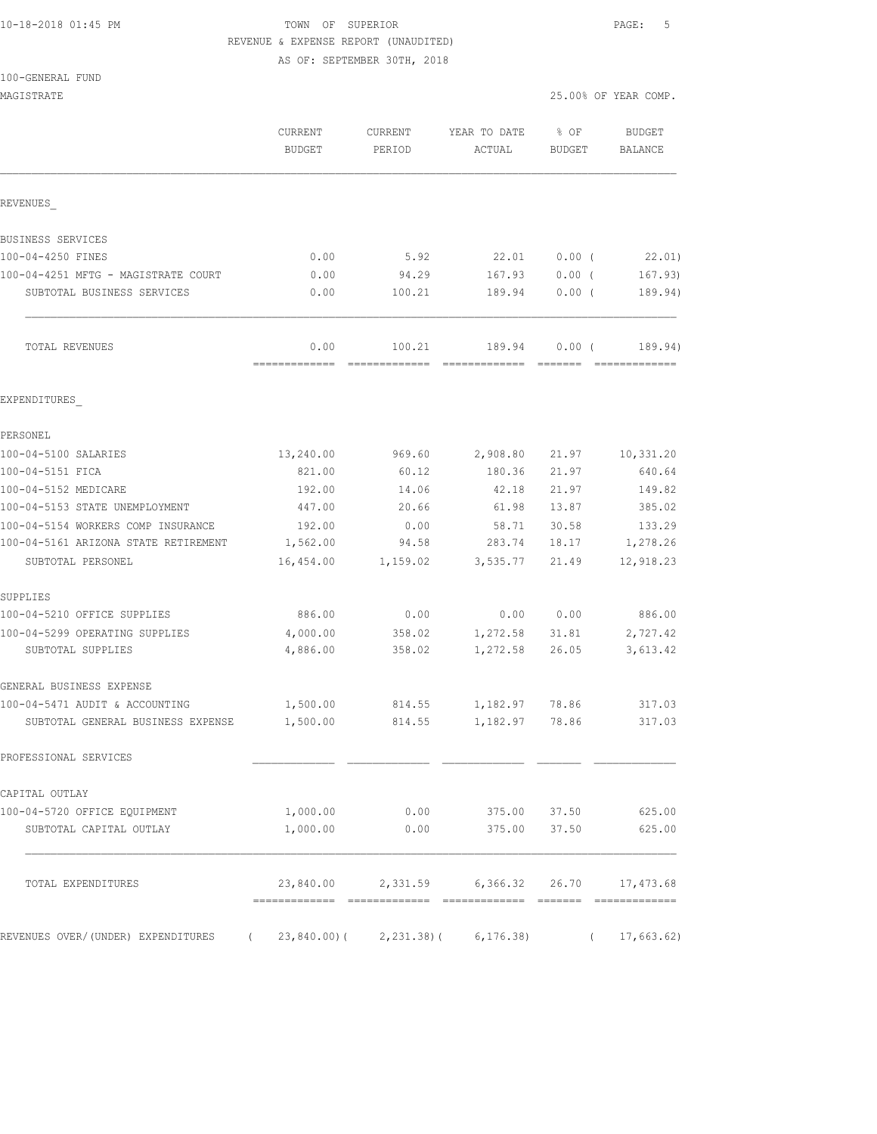### 10-18-2018 01:45 PM TOWN OF SUPERIOR PAGE: 5 REVENUE & EXPENSE REPORT (UNAUDITED)

AS OF: SEPTEMBER 30TH, 2018

| 100-GENERAL FUND                     |                        |                         |                                             |                |                         |
|--------------------------------------|------------------------|-------------------------|---------------------------------------------|----------------|-------------------------|
| MAGISTRATE                           |                        |                         |                                             |                | 25.00% OF YEAR COMP.    |
|                                      | CURRENT<br>BUDGET      | PERIOD                  | CURRENT YEAR TO DATE<br>ACTUAL              | % OF<br>BUDGET | BUDGET<br>BALANCE       |
| REVENUES                             |                        |                         |                                             |                |                         |
| BUSINESS SERVICES                    |                        |                         |                                             |                |                         |
| 100-04-4250 FINES                    | 0.00                   |                         | $5.92$ $22.01$ $0.00$ ( $22.01$ )           |                |                         |
| 100-04-4251 MFTG - MAGISTRATE COURT  | 0.00                   | 94.29                   | 167.93                                      | $0.00$ (       | 167.93)                 |
| SUBTOTAL BUSINESS SERVICES           | 0.00                   | 100.21                  | 189.94                                      | $0.00$ (       | 189.94)                 |
| TOTAL REVENUES                       | 0.00<br>-------------- | 100.21<br>============= | 189.94<br>eccessessess essess               | $0.00$ (       | 189.94)                 |
| EXPENDITURES                         |                        |                         |                                             |                |                         |
| PERSONEL                             |                        |                         |                                             |                |                         |
| 100-04-5100 SALARIES                 | 13,240.00              |                         | 969.60 2,908.80 21.97                       |                | 10,331.20               |
| 100-04-5151 FICA                     | 821.00                 | 60.12                   | 180.36 21.97                                |                | 640.64                  |
| 100-04-5152 MEDICARE                 | 192.00                 | 14.06                   | 42.18                                       | 21.97          | 149.82                  |
| 100-04-5153 STATE UNEMPLOYMENT       | 447.00                 | 20.66                   | 61.98                                       | 13.87          | 385.02                  |
| 100-04-5154 WORKERS COMP INSURANCE   | 192.00                 | 0.00                    | 58.71                                       | 30.58          | 133.29                  |
| 100-04-5161 ARIZONA STATE RETIREMENT | 1,562.00               | 94.58                   | 283.74                                      | 18.17          | 1,278.26                |
| SUBTOTAL PERSONEL                    | 16,454.00              |                         | 1,159.02 3,535.77                           | 21.49          | 12,918.23               |
| SUPPLIES                             |                        |                         |                                             |                |                         |
| 100-04-5210 OFFICE SUPPLIES          | 886.00                 | 0.00                    |                                             | 0.00 0.00      | 886.00                  |
| 100-04-5299 OPERATING SUPPLIES       | 4,000.00               | 358.02                  |                                             |                | 1,272.58 31.81 2,727.42 |
| SUBTOTAL SUPPLIES                    | 4,886.00               | 358.02                  | 1,272.58 26.05                              |                | 3,613.42                |
| GENERAL BUSINESS EXPENSE             |                        |                         |                                             |                |                         |
| 100-04-5471 AUDIT & ACCOUNTING       | 1,500.00               |                         | 814.55 1,182.97 78.86                       |                | 317.03                  |
| SUBTOTAL GENERAL BUSINESS EXPENSE    | 1,500.00 814.55        |                         | 1,182.97 78.86                              |                | 317.03                  |
| PROFESSIONAL SERVICES                |                        |                         |                                             |                |                         |
| CAPITAL OUTLAY                       |                        |                         |                                             |                |                         |
| 100-04-5720 OFFICE EQUIPMENT         | 1,000.00               |                         | $0.00$ 375.00 37.50                         |                | 625.00                  |
| SUBTOTAL CAPITAL OUTLAY              | 1,000.00               |                         | $0.00$ 375.00 37.50                         |                | 625.00                  |
| TOTAL EXPENDITURES                   |                        |                         | 23,840.00 2,331.59 6,366.32 26.70 17,473.68 |                |                         |

REVENUES OVER/(UNDER) EXPENDITURES ( 23,840.00)( 2,231.38)( 6,176.38) ( 17,663.62)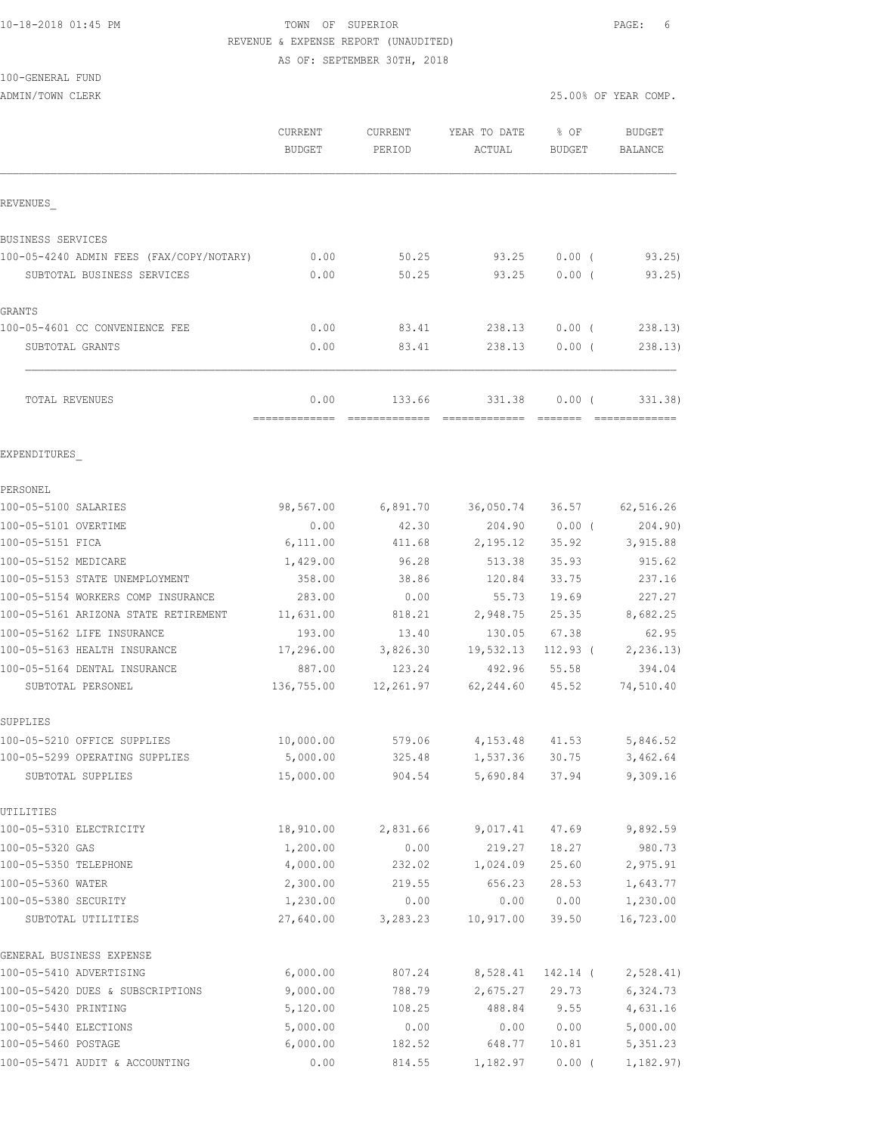## 10-18-2018 01:45 PM TOWN OF SUPERIOR PAGE: 6 REVENUE & EXPENSE REPORT (UNAUDITED)

AS OF: SEPTEMBER 30TH, 2018

#### 100-GENERAL FUND

|                                          | CURRENT<br><b>BUDGET</b> | CURRENT<br>PERIOD | YEAR TO DATE<br>ACTUAL | % OF<br>BUDGET | <b>BUDGET</b><br>BALANCE |
|------------------------------------------|--------------------------|-------------------|------------------------|----------------|--------------------------|
| REVENUES                                 |                          |                   |                        |                |                          |
| BUSINESS SERVICES                        |                          |                   |                        |                |                          |
| 100-05-4240 ADMIN FEES (FAX/COPY/NOTARY) | 0.00                     | 50.25             | 93.25                  | $0.00$ (       | 93.25                    |
| SUBTOTAL BUSINESS SERVICES               | 0.00                     | 50.25             | 93.25                  | 0.00(          | 93.251                   |
| GRANTS                                   |                          |                   |                        |                |                          |
| 100-05-4601 CC CONVENIENCE FEE           | 0.00                     | 83.41             | 238.13                 | $0.00$ (       | 238.13                   |
| SUBTOTAL GRANTS                          | 0.00                     | 83.41             | 238.13                 | 0.00(          | 238.13)                  |
| TOTAL REVENUES                           | 0.00                     | 133.66            | 331.38                 | 0.00(          | 331.38)                  |
|                                          | =============            |                   |                        |                |                          |
| EXPENDITURES                             |                          |                   |                        |                |                          |
| PERSONEL                                 |                          |                   |                        |                |                          |
| 100-05-5100 SALARIES                     | 98,567.00                | 6,891.70          | 36,050.74              | 36.57          | 62, 516.26               |
| 100-05-5101 OVERTIME                     | 0.00                     | 42.30             | 204.90                 | $0.00$ (       | 204.90)                  |
| 100-05-5151 FICA                         | 6,111.00                 | 411.68            | 2,195.12               | 35.92          | 3,915.88                 |
| 100-05-5152 MEDICARE                     | 1,429.00                 | 96.28             | 513.38                 | 35.93          | 915.62                   |
| 100-05-5153 STATE UNEMPLOYMENT           | 358.00                   | 38.86             | 120.84                 | 33.75          | 237.16                   |
| 100-05-5154 WORKERS COMP INSURANCE       | 283.00                   | 0.00              | 55.73                  | 19.69          | 227.27                   |
| 100-05-5161 ARIZONA STATE RETIREMENT     | 11,631.00                | 818.21            | 2,948.75               | 25.35          | 8,682.25                 |
| 100-05-5162 LIFE INSURANCE               | 193.00                   | 13.40             | 130.05                 | 67.38          | 62.95                    |
| 100-05-5163 HEALTH INSURANCE             | 17,296.00                | 3,826.30          | 19,532.13              | $112.93$ (     | 2, 236.13                |
| 100-05-5164 DENTAL INSURANCE             | 887.00                   | 123.24            | 492.96                 | 55.58          | 394.04                   |
| SUBTOTAL PERSONEL                        | 136,755.00               | 12,261.97         | 62,244.60              | 45.52          | 74,510.40                |
| SUPPLIES                                 |                          |                   |                        |                |                          |
| 100-05-5210 OFFICE SUPPLIES              | 10,000.00                | 579.06            | 4,153.48               | 41.53          | 5,846.52                 |
| 100-05-5299 OPERATING SUPPLIES           | 5,000.00                 | 325.48            | 1,537.36 30.75         |                | 3,462.64                 |
| SUBTOTAL SUPPLIES                        | 15,000.00                | 904.54            | 5,690.84               | 37.94          | 9,309.16                 |
| UTILITIES                                |                          |                   |                        |                |                          |
| 100-05-5310 ELECTRICITY                  | 18,910.00                | 2,831.66          | 9,017.41               | 47.69          | 9,892.59                 |
| 100-05-5320 GAS                          | 1,200.00                 | 0.00              | 219.27                 | 18.27          | 980.73                   |
| 100-05-5350 TELEPHONE                    | 4,000.00                 | 232.02            | 1,024.09               | 25.60          | 2,975.91                 |
| 100-05-5360 WATER                        | 2,300.00                 | 219.55            | 656.23                 | 28.53          | 1,643.77                 |
| 100-05-5380 SECURITY                     | 1,230.00                 | 0.00              | 0.00                   | 0.00           | 1,230.00                 |
| SUBTOTAL UTILITIES                       | 27,640.00                | 3,283.23          | 10,917.00              | 39.50          | 16,723.00                |
| GENERAL BUSINESS EXPENSE                 |                          |                   |                        |                |                          |
| 100-05-5410 ADVERTISING                  | 6,000.00                 | 807.24            | 8,528.41               | 142.14 (       | 2,528.41)                |
| 100-05-5420 DUES & SUBSCRIPTIONS         | 9,000.00                 | 788.79            | 2,675.27               | 29.73          | 6,324.73                 |
| 100-05-5430 PRINTING                     | 5,120.00                 | 108.25            | 488.84                 | 9.55           | 4,631.16                 |
| 100-05-5440 ELECTIONS                    | 5,000.00                 | 0.00              | 0.00                   | 0.00           | 5,000.00                 |
| 100-05-5460 POSTAGE                      | 6,000.00                 | 182.52            | 648.77                 | 10.81          | 5, 351.23                |
| 100-05-5471 AUDIT & ACCOUNTING           | 0.00                     | 814.55            | 1,182.97               | $0.00$ (       | 1, 182.97)               |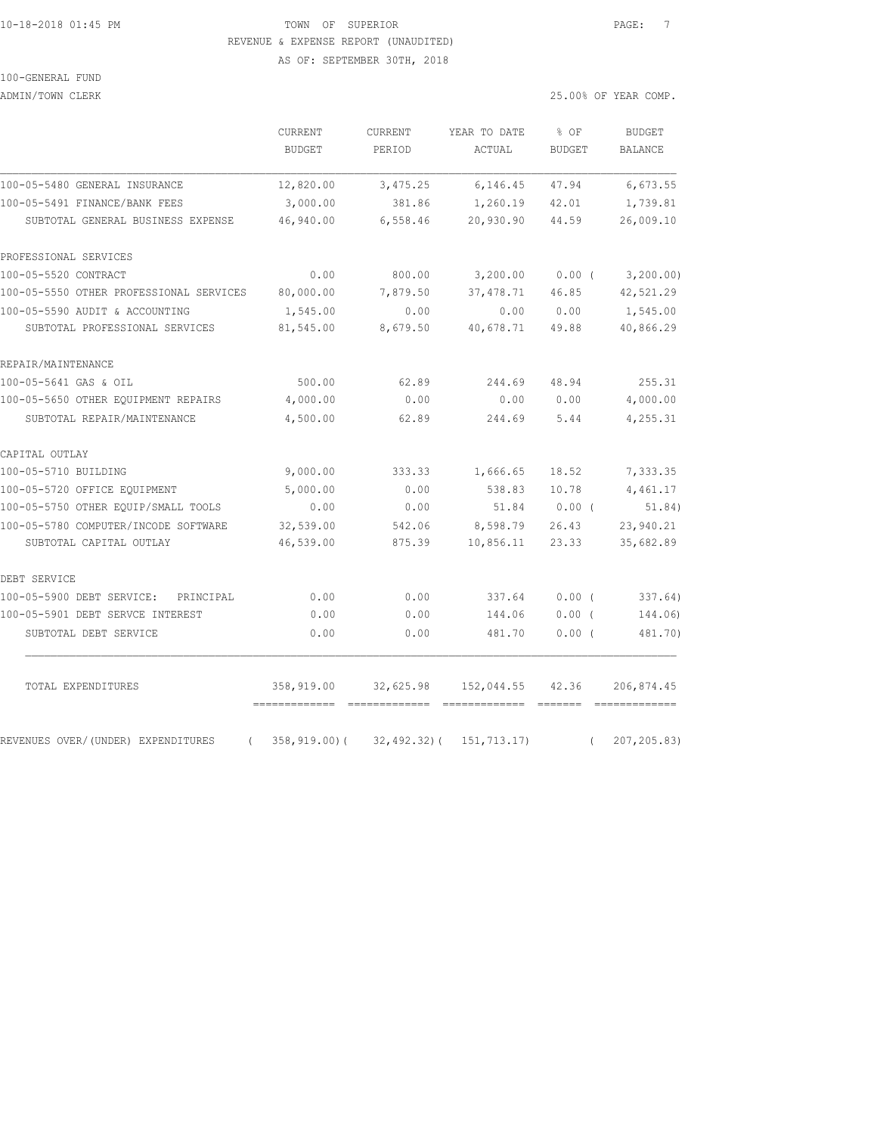#### 10-18-2018 01:45 PM TOWN OF SUPERIOR PAGE: 7 REVENUE & EXPENSE REPORT (UNAUDITED)

AS OF: SEPTEMBER 30TH, 2018

#### 100-GENERAL FUND

ADMIN/TOWN CLERK 25.00% OF YEAR COMP.

|                                         | CURRENT<br><b>BUDGET</b> | CURRENT<br>PERIOD | YEAR TO DATE<br>ACTUAL                | % OF<br><b>BUDGET</b> | <b>BUDGET</b><br><b>BALANCE</b> |
|-----------------------------------------|--------------------------|-------------------|---------------------------------------|-----------------------|---------------------------------|
| 100-05-5480 GENERAL INSURANCE           | 12,820.00                | 3,475.25          | 6, 146.45                             | 47.94                 | 6,673.55                        |
| 100-05-5491 FINANCE/BANK FEES           | 3,000.00                 | 381.86            | 1,260.19                              | 42.01                 | 1,739.81                        |
| SUBTOTAL GENERAL BUSINESS EXPENSE       | 46,940.00                | 6,558.46          | 20,930.90                             | 44.59                 | 26,009.10                       |
| PROFESSIONAL SERVICES                   |                          |                   |                                       |                       |                                 |
| 100-05-5520 CONTRACT                    | 0.00                     | 800.00            | 3,200.00                              | $0.00$ (              | 3,200.00)                       |
| 100-05-5550 OTHER PROFESSIONAL SERVICES | 80,000.00                | 7,879.50          | 37,478.71                             | 46.85                 | 42,521.29                       |
| 100-05-5590 AUDIT & ACCOUNTING          | 1,545.00                 | 0.00              | 0.00                                  | 0.00                  | 1,545.00                        |
| SUBTOTAL PROFESSIONAL SERVICES          | 81,545.00                | 8,679.50          | 40,678.71                             | 49.88                 | 40,866.29                       |
| REPAIR/MAINTENANCE                      |                          |                   |                                       |                       |                                 |
| 100-05-5641 GAS & OIL                   | 500.00                   | 62.89             | 244.69                                | 48.94                 | 255.31                          |
| 100-05-5650 OTHER EQUIPMENT REPAIRS     | 4,000.00                 | 0.00              | 0.00                                  | 0.00                  | 4,000.00                        |
| SUBTOTAL REPAIR/MAINTENANCE             | 4,500.00                 | 62.89             | 244.69                                | 5.44                  | 4,255.31                        |
| CAPITAL OUTLAY                          |                          |                   |                                       |                       |                                 |
| 100-05-5710 BUILDING                    | 9,000.00                 | 333.33            | 1,666.65                              | 18.52                 | 7,333.35                        |
| 100-05-5720 OFFICE EOUIPMENT            | 5,000.00                 | 0.00              | 538.83                                | 10.78                 | 4,461.17                        |
| 100-05-5750 OTHER EQUIP/SMALL TOOLS     | 0.00                     | 0.00              | 51.84                                 | $0.00$ (              | 51.84)                          |
| 100-05-5780 COMPUTER/INCODE SOFTWARE    | 32,539.00                | 542.06            | 8,598.79                              | 26.43                 | 23,940.21                       |
| SUBTOTAL CAPITAL OUTLAY                 | 46,539.00                | 875.39            | 10,856.11                             | 23.33                 | 35,682.89                       |
| DEBT SERVICE                            |                          |                   |                                       |                       |                                 |
| 100-05-5900 DEBT SERVICE:<br>PRINCIPAL  | 0.00                     | 0.00              | 337.64                                | 0.00(                 | 337.64)                         |
| 100-05-5901 DEBT SERVCE INTEREST        | 0.00                     | 0.00              | 144.06                                | $0.00$ (              | 144.06)                         |
| SUBTOTAL DEBT SERVICE                   | 0.00                     | 0.00              | 481.70                                | 0.00(                 | 481.70)                         |
| TOTAL EXPENDITURES                      |                          |                   | 358,919.00 32,625.98 152,044.55 42.36 |                       | 206,874.45                      |
| REVENUES OVER/(UNDER) EXPENDITURES      | 358,919.00)(             | 32,492.32)(       | 151, 713.17)                          |                       | 207, 205.83)                    |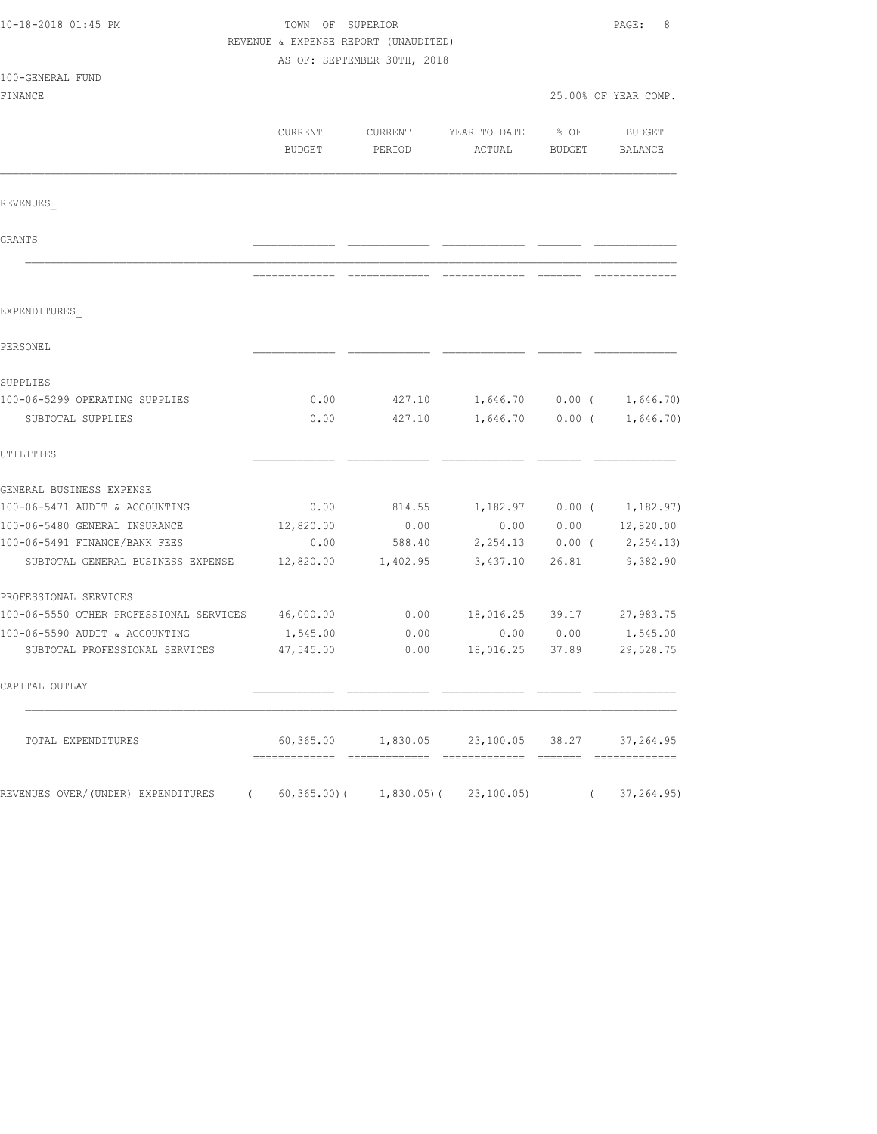| 10-18-2018 01:45 PM                                 | TOWN OF SUPERIOR<br>REVENUE & EXPENSE REPORT (UNAUDITED) | AS OF: SEPTEMBER 30TH, 2018 |                                                                                                                                                                                                                                                                                                                                                                                                                                                                  |                | PAGE:<br>8                  |
|-----------------------------------------------------|----------------------------------------------------------|-----------------------------|------------------------------------------------------------------------------------------------------------------------------------------------------------------------------------------------------------------------------------------------------------------------------------------------------------------------------------------------------------------------------------------------------------------------------------------------------------------|----------------|-----------------------------|
| 100-GENERAL FUND<br>FINANCE                         |                                                          |                             |                                                                                                                                                                                                                                                                                                                                                                                                                                                                  |                | 25.00% OF YEAR COMP.        |
|                                                     | CURRENT<br>BUDGET                                        | CURRENT<br>PERIOD           | YEAR TO DATE<br>ACTUAL                                                                                                                                                                                                                                                                                                                                                                                                                                           | % OF<br>BUDGET | BUDGET<br>BALANCE           |
| REVENUES                                            |                                                          |                             |                                                                                                                                                                                                                                                                                                                                                                                                                                                                  |                |                             |
| GRANTS                                              |                                                          |                             |                                                                                                                                                                                                                                                                                                                                                                                                                                                                  |                |                             |
|                                                     |                                                          |                             | $\begin{array}{c} \multicolumn{2}{c} {\textbf{2.4}} & \multicolumn{2}{c} {\textbf{2.5}} & \multicolumn{2}{c} {\textbf{2.6}} \\ \multicolumn{2}{c} {\textbf{2.6}} & \multicolumn{2}{c} {\textbf{2.6}} & \multicolumn{2}{c} {\textbf{2.6}} \\ \multicolumn{2}{c} {\textbf{2.6}} & \multicolumn{2}{c} {\textbf{2.6}} & \multicolumn{2}{c} {\textbf{2.6}} \\ \multicolumn{2}{c} {\textbf{2.6}} & \multicolumn{2}{c} {\textbf{2.6}} & \multicolumn{2}{c} {\textbf{2.$ |                |                             |
| EXPENDITURES                                        |                                                          |                             |                                                                                                                                                                                                                                                                                                                                                                                                                                                                  |                |                             |
| PERSONEL                                            |                                                          |                             |                                                                                                                                                                                                                                                                                                                                                                                                                                                                  |                |                             |
| SUPPLIES                                            |                                                          |                             |                                                                                                                                                                                                                                                                                                                                                                                                                                                                  |                |                             |
| 100-06-5299 OPERATING SUPPLIES<br>SUBTOTAL SUPPLIES | 0.00<br>0.00                                             | 427.10<br>427.10            | 1,646.70 0.00 (<br>1,646.70                                                                                                                                                                                                                                                                                                                                                                                                                                      | $0.00$ (       | 1,646.70)<br>1,646.70)      |
| UTILITIES                                           |                                                          |                             |                                                                                                                                                                                                                                                                                                                                                                                                                                                                  |                |                             |
| GENERAL BUSINESS EXPENSE                            |                                                          |                             |                                                                                                                                                                                                                                                                                                                                                                                                                                                                  |                |                             |
| 100-06-5471 AUDIT & ACCOUNTING                      | 0.00                                                     | 814.55                      |                                                                                                                                                                                                                                                                                                                                                                                                                                                                  |                | $1,182.97$ 0.00 ( 1,182.97) |
| 100-06-5480 GENERAL INSURANCE                       | 12,820.00                                                | 0.00                        | 0.00                                                                                                                                                                                                                                                                                                                                                                                                                                                             |                | $0.00$ $12,820.00$          |
| 100-06-5491 FINANCE/BANK FEES                       | 0.00                                                     | 588.40                      |                                                                                                                                                                                                                                                                                                                                                                                                                                                                  |                | $2,254.13$ 0.00 ( 2,254.13) |
| SUBTOTAL GENERAL BUSINESS EXPENSE                   | 12,820.00                                                | 1,402.95                    | 3,437.10                                                                                                                                                                                                                                                                                                                                                                                                                                                         | 26.81          | 9,382.90                    |
| PROFESSIONAL SERVICES                               |                                                          |                             |                                                                                                                                                                                                                                                                                                                                                                                                                                                                  |                |                             |
| 100-06-5550 OTHER PROFESSIONAL SERVICES             | 46,000.00                                                | 0.00                        | 18,016.25 39.17                                                                                                                                                                                                                                                                                                                                                                                                                                                  |                | 27,983.75                   |
| 100-06-5590 AUDIT & ACCOUNTING                      | 1,545.00                                                 | 0.00                        | 0.00                                                                                                                                                                                                                                                                                                                                                                                                                                                             | 0.00           | 1,545.00                    |
| SUBTOTAL PROFESSIONAL SERVICES                      | 47,545.00                                                | 0.00                        | 18,016.25 37.89                                                                                                                                                                                                                                                                                                                                                                                                                                                  |                | 29,528.75                   |
| CAPITAL OUTLAY                                      |                                                          |                             |                                                                                                                                                                                                                                                                                                                                                                                                                                                                  |                |                             |
| TOTAL EXPENDITURES                                  |                                                          |                             | 60,365.00   1,830.05   23,100.05   38.27   37,264.95                                                                                                                                                                                                                                                                                                                                                                                                             |                |                             |
| REVENUES OVER/(UNDER) EXPENDITURES<br>$\sqrt{2}$    |                                                          |                             | $60, 365.00$ ( $1, 830.05$ ( $23, 100.05$ )                                                                                                                                                                                                                                                                                                                                                                                                                      | $\sqrt{2}$     | 37,264.95)                  |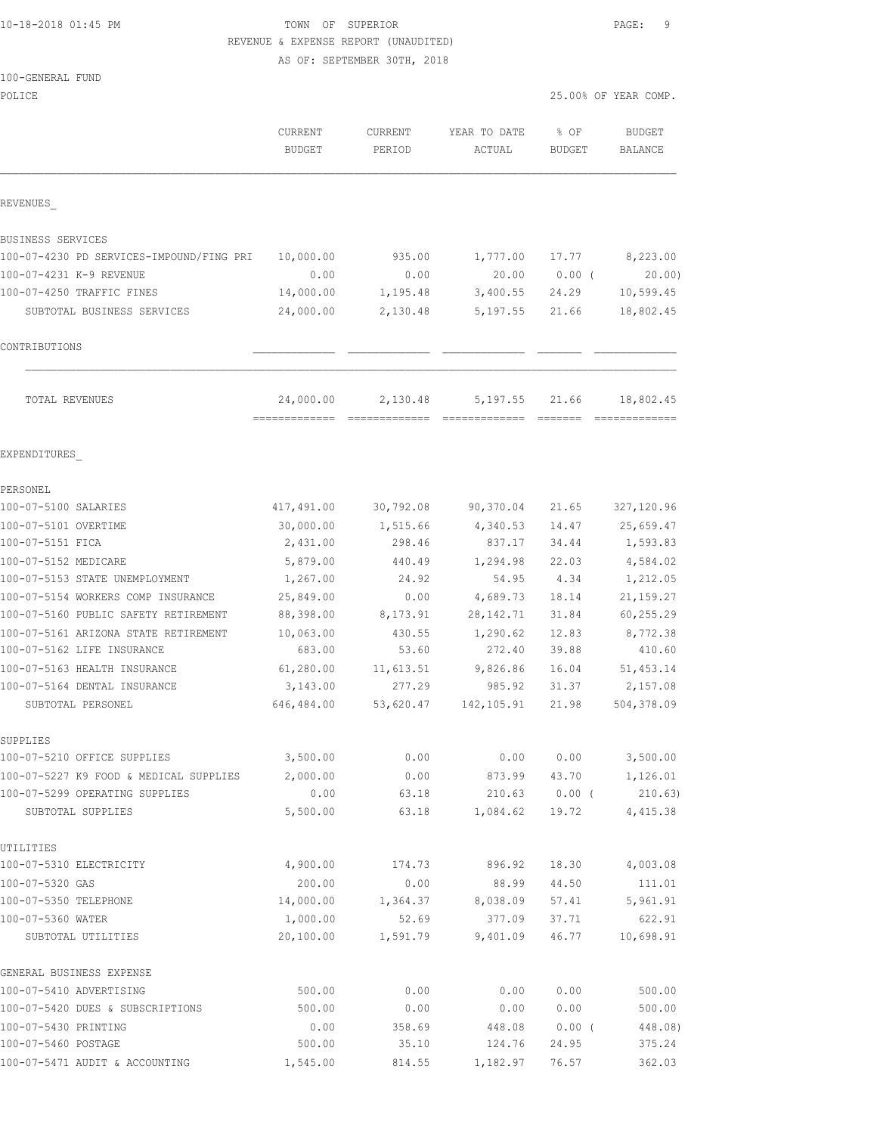### 10-18-2018 01:45 PM TOWN OF SUPERIOR PAGE: 9 REVENUE & EXPENSE REPORT (UNAUDITED)

AS OF: SEPTEMBER 30TH, 2018

| POLICE                                              |                          |                          |                        |                       | 25.00% OF YEAR COMP.     |  |
|-----------------------------------------------------|--------------------------|--------------------------|------------------------|-----------------------|--------------------------|--|
|                                                     | CURRENT<br><b>BUDGET</b> | <b>CURRENT</b><br>PERIOD | YEAR TO DATE<br>ACTUAL | % OF<br><b>BUDGET</b> | <b>BUDGET</b><br>BALANCE |  |
| REVENUES                                            |                          |                          |                        |                       |                          |  |
| BUSINESS SERVICES                                   |                          |                          |                        |                       |                          |  |
| 100-07-4230 PD SERVICES-IMPOUND/FING PRI            | 10,000.00                | 935.00                   | 1,777.00               | 17.77                 | 8,223.00                 |  |
| 100-07-4231 K-9 REVENUE                             | 0.00                     | 0.00                     | 20.00                  | 0.00(                 | 20.00)                   |  |
| 100-07-4250 TRAFFIC FINES                           | 14,000.00                | 1,195.48                 | 3,400.55               | 24.29                 | 10,599.45                |  |
| SUBTOTAL BUSINESS SERVICES                          | 24,000.00                | 2,130.48                 | 5,197.55               | 21.66                 | 18,802.45                |  |
| CONTRIBUTIONS                                       |                          |                          |                        |                       |                          |  |
| <b>TOTAL REVENUES</b>                               | 24,000.00                | 2,130.48                 | 5, 197.55              | 21.66                 | 18,802.45                |  |
| EXPENDITURES                                        |                          |                          |                        |                       |                          |  |
| PERSONEL                                            |                          |                          |                        |                       |                          |  |
| 100-07-5100 SALARIES                                | 417,491.00               | 30,792.08                | 90,370.04              | 21.65                 | 327,120.96               |  |
| 100-07-5101 OVERTIME                                | 30,000.00                | 1,515.66                 | 4,340.53               | 14.47                 | 25,659.47                |  |
| 100-07-5151 FICA                                    | 2,431.00                 | 298.46                   | 837.17                 | 34.44                 | 1,593.83                 |  |
| 100-07-5152 MEDICARE                                | 5,879.00                 | 440.49                   | 1,294.98               | 22.03                 | 4,584.02                 |  |
| 100-07-5153 STATE UNEMPLOYMENT                      | 1,267.00                 | 24.92                    | 54.95                  | 4.34                  | 1,212.05                 |  |
| 100-07-5154 WORKERS COMP INSURANCE                  | 25,849.00                | 0.00                     | 4,689.73               | 18.14                 | 21, 159.27               |  |
| 100-07-5160 PUBLIC SAFETY RETIREMENT                | 88,398.00                | 8,173.91                 | 28, 142. 71            | 31.84                 | 60, 255.29               |  |
| 100-07-5161 ARIZONA STATE RETIREMENT                | 10,063.00                | 430.55                   | 1,290.62               | 12.83                 | 8,772.38                 |  |
| 100-07-5162 LIFE INSURANCE                          | 683.00                   | 53.60                    | 272.40                 | 39.88                 | 410.60                   |  |
| 100-07-5163 HEALTH INSURANCE                        | 61,280.00                | 11,613.51                | 9,826.86               | 16.04                 | 51, 453.14               |  |
| 100-07-5164 DENTAL INSURANCE                        | 3,143.00                 | 277.29                   | 985.92                 | 31.37                 | 2,157.08                 |  |
| SUBTOTAL PERSONEL                                   | 646,484.00               | 53,620.47                | 142, 105.91            | 21.98                 | 504,378.09               |  |
| SUPPLIES                                            |                          |                          |                        |                       |                          |  |
| 100-07-5210 OFFICE SUPPLIES                         | 3,500.00                 | 0.00                     | 0.00                   | 0.00                  | 3,500.00                 |  |
| 100-07-5227 K9 FOOD & MEDICAL SUPPLIES              | 2,000.00                 | 0.00                     | 873.99                 | 43.70                 | 1,126.01                 |  |
| 100-07-5299 OPERATING SUPPLIES<br>SUBTOTAL SUPPLIES | 0.00<br>5,500.00         | 63.18<br>63.18           | 210.63<br>1,084.62     | $0.00$ (<br>19.72     | 210.63)<br>4, 415.38     |  |
|                                                     |                          |                          |                        |                       |                          |  |
| UTILITIES<br>100-07-5310 ELECTRICITY                | 4,900.00                 | 174.73                   | 896.92                 | 18.30                 | 4,003.08                 |  |
| 100-07-5320 GAS                                     | 200.00                   | 0.00                     | 88.99                  | 44.50                 | 111.01                   |  |
| 100-07-5350 TELEPHONE                               | 14,000.00                | 1,364.37                 | 8,038.09               | 57.41                 | 5,961.91                 |  |
| 100-07-5360 WATER                                   | 1,000.00                 | 52.69                    | 377.09                 | 37.71                 | 622.91                   |  |
| SUBTOTAL UTILITIES                                  | 20,100.00                | 1,591.79                 | 9,401.09               | 46.77                 | 10,698.91                |  |
| GENERAL BUSINESS EXPENSE                            |                          |                          |                        |                       |                          |  |
| 100-07-5410 ADVERTISING                             | 500.00                   | 0.00                     | 0.00                   | 0.00                  | 500.00                   |  |
| 100-07-5420 DUES & SUBSCRIPTIONS                    | 500.00                   | 0.00                     | 0.00                   | 0.00                  | 500.00                   |  |
| 100-07-5430 PRINTING                                | 0.00                     | 358.69                   | 448.08                 | $0.00$ (              | 448.08)                  |  |
| 100-07-5460 POSTAGE                                 | 500.00                   | 35.10                    | 124.76                 | 24.95                 | 375.24                   |  |

100-07-5471 AUDIT & ACCOUNTING 1,545.00 814.55 1,182.97 76.57 362.03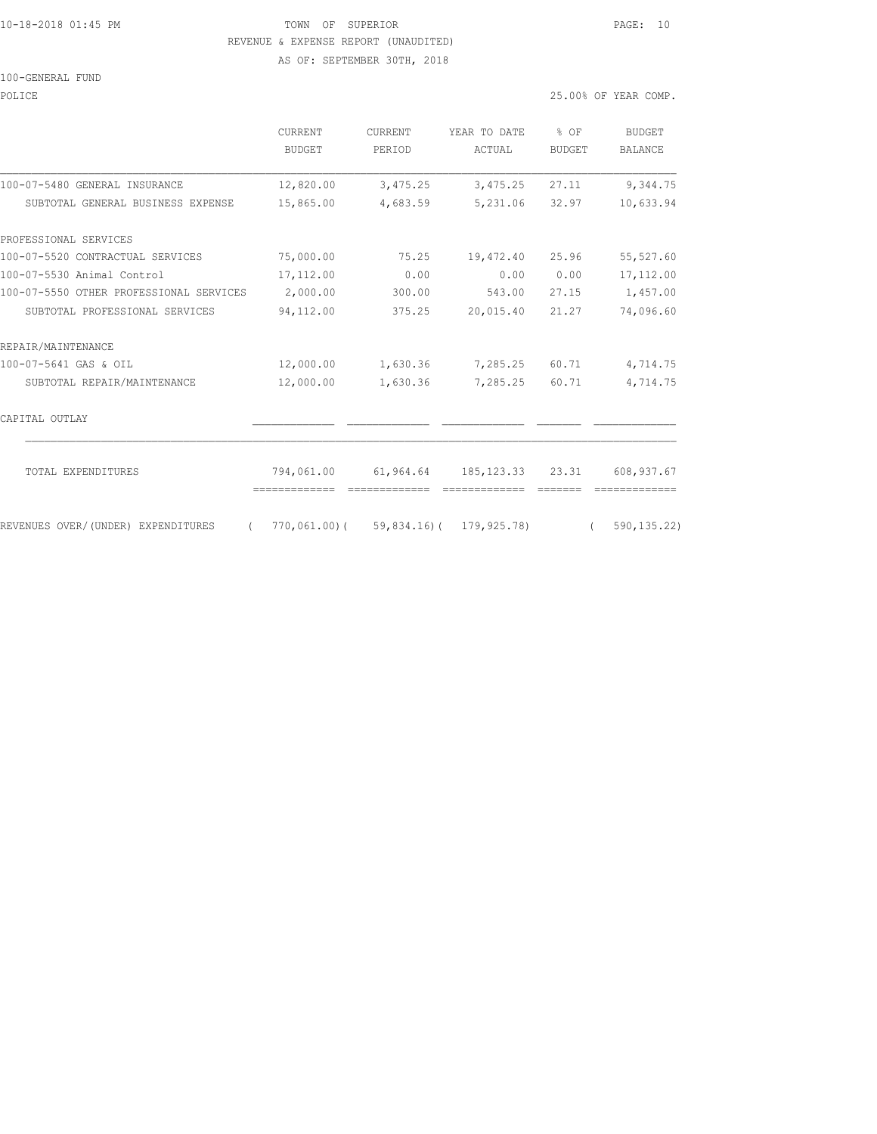#### 10-18-2018 01:45 PM TOWN OF SUPERIOR PAGE: 10 REVENUE & EXPENSE REPORT (UNAUDITED)

AS OF: SEPTEMBER 30TH, 2018

POLICE 25.00% OF YEAR COMP.

|                                                | CURRENT<br><b>BUDGET</b>    | <b>CURRENT</b><br>PERIOD | YEAR TO DATE<br><b>ACTUAL</b>        | % OF<br><b>BUDGET</b> | <b>BUDGET</b><br><b>BALANCE</b> |
|------------------------------------------------|-----------------------------|--------------------------|--------------------------------------|-----------------------|---------------------------------|
| 100-07-5480 GENERAL INSURANCE                  | 12,820.00                   | 3,475.25                 | 3,475.25                             | 27.11                 | 9,344.75                        |
| SUBTOTAL GENERAL BUSINESS EXPENSE              | 15,865.00                   | 4,683.59                 | 5,231.06                             | 32.97                 | 10,633.94                       |
| PROFESSIONAL SERVICES                          |                             |                          |                                      |                       |                                 |
| 100-07-5520 CONTRACTUAL SERVICES               | 75,000.00                   | 75.25                    | 19,472.40                            | 25.96                 | 55, 527.60                      |
| 100-07-5530 Animal Control                     | 17,112.00                   | 0.00                     | 0.00                                 | 0.00                  | 17, 112, 00                     |
| 100-07-5550 OTHER PROFESSIONAL SERVICES        | 2,000.00                    | 300.00                   | 543.00                               | 27.15                 | 1,457.00                        |
| SUBTOTAL PROFESSIONAL SERVICES                 | 94,112.00                   | 375.25                   | 20,015.40                            | 21.27                 | 74,096.60                       |
| REPAIR/MAINTENANCE                             |                             |                          |                                      |                       |                                 |
| 100-07-5641 GAS & OIL                          | 12,000.00                   | 1,630.36                 | 7,285.25                             | 60.71                 | 4,714.75                        |
| SUBTOTAL REPAIR/MAINTENANCE                    | 12,000.00                   | 1,630.36                 | 7,285.25                             | 60.71                 | 4,714.75                        |
| CAPITAL OUTLAY                                 |                             |                          |                                      |                       |                                 |
| TOTAL EXPENDITURES                             | 794,061.00<br>============= | 61,964.64                | 185, 123, 33 23, 31<br>============= |                       | 608,937.67                      |
| REVENUES OVER/(UNDER) EXPENDITURES<br>$\left($ |                             |                          | 770,061.00)( 59,834.16)( 179,925.78) | $\overline{a}$        | 590, 135.22)                    |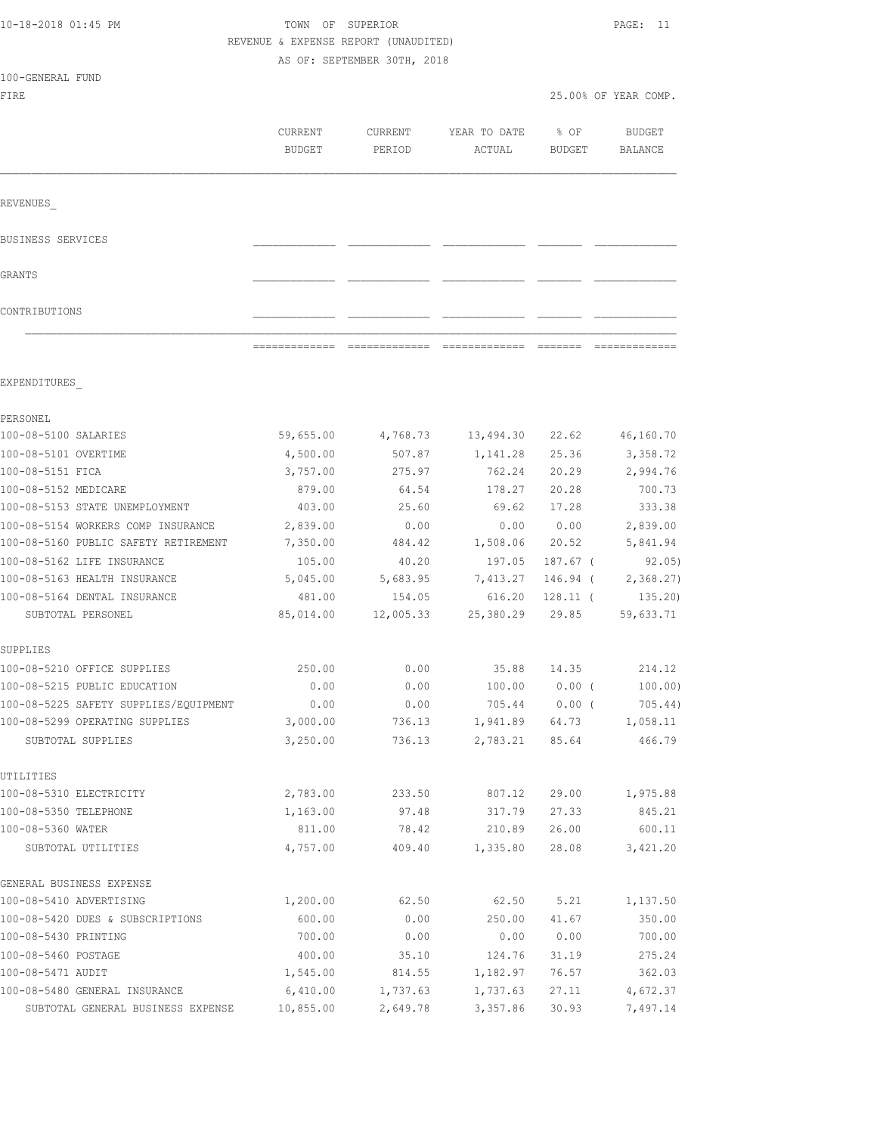|                                       | REVENUE & EXPENSE REPORT (UNAUDITED) |                             |              |               |                      |
|---------------------------------------|--------------------------------------|-----------------------------|--------------|---------------|----------------------|
|                                       |                                      | AS OF: SEPTEMBER 30TH, 2018 |              |               |                      |
| 100-GENERAL FUND                      |                                      |                             |              |               |                      |
| FIRE                                  |                                      |                             |              |               | 25.00% OF YEAR COMP. |
|                                       | <b>CURRENT</b>                       | CURRENT                     | YEAR TO DATE | % OF          | <b>BUDGET</b>        |
|                                       | <b>BUDGET</b>                        | PERIOD                      | ACTUAL       | <b>BUDGET</b> | BALANCE              |
|                                       |                                      |                             |              |               |                      |
| REVENUES                              |                                      |                             |              |               |                      |
| BUSINESS SERVICES                     |                                      |                             |              |               |                      |
| GRANTS                                |                                      |                             |              |               |                      |
| CONTRIBUTIONS                         |                                      |                             |              |               |                      |
|                                       |                                      |                             |              |               |                      |
|                                       |                                      |                             |              |               |                      |
| EXPENDITURES                          |                                      |                             |              |               |                      |
| PERSONEL                              |                                      |                             |              |               |                      |
| 100-08-5100 SALARIES                  | 59,655.00                            | 4,768.73                    | 13,494.30    | 22.62         | 46,160.70            |
| 100-08-5101 OVERTIME                  | 4,500.00                             | 507.87                      | 1,141.28     | 25.36         | 3,358.72             |
| 100-08-5151 FICA                      | 3,757.00                             | 275.97                      | 762.24       | 20.29         | 2,994.76             |
| 100-08-5152 MEDICARE                  | 879.00                               | 64.54                       | 178.27       | 20.28         | 700.73               |
| 100-08-5153 STATE UNEMPLOYMENT        | 403.00                               | 25.60                       | 69.62        | 17.28         | 333.38               |
| 100-08-5154 WORKERS COMP INSURANCE    | 2,839.00                             | 0.00                        | 0.00         | 0.00          | 2,839.00             |
| 100-08-5160 PUBLIC SAFETY RETIREMENT  | 7,350.00                             | 484.42                      | 1,508.06     | 20.52         | 5,841.94             |
| 100-08-5162 LIFE INSURANCE            | 105.00                               | 40.20                       | 197.05       | 187.67 (      | 92.05)               |
| 100-08-5163 HEALTH INSURANCE          | 5,045.00                             | 5,683.95                    | 7,413.27     | 146.94 (      | 2,368.27             |
| 100-08-5164 DENTAL INSURANCE          | 481.00                               | 154.05                      | 616.20       | $128.11$ (    | 135.20               |
| SUBTOTAL PERSONEL                     | 85,014.00                            | 12,005.33                   | 25,380.29    | 29.85         | 59,633.71            |
| SUPPLIES                              |                                      |                             |              |               |                      |
| 100-08-5210 OFFICE SUPPLIES           | 250.00                               | 0.00                        | 35.88        | 14.35         | 214.12               |
| 100-08-5215 PUBLIC EDUCATION          | 0.00                                 | 0.00                        | 100.00       | $0.00$ (      | 100.00)              |
| 100-08-5225 SAFETY SUPPLIES/EQUIPMENT | 0.00                                 | 0.00                        | 705.44       | $0.00$ (      | 705.44)              |
| 100-08-5299 OPERATING SUPPLIES        | 3,000.00                             | 736.13                      | 1,941.89     | 64.73         | 1,058.11             |
| SUBTOTAL SUPPLIES                     | 3,250.00                             | 736.13                      | 2,783.21     | 85.64         | 466.79               |
| UTILITIES                             |                                      |                             |              |               |                      |
| 100-08-5310 ELECTRICITY               | 2,783.00                             | 233.50                      | 807.12       | 29.00         | 1,975.88             |
| 100-08-5350 TELEPHONE                 | 1,163.00                             | 97.48                       | 317.79       | 27.33         | 845.21               |
| 100-08-5360 WATER                     | 811.00                               | 78.42                       | 210.89       | 26.00         | 600.11               |
| SUBTOTAL UTILITIES                    | 4,757.00                             | 409.40                      | 1,335.80     | 28.08         | 3,421.20             |
| GENERAL BUSINESS EXPENSE              |                                      |                             |              |               |                      |
| 100-08-5410 ADVERTISING               | 1,200.00                             | 62.50                       | 62.50        | 5.21          | 1,137.50             |

100-08-5420 DUES & SUBSCRIPTIONS 600.00 0.00 250.00 41.67 350.00 100-08-5430 PRINTING 700.00 0.00 0.00 0.00 700.00 100-08-5460 POSTAGE 400.00 35.10 124.76 31.19 275.24 100-08-5471 AUDIT 1,545.00 814.55 1,182.97 76.57 362.03 100-08-5480 GENERAL INSURANCE 6,410.00 1,737.63 1,737.63 27.11 4,672.37 SUBTOTAL GENERAL BUSINESS EXPENSE 10,855.00 2,649.78 3,357.86 30.93 7,497.14

10-18-2018 01:45 PM TOWN OF SUPERIOR PAGE: 11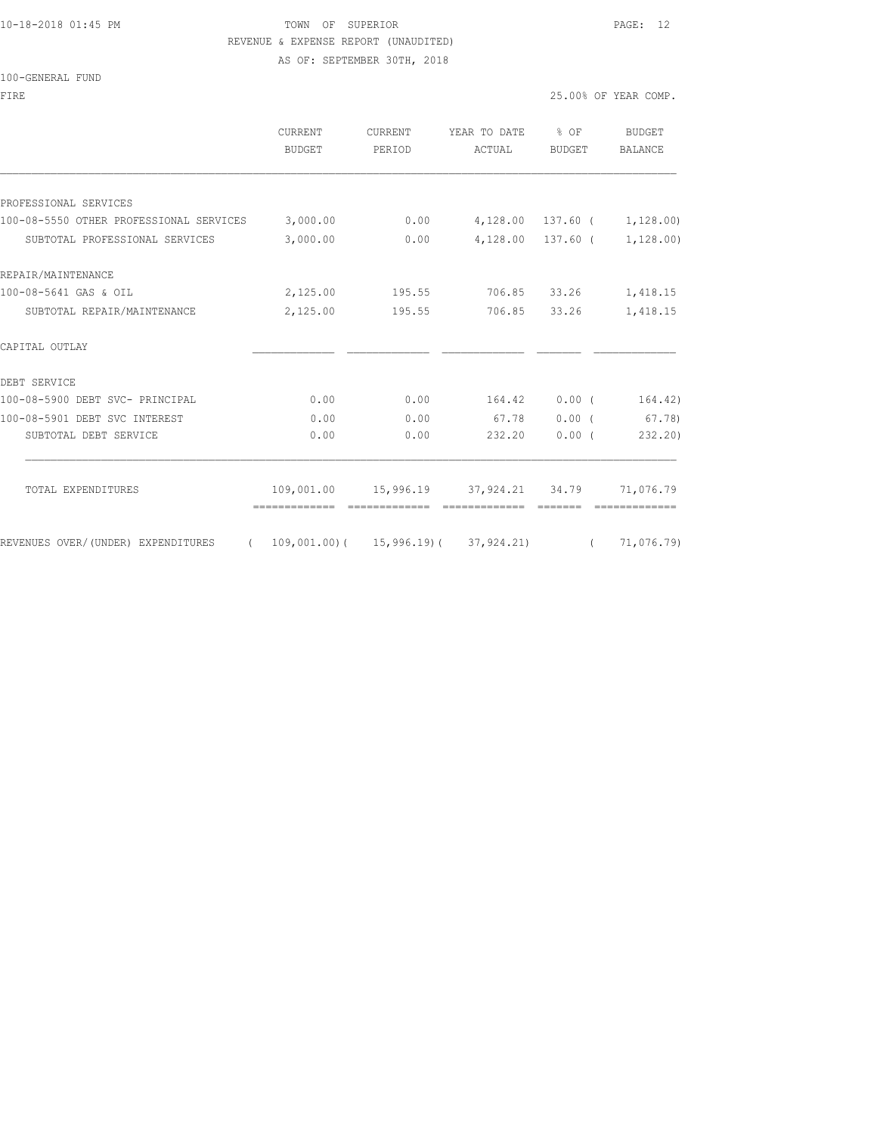#### 10-18-2018 01:45 PM TOWN OF SUPERIOR PAGE: 12 REVENUE & EXPENSE REPORT (UNAUDITED)

AS OF: SEPTEMBER 30TH, 2018

| FIRE                                             |                                            |                   |                                                    |        | 25.00% OF YEAR COMP.     |
|--------------------------------------------------|--------------------------------------------|-------------------|----------------------------------------------------|--------|--------------------------|
|                                                  | CURRENT<br><b>BUDGET</b>                   | CURRENT<br>PERIOD | YEAR TO DATE % OF<br>ACTUAL                        | BUDGET | BUDGET<br><b>BALANCE</b> |
|                                                  |                                            |                   |                                                    |        |                          |
| PROFESSIONAL SERVICES                            |                                            |                   |                                                    |        |                          |
| 100-08-5550 OTHER PROFESSIONAL SERVICES 3,000.00 |                                            |                   | $0.00$ 4,128.00 137.60 ( 1,128.00)                 |        |                          |
| SUBTOTAL PROFESSIONAL SERVICES                   | 3,000.00                                   |                   | $0.00$ 4,128.00 137.60 ( 1,128.00)                 |        |                          |
| REPAIR/MAINTENANCE                               |                                            |                   |                                                    |        |                          |
| 100-08-5641 GAS & OIL                            | 2,125.00 195.55 706.85 33.26 1,418.15      |                   |                                                    |        |                          |
| SUBTOTAL REPAIR/MAINTENANCE                      | 2,125.00                                   |                   | 195.55 706.85 33.26                                |        | 1,418.15                 |
| CAPITAL OUTLAY                                   |                                            |                   |                                                    |        |                          |
| DEBT SERVICE                                     |                                            |                   |                                                    |        |                          |
| 100-08-5900 DEBT SVC- PRINCIPAL                  | 0.00                                       | 0.00              | $164.42$ 0.00 ( 164.42)                            |        |                          |
| 100-08-5901 DEBT SVC INTEREST                    | 0.00                                       | 0.00              | 67.78                                              |        | $0.00$ ( 67.78)          |
| SUBTOTAL DEBT SERVICE                            | 0.00                                       | 0.00              | 232.20                                             | 0.00(  | 232.20)                  |
| TOTAL EXPENDITURES                               |                                            |                   | 109,001.00  15,996.19  37,924.21  34.79  71,076.79 |        |                          |
| REVENUES OVER/(UNDER) EXPENDITURES               | $109,001.00$ ( $15,996.19$ ( $37,924.21$ ) |                   |                                                    |        | 71,076.79)               |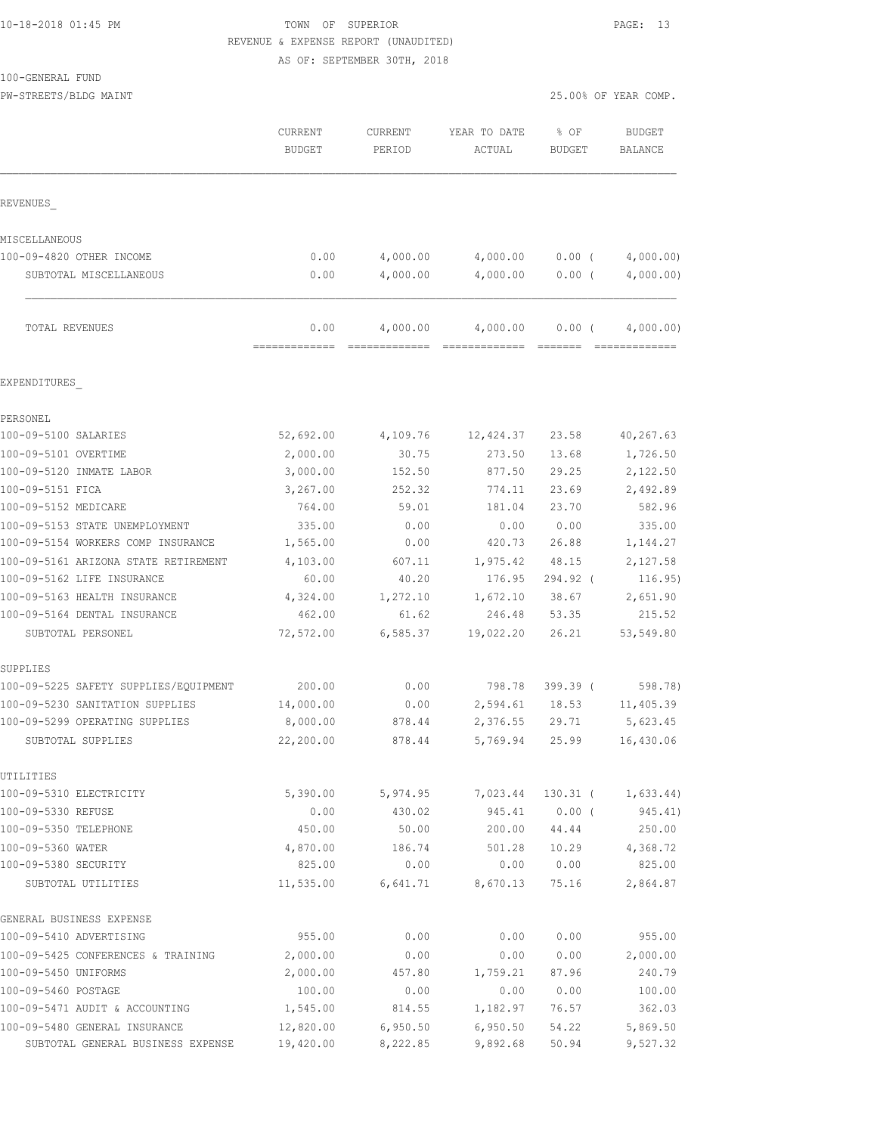### 10-18-2018 01:45 PM TOWN OF SUPERIOR PAGE: 13 REVENUE & EXPENSE REPORT (UNAUDITED)

AS OF: SEPTEMBER 30TH, 2018

| 100-GENERAL FUND |  |
|------------------|--|
|                  |  |

| PW-STREETS/BLDG MAINT                       |                                 |                            |                                      | 25.00% OF YEAR COMP.  |                          |
|---------------------------------------------|---------------------------------|----------------------------|--------------------------------------|-----------------------|--------------------------|
|                                             | <b>CURRENT</b><br><b>BUDGET</b> | <b>CURRENT</b><br>PERIOD   | YEAR TO DATE<br>ACTUAL               | % OF<br><b>BUDGET</b> | <b>BUDGET</b><br>BALANCE |
| REVENUES                                    |                                 |                            |                                      |                       |                          |
| MISCELLANEOUS                               |                                 |                            |                                      |                       |                          |
| 100-09-4820 OTHER INCOME                    | 0.00                            | 4,000.00                   | 4,000.00                             | $0.00$ (              | 4,000.00)                |
| SUBTOTAL MISCELLANEOUS                      | 0.00                            | 4,000.00                   | 4,000.00                             | $0.00$ (              | 4,000.00)                |
| TOTAL REVENUES                              | 0.00<br>=============           | 4,000.00<br>-------------- | 4,000.00<br>======================== | $0.00$ (              | 4,000.00)                |
| EXPENDITURES                                |                                 |                            |                                      |                       |                          |
| PERSONEL                                    |                                 |                            |                                      |                       |                          |
| 100-09-5100 SALARIES                        | 52,692.00                       | 4,109.76                   | 12,424.37                            | 23.58                 | 40,267.63                |
| 100-09-5101 OVERTIME                        | 2,000.00                        | 30.75                      | 273.50                               | 13.68                 | 1,726.50                 |
| 100-09-5120 INMATE LABOR                    | 3,000.00                        | 152.50                     | 877.50                               | 29.25                 | 2,122.50                 |
| 100-09-5151 FICA                            | 3,267.00                        | 252.32                     | 774.11                               | 23.69                 | 2,492.89                 |
| 100-09-5152 MEDICARE                        | 764.00                          | 59.01                      | 181.04                               | 23.70                 | 582.96                   |
| 100-09-5153 STATE UNEMPLOYMENT              | 335.00                          | 0.00                       | 0.00                                 | 0.00                  | 335.00                   |
| 100-09-5154 WORKERS COMP INSURANCE          | 1,565.00                        | 0.00                       | 420.73                               | 26.88                 | 1,144.27                 |
| 100-09-5161 ARIZONA STATE RETIREMENT        | 4,103.00                        | 607.11                     | 1,975.42                             | 48.15                 | 2,127.58                 |
| 100-09-5162 LIFE INSURANCE                  | 60.00                           | 40.20                      | 176.95                               | 294.92 (              | 116.95)                  |
| 100-09-5163 HEALTH INSURANCE                | 4,324.00                        | 1,272.10                   | 1,672.10                             | 38.67                 | 2,651.90                 |
| 100-09-5164 DENTAL INSURANCE                | 462.00                          | 61.62                      | 246.48                               | 53.35                 | 215.52                   |
| SUBTOTAL PERSONEL                           | 72,572.00                       | 6,585.37                   | 19,022.20                            | 26.21                 | 53,549.80                |
| SUPPLIES                                    |                                 |                            |                                      |                       |                          |
| 100-09-5225 SAFETY SUPPLIES/EQUIPMENT       | 200.00                          | 0.00                       | 798.78                               | 399.39 (              | 598.78)                  |
| 100-09-5230 SANITATION SUPPLIES             | 14,000.00                       | 0.00                       | 2,594.61                             | 18.53                 | 11,405.39                |
| 100-09-5299 OPERATING SUPPLIES              | 8,000.00                        | 878.44                     | 2,376.55                             | 29.71                 | 5,623.45                 |
| SUBTOTAL SUPPLIES                           | 22,200.00                       | 878.44                     | 5,769.94                             | 25.99                 | 16,430.06                |
| UTILITIES                                   | 5,390.00                        |                            |                                      | $130.31$ (            |                          |
| 100-09-5310 ELECTRICITY                     |                                 | 5,974.95                   | 7,023.44                             |                       | 1,633.44)                |
| 100-09-5330 REFUSE<br>100-09-5350 TELEPHONE | 0.00<br>450.00                  | 430.02<br>50.00            | 945.41<br>200.00                     | 0.00(<br>44.44        | 945.41)<br>250.00        |
| 100-09-5360 WATER                           | 4,870.00                        | 186.74                     | 501.28                               | 10.29                 | 4,368.72                 |
| 100-09-5380 SECURITY                        | 825.00                          | 0.00                       | 0.00                                 | 0.00                  | 825.00                   |
| SUBTOTAL UTILITIES                          | 11,535.00                       | 6,641.71                   | 8,670.13                             | 75.16                 | 2,864.87                 |
| GENERAL BUSINESS EXPENSE                    |                                 |                            |                                      |                       |                          |
| 100-09-5410 ADVERTISING                     | 955.00                          | 0.00                       | 0.00                                 | 0.00                  | 955.00                   |
| 100-09-5425 CONFERENCES & TRAINING          | 2,000.00                        | 0.00                       | 0.00                                 | 0.00                  | 2,000.00                 |
| 100-09-5450 UNIFORMS                        | 2,000.00                        | 457.80                     | 1,759.21                             | 87.96                 | 240.79                   |
| 100-09-5460 POSTAGE                         | 100.00                          | 0.00                       | 0.00                                 | 0.00                  | 100.00                   |
| 100-09-5471 AUDIT & ACCOUNTING              | 1,545.00                        | 814.55                     | 1,182.97                             | 76.57                 | 362.03                   |
| 100-09-5480 GENERAL INSURANCE               | 12,820.00                       | 6,950.50                   | 6,950.50                             | 54.22                 | 5,869.50                 |

SUBTOTAL GENERAL BUSINESS EXPENSE 19,420.00 8,222.85 9,892.68 50.94 9,527.32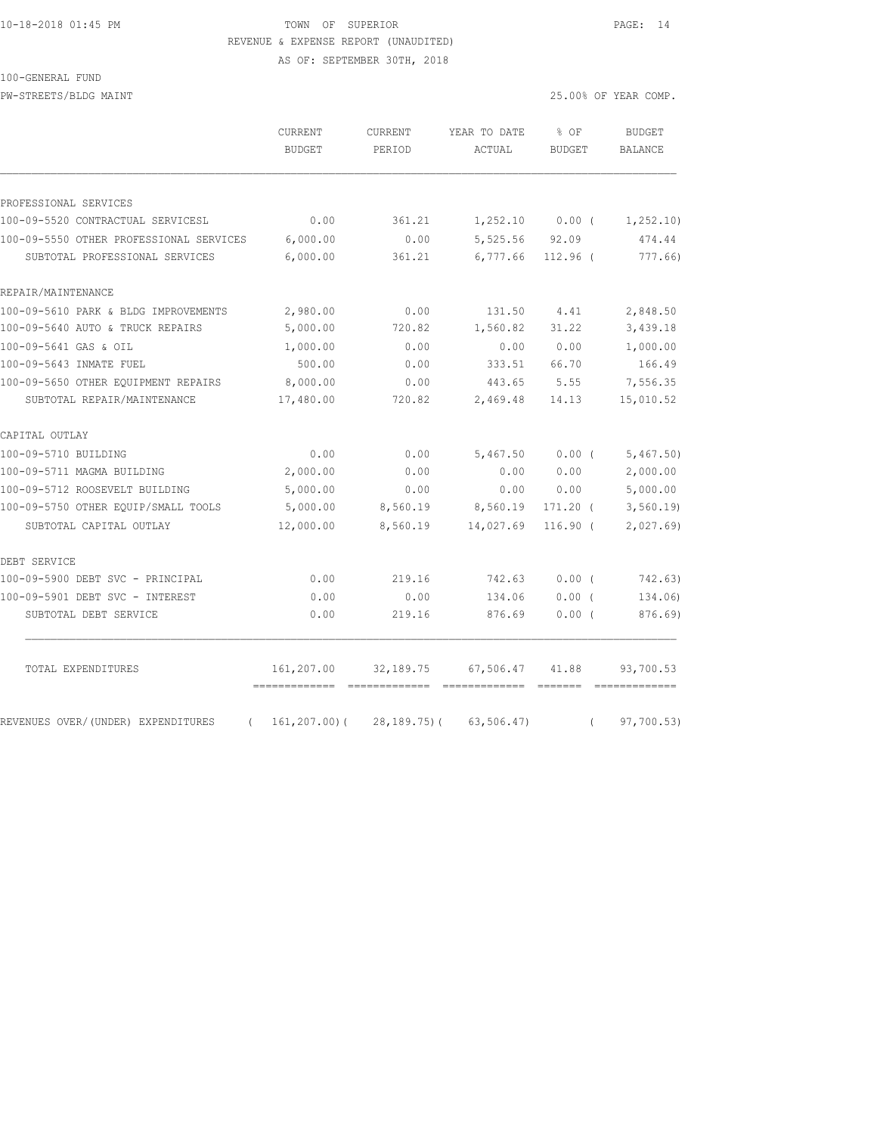#### 10-18-2018 01:45 PM TOWN OF SUPERIOR PAGE: 14 REVENUE & EXPENSE REPORT (UNAUDITED)

AS OF: SEPTEMBER 30TH, 2018

100-GENERAL FUND

PW-STREETS/BLDG MAINT 25.00% OF YEAR COMP.

|                                                | CURRENT<br>BUDGET           | <b>CURRENT</b><br>PERIOD | YEAR TO DATE<br>ACTUAL | % OF<br><b>BUDGET</b> | <b>BUDGET</b><br>BALANCE |
|------------------------------------------------|-----------------------------|--------------------------|------------------------|-----------------------|--------------------------|
| PROFESSIONAL SERVICES                          |                             |                          |                        |                       |                          |
| 100-09-5520 CONTRACTUAL SERVICESL              | 0.00                        | 361.21                   |                        | $1,252.10$ 0.00 (     | 1, 252.10                |
| 100-09-5550 OTHER PROFESSIONAL SERVICES        | 6,000.00                    | 0.00                     | 5,525.56 92.09         |                       | 474.44                   |
| SUBTOTAL PROFESSIONAL SERVICES                 | 6,000.00                    | 361.21                   | 6,777.66               | 112.96 (              | $777.66$ )               |
| REPAIR/MAINTENANCE                             |                             |                          |                        |                       |                          |
| 100-09-5610 PARK & BLDG IMPROVEMENTS           | 2,980.00                    | 0.00                     | 131.50                 | 4.41                  | 2,848.50                 |
| 100-09-5640 AUTO & TRUCK REPAIRS               | 5,000.00                    | 720.82                   | 1,560.82               | 31.22                 | 3,439.18                 |
| 100-09-5641 GAS & OIL                          | 1,000.00                    | 0.00                     | 0.00                   | 0.00                  | 1,000.00                 |
| 100-09-5643 INMATE FUEL                        | 500.00                      | 0.00                     | 333.51                 | 66.70                 | 166.49                   |
| 100-09-5650 OTHER EQUIPMENT REPAIRS            | 8,000.00                    | 0.00                     | 443.65                 | 5.55                  | 7,556.35                 |
| SUBTOTAL REPAIR/MAINTENANCE                    | 17,480.00                   | 720.82                   | 2,469.48               | 14.13                 | 15,010.52                |
| CAPITAL OUTLAY                                 |                             |                          |                        |                       |                          |
| 100-09-5710 BUILDING                           | 0.00                        | 0.00                     | 5,467.50               | $0.00$ (              | 5,467.50)                |
| 100-09-5711 MAGMA BUILDING                     | 2,000.00                    | 0.00                     | 0.00                   | 0.00                  | 2,000.00                 |
| 100-09-5712 ROOSEVELT BUILDING                 | 5,000.00                    | 0.00                     | 0.00                   | 0.00                  | 5,000.00                 |
| 100-09-5750 OTHER EOUIP/SMALL TOOLS            | 5,000.00                    | 8,560.19                 | 8,560.19               | $171.20$ (            | 3,560.19                 |
| SUBTOTAL CAPITAL OUTLAY                        | 12,000.00                   | 8,560.19                 | 14,027.69              | $116.90$ (            | 2,027.69                 |
| DEBT SERVICE                                   |                             |                          |                        |                       |                          |
| 100-09-5900 DEBT SVC - PRINCIPAL               | 0.00                        | 219.16                   | 742.63                 | 0.00(                 | 742.63)                  |
| 100-09-5901 DEBT SVC - INTEREST                | 0.00                        | 0.00                     | 134.06                 | 0.00(                 | 134.06)                  |
| SUBTOTAL DEBT SERVICE                          | 0.00                        | 219.16                   | 876.69                 | $0.00$ (              | 876.69)                  |
| TOTAL EXPENDITURES                             | 161,207.00<br>============= | 32, 189. 75              | 67,506.47              | 41.88                 | 93,700.53                |
| REVENUES OVER/(UNDER) EXPENDITURES<br>$\left($ | $161, 207.00$ ) (           | $28, 189.75$ ) (         | 63, 506.47             | $\left($              | 97,700.53)               |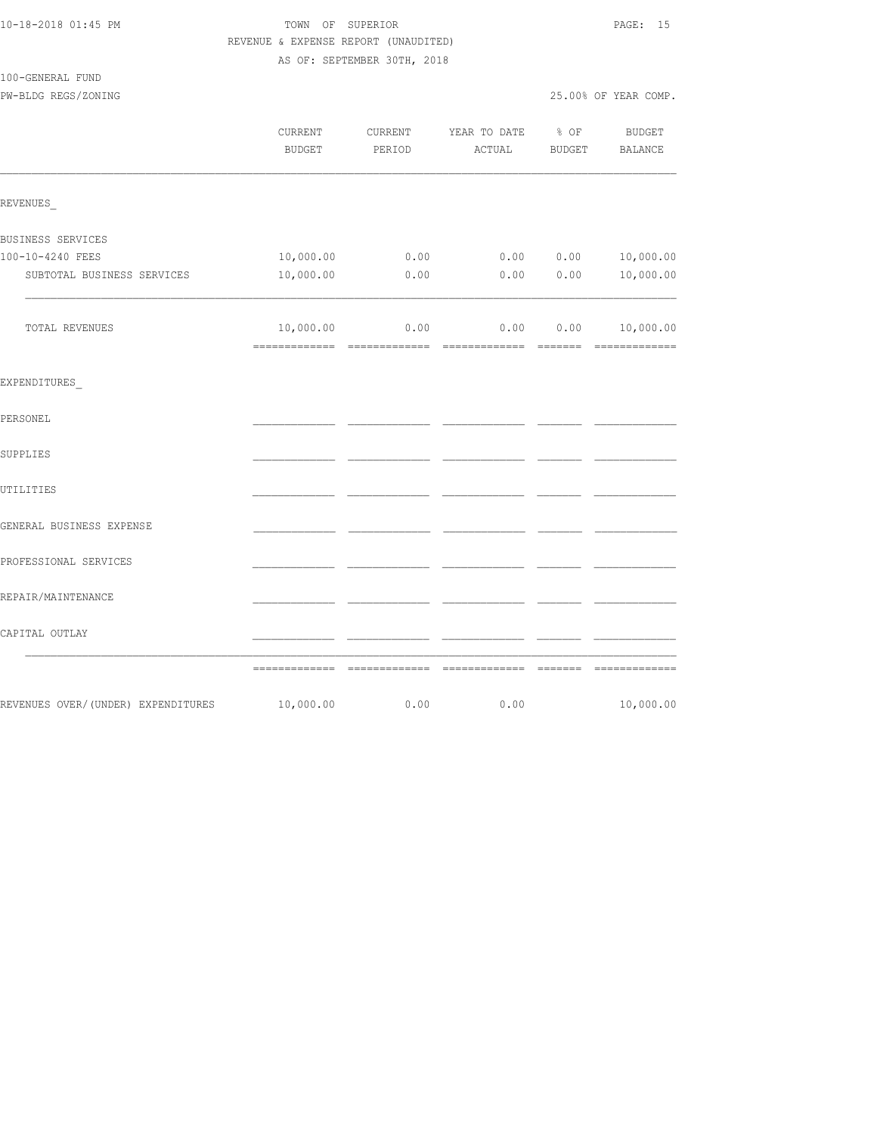|                                         | REVENUE & EXPENSE REPORT (UNAUDITED)       |                             |                                     |                       |                                                                                                                                                                                                                                                                                                                                                                                                                                                                                                     |
|-----------------------------------------|--------------------------------------------|-----------------------------|-------------------------------------|-----------------------|-----------------------------------------------------------------------------------------------------------------------------------------------------------------------------------------------------------------------------------------------------------------------------------------------------------------------------------------------------------------------------------------------------------------------------------------------------------------------------------------------------|
|                                         |                                            | AS OF: SEPTEMBER 30TH, 2018 |                                     |                       |                                                                                                                                                                                                                                                                                                                                                                                                                                                                                                     |
| 100-GENERAL FUND<br>PW-BLDG REGS/ZONING |                                            |                             |                                     |                       | 25.00% OF YEAR COMP.                                                                                                                                                                                                                                                                                                                                                                                                                                                                                |
|                                         |                                            |                             |                                     |                       |                                                                                                                                                                                                                                                                                                                                                                                                                                                                                                     |
|                                         | CURRENT<br><b>BUDGET</b>                   | CURRENT<br>PERIOD           | YEAR TO DATE<br>ACTUAL              | % OF<br><b>BUDGET</b> | <b>BUDGET</b><br>BALANCE                                                                                                                                                                                                                                                                                                                                                                                                                                                                            |
| REVENUES                                |                                            |                             |                                     |                       |                                                                                                                                                                                                                                                                                                                                                                                                                                                                                                     |
| BUSINESS SERVICES                       |                                            |                             |                                     |                       |                                                                                                                                                                                                                                                                                                                                                                                                                                                                                                     |
| 100-10-4240 FEES                        | 10,000.00                                  | 0.00                        | 0.00                                | 0.00                  | 10,000.00                                                                                                                                                                                                                                                                                                                                                                                                                                                                                           |
| SUBTOTAL BUSINESS SERVICES              | 10,000.00                                  | 0.00                        | 0.00                                | 0.00                  | 10,000.00                                                                                                                                                                                                                                                                                                                                                                                                                                                                                           |
| TOTAL REVENUES                          | 10,000.00<br>-------------- -------------- | 0.00                        | 0.00<br>- cooperatescare - cooperat | 0.00                  | 10,000.00<br>$\begin{array}{cccccccccc} \multicolumn{2}{c}{} & \multicolumn{2}{c}{} & \multicolumn{2}{c}{} & \multicolumn{2}{c}{} & \multicolumn{2}{c}{} & \multicolumn{2}{c}{} & \multicolumn{2}{c}{} & \multicolumn{2}{c}{} & \multicolumn{2}{c}{} & \multicolumn{2}{c}{} & \multicolumn{2}{c}{} & \multicolumn{2}{c}{} & \multicolumn{2}{c}{} & \multicolumn{2}{c}{} & \multicolumn{2}{c}{} & \multicolumn{2}{c}{} & \multicolumn{2}{c}{} & \multicolumn{2}{c}{} & \multicolumn{2}{c}{} & \mult$ |
| EXPENDITURES                            |                                            |                             |                                     |                       |                                                                                                                                                                                                                                                                                                                                                                                                                                                                                                     |
| PERSONEL                                |                                            |                             |                                     |                       |                                                                                                                                                                                                                                                                                                                                                                                                                                                                                                     |
| SUPPLIES                                |                                            |                             |                                     |                       |                                                                                                                                                                                                                                                                                                                                                                                                                                                                                                     |
| UTILITIES                               |                                            |                             |                                     |                       |                                                                                                                                                                                                                                                                                                                                                                                                                                                                                                     |
| GENERAL BUSINESS EXPENSE                |                                            |                             |                                     |                       |                                                                                                                                                                                                                                                                                                                                                                                                                                                                                                     |
| PROFESSIONAL SERVICES                   |                                            |                             |                                     |                       |                                                                                                                                                                                                                                                                                                                                                                                                                                                                                                     |
| REPAIR/MAINTENANCE                      |                                            |                             |                                     |                       |                                                                                                                                                                                                                                                                                                                                                                                                                                                                                                     |
| CAPITAL OUTLAY                          |                                            |                             |                                     |                       |                                                                                                                                                                                                                                                                                                                                                                                                                                                                                                     |
|                                         | -------------- --------------              |                             | $=$                                 | --------              |                                                                                                                                                                                                                                                                                                                                                                                                                                                                                                     |
| REVENUES OVER/(UNDER) EXPENDITURES      | 10,000.00                                  | 0.00                        | 0.00                                |                       | 10,000.00                                                                                                                                                                                                                                                                                                                                                                                                                                                                                           |

10-18-2018 01:45 PM TOWN OF SUPERIOR PAGE: 15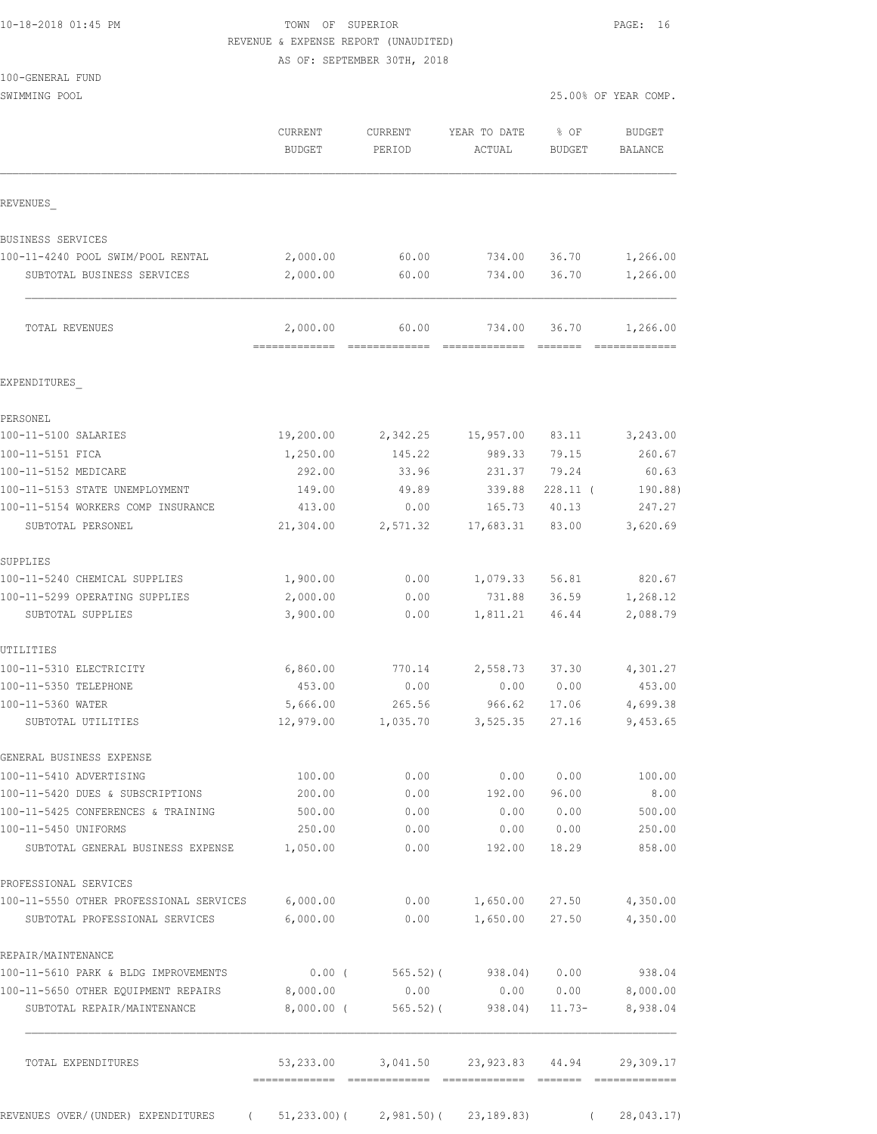## 10-18-2018 01:45 PM TOWN OF SUPERIOR PAGE: 16 REVENUE & EXPENSE REPORT (UNAUDITED)

AS OF: SEPTEMBER 30TH, 2018

100-GENERAL FUND

SWIMMING POOL 25.00% OF YEAR COMP.

|                                                           | <b>CURRENT</b><br><b>BUDGET</b> | <b>CURRENT</b><br>PERIOD | YEAR TO DATE<br>ACTUAL | % OF<br><b>BUDGET</b> | <b>BUDGET</b><br>BALANCE |
|-----------------------------------------------------------|---------------------------------|--------------------------|------------------------|-----------------------|--------------------------|
| REVENUES                                                  |                                 |                          |                        |                       |                          |
| BUSINESS SERVICES                                         |                                 |                          |                        |                       |                          |
| 100-11-4240 POOL SWIM/POOL RENTAL                         | 2,000.00                        | 60.00                    | 734.00                 | 36.70                 | 1,266.00                 |
| SUBTOTAL BUSINESS SERVICES                                | 2,000.00                        | 60.00                    | 734.00                 | 36.70                 | 1,266.00                 |
| TOTAL REVENUES                                            | 2,000.00                        | 60.00                    | 734.00                 | 36.70                 | 1,266.00                 |
| EXPENDITURES                                              |                                 |                          |                        |                       |                          |
| PERSONEL                                                  |                                 |                          |                        |                       |                          |
| 100-11-5100 SALARIES                                      | 19,200.00                       | 2,342.25                 | 15,957.00              | 83.11                 | 3,243.00                 |
| 100-11-5151 FICA                                          | 1,250.00                        | 145.22                   | 989.33                 | 79.15                 | 260.67                   |
| 100-11-5152 MEDICARE                                      | 292.00                          | 33.96                    | 231.37                 | 79.24                 | 60.63                    |
| 100-11-5153 STATE UNEMPLOYMENT                            | 149.00                          | 49.89                    | 339.88                 | $228.11$ (            | 190.88)                  |
| 100-11-5154 WORKERS COMP INSURANCE                        | 413.00                          | 0.00                     | 165.73                 | 40.13                 | 247.27                   |
| SUBTOTAL PERSONEL                                         | 21,304.00                       | 2,571.32                 | 17,683.31              | 83.00                 | 3,620.69                 |
| SUPPLIES                                                  |                                 |                          |                        |                       |                          |
| 100-11-5240 CHEMICAL SUPPLIES                             | 1,900.00                        | 0.00                     | 1,079.33               | 56.81                 | 820.67                   |
| 100-11-5299 OPERATING SUPPLIES<br>SUBTOTAL SUPPLIES       | 2,000.00<br>3,900.00            | 0.00<br>0.00             | 731.88<br>1,811.21     | 36.59<br>46.44        | 1,268.12<br>2,088.79     |
| UTILITIES                                                 |                                 |                          |                        |                       |                          |
| 100-11-5310 ELECTRICITY                                   | 6,860.00                        | 770.14                   | 2,558.73               | 37.30                 | 4,301.27                 |
| 100-11-5350 TELEPHONE                                     | 453.00                          | 0.00                     | 0.00                   | 0.00                  | 453.00                   |
| 100-11-5360 WATER                                         | 5,666.00                        | 265.56                   | 966.62                 | 17.06                 | 4,699.38                 |
| SUBTOTAL UTILITIES                                        | 12,979.00                       | 1,035.70                 | 3,525.35               | 27.16                 | 9,453.65                 |
| GENERAL BUSINESS EXPENSE                                  |                                 |                          |                        |                       |                          |
| 100-11-5410 ADVERTISING                                   | 100.00                          | 0.00                     | 0.00                   | 0.00                  | 100.00                   |
| 100-11-5420 DUES & SUBSCRIPTIONS                          | 200.00                          | 0.00                     | 192.00                 | 96.00                 | 8.00                     |
| 100-11-5425 CONFERENCES & TRAINING                        | 500.00                          | 0.00                     | 0.00                   | 0.00                  | 500.00                   |
| 100-11-5450 UNIFORMS<br>SUBTOTAL GENERAL BUSINESS EXPENSE | 250.00<br>1,050.00              | 0.00<br>0.00             | 0.00<br>192.00         | 0.00<br>18.29         | 250.00<br>858.00         |
| PROFESSIONAL SERVICES                                     |                                 |                          |                        |                       |                          |
| 100-11-5550 OTHER PROFESSIONAL SERVICES                   | 6,000.00                        | 0.00                     | 1,650.00               | 27.50                 | 4,350.00                 |
| SUBTOTAL PROFESSIONAL SERVICES                            | 6,000.00                        | 0.00                     | 1,650.00               | 27.50                 | 4,350.00                 |
| REPAIR/MAINTENANCE                                        |                                 |                          |                        |                       |                          |
| 100-11-5610 PARK & BLDG IMPROVEMENTS                      | $0.00$ (                        | 565.52)(                 | 938.04)                | 0.00                  | 938.04                   |
| 100-11-5650 OTHER EQUIPMENT REPAIRS                       | 8,000.00                        | 0.00                     | 0.00                   | 0.00                  | 8,000.00                 |
| SUBTOTAL REPAIR/MAINTENANCE                               | $8,000.00$ (                    | $565.52$ ) (             | 938.04)                | $11.73-$              | 8,938.04                 |
|                                                           |                                 |                          |                        |                       |                          |
| TOTAL EXPENDITURES                                        | 53,233.00                       | 3,041.50                 | 23,923.83              | 44.94                 | 29,309.17                |

REVENUES OVER/(UNDER) EXPENDITURES ( 51,233.00)( 2,981.50)( 23,189.83) ( 28,043.17)

============= ============= ============= ======= =============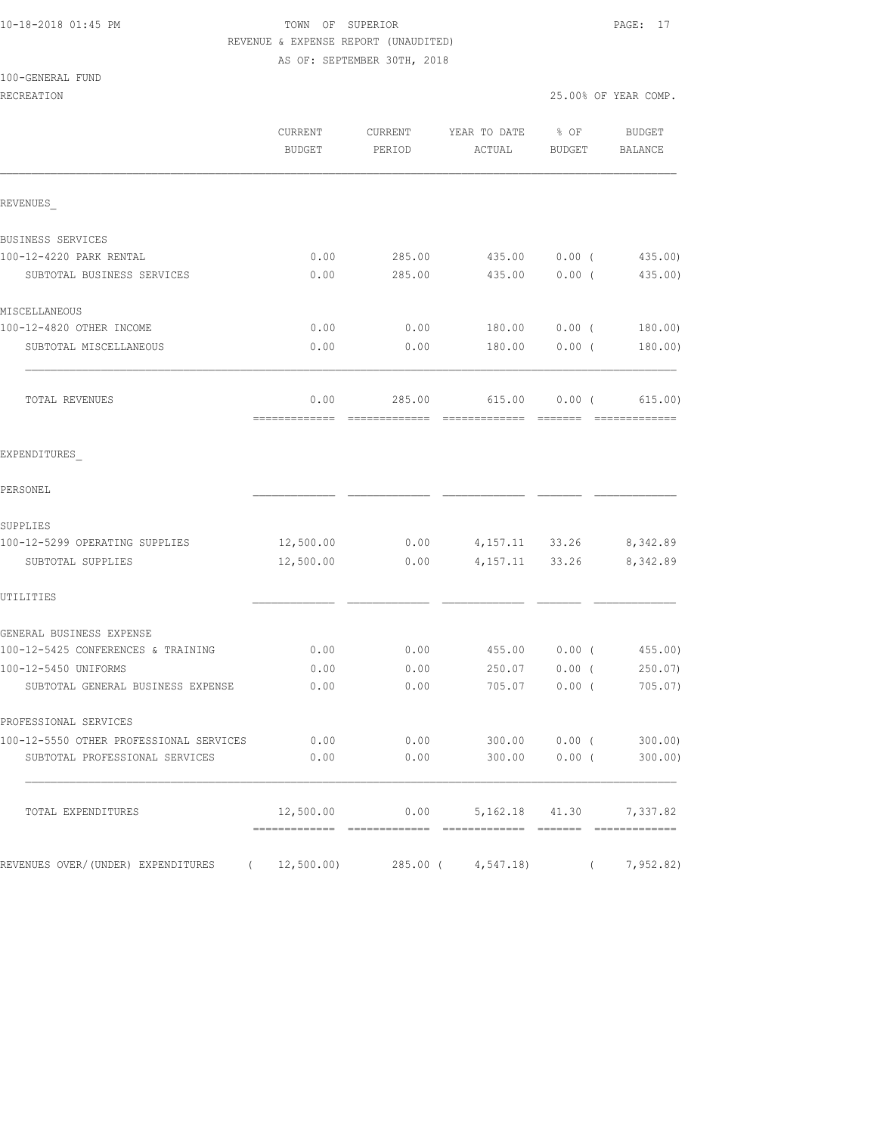## 10-18-2018 01:45 PM TOWN OF SUPERIOR PAGE: 17 REVENUE & EXPENSE REPORT (UNAUDITED)

AS OF: SEPTEMBER 30TH, 2018

| 100-GENERAL FUND |  |
|------------------|--|
|------------------|--|

|                                                | <b>CURRENT</b><br><b>BUDGET</b> | CURRENT<br>PERIOD | YEAR TO DATE<br>ACTUAL | % OF<br>BUDGET |          | <b>BUDGET</b><br>BALANCE  |
|------------------------------------------------|---------------------------------|-------------------|------------------------|----------------|----------|---------------------------|
| REVENUES                                       |                                 |                   |                        |                |          |                           |
| BUSINESS SERVICES                              |                                 |                   |                        |                |          |                           |
| 100-12-4220 PARK RENTAL                        | 0.00                            | 285.00            | 435.00                 | $0.00$ (       |          | 435.00)                   |
| SUBTOTAL BUSINESS SERVICES                     | 0.00                            | 285.00            | 435.00                 | 0.00(          |          | 435.00                    |
| MISCELLANEOUS                                  |                                 |                   |                        |                |          |                           |
| 100-12-4820 OTHER INCOME                       | 0.00                            | 0.00              | 180.00                 | $0.00$ (       |          | 180.00)                   |
| SUBTOTAL MISCELLANEOUS                         | 0.00                            | 0.00              | 180.00                 | $0.00$ (       |          | 180.00)                   |
| TOTAL REVENUES                                 | 0.00                            | 285.00            | 615.00                 | 0.00(          |          | 615.00)                   |
| EXPENDITURES                                   |                                 |                   |                        |                |          |                           |
| PERSONEL                                       |                                 |                   |                        |                |          |                           |
| SUPPLIES                                       |                                 |                   |                        |                |          |                           |
| 100-12-5299 OPERATING SUPPLIES                 | 12,500.00                       | 0.00              |                        |                |          | 4, 157.11 33.26 8, 342.89 |
| SUBTOTAL SUPPLIES                              | 12,500.00                       | 0.00              | 4,157.11               | 33.26          |          | 8,342.89                  |
| UTILITIES                                      |                                 |                   |                        |                |          |                           |
| GENERAL BUSINESS EXPENSE                       |                                 |                   |                        |                |          |                           |
| 100-12-5425 CONFERENCES & TRAINING             | 0.00                            | 0.00              | 455.00                 | $0.00$ (       |          | 455.00                    |
| 100-12-5450 UNIFORMS                           | 0.00                            | 0.00              | 250.07                 | $0.00$ (       |          | 250.07                    |
| SUBTOTAL GENERAL BUSINESS EXPENSE              | 0.00                            | 0.00              | 705.07                 | $0.00$ (       |          | 705.07                    |
| PROFESSIONAL SERVICES                          |                                 |                   |                        |                |          |                           |
| 100-12-5550 OTHER PROFESSIONAL SERVICES        | 0.00                            | 0.00              | 300.00                 | $0.00$ (       |          | 300.00                    |
| SUBTOTAL PROFESSIONAL SERVICES                 | 0.00                            | 0.00              | $300.00$ 0.00 (        |                |          | 300.00                    |
| TOTAL EXPENDITURES                             | 12,500.00                       | 0.00              | 5, 162. 18 41. 30      |                |          | 7,337.82                  |
| REVENUES OVER/(UNDER) EXPENDITURES<br>$\left($ | 12,500.00)                      | 285.00 (          | 4,547.18)              |                | $\left($ | 7,952.82)                 |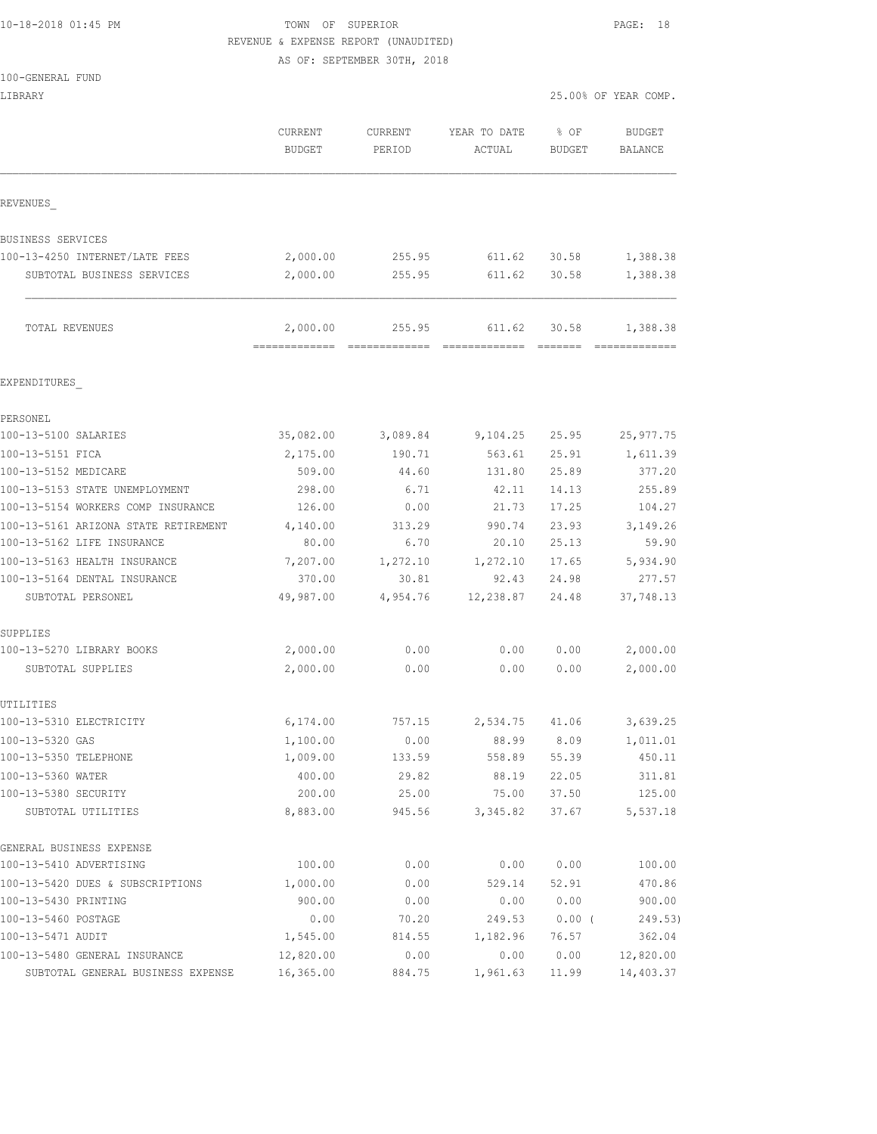10-18-2018 01:45 PM TOWN OF SUPERIOR PAGE: 18 REVENUE & EXPENSE REPORT (UNAUDITED)

AS OF: SEPTEMBER 30TH, 2018

| 100-GENERAL FUND<br>LIBRARY          |                          |                   |                        |                | 25.00% OF YEAR COMP.     |
|--------------------------------------|--------------------------|-------------------|------------------------|----------------|--------------------------|
|                                      |                          |                   |                        |                |                          |
|                                      | CURRENT<br><b>BUDGET</b> | CURRENT<br>PERIOD | YEAR TO DATE<br>ACTUAL | % OF<br>BUDGET | <b>BUDGET</b><br>BALANCE |
|                                      |                          |                   |                        |                |                          |
| REVENUES                             |                          |                   |                        |                |                          |
| BUSINESS SERVICES                    |                          |                   |                        |                |                          |
| 100-13-4250 INTERNET/LATE FEES       | 2,000.00                 | 255.95            | 611.62                 | 30.58          | 1,388.38                 |
| SUBTOTAL BUSINESS SERVICES           | 2,000.00                 | 255.95            | 611.62                 | 30.58          | 1,388.38                 |
| TOTAL REVENUES                       | 2,000.00                 | 255.95            | 611.62                 | 30.58          | 1,388.38                 |
| EXPENDITURES                         |                          |                   |                        |                |                          |
| PERSONEL                             |                          |                   |                        |                |                          |
| 100-13-5100 SALARIES                 | 35,082.00                | 3,089.84          | 9,104.25               | 25.95          | 25, 977.75               |
| 100-13-5151 FICA                     | 2,175.00                 | 190.71            | 563.61                 | 25.91          | 1,611.39                 |
| 100-13-5152 MEDICARE                 | 509.00                   | 44.60             | 131.80                 | 25.89          | 377.20                   |
| 100-13-5153 STATE UNEMPLOYMENT       | 298.00                   | 6.71              | 42.11                  | 14.13          | 255.89                   |
| 100-13-5154 WORKERS COMP INSURANCE   | 126.00                   | 0.00              | 21.73                  | 17.25          | 104.27                   |
| 100-13-5161 ARIZONA STATE RETIREMENT | 4,140.00                 | 313.29            | 990.74                 | 23.93          | 3,149.26                 |
| 100-13-5162 LIFE INSURANCE           | 80.00                    | 6.70              | 20.10                  | 25.13          | 59.90                    |
| 100-13-5163 HEALTH INSURANCE         | 7,207.00                 | 1,272.10          | 1,272.10               | 17.65          | 5,934.90                 |
| 100-13-5164 DENTAL INSURANCE         | 370.00                   | 30.81             | 92.43                  | 24.98          | 277.57                   |
| SUBTOTAL PERSONEL                    | 49,987.00                | 4,954.76          | 12,238.87              | 24.48          | 37,748.13                |
| SUPPLIES                             |                          |                   |                        |                |                          |
| 100-13-5270 LIBRARY BOOKS            | 2,000.00                 | 0.00              | 0.00                   | 0.00           | 2,000.00                 |
| SUBTOTAL SUPPLIES                    | 2,000.00                 | 0.00              | 0.00                   | 0.00           | 2,000.00                 |
| UTILITIES<br>100-13-5310 ELECTRICITY | 6,174.00                 | 757.15            | 2,534.75               | 41.06          | 3,639.25                 |
| 100-13-5320 GAS                      | 1,100.00                 | 0.00              | 88.99                  | 8.09           | 1,011.01                 |
| 100-13-5350 TELEPHONE                | 1,009.00                 | 133.59            | 558.89                 | 55.39          | 450.11                   |
| 100-13-5360 WATER                    | 400.00                   | 29.82             | 88.19                  | 22.05          | 311.81                   |
| 100-13-5380 SECURITY                 | 200.00                   | 25.00             | 75.00                  | 37.50          | 125.00                   |
| SUBTOTAL UTILITIES                   | 8,883.00                 | 945.56            | 3,345.82               | 37.67          | 5,537.18                 |
| GENERAL BUSINESS EXPENSE             |                          |                   |                        |                |                          |
| 100-13-5410 ADVERTISING              | 100.00                   | 0.00              | 0.00                   | 0.00           | 100.00                   |
| 100-13-5420 DUES & SUBSCRIPTIONS     | 1,000.00                 | 0.00              | 529.14                 | 52.91          | 470.86                   |
| 100-13-5430 PRINTING                 | 900.00                   | 0.00              | 0.00                   | 0.00           | 900.00                   |
| 100-13-5460 POSTAGE                  | 0.00                     | 70.20             | 249.53                 | $0.00$ (       | 249.53)                  |
| 100-13-5471 AUDIT                    | 1,545.00                 | 814.55            | 1,182.96               | 76.57          | 362.04                   |
| 100-13-5480 GENERAL INSURANCE        | 12,820.00                | 0.00              | 0.00                   | 0.00           | 12,820.00                |

SUBTOTAL GENERAL BUSINESS EXPENSE 16,365.00 884.75 1,961.63 11.99 14,403.37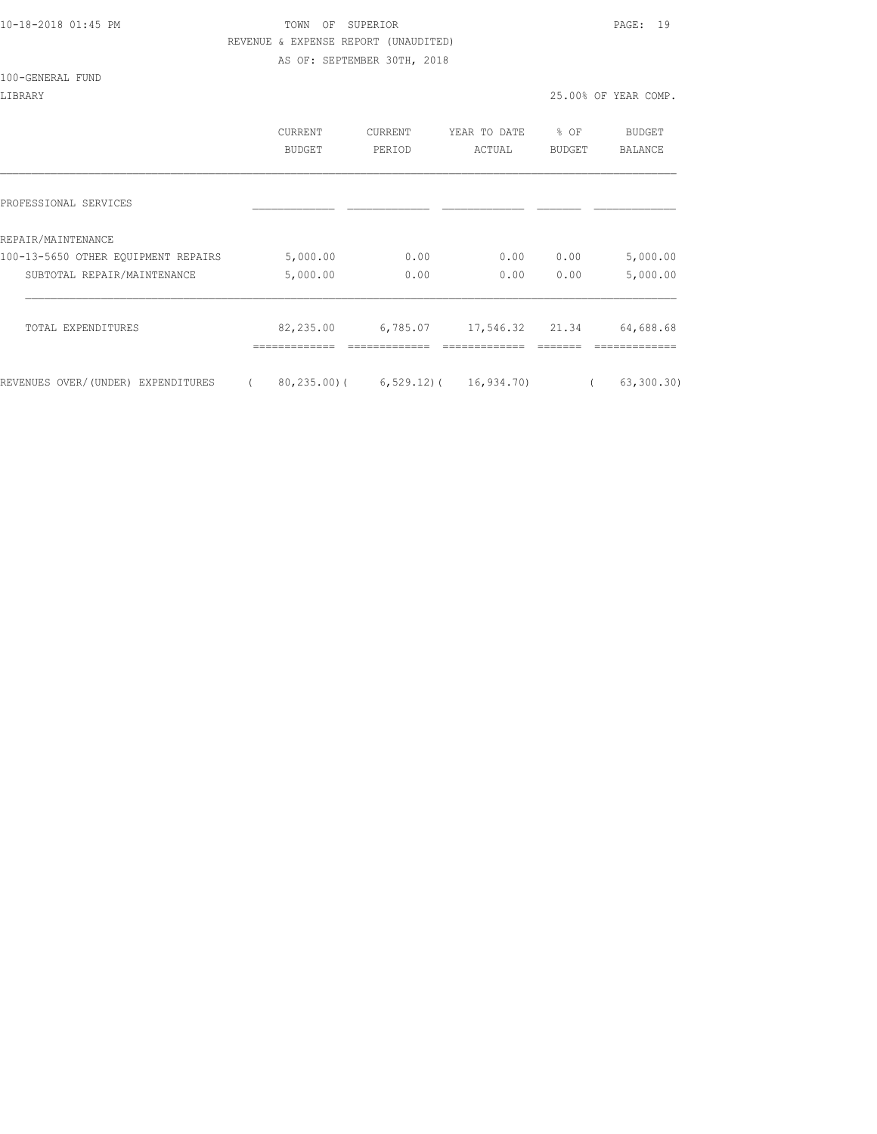#### 10-18-2018 01:45 PM TOWN OF SUPERIOR PAGE: 19 REVENUE & EXPENSE REPORT (UNAUDITED) AS OF: SEPTEMBER 30TH, 2018

100-GENERAL FUND

LIBRARY 25.00% OF YEAR COMP.

|                                     | <b>CURRENT</b><br><b>BUDGET</b> | <b>CURRENT</b><br>PERIOD               | YEAR TO DATE<br>ACTUAL | % OF<br><b>BUDGET</b> | BUDGET<br><b>BALANCE</b> |
|-------------------------------------|---------------------------------|----------------------------------------|------------------------|-----------------------|--------------------------|
| PROFESSIONAL SERVICES               |                                 |                                        |                        |                       |                          |
| REPAIR/MAINTENANCE                  |                                 |                                        |                        |                       |                          |
| 100-13-5650 OTHER EQUIPMENT REPAIRS | 5,000.00                        | 0.00                                   | 0.00                   | 0.00                  | 5,000.00                 |
| SUBTOTAL REPAIR/MAINTENANCE         | 5,000.00                        | 0.00                                   | 0.00                   | 0.00                  | 5,000.00                 |
| TOTAL EXPENDITURES                  | 82,235.00                       | 6,785.07                               | 17,546.32 21.34        |                       | 64,688.68                |
| REVENUES OVER/(UNDER) EXPENDITURES  |                                 | $80, 235, 00$ ( 6,529,12) ( 16,934,70) |                        |                       | 63, 300.30)              |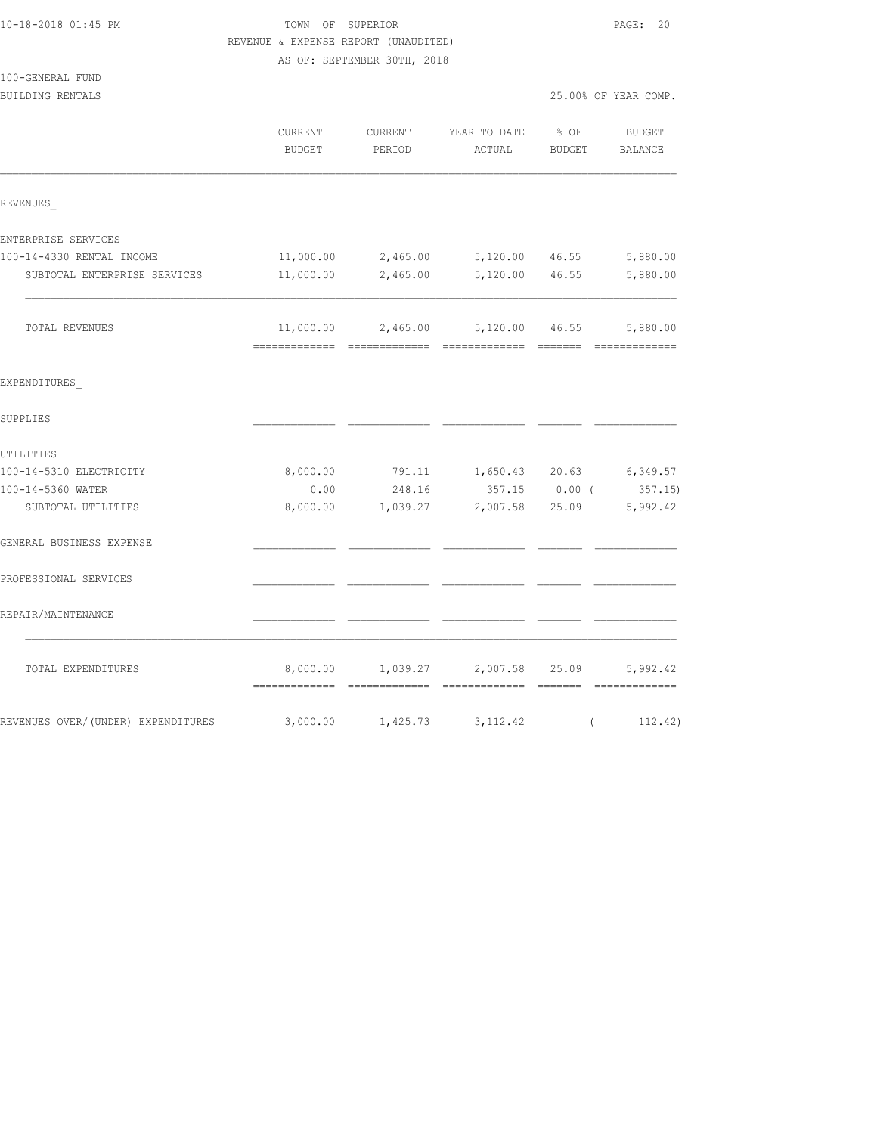| 10-18-2018 01:45 PM                  | TOWN OF SUPERIOR<br>REVENUE & EXPENSE REPORT (UNAUDITED)<br>AS OF: SEPTEMBER 30TH, 2018 |                      |                                              |                       | PAGE: 20             |  |
|--------------------------------------|-----------------------------------------------------------------------------------------|----------------------|----------------------------------------------|-----------------------|----------------------|--|
| 100-GENERAL FUND<br>BUILDING RENTALS |                                                                                         |                      |                                              |                       | 25.00% OF YEAR COMP. |  |
|                                      | CURRENT<br><b>BUDGET</b>                                                                | CURRENT<br>PERIOD    | YEAR TO DATE<br>ACTUAL                       | % OF<br>BUDGET        | BUDGET<br>BALANCE    |  |
| REVENUES                             |                                                                                         |                      |                                              |                       |                      |  |
| ENTERPRISE SERVICES                  |                                                                                         |                      |                                              |                       |                      |  |
| 100-14-4330 RENTAL INCOME            |                                                                                         | $11,000.00$ 2,465.00 |                                              | 5,120.00 46.55        | 5,880.00             |  |
| SUBTOTAL ENTERPRISE SERVICES         | 11,000.00                                                                               | 2,465.00             | 5,120.00 46.55                               |                       | 5,880.00             |  |
| TOTAL REVENUES                       |                                                                                         |                      | $11,000.00$ 2,465.00 5,120.00 46.55 5,880.00 |                       |                      |  |
| EXPENDITURES                         |                                                                                         |                      |                                              |                       |                      |  |
| SUPPLIES                             |                                                                                         |                      |                                              |                       |                      |  |
| UTILITIES                            |                                                                                         |                      |                                              |                       |                      |  |
| 100-14-5310 ELECTRICITY              | 8,000.00                                                                                |                      | 791.11 1,650.43 20.63                        |                       | 6,349.57             |  |
| 100-14-5360 WATER                    | 0.00                                                                                    | 248.16               |                                              | 357.15 0.00 (         | 357.15)              |  |
| SUBTOTAL UTILITIES                   | 8,000.00                                                                                | 1,039.27             | 2,007.58                                     | 25.09                 | 5,992.42             |  |
| GENERAL BUSINESS EXPENSE             |                                                                                         |                      |                                              |                       |                      |  |
| PROFESSIONAL SERVICES                |                                                                                         |                      |                                              |                       |                      |  |
| REPAIR/MAINTENANCE                   |                                                                                         |                      |                                              |                       |                      |  |
| TOTAL EXPENDITURES                   |                                                                                         | 8,000.00 1,039.27    | 2,007.58                                     | 25.09<br>==== ======= | 5,992.42             |  |
| REVENUES OVER/(UNDER) EXPENDITURES   | 3,000.00                                                                                | 1,425.73             | 3, 112.42                                    | $\sqrt{2}$            | 112.42)              |  |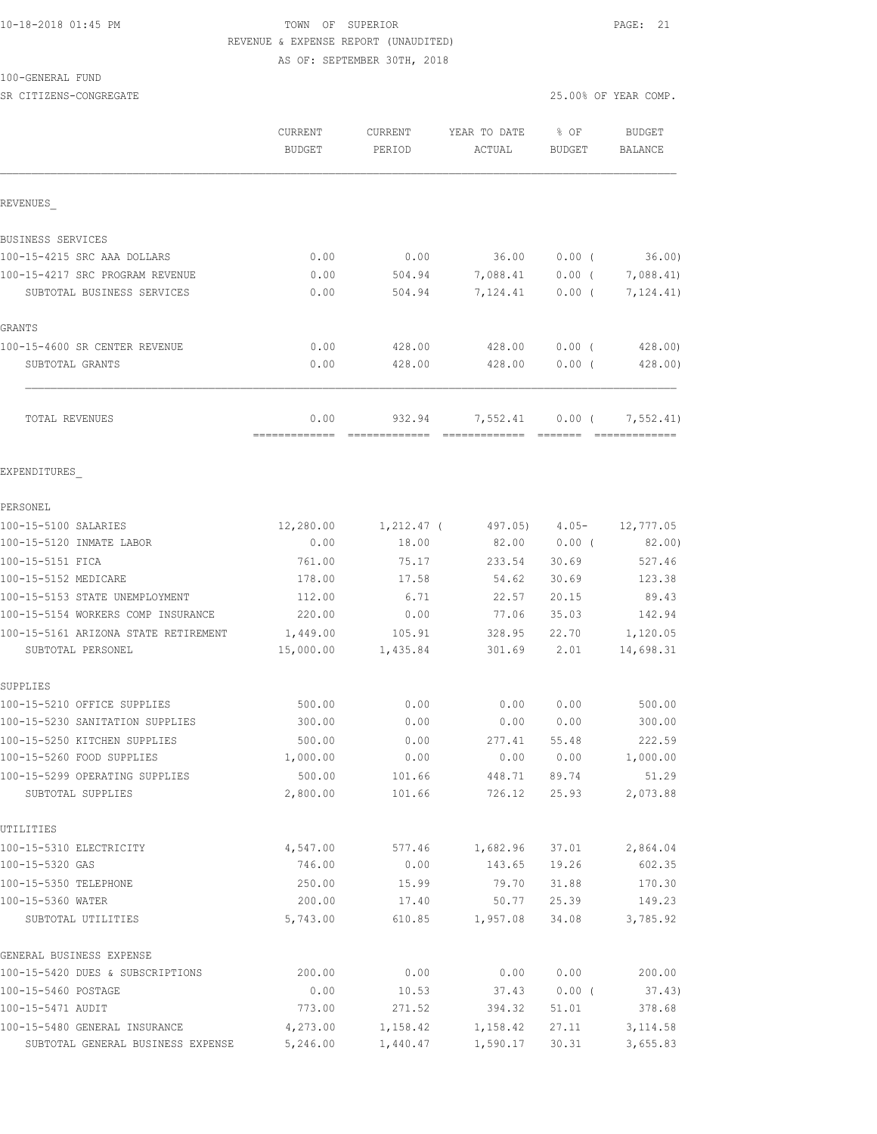## 10-18-2018 01:45 PM TOWN OF SUPERIOR PAGE: 21 REVENUE & EXPENSE REPORT (UNAUDITED)

AS OF: SEPTEMBER 30TH, 2018

| 100-GENERAL FUND |
|------------------|
|------------------|

SR CITIZENS-CONGREGATE 25.00% OF YEAR COMP.

|                                                           | CURRENT<br><b>BUDGET</b> | CURRENT<br>PERIOD                                                                                                                                                                                                                                                                                                                                                                                                                                                                                | YEAR TO DATE<br>ACTUAL                                                                                                                                                                                                                                                                                                                                                                                                                                                                             | % OF<br><b>BUDGET</b>                      | <b>BUDGET</b><br><b>BALANCE</b> |
|-----------------------------------------------------------|--------------------------|--------------------------------------------------------------------------------------------------------------------------------------------------------------------------------------------------------------------------------------------------------------------------------------------------------------------------------------------------------------------------------------------------------------------------------------------------------------------------------------------------|----------------------------------------------------------------------------------------------------------------------------------------------------------------------------------------------------------------------------------------------------------------------------------------------------------------------------------------------------------------------------------------------------------------------------------------------------------------------------------------------------|--------------------------------------------|---------------------------------|
| REVENUES                                                  |                          |                                                                                                                                                                                                                                                                                                                                                                                                                                                                                                  |                                                                                                                                                                                                                                                                                                                                                                                                                                                                                                    |                                            |                                 |
| BUSINESS SERVICES                                         |                          |                                                                                                                                                                                                                                                                                                                                                                                                                                                                                                  |                                                                                                                                                                                                                                                                                                                                                                                                                                                                                                    |                                            |                                 |
| 100-15-4215 SRC AAA DOLLARS                               | 0.00                     | 0.00                                                                                                                                                                                                                                                                                                                                                                                                                                                                                             | 36.00                                                                                                                                                                                                                                                                                                                                                                                                                                                                                              | $0.00$ (                                   | 36.00)                          |
| 100-15-4217 SRC PROGRAM REVENUE                           | 0.00                     | 504.94                                                                                                                                                                                                                                                                                                                                                                                                                                                                                           | 7,088.41                                                                                                                                                                                                                                                                                                                                                                                                                                                                                           |                                            | 0.00(7,088.41)                  |
| SUBTOTAL BUSINESS SERVICES                                | 0.00                     | 504.94                                                                                                                                                                                                                                                                                                                                                                                                                                                                                           | 7,124.41                                                                                                                                                                                                                                                                                                                                                                                                                                                                                           | $0.00$ (                                   | 7,124.41)                       |
| GRANTS                                                    |                          |                                                                                                                                                                                                                                                                                                                                                                                                                                                                                                  |                                                                                                                                                                                                                                                                                                                                                                                                                                                                                                    |                                            |                                 |
| 100-15-4600 SR CENTER REVENUE                             | 0.00                     | 428.00                                                                                                                                                                                                                                                                                                                                                                                                                                                                                           | 428.00                                                                                                                                                                                                                                                                                                                                                                                                                                                                                             | $0.00$ (                                   | 428.00)                         |
| SUBTOTAL GRANTS                                           | 0.00                     | 428.00                                                                                                                                                                                                                                                                                                                                                                                                                                                                                           | 428.00                                                                                                                                                                                                                                                                                                                                                                                                                                                                                             | 0.00(                                      | 428.00)                         |
| TOTAL REVENUES                                            | 0.00<br>=============    | 932.94<br>$\begin{array}{cccccccccc} \multicolumn{2}{c}{} & \multicolumn{2}{c}{} & \multicolumn{2}{c}{} & \multicolumn{2}{c}{} & \multicolumn{2}{c}{} & \multicolumn{2}{c}{} & \multicolumn{2}{c}{} & \multicolumn{2}{c}{} & \multicolumn{2}{c}{} & \multicolumn{2}{c}{} & \multicolumn{2}{c}{} & \multicolumn{2}{c}{} & \multicolumn{2}{c}{} & \multicolumn{2}{c}{} & \multicolumn{2}{c}{} & \multicolumn{2}{c}{} & \multicolumn{2}{c}{} & \multicolumn{2}{c}{} & \multicolumn{2}{c}{} & \mult$ | 7,552.41<br>$\begin{array}{cccccccccc} \multicolumn{2}{c}{} & \multicolumn{2}{c}{} & \multicolumn{2}{c}{} & \multicolumn{2}{c}{} & \multicolumn{2}{c}{} & \multicolumn{2}{c}{} & \multicolumn{2}{c}{} & \multicolumn{2}{c}{} & \multicolumn{2}{c}{} & \multicolumn{2}{c}{} & \multicolumn{2}{c}{} & \multicolumn{2}{c}{} & \multicolumn{2}{c}{} & \multicolumn{2}{c}{} & \multicolumn{2}{c}{} & \multicolumn{2}{c}{} & \multicolumn{2}{c}{} & \multicolumn{2}{c}{} & \multicolumn{2}{c}{} & \mult$ | 0.00(<br>$\qquad \qquad \overline{\qquad}$ | 7,552.41)                       |
| EXPENDITURES                                              |                          |                                                                                                                                                                                                                                                                                                                                                                                                                                                                                                  |                                                                                                                                                                                                                                                                                                                                                                                                                                                                                                    |                                            |                                 |
| PERSONEL                                                  |                          |                                                                                                                                                                                                                                                                                                                                                                                                                                                                                                  |                                                                                                                                                                                                                                                                                                                                                                                                                                                                                                    |                                            |                                 |
| 100-15-5100 SALARIES                                      | 12,280.00                | $1,212.47$ (                                                                                                                                                                                                                                                                                                                                                                                                                                                                                     | 497.05)                                                                                                                                                                                                                                                                                                                                                                                                                                                                                            | $4.05 -$                                   | 12,777.05                       |
| 100-15-5120 INMATE LABOR                                  | 0.00                     | 18.00                                                                                                                                                                                                                                                                                                                                                                                                                                                                                            | 82.00                                                                                                                                                                                                                                                                                                                                                                                                                                                                                              | $0.00$ (                                   | 82.00)                          |
| 100-15-5151 FICA                                          | 761.00                   | 75.17                                                                                                                                                                                                                                                                                                                                                                                                                                                                                            | 233.54                                                                                                                                                                                                                                                                                                                                                                                                                                                                                             | 30.69                                      | 527.46                          |
| 100-15-5152 MEDICARE                                      | 178.00                   | 17.58                                                                                                                                                                                                                                                                                                                                                                                                                                                                                            | 54.62                                                                                                                                                                                                                                                                                                                                                                                                                                                                                              | 30.69                                      | 123.38                          |
| 100-15-5153 STATE UNEMPLOYMENT                            | 112.00                   | 6.71                                                                                                                                                                                                                                                                                                                                                                                                                                                                                             | 22.57                                                                                                                                                                                                                                                                                                                                                                                                                                                                                              | 20.15                                      | 89.43                           |
| 100-15-5154 WORKERS COMP INSURANCE                        | 220.00                   | 0.00                                                                                                                                                                                                                                                                                                                                                                                                                                                                                             | 77.06                                                                                                                                                                                                                                                                                                                                                                                                                                                                                              | 35.03                                      | 142.94                          |
| 100-15-5161 ARIZONA STATE RETIREMENT<br>SUBTOTAL PERSONEL | 1,449.00<br>15,000.00    | 105.91<br>1,435.84                                                                                                                                                                                                                                                                                                                                                                                                                                                                               | 328.95<br>301.69                                                                                                                                                                                                                                                                                                                                                                                                                                                                                   | 22.70<br>2.01                              | 1,120.05<br>14,698.31           |
| SUPPLIES                                                  |                          |                                                                                                                                                                                                                                                                                                                                                                                                                                                                                                  |                                                                                                                                                                                                                                                                                                                                                                                                                                                                                                    |                                            |                                 |
| 100-15-5210 OFFICE SUPPLIES                               | 500.00                   | 0.00                                                                                                                                                                                                                                                                                                                                                                                                                                                                                             | 0.00                                                                                                                                                                                                                                                                                                                                                                                                                                                                                               | 0.00                                       | 500.00                          |
| 100-15-5230 SANITATION SUPPLIES                           | 300.00                   | 0.00                                                                                                                                                                                                                                                                                                                                                                                                                                                                                             | 0.00                                                                                                                                                                                                                                                                                                                                                                                                                                                                                               | 0.00                                       | 300.00                          |
| 100-15-5250 KITCHEN SUPPLIES                              | 500.00                   | 0.00                                                                                                                                                                                                                                                                                                                                                                                                                                                                                             | 277.41                                                                                                                                                                                                                                                                                                                                                                                                                                                                                             | 55.48                                      | 222.59                          |
| 100-15-5260 FOOD SUPPLIES                                 | 1,000.00                 | 0.00                                                                                                                                                                                                                                                                                                                                                                                                                                                                                             |                                                                                                                                                                                                                                                                                                                                                                                                                                                                                                    | 0.00 0.00                                  | 1,000.00                        |
| 100-15-5299 OPERATING SUPPLIES                            | 500.00                   | 101.66                                                                                                                                                                                                                                                                                                                                                                                                                                                                                           | 448.71                                                                                                                                                                                                                                                                                                                                                                                                                                                                                             | 89.74                                      | 51.29                           |
| SUBTOTAL SUPPLIES                                         | 2,800.00                 | 101.66                                                                                                                                                                                                                                                                                                                                                                                                                                                                                           | 726.12                                                                                                                                                                                                                                                                                                                                                                                                                                                                                             | 25.93                                      | 2,073.88                        |
| UTILITIES                                                 |                          |                                                                                                                                                                                                                                                                                                                                                                                                                                                                                                  |                                                                                                                                                                                                                                                                                                                                                                                                                                                                                                    |                                            |                                 |
| 100-15-5310 ELECTRICITY                                   | 4,547.00                 | 577.46                                                                                                                                                                                                                                                                                                                                                                                                                                                                                           | 1,682.96                                                                                                                                                                                                                                                                                                                                                                                                                                                                                           | 37.01                                      | 2,864.04                        |
| 100-15-5320 GAS                                           | 746.00                   | 0.00                                                                                                                                                                                                                                                                                                                                                                                                                                                                                             | 143.65                                                                                                                                                                                                                                                                                                                                                                                                                                                                                             | 19.26                                      | 602.35                          |
| 100-15-5350 TELEPHONE                                     | 250.00                   | 15.99                                                                                                                                                                                                                                                                                                                                                                                                                                                                                            | 79.70                                                                                                                                                                                                                                                                                                                                                                                                                                                                                              | 31.88                                      | 170.30                          |
| 100-15-5360 WATER                                         | 200.00                   | 17.40                                                                                                                                                                                                                                                                                                                                                                                                                                                                                            | 50.77                                                                                                                                                                                                                                                                                                                                                                                                                                                                                              | 25.39                                      | 149.23                          |
| SUBTOTAL UTILITIES                                        | 5,743.00                 | 610.85                                                                                                                                                                                                                                                                                                                                                                                                                                                                                           | 1,957.08                                                                                                                                                                                                                                                                                                                                                                                                                                                                                           | 34.08                                      | 3,785.92                        |
| GENERAL BUSINESS EXPENSE                                  |                          |                                                                                                                                                                                                                                                                                                                                                                                                                                                                                                  |                                                                                                                                                                                                                                                                                                                                                                                                                                                                                                    |                                            |                                 |
| 100-15-5420 DUES & SUBSCRIPTIONS                          | 200.00                   | 0.00                                                                                                                                                                                                                                                                                                                                                                                                                                                                                             | 0.00                                                                                                                                                                                                                                                                                                                                                                                                                                                                                               | 0.00                                       | 200.00                          |
| 100-15-5460 POSTAGE                                       | 0.00                     | 10.53                                                                                                                                                                                                                                                                                                                                                                                                                                                                                            | 37.43                                                                                                                                                                                                                                                                                                                                                                                                                                                                                              | $0.00$ (                                   | 37.43)                          |
| 100-15-5471 AUDIT                                         | 773.00                   | 271.52                                                                                                                                                                                                                                                                                                                                                                                                                                                                                           | 394.32                                                                                                                                                                                                                                                                                                                                                                                                                                                                                             | 51.01                                      | 378.68                          |
| 100-15-5480 GENERAL INSURANCE                             | 4,273.00                 | 1,158.42                                                                                                                                                                                                                                                                                                                                                                                                                                                                                         | 1,158.42                                                                                                                                                                                                                                                                                                                                                                                                                                                                                           | 27.11                                      | 3,114.58                        |
| SUBTOTAL GENERAL BUSINESS EXPENSE                         | 5,246.00                 | 1,440.47                                                                                                                                                                                                                                                                                                                                                                                                                                                                                         | 1,590.17                                                                                                                                                                                                                                                                                                                                                                                                                                                                                           | 30.31                                      | 3,655.83                        |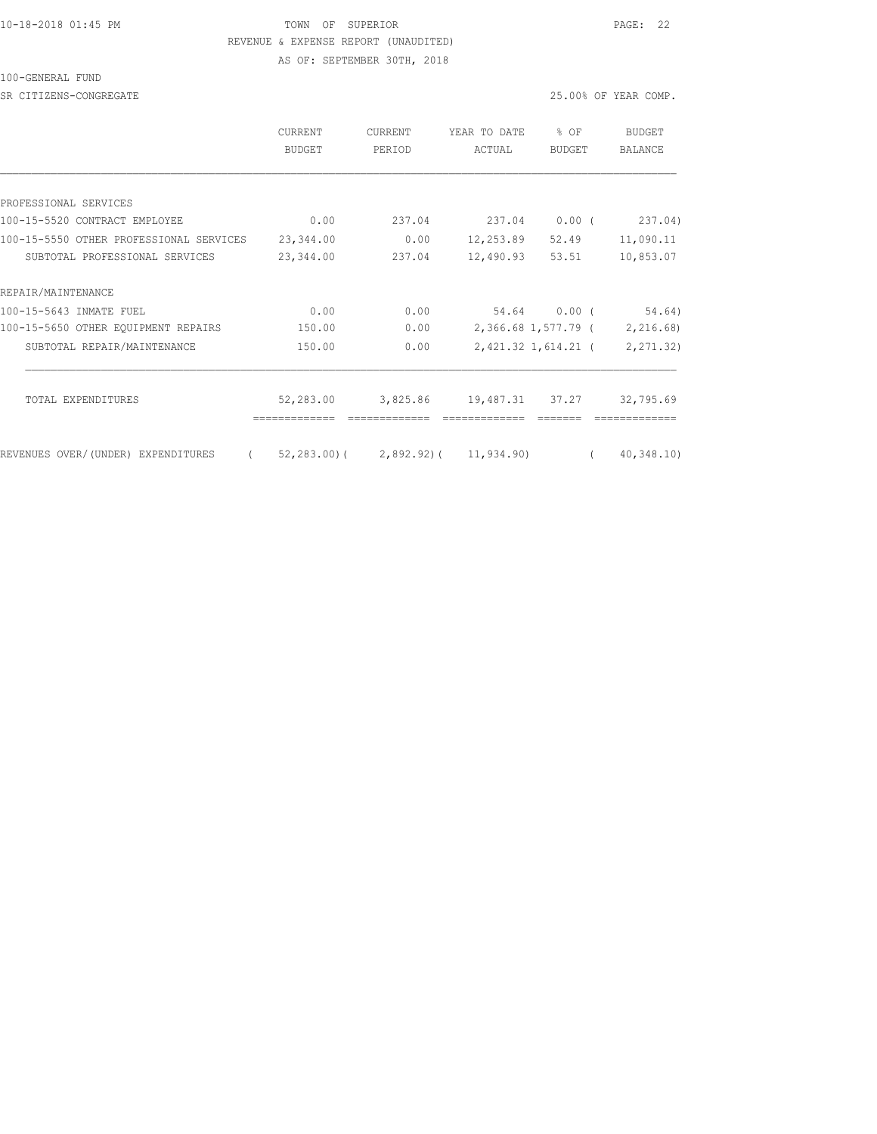### 10-18-2018 01:45 PM TOWN OF SUPERIOR PAGE: 22 REVENUE & EXPENSE REPORT (UNAUDITED)

AS OF: SEPTEMBER 30TH, 2018

SR CITIZENS-CONGREGATE 25.00% OF YEAR COMP.

|                                         | CURRENT<br><b>BUDGET</b>              | CURRENT<br>PERIOD | YEAR TO DATE<br>ACTUAL | $\frac{1}{2}$ OF<br>BUDGET | BUDGET<br>BALANCE    |
|-----------------------------------------|---------------------------------------|-------------------|------------------------|----------------------------|----------------------|
|                                         |                                       |                   |                        |                            |                      |
| PROFESSIONAL SERVICES                   |                                       |                   |                        |                            |                      |
| 100-15-5520 CONTRACT EMPLOYEE           | 0.00                                  | 237.04            |                        |                            | 237.04 0.00 (237.04) |
| 100-15-5550 OTHER PROFESSIONAL SERVICES | 23,344.00                             | 0.00              | 12,253.89              | 52.49                      | 11,090.11            |
| SUBTOTAL PROFESSIONAL SERVICES          | 23,344.00                             | 237.04            | 12,490.93              | 53.51                      | 10,853.07            |
| REPAIR/MAINTENANCE                      |                                       |                   |                        |                            |                      |
| 100-15-5643 INMATE FUEL                 | 0.00                                  | 0.00              |                        | 54.64 0.00 (               | 54.64)               |
| 100-15-5650 OTHER EQUIPMENT REPAIRS     | 150.00                                | 0.00              |                        | 2,366.68 1,577.79 (        | 2,216.68)            |
| SUBTOTAL REPAIR/MAINTENANCE             | 150.00                                | 0.00              |                        | 2,421.32 1,614.21 (        | 2,271.32)            |
| TOTAL EXPENDITURES                      | 52,283.00                             | 3,825.86          | 19,487.31 37.27        |                            | 32,795.69            |
| REVENUES OVER/(UNDER) EXPENDITURES      | (52, 283.00) (2, 892.92) (11, 934.90) |                   |                        |                            | 40,348.10            |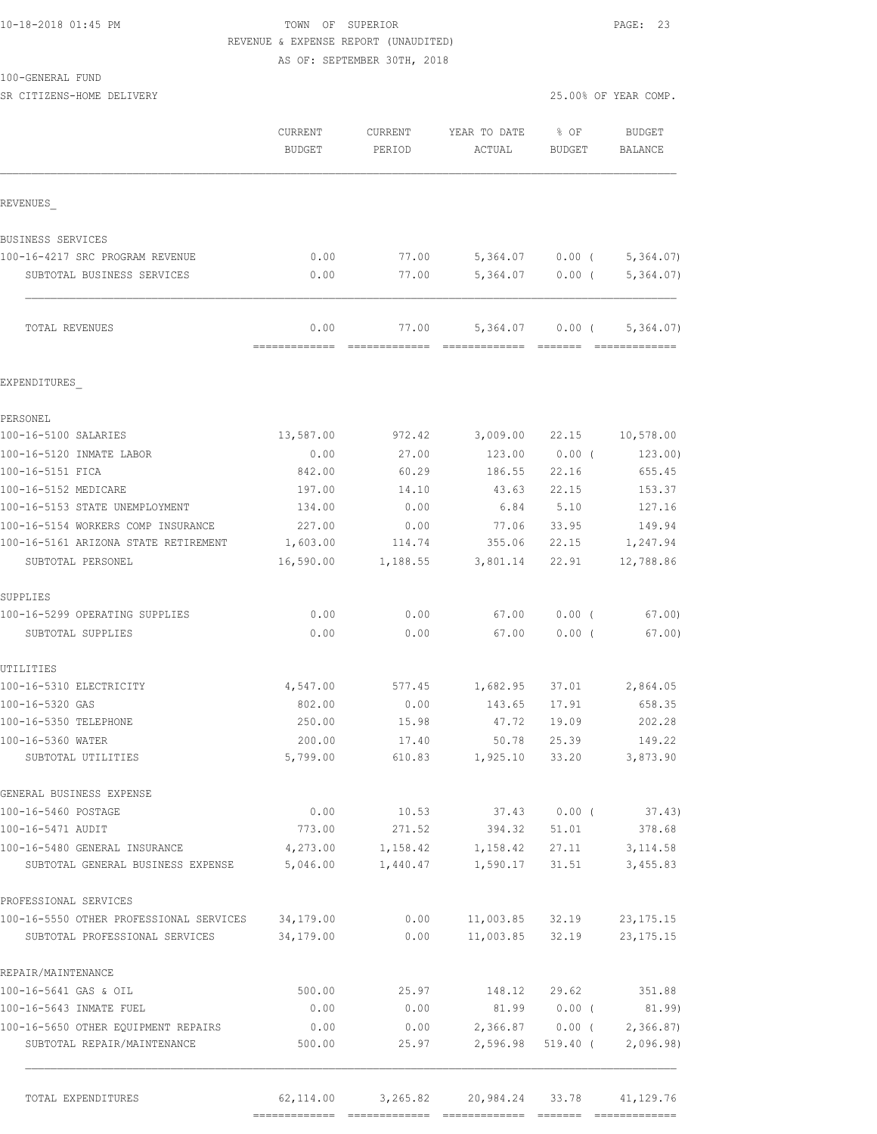### 10-18-2018 01:45 PM TOWN OF SUPERIOR PAGE: 23 REVENUE & EXPENSE REPORT (UNAUDITED)

AS OF: SEPTEMBER 30TH, 2018

SR CITIZENS-HOME DELIVERY 25.00% OF YEAR COMP.

|                                                                           | CURRENT<br><b>BUDGET</b> | CURRENT<br>PERIOD      | YEAR TO DATE<br>ACTUAL               | % OF<br><b>BUDGET</b> | <b>BUDGET</b><br><b>BALANCE</b> |
|---------------------------------------------------------------------------|--------------------------|------------------------|--------------------------------------|-----------------------|---------------------------------|
| REVENUES                                                                  |                          |                        |                                      |                       |                                 |
| BUSINESS SERVICES                                                         |                          |                        |                                      |                       |                                 |
| 100-16-4217 SRC PROGRAM REVENUE                                           | 0.00                     | 77.00                  | 5,364.07                             | $0.00$ (              | 5,364.07                        |
| SUBTOTAL BUSINESS SERVICES                                                | 0.00                     | 77.00                  | 5,364.07                             | $0.00$ (              | 5,364.07)                       |
| TOTAL REVENUES                                                            | 0.00<br>-------------    | 77.00<br>============= | 5,364.07<br>======================== | $0.00$ (              | 5,364.07)<br>=============      |
| EXPENDITURES                                                              |                          |                        |                                      |                       |                                 |
| PERSONEL                                                                  |                          |                        |                                      |                       |                                 |
| 100-16-5100 SALARIES                                                      | 13,587.00                | 972.42                 | 3,009.00                             | 22.15                 | 10,578.00                       |
| 100-16-5120 INMATE LABOR                                                  | 0.00                     | 27.00                  | 123.00                               | $0.00$ (              | 123.00)                         |
| 100-16-5151 FICA                                                          | 842.00                   | 60.29                  | 186.55                               | 22.16                 | 655.45                          |
| 100-16-5152 MEDICARE                                                      | 197.00                   | 14.10                  | 43.63                                | 22.15                 | 153.37                          |
| 100-16-5153 STATE UNEMPLOYMENT                                            | 134.00                   | 0.00                   | 6.84                                 | 5.10                  | 127.16                          |
| 100-16-5154 WORKERS COMP INSURANCE                                        | 227.00                   | 0.00                   | 77.06                                | 33.95                 | 149.94                          |
| 100-16-5161 ARIZONA STATE RETIREMENT                                      | 1,603.00                 | 114.74                 | 355.06                               | 22.15                 | 1,247.94                        |
| SUBTOTAL PERSONEL                                                         | 16,590.00                | 1,188.55               | 3,801.14                             | 22.91                 | 12,788.86                       |
| SUPPLIES                                                                  |                          |                        |                                      |                       |                                 |
| 100-16-5299 OPERATING SUPPLIES                                            | 0.00                     | 0.00                   | 67.00                                | $0.00$ (              | 67.00                           |
| SUBTOTAL SUPPLIES                                                         | 0.00                     | 0.00                   | 67.00                                | $0.00$ (              | 67.00)                          |
| UTILITIES                                                                 |                          |                        |                                      |                       |                                 |
| 100-16-5310 ELECTRICITY                                                   | 4,547.00                 | 577.45                 | 1,682.95                             | 37.01                 | 2,864.05                        |
| 100-16-5320 GAS                                                           | 802.00                   | 0.00                   | 143.65                               | 17.91                 | 658.35                          |
| 100-16-5350 TELEPHONE                                                     | 250.00                   | 15.98                  | 47.72                                | 19.09                 | 202.28                          |
| 100-16-5360 WATER<br>SUBTOTAL UTILITIES                                   | 200.00<br>5,799.00       | 17.40<br>610.83        | 50.78<br>1,925.10                    | 25.39<br>33.20        | 149.22<br>3,873.90              |
| GENERAL BUSINESS EXPENSE                                                  |                          |                        |                                      |                       |                                 |
| 100-16-5460 POSTAGE                                                       | 0.00                     | 10.53                  | 37.43                                | $0.00$ (              | 37.43)                          |
| 100-16-5471 AUDIT                                                         | 773.00                   | 271.52                 | 394.32                               | 51.01                 | 378.68                          |
| 100-16-5480 GENERAL INSURANCE                                             | 4,273.00                 | 1,158.42               | 1,158.42                             | 27.11                 | 3, 114.58                       |
| SUBTOTAL GENERAL BUSINESS EXPENSE                                         | 5,046.00                 | 1,440.47               | 1,590.17                             | 31.51                 | 3,455.83                        |
| PROFESSIONAL SERVICES                                                     |                          |                        |                                      |                       |                                 |
| 100-16-5550 OTHER PROFESSIONAL SERVICES<br>SUBTOTAL PROFESSIONAL SERVICES | 34,179.00<br>34,179.00   | 0.00<br>0.00           | 11,003.85<br>11,003.85               | 32.19<br>32.19        | 23, 175. 15<br>23, 175. 15      |
| REPAIR/MAINTENANCE                                                        |                          |                        |                                      |                       |                                 |
| 100-16-5641 GAS & OIL                                                     | 500.00                   | 25.97                  |                                      | 148.12 29.62          | 351.88                          |
| 100-16-5643 INMATE FUEL                                                   | 0.00                     | 0.00                   | 81.99                                | $0.00$ (              | 81.99)                          |
| 100-16-5650 OTHER EQUIPMENT REPAIRS                                       | 0.00                     | 0.00                   | 2,366.87                             | $0.00$ (              | 2,366.87                        |
| SUBTOTAL REPAIR/MAINTENANCE                                               | 500.00                   | 25.97                  | 2,596.98                             | 519.40 (              | 2,096.98)                       |
| TOTAL EXPENDITURES                                                        | 62, 114.00               | 3,265.82               | 20,984.24                            | 33.78                 | 41, 129.76                      |

============= ============= ============= ======= =============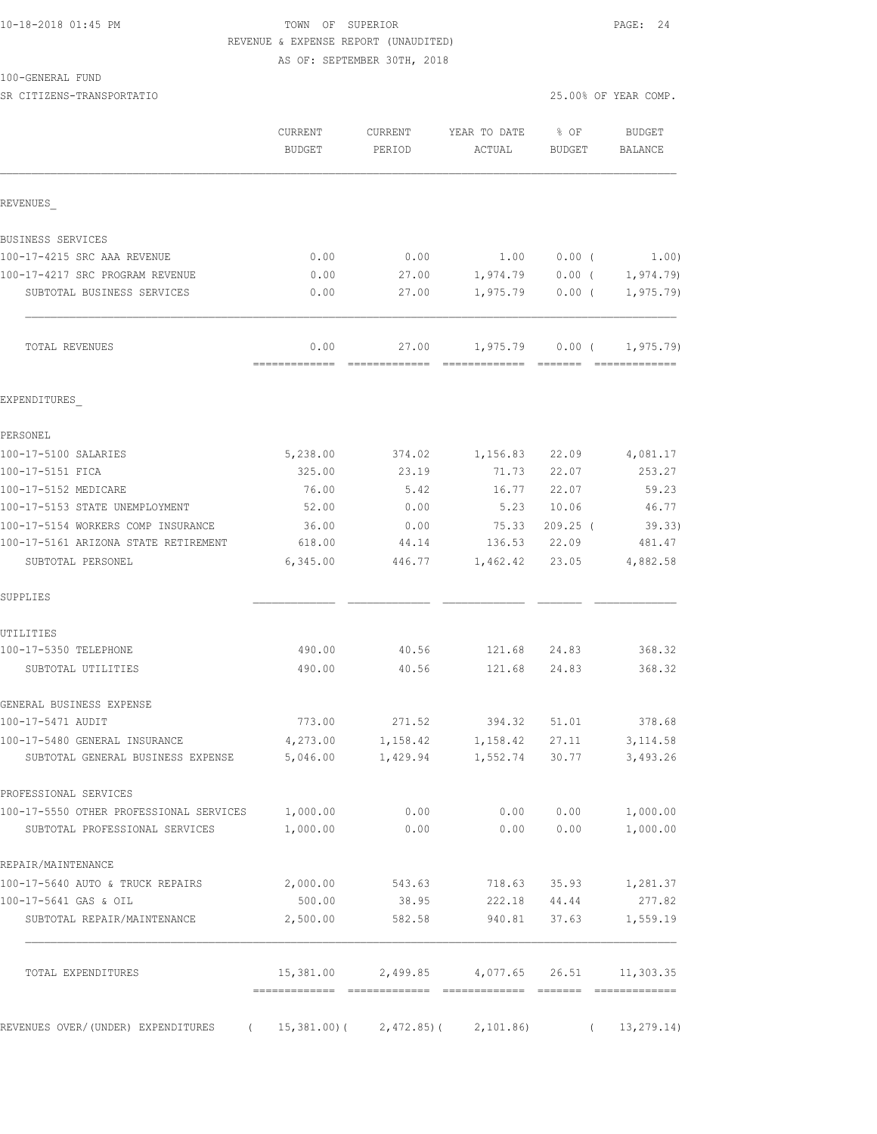## 10-18-2018 01:45 PM TOWN OF SUPERIOR PAGE: 24 REVENUE & EXPENSE REPORT (UNAUDITED)

AS OF: SEPTEMBER 30TH, 2018

SR CITIZENS-TRANSPORTATIO

|  | 25.00% OF YEAR COMP. |  |
|--|----------------------|--|
|  |                      |  |

|                                                           | CURRENT<br><b>BUDGET</b>              | CURRENT<br>PERIOD  | YEAR TO DATE<br>ACTUAL    | % OF<br><b>BUDGET</b> | <b>BUDGET</b><br>BALANCE |
|-----------------------------------------------------------|---------------------------------------|--------------------|---------------------------|-----------------------|--------------------------|
| REVENUES                                                  |                                       |                    |                           |                       |                          |
| BUSINESS SERVICES                                         |                                       |                    |                           |                       |                          |
| 100-17-4215 SRC AAA REVENUE                               | 0.00                                  | 0.00               | 1.00                      | $0.00$ (              | 1.00)                    |
| 100-17-4217 SRC PROGRAM REVENUE                           | 0.00                                  | 27.00              | 1,974.79                  | $0.00$ (              | 1,974.79)                |
| SUBTOTAL BUSINESS SERVICES                                | 0.00                                  | 27.00              | 1,975.79                  | $0.00$ (              | 1, 975.79                |
| TOTAL REVENUES                                            | 0.00<br>=============                 | 27.00              | 1,975.79                  | $0.00$ (<br>--------  | 1, 975.79                |
| EXPENDITURES                                              |                                       |                    |                           |                       |                          |
| PERSONEL                                                  |                                       |                    |                           |                       |                          |
| 100-17-5100 SALARIES                                      | 5,238.00                              | 374.02             | 1,156.83                  | 22.09                 | 4,081.17                 |
| 100-17-5151 FICA                                          | 325.00                                | 23.19              | 71.73                     | 22.07                 | 253.27                   |
| 100-17-5152 MEDICARE                                      | 76.00                                 | 5.42               | 16.77                     | 22.07                 | 59.23                    |
| 100-17-5153 STATE UNEMPLOYMENT                            | 52.00                                 | 0.00               | 5.23                      | 10.06                 | 46.77                    |
| 100-17-5154 WORKERS COMP INSURANCE                        | 36.00                                 | 0.00               | 75.33                     | $209.25$ (            | 39.33)                   |
| 100-17-5161 ARIZONA STATE RETIREMENT                      | 618.00                                | 44.14              | 136.53                    | 22.09                 | 481.47                   |
| SUBTOTAL PERSONEL                                         | 6,345.00                              | 446.77             | 1,462.42                  | 23.05                 | 4,882.58                 |
| SUPPLIES                                                  |                                       |                    |                           |                       |                          |
| UTILITIES                                                 |                                       |                    |                           |                       |                          |
| 100-17-5350 TELEPHONE                                     | 490.00                                | 40.56              | 121.68                    | 24.83                 | 368.32                   |
| SUBTOTAL UTILITIES                                        | 490.00                                | 40.56              | 121.68                    | 24.83                 | 368.32                   |
| GENERAL BUSINESS EXPENSE                                  |                                       |                    |                           |                       |                          |
| 100-17-5471 AUDIT                                         | 773.00                                | 271.52             | 394.32                    | 51.01                 | 378.68                   |
| 100-17-5480 GENERAL INSURANCE                             | 4,273.00                              | 1,158.42           | 1,158.42                  | 27.11                 | 3, 114.58                |
| SUBTOTAL GENERAL BUSINESS EXPENSE                         | 5,046.00                              | 1,429.94           | 1,552.74                  | 30.77                 | 3,493.26                 |
| PROFESSIONAL SERVICES                                     |                                       |                    |                           |                       |                          |
| 100-17-5550 OTHER PROFESSIONAL SERVICES 1,000.00          |                                       | 0.00               |                           | 0.00 0.00             | 1,000.00                 |
| SUBTOTAL PROFESSIONAL SERVICES                            | 1,000.00                              | 0.00               | 0.00                      | 0.00                  | 1,000.00                 |
| REPAIR/MAINTENANCE                                        |                                       |                    |                           |                       |                          |
| 100-17-5640 AUTO & TRUCK REPAIRS                          | 2,000.00 543.63 718.63 35.93 1,281.37 |                    |                           |                       |                          |
| 100-17-5641 GAS & OIL                                     |                                       |                    | 500.00 38.95 222.18 44.44 |                       | 277.82                   |
| SUBTOTAL REPAIR/MAINTENANCE                               | 2,500.00                              |                    | 582.58 940.81             | 37.63                 | 1,559.19                 |
| TOTAL EXPENDITURES                                        |                                       | 15,381.00 2,499.85 |                           |                       | 4,077.65 26.51 11,303.35 |
| REVENUES OVER/(UNDER) EXPENDITURES (15,381.00)(2,472.85)( |                                       |                    | 2,101.86)                 | $\sqrt{2}$            | 13,279.14)               |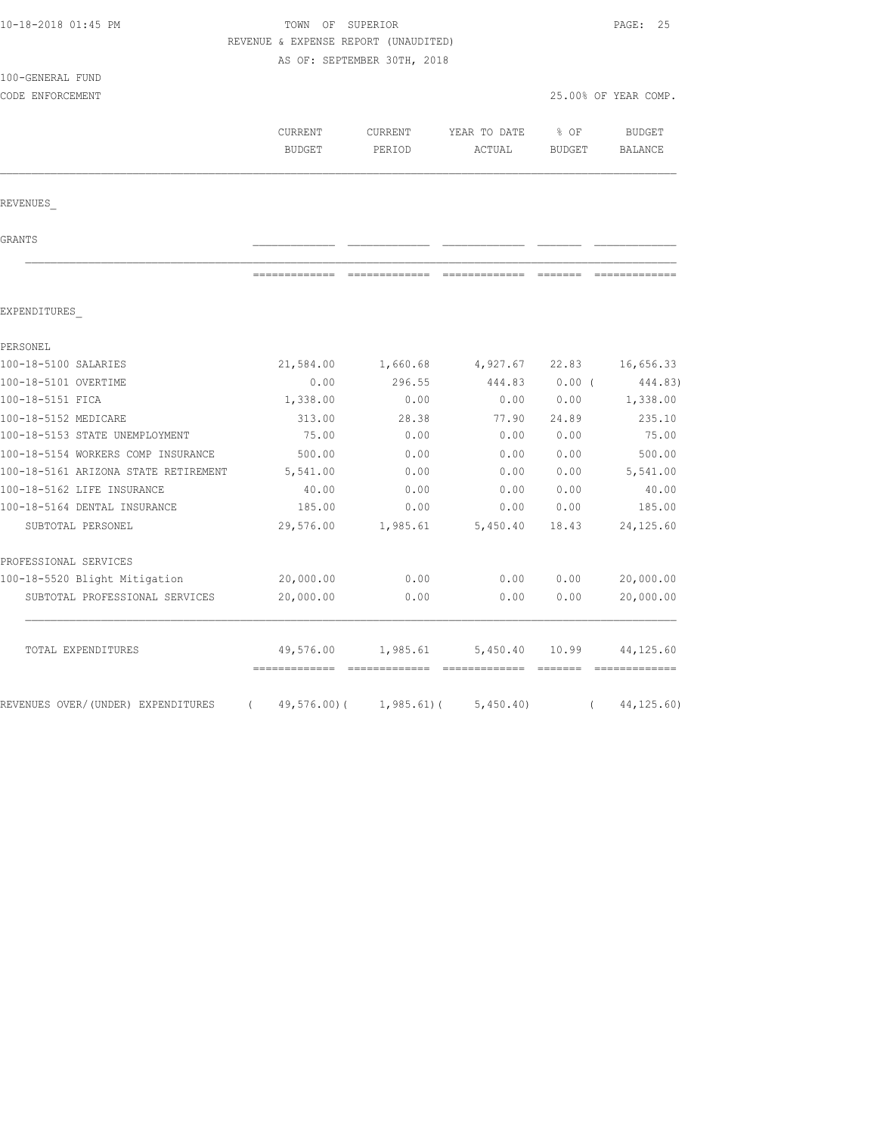| 10-18-2018 01:45 PM                  | TOWN OF SUPERIOR<br>REVENUE & EXPENSE REPORT (UNAUDITED) |                          |                        |                      | PAGE: 25                 |  |
|--------------------------------------|----------------------------------------------------------|--------------------------|------------------------|----------------------|--------------------------|--|
| 100-GENERAL FUND<br>CODE ENFORCEMENT | AS OF: SEPTEMBER 30TH, 2018                              |                          |                        | 25.00% OF YEAR COMP. |                          |  |
|                                      | <b>CURRENT</b><br><b>BUDGET</b>                          | <b>CURRENT</b><br>PERIOD | YEAR TO DATE<br>ACTUAL | % OF<br>BUDGET       | BUDGET<br><b>BALANCE</b> |  |
| REVENUES                             |                                                          |                          |                        |                      |                          |  |
| GRANTS                               |                                                          |                          |                        |                      |                          |  |
|                                      |                                                          |                          |                        |                      |                          |  |
| EXPENDITURES                         |                                                          |                          |                        |                      |                          |  |
| PERSONEL                             |                                                          |                          |                        |                      |                          |  |
| 100-18-5100 SALARIES                 | 21,584.00                                                | 1,660.68                 | 4,927.67               | 22.83                | 16,656.33                |  |
| 100-18-5101 OVERTIME                 | 0.00                                                     | 296.55                   | 444.83                 | $0.00$ (             | 444.83)                  |  |
| 100-18-5151 FICA                     | 1,338.00                                                 | 0.00                     | 0.00                   | 0.00                 | 1,338.00                 |  |
| 100-18-5152 MEDICARE                 | 313.00                                                   | 28.38                    | 77.90                  | 24.89                | 235.10                   |  |
| 100-18-5153 STATE UNEMPLOYMENT       | 75.00                                                    | 0.00                     | 0.00                   | 0.00                 | 75.00                    |  |
| 100-18-5154 WORKERS COMP INSURANCE   | 500.00                                                   | 0.00                     | 0.00                   | 0.00                 | 500.00                   |  |
| 100-18-5161 ARIZONA STATE RETIREMENT | 5,541.00                                                 | 0.00                     | 0.00                   | 0.00                 | 5,541.00                 |  |
| 100-18-5162 LIFE INSURANCE           | 40.00                                                    | 0.00                     | 0.00                   | 0.00                 | 40.00                    |  |
| 100-18-5164 DENTAL INSURANCE         | 185.00                                                   | 0.00                     | 0.00                   | 0.00                 | 185.00                   |  |
| SUBTOTAL PERSONEL                    | 29,576.00                                                | 1,985.61                 | 5,450.40               | 18.43                | 24,125.60                |  |
| PROFESSIONAL SERVICES                |                                                          |                          |                        |                      |                          |  |
| 100-18-5520 Blight Mitigation        | 20,000.00                                                | 0.00                     | 0.00                   | 0.00                 | 20,000.00                |  |
| SUBTOTAL PROFESSIONAL SERVICES       | 20,000.00                                                | 0.00                     | 0.00                   | 0.00                 | 20,000.00                |  |
| TOTAL EXPENDITURES                   |                                                          | 49,576.00 1,985.61       | 5,450.40               | 10.99                | 44,125.60                |  |
| REVENUES OVER/(UNDER) EXPENDITURES   | 49,576.00)(<br>$\left($                                  | 1,985.61)(               | 5,450.40               |                      | 44, 125.60<br>$\sqrt{2}$ |  |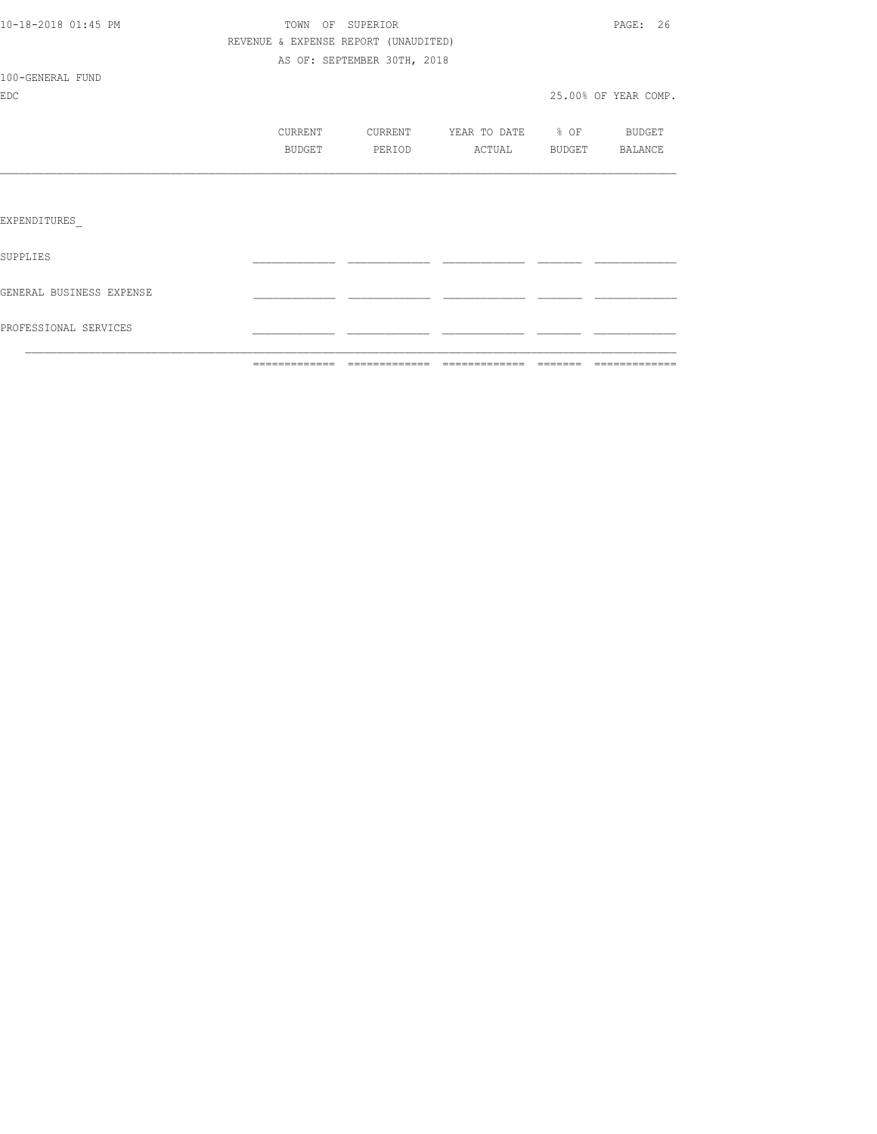|                          |                                      |                             |                   | ======= | =============        |
|--------------------------|--------------------------------------|-----------------------------|-------------------|---------|----------------------|
| PROFESSIONAL SERVICES    |                                      |                             |                   |         |                      |
| GENERAL BUSINESS EXPENSE |                                      |                             |                   |         |                      |
| SUPPLIES                 |                                      |                             |                   |         |                      |
| EXPENDITURES             |                                      |                             |                   |         |                      |
|                          |                                      |                             |                   |         |                      |
|                          | BUDGET                               | PERIOD                      | ACTUAL            | BUDGET  | BALANCE              |
|                          | CURRENT                              | CURRENT                     | YEAR TO DATE % OF |         | BUDGET               |
| <b>EDC</b>               |                                      |                             |                   |         | 25.00% OF YEAR COMP. |
| 100-GENERAL FUND         |                                      |                             |                   |         |                      |
|                          |                                      | AS OF: SEPTEMBER 30TH, 2018 |                   |         |                      |
|                          | REVENUE & EXPENSE REPORT (UNAUDITED) |                             |                   |         |                      |
| 10-18-2018 01:45 PM      |                                      | TOWN OF SUPERIOR            |                   |         | PAGE: 26             |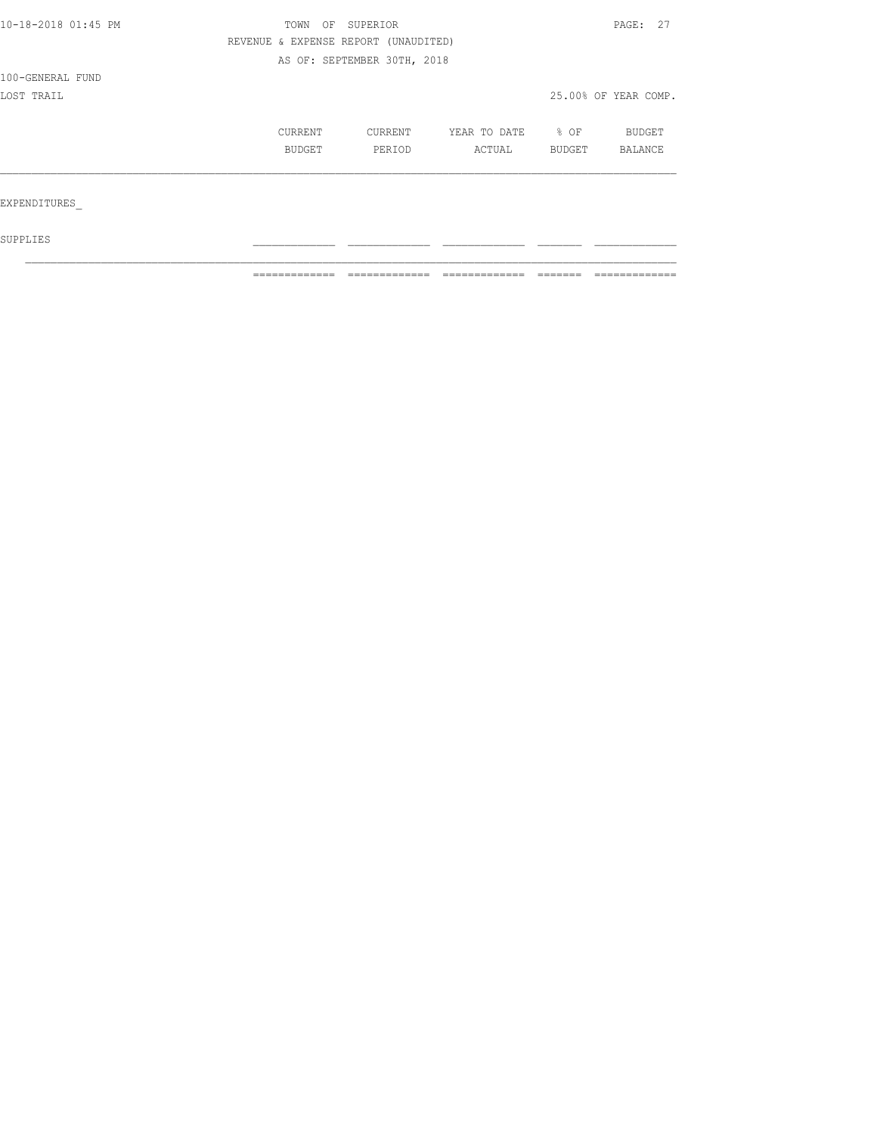| 10-18-2018 01:45 PM | TOWN    | OF SUPERIOR<br>REVENUE & EXPENSE REPORT (UNAUDITED) |                   |        |                      |  |
|---------------------|---------|-----------------------------------------------------|-------------------|--------|----------------------|--|
|                     |         |                                                     |                   |        |                      |  |
|                     |         | AS OF: SEPTEMBER 30TH, 2018                         |                   |        |                      |  |
| 100-GENERAL FUND    |         |                                                     |                   |        |                      |  |
| LOST TRAIL          |         |                                                     |                   |        | 25.00% OF YEAR COMP. |  |
|                     | CURRENT | CURRENT                                             | YEAR TO DATE % OF |        | BUDGET               |  |
|                     | BUDGET  | PERIOD                                              | ACTUAL            | BUDGET | BALANCE              |  |
|                     |         |                                                     |                   |        |                      |  |
| EXPENDITURES        |         |                                                     |                   |        |                      |  |
| SUPPLIES            |         |                                                     |                   |        |                      |  |

 $\mathcal{L}_\text{max}$ 

============= ============= ============= ======= =============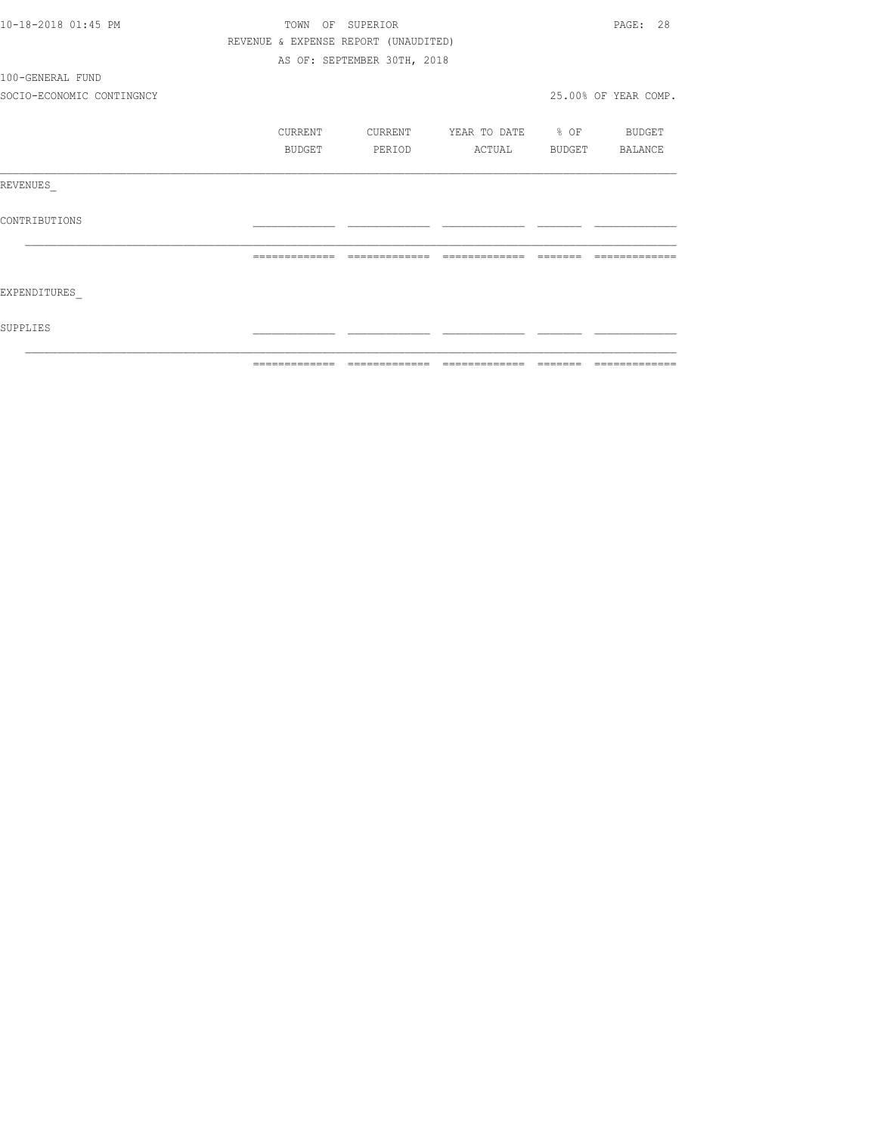|                           | =============                        | --------                    | --------------           | $\qquad \qquad = \qquad \qquad = \qquad \qquad = \qquad \qquad = \qquad \qquad = \qquad \qquad = \qquad \qquad = \qquad \qquad = \qquad \qquad = \qquad \qquad = \qquad \qquad = \qquad \qquad = \qquad \qquad = \qquad \qquad = \qquad \qquad = \qquad \qquad = \qquad \qquad = \qquad \qquad = \qquad \qquad = \qquad \qquad = \qquad \qquad = \qquad \qquad = \qquad \qquad = \qquad \qquad = \qquad \qquad = \qquad \qquad = \qquad \qquad = \qquad \qquad = \qquad \qquad = \qquad \qquad = \qquad \qquad = \qquad$ |                      |
|---------------------------|--------------------------------------|-----------------------------|--------------------------|--------------------------------------------------------------------------------------------------------------------------------------------------------------------------------------------------------------------------------------------------------------------------------------------------------------------------------------------------------------------------------------------------------------------------------------------------------------------------------------------------------------------------|----------------------|
| SUPPLIES                  |                                      |                             |                          |                                                                                                                                                                                                                                                                                                                                                                                                                                                                                                                          |                      |
| EXPENDITURES              |                                      |                             |                          |                                                                                                                                                                                                                                                                                                                                                                                                                                                                                                                          |                      |
|                           | =============                        | =============               | =============            |                                                                                                                                                                                                                                                                                                                                                                                                                                                                                                                          |                      |
| CONTRIBUTIONS             |                                      |                             |                          |                                                                                                                                                                                                                                                                                                                                                                                                                                                                                                                          |                      |
| REVENUES                  |                                      |                             |                          |                                                                                                                                                                                                                                                                                                                                                                                                                                                                                                                          |                      |
|                           | BUDGET                               | PERIOD                      | ACTUAL BUDGET BALANCE    |                                                                                                                                                                                                                                                                                                                                                                                                                                                                                                                          |                      |
|                           | CURRENT                              | CURRENT                     | YEAR TO DATE % OF BUDGET |                                                                                                                                                                                                                                                                                                                                                                                                                                                                                                                          |                      |
| SOCIO-ECONOMIC CONTINGNCY |                                      |                             |                          |                                                                                                                                                                                                                                                                                                                                                                                                                                                                                                                          | 25.00% OF YEAR COMP. |
| 100-GENERAL FUND          |                                      |                             |                          |                                                                                                                                                                                                                                                                                                                                                                                                                                                                                                                          |                      |
|                           |                                      | AS OF: SEPTEMBER 30TH, 2018 |                          |                                                                                                                                                                                                                                                                                                                                                                                                                                                                                                                          |                      |
|                           | REVENUE & EXPENSE REPORT (UNAUDITED) |                             |                          |                                                                                                                                                                                                                                                                                                                                                                                                                                                                                                                          |                      |
| 10-18-2018 01:45 PM       | TOWN OF SUPERIOR                     |                             |                          |                                                                                                                                                                                                                                                                                                                                                                                                                                                                                                                          | PAGE: 28             |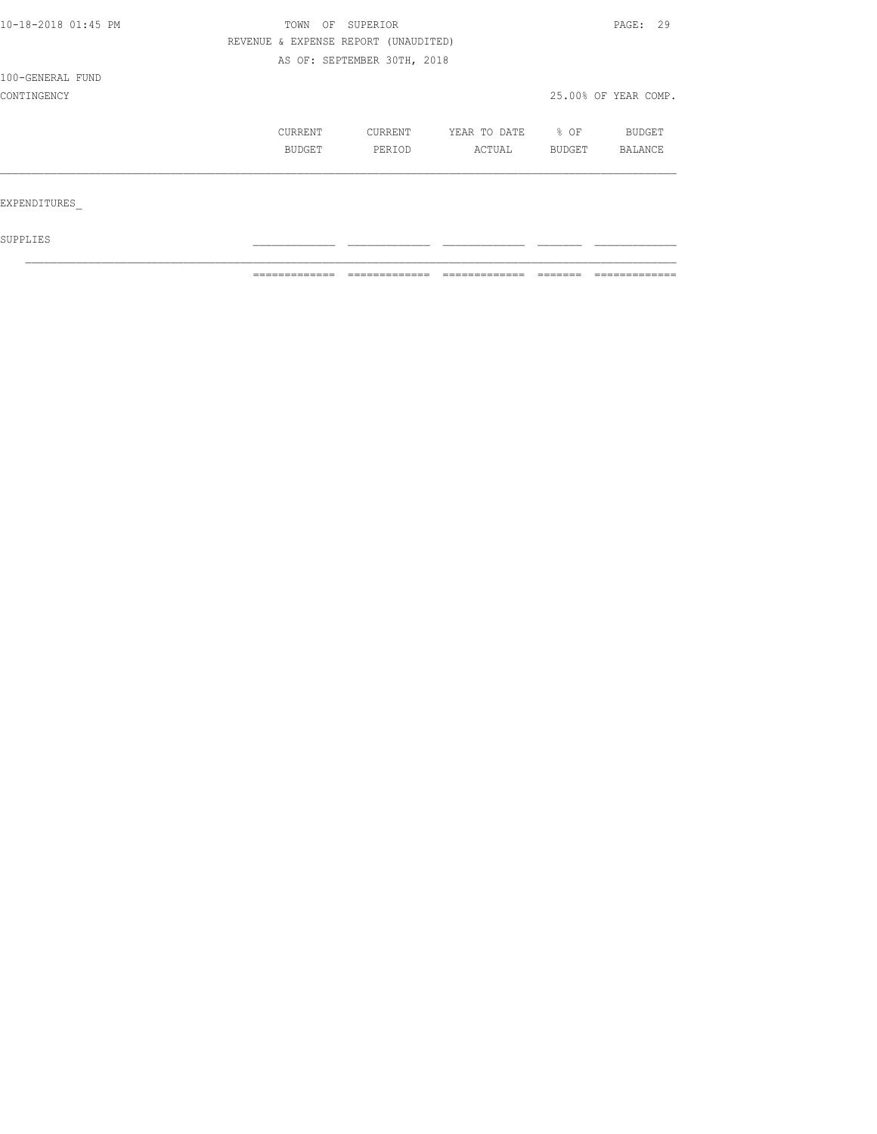| 10-18-2018 01:45 PM | TOWN                                 | OF SUPERIOR                 |                   |        |                      |  |
|---------------------|--------------------------------------|-----------------------------|-------------------|--------|----------------------|--|
|                     | REVENUE & EXPENSE REPORT (UNAUDITED) |                             |                   |        |                      |  |
|                     |                                      | AS OF: SEPTEMBER 30TH, 2018 |                   |        |                      |  |
| 100-GENERAL FUND    |                                      |                             |                   |        |                      |  |
| CONTINGENCY         |                                      |                             |                   |        | 25.00% OF YEAR COMP. |  |
|                     | CURRENT                              | CURRENT                     | YEAR TO DATE % OF |        | BUDGET               |  |
|                     | BUDGET                               | PERIOD                      | ACTUAL            | BUDGET | BALANCE              |  |
|                     |                                      |                             |                   |        |                      |  |
| EXPENDITURES        |                                      |                             |                   |        |                      |  |
| SUPPLIES            |                                      |                             |                   |        |                      |  |

 $\mathcal{L}_\text{max}$ 

============= ============= ============= ======= =============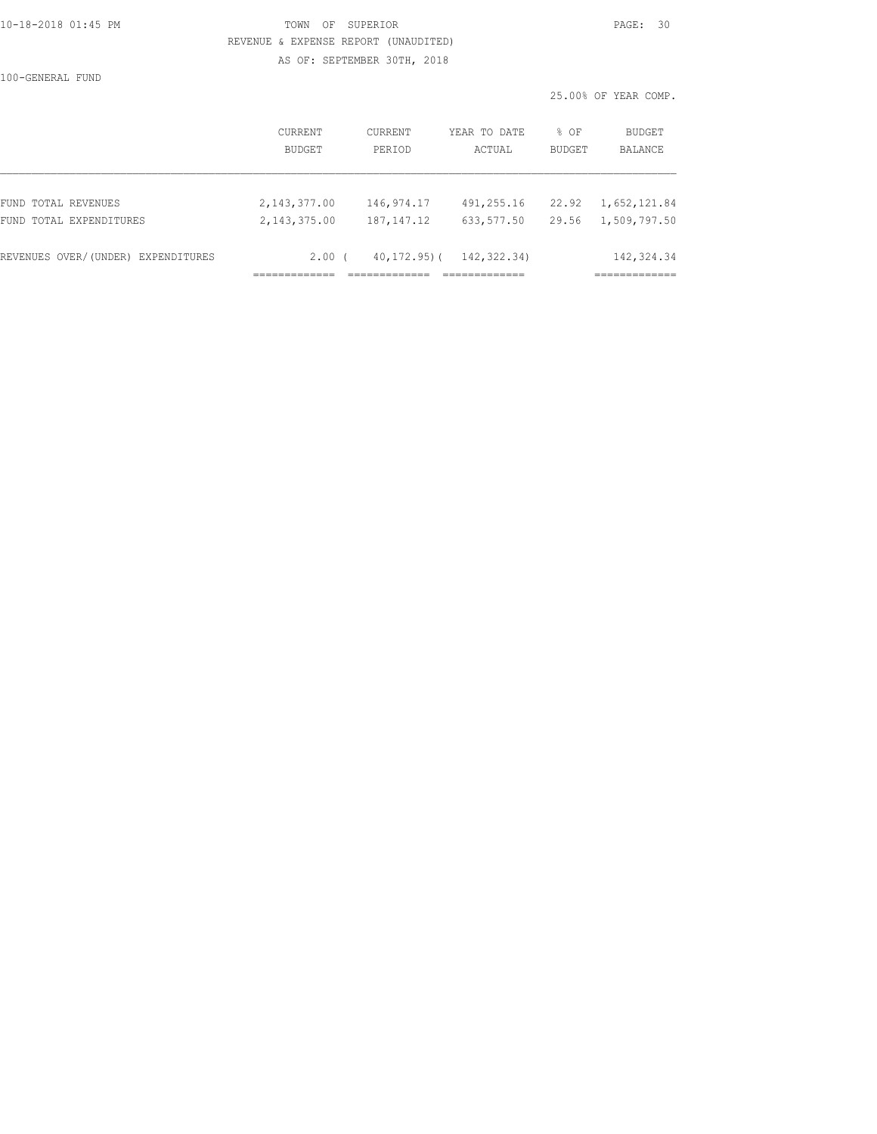#### 10-18-2018 01:45 PM TOWN OF SUPERIOR PAGE: 30 REVENUE & EXPENSE REPORT (UNAUDITED) AS OF: SEPTEMBER 30TH, 2018

100-GENERAL FUND

|                                                |                                |                            |                          |                       | 25.00% OF YEAR COMP.         |  |
|------------------------------------------------|--------------------------------|----------------------------|--------------------------|-----------------------|------------------------------|--|
|                                                | CURRENT<br>BUDGET              | CURRENT<br>PERIOD          | YEAR TO DATE<br>ACTUAL   | % OF<br><b>BUDGET</b> | BUDGET<br><b>BALANCE</b>     |  |
|                                                |                                |                            |                          |                       |                              |  |
| FUND TOTAL REVENUES<br>FUND TOTAL EXPENDITURES | 2, 143, 377.00<br>2,143,375.00 | 146,974.17<br>187, 147. 12 | 491,255.16<br>633,577.50 | 22.92<br>29.56        | 1,652,121.84<br>1,509,797.50 |  |
| REVENUES OVER/(UNDER) EXPENDITURES             | $2,00$ (                       | 40,172,95)(                | 142, 322, 34)            |                       | 142, 324.34                  |  |
|                                                |                                |                            |                          |                       | -----------                  |  |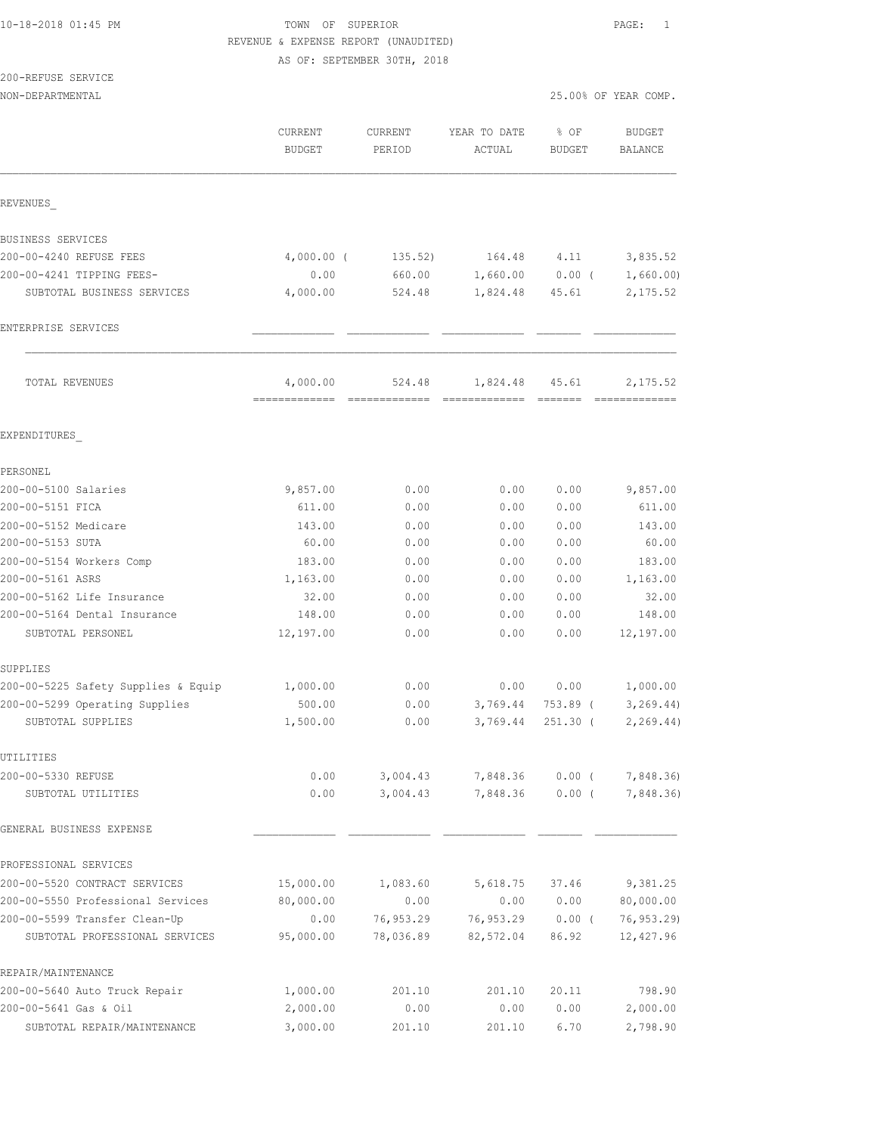## 10-18-2018 01:45 PM TOWN OF SUPERIOR PAGE: 1 REVENUE & EXPENSE REPORT (UNAUDITED)

AS OF: SEPTEMBER 30TH, 2018

NON-DEPARTMENTAL 25.00% OF YEAR COMP.

|                                     | <b>CURRENT</b><br><b>BUDGET</b> | <b>CURRENT</b><br>PERIOD | YEAR TO DATE<br>ACTUAL | $8$ OF<br><b>BUDGET</b> | <b>BUDGET</b><br><b>BALANCE</b> |
|-------------------------------------|---------------------------------|--------------------------|------------------------|-------------------------|---------------------------------|
| REVENUES                            |                                 |                          |                        |                         |                                 |
| BUSINESS SERVICES                   |                                 |                          |                        |                         |                                 |
| 200-00-4240 REFUSE FEES             | $4,000.00$ (                    | 135.52)                  | 164.48                 | 4.11                    | 3,835.52                        |
| 200-00-4241 TIPPING FEES-           | 0.00                            | 660.00                   | 1,660.00               | $0.00$ (                | 1,660.00)                       |
| SUBTOTAL BUSINESS SERVICES          | 4,000.00                        | 524.48                   | 1,824.48               | 45.61                   | 2, 175.52                       |
| ENTERPRISE SERVICES                 |                                 |                          |                        |                         |                                 |
| TOTAL REVENUES                      | 4,000.00                        | 524.48                   | 1,824.48               | 45.61                   | 2,175.52                        |
| EXPENDITURES                        |                                 |                          |                        |                         |                                 |
| PERSONEL                            |                                 |                          |                        |                         |                                 |
| 200-00-5100 Salaries                | 9,857.00                        | 0.00                     | 0.00                   | 0.00                    | 9,857.00                        |
| 200-00-5151 FICA                    | 611.00                          | 0.00                     | 0.00                   | 0.00                    | 611.00                          |
| 200-00-5152 Medicare                | 143.00                          | 0.00                     | 0.00                   | 0.00                    | 143.00                          |
| 200-00-5153 SUTA                    | 60.00                           | 0.00                     | 0.00                   | 0.00                    | 60.00                           |
| 200-00-5154 Workers Comp            | 183.00                          | 0.00                     | 0.00                   | 0.00                    | 183.00                          |
| 200-00-5161 ASRS                    | 1,163.00                        | 0.00                     | 0.00                   | 0.00                    | 1,163.00                        |
| 200-00-5162 Life Insurance          | 32.00                           | 0.00                     | 0.00                   | 0.00                    | 32.00                           |
| 200-00-5164 Dental Insurance        | 148.00                          | 0.00                     | 0.00                   | 0.00                    | 148.00                          |
| SUBTOTAL PERSONEL                   | 12,197.00                       | 0.00                     | 0.00                   | 0.00                    | 12,197.00                       |
| SUPPLIES                            |                                 |                          |                        |                         |                                 |
| 200-00-5225 Safety Supplies & Equip | 1,000.00                        | 0.00                     | 0.00                   | 0.00                    | 1,000.00                        |
| 200-00-5299 Operating Supplies      | 500.00                          | 0.00                     | 3,769.44               | 753.89 (                | 3, 269.44                       |
| SUBTOTAL SUPPLIES                   | 1,500.00                        | 0.00                     | 3,769.44               | $251.30$ (              | 2, 269.44)                      |
| UTILITIES                           |                                 |                          |                        |                         |                                 |
| 200-00-5330 REFUSE                  | 0.00                            | 3,004.43                 | 7,848.36               | $0.00$ (                | 7,848.36)                       |
| SUBTOTAL UTILITIES                  | 0.00                            | 3,004.43                 | 7,848.36               | $0.00$ (                | 7,848.36)                       |
| GENERAL BUSINESS EXPENSE            |                                 |                          |                        |                         |                                 |
| PROFESSIONAL SERVICES               |                                 |                          |                        |                         |                                 |
| 200-00-5520 CONTRACT SERVICES       | 15,000.00                       | 1,083.60                 | 5,618.75               | 37.46                   | 9,381.25                        |
| 200-00-5550 Professional Services   | 80,000.00                       | 0.00                     | 0.00                   | 0.00                    | 80,000.00                       |
| 200-00-5599 Transfer Clean-Up       | 0.00                            | 76,953.29                | 76,953.29              | $0.00$ (                | 76, 953.29                      |
| SUBTOTAL PROFESSIONAL SERVICES      | 95,000.00                       | 78,036.89                | 82,572.04              | 86.92                   | 12, 427.96                      |
| REPAIR/MAINTENANCE                  |                                 |                          |                        |                         |                                 |
| 200-00-5640 Auto Truck Repair       | 1,000.00                        | 201.10                   | 201.10                 | 20.11                   | 798.90                          |
| 200-00-5641 Gas & Oil               | 2,000.00                        | 0.00                     | 0.00                   | 0.00                    | 2,000.00                        |
| SUBTOTAL REPAIR/MAINTENANCE         | 3,000.00                        | 201.10                   | 201.10                 | 6.70                    | 2,798.90                        |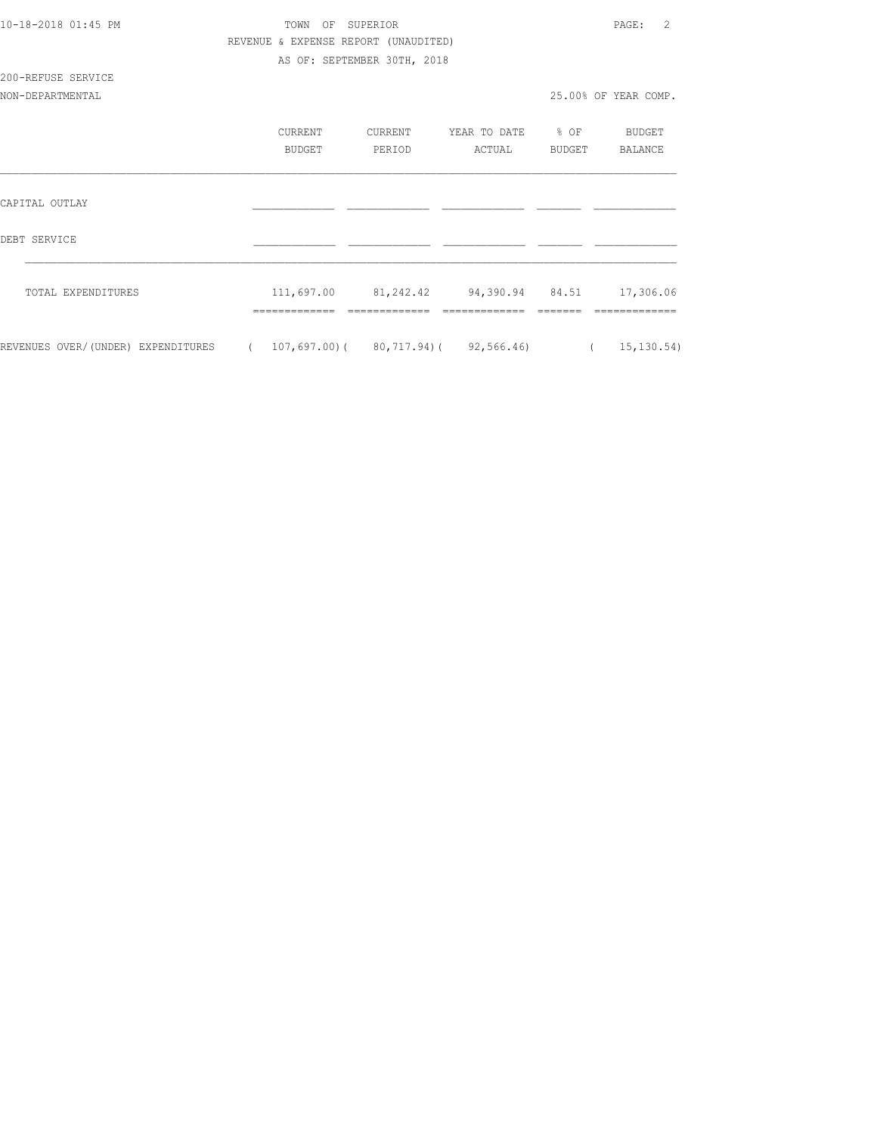| 10-18-2018 01:45 PM                                                                 | SUPERIOR<br>TOWN<br>OF               | PAGE:<br>2                           |                   |               |                      |
|-------------------------------------------------------------------------------------|--------------------------------------|--------------------------------------|-------------------|---------------|----------------------|
|                                                                                     | REVENUE & EXPENSE REPORT (UNAUDITED) |                                      |                   |               |                      |
|                                                                                     |                                      | AS OF: SEPTEMBER 30TH, 2018          |                   |               |                      |
| 200-REFUSE SERVICE                                                                  |                                      |                                      |                   |               |                      |
| NON-DEPARTMENTAL                                                                    |                                      |                                      |                   |               | 25.00% OF YEAR COMP. |
|                                                                                     | <b>CURRENT</b>                       | CURRENT                              | YEAR TO DATE % OF |               | BUDGET               |
|                                                                                     | BUDGET                               | PERIOD                               | ACTUAL            | <b>BUDGET</b> | <b>BALANCE</b>       |
| CAPITAL OUTLAY                                                                      |                                      |                                      |                   |               |                      |
| DEBT SERVICE                                                                        |                                      |                                      |                   |               |                      |
| TOTAL EXPENDITURES                                                                  |                                      | 111,697.00 81,242.42 94,390.94 84.51 |                   |               | 17,306.06            |
| REVENUES OVER/(UNDER) EXPENDITURES (107,697.00) (80,717.94) (92,566.46) (15,130.54) |                                      |                                      |                   |               |                      |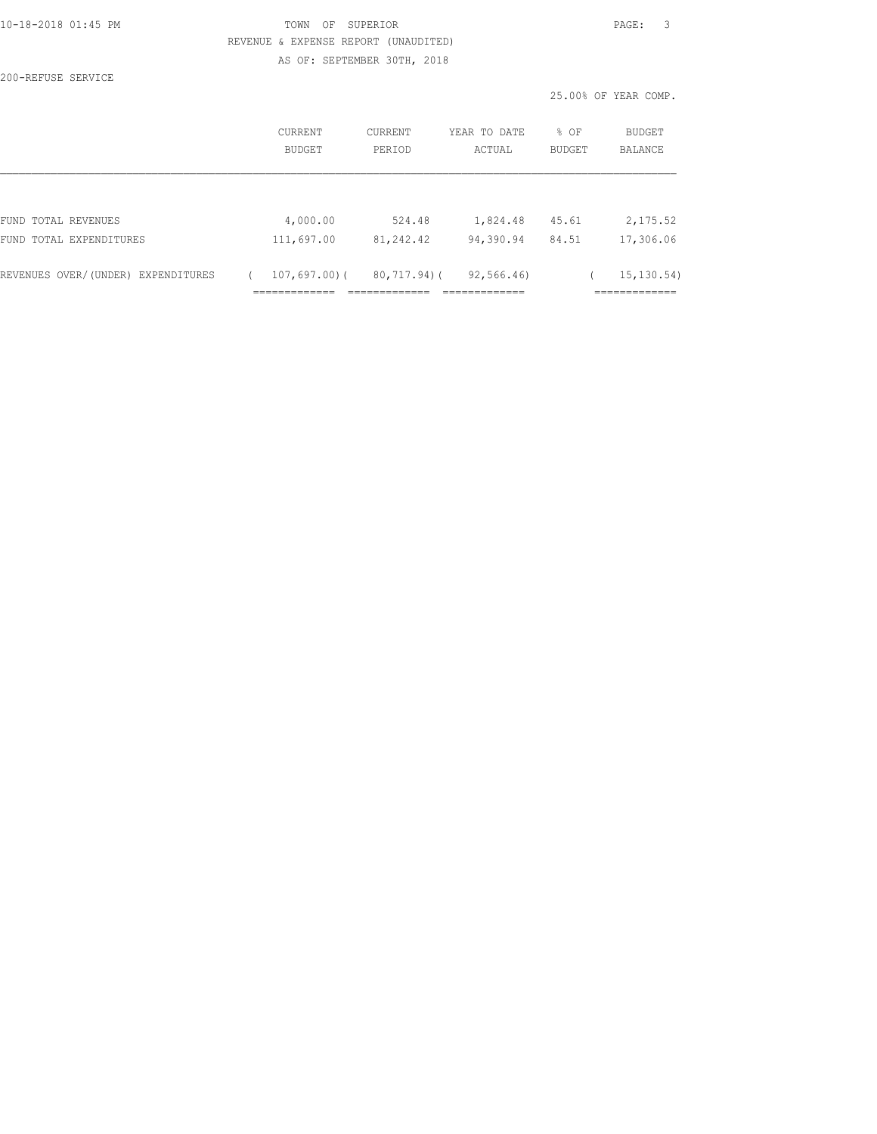|  |  |  |  |  |  | 10-18-2018 01:45 PM |
|--|--|--|--|--|--|---------------------|

200-REFUSE SERVICE

TOWN OF SUPERIOR **PAGE:** 3 REVENUE & EXPENSE REPORT (UNAUDITED) AS OF: SEPTEMBER 30TH, 2018

|                                                |                              |                     |                            |                       | 25.00% OF YEAR COMP.                       |
|------------------------------------------------|------------------------------|---------------------|----------------------------|-----------------------|--------------------------------------------|
|                                                | CURRENT<br><b>BUDGET</b>     | CURRENT<br>PERIOD   | YEAR TO DATE<br>ACTUAL     | % OF<br><b>BUDGET</b> | BUDGET<br><b>BALANCE</b>                   |
|                                                |                              |                     |                            |                       |                                            |
| FUND TOTAL REVENUES<br>FUND TOTAL EXPENDITURES | 4,000.00<br>111,697.00       | 524.48<br>81,242.42 | 1,824.48<br>94,390.94      | 45.61<br>84.51        | 2,175.52<br>17,306.06                      |
| REVENUES OVER/(UNDER) EXPENDITURES             | $107,697,00$ (<br>__________ | 80,717.94)(         | 92,566.46)<br>____________ |                       | 15, 130, 54)<br>-------------<br>--------- |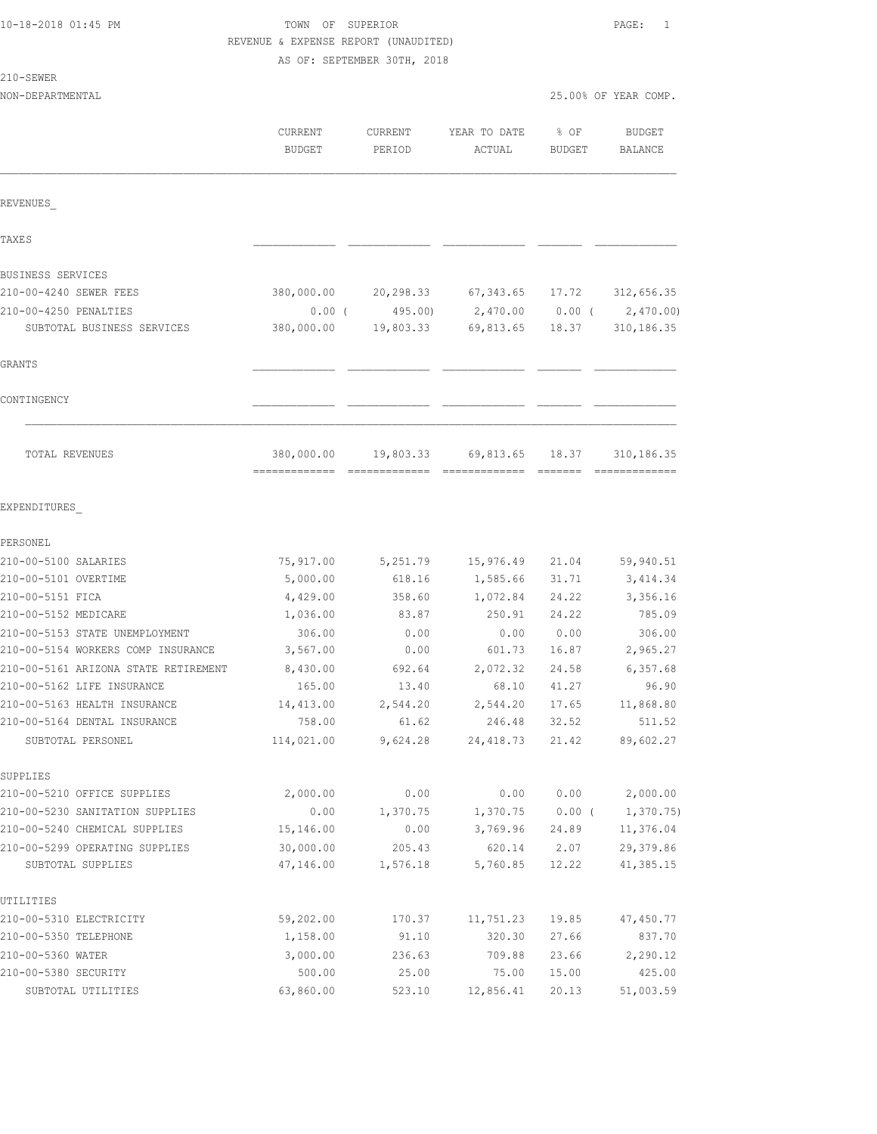| 10-18-2018 01:45 PM |  |
|---------------------|--|
|---------------------|--|

# TOWN OF SUPERIOR **PAGE:** 1 REVENUE & EXPENSE REPORT (UNAUDITED)

AS OF: SEPTEMBER 30TH, 2018

| -SEWE |  |
|-------|--|
|-------|--|

| NON-DEPARTMENTAL                     |                                           |                   |                        |                       | 25.00% OF YEAR COMP.     |  |
|--------------------------------------|-------------------------------------------|-------------------|------------------------|-----------------------|--------------------------|--|
|                                      | CURRENT<br><b>BUDGET</b>                  | CURRENT<br>PERIOD | YEAR TO DATE<br>ACTUAL | % OF<br><b>BUDGET</b> | <b>BUDGET</b><br>BALANCE |  |
| REVENUES                             |                                           |                   |                        |                       |                          |  |
| TAXE S                               |                                           |                   |                        |                       |                          |  |
| BUSINESS SERVICES                    |                                           |                   |                        |                       |                          |  |
| 210-00-4240 SEWER FEES               | 380,000.00                                | 20,298.33         | 67,343.65              | 17.72                 | 312,656.35               |  |
| 210-00-4250 PENALTIES                | $0.00$ (                                  | 495.00)           | 2,470.00 0.00 (        |                       | 2,470.00                 |  |
| SUBTOTAL BUSINESS SERVICES           | 380,000.00                                | 19,803.33         | 69,813.65              | 18.37                 | 310, 186.35              |  |
| GRANTS                               |                                           |                   |                        |                       |                          |  |
| CONTINGENCY                          |                                           |                   |                        |                       |                          |  |
| TOTAL REVENUES                       | 380,000.00<br>------------- ------------- |                   | 19,803.33 69,813.65    | 18.37                 | 310, 186. 35             |  |
| EXPENDITURES                         |                                           |                   |                        |                       |                          |  |
| PERSONEL                             |                                           |                   |                        |                       |                          |  |
| 210-00-5100 SALARIES                 | 75,917.00                                 | 5,251.79          | 15,976.49              | 21.04                 | 59,940.51                |  |
| 210-00-5101 OVERTIME                 | 5,000.00                                  | 618.16            | 1,585.66               | 31.71                 | 3, 414.34                |  |
| 210-00-5151 FICA                     | 4,429.00                                  | 358.60            | 1,072.84               | 24.22                 | 3,356.16                 |  |
| 210-00-5152 MEDICARE                 | 1,036.00                                  | 83.87             | 250.91                 | 24.22                 | 785.09                   |  |
| 210-00-5153 STATE UNEMPLOYMENT       | 306.00                                    | 0.00              | 0.00                   | 0.00                  | 306.00                   |  |
| 210-00-5154 WORKERS COMP INSURANCE   | 3,567.00                                  | 0.00              | 601.73                 | 16.87                 | 2,965.27                 |  |
| 210-00-5161 ARIZONA STATE RETIREMENT | 8,430.00                                  | 692.64            | 2,072.32               | 24.58                 | 6, 357.68                |  |
| 210-00-5162 LIFE INSURANCE           | 165.00                                    | 13.40             | 68.10                  | 41.27                 | 96.90                    |  |
| 210-00-5163 HEALTH INSURANCE         | 14,413.00                                 | 2,544.20          | 2,544.20               | 17.65                 | 11,868.80                |  |
| 210-00-5164 DENTAL INSURANCE         | 758.00                                    | 61.62             | 246.48                 | 32.52                 | 511.52                   |  |
| SUBTOTAL PERSONEL                    | 114,021.00                                | 9,624.28          | 24, 418.73             | 21.42                 | 89,602.27                |  |
| SUPPLIES                             |                                           |                   |                        |                       |                          |  |
| 210-00-5210 OFFICE SUPPLIES          | 2,000.00                                  | 0.00              | 0.00                   | 0.00                  | 2,000.00                 |  |
| 210-00-5230 SANITATION SUPPLIES      | 0.00                                      | 1,370.75          | 1,370.75               | $0.00$ (              | 1,370.75                 |  |
| 210-00-5240 CHEMICAL SUPPLIES        | 15,146.00                                 | 0.00              | 3,769.96               | 24.89                 | 11,376.04                |  |
| 210-00-5299 OPERATING SUPPLIES       | 30,000.00                                 | 205.43            | 620.14                 | 2.07                  | 29,379.86                |  |
| SUBTOTAL SUPPLIES                    | 47,146.00                                 | 1,576.18          | 5,760.85               | 12.22                 | 41,385.15                |  |
| UTILITIES                            |                                           |                   |                        |                       |                          |  |
| 210-00-5310 ELECTRICITY              | 59,202.00                                 | 170.37            | 11,751.23              | 19.85                 | 47,450.77                |  |
| 210-00-5350 TELEPHONE                | 1,158.00                                  | 91.10             | 320.30                 | 27.66                 | 837.70                   |  |
| 210-00-5360 WATER                    | 3,000.00                                  | 236.63            | 709.88                 | 23.66                 | 2,290.12                 |  |
| 210-00-5380 SECURITY                 | 500.00                                    | 25.00             | 75.00                  | 15.00                 | 425.00                   |  |
| SUBTOTAL UTILITIES                   | 63,860.00                                 | 523.10            | 12,856.41              | 20.13                 | 51,003.59                |  |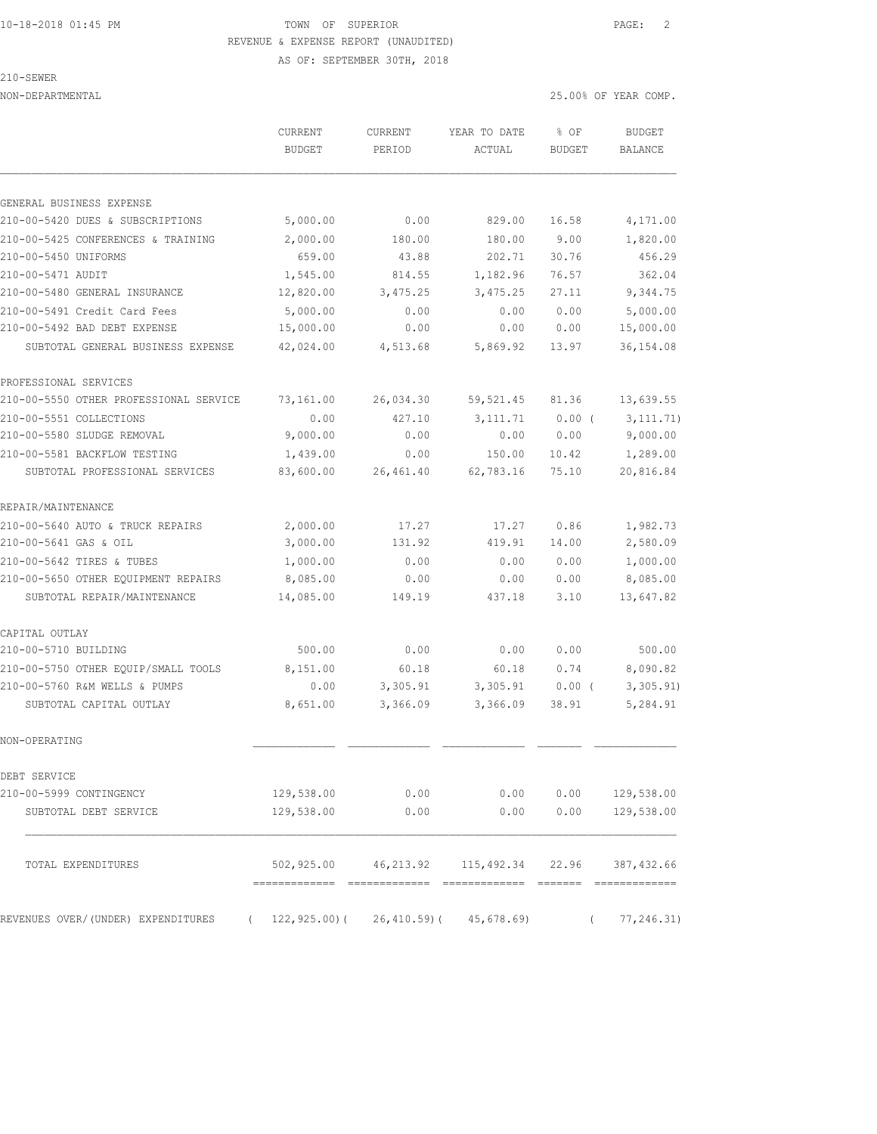### 10-18-2018 01:45 PM TOWN OF SUPERIOR PAGE: 2 REVENUE & EXPENSE REPORT (UNAUDITED)

AS OF: SEPTEMBER 30TH, 2018

|  | i⊦:W⊦ |  |
|--|-------|--|
|  |       |  |

|                                                | <b>CURRENT</b><br><b>BUDGET</b> | CURRENT<br>PERIOD | YEAR TO DATE<br>ACTUAL                               | $%$ OF<br><b>BUDGET</b> | <b>BUDGET</b><br><b>BALANCE</b> |
|------------------------------------------------|---------------------------------|-------------------|------------------------------------------------------|-------------------------|---------------------------------|
|                                                |                                 |                   |                                                      |                         |                                 |
| GENERAL BUSINESS EXPENSE                       |                                 |                   |                                                      |                         |                                 |
| 210-00-5420 DUES & SUBSCRIPTIONS               | 5,000.00                        | 0.00              | 829.00                                               | 16.58                   | 4,171.00                        |
| 210-00-5425 CONFERENCES & TRAINING             | 2,000.00                        | 180.00            | 180.00                                               | 9.00                    | 1,820.00                        |
| 210-00-5450 UNIFORMS                           | 659.00                          | 43.88             | 202.71                                               | 30.76                   | 456.29                          |
| 210-00-5471 AUDIT                              | 1,545.00                        | 814.55            | 1,182.96                                             | 76.57                   | 362.04                          |
| 210-00-5480 GENERAL INSURANCE                  | 12,820.00                       | 3,475.25          | 3,475.25                                             | 27.11                   | 9,344.75                        |
| 210-00-5491 Credit Card Fees                   | 5,000.00                        | 0.00              | 0.00                                                 | 0.00                    | 5,000.00                        |
| 210-00-5492 BAD DEBT EXPENSE                   | 15,000.00                       | 0.00              | 0.00                                                 | 0.00                    | 15,000.00                       |
| SUBTOTAL GENERAL BUSINESS EXPENSE              | 42,024.00                       | 4,513.68          | 5,869.92                                             | 13.97                   | 36, 154.08                      |
| PROFESSIONAL SERVICES                          |                                 |                   |                                                      |                         |                                 |
| 210-00-5550 OTHER PROFESSIONAL SERVICE         | 73,161.00                       | 26,034.30         | 59, 521.45                                           | 81.36                   | 13,639.55                       |
| 210-00-5551 COLLECTIONS                        | 0.00                            | 427.10            | 3, 111.71                                            | $0.00$ (                | 3, 111.71)                      |
| 210-00-5580 SLUDGE REMOVAL                     | 9,000.00                        | 0.00              | 0.00                                                 | 0.00                    | 9,000.00                        |
| 210-00-5581 BACKFLOW TESTING                   | 1,439.00                        | 0.00              | 150.00                                               | 10.42                   | 1,289.00                        |
| SUBTOTAL PROFESSIONAL SERVICES                 | 83,600.00                       | 26,461.40         | 62,783.16                                            | 75.10                   | 20,816.84                       |
| REPAIR/MAINTENANCE                             |                                 |                   |                                                      |                         |                                 |
| 210-00-5640 AUTO & TRUCK REPAIRS               | 2,000.00                        | 17.27             | 17.27                                                | 0.86                    | 1,982.73                        |
| 210-00-5641 GAS & OIL                          | 3,000.00                        | 131.92            | 419.91                                               | 14.00                   | 2,580.09                        |
| 210-00-5642 TIRES & TUBES                      | 1,000.00                        | 0.00              | 0.00                                                 | 0.00                    | 1,000.00                        |
| 210-00-5650 OTHER EQUIPMENT REPAIRS            | 8,085.00                        | 0.00              | 0.00                                                 | 0.00                    | 8,085.00                        |
| SUBTOTAL REPAIR/MAINTENANCE                    | 14,085.00                       | 149.19            | 437.18                                               | 3.10                    | 13,647.82                       |
| CAPITAL OUTLAY                                 |                                 |                   |                                                      |                         |                                 |
| 210-00-5710 BUILDING                           | 500.00                          | 0.00              | 0.00                                                 | 0.00                    | 500.00                          |
| 210-00-5750 OTHER EQUIP/SMALL TOOLS            | 8,151.00                        | 60.18             | 60.18                                                | 0.74                    | 8,090.82                        |
| 210-00-5760 R&M WELLS & PUMPS                  | 0.00                            | 3,305.91          | 3,305.91                                             | $0.00$ (                | 3,305.91)                       |
| SUBTOTAL CAPITAL OUTLAY                        | 8,651.00                        | 3,366.09          | 3,366.09                                             | 38.91                   | 5,284.91                        |
| NON-OPERATING                                  |                                 |                   |                                                      |                         |                                 |
| DEBT SERVICE                                   |                                 |                   |                                                      |                         |                                 |
| 210-00-5999 CONTINGENCY                        | 129,538.00                      | 0.00              | 0.00                                                 | 0.00                    | 129,538.00                      |
| SUBTOTAL DEBT SERVICE                          | 129,538.00                      | 0.00              | 0.00                                                 | 0.00                    | 129,538.00                      |
| TOTAL EXPENDITURES                             |                                 |                   | 502,925.00  46,213.92  115,492.34  22.96  387,432.66 |                         |                                 |
| REVENUES OVER/(UNDER) EXPENDITURES<br>$\left($ | $122, 925.00$ (                 | 26,410.59)(       | 45,678.69)                                           | $\left($                | 77, 246.31)                     |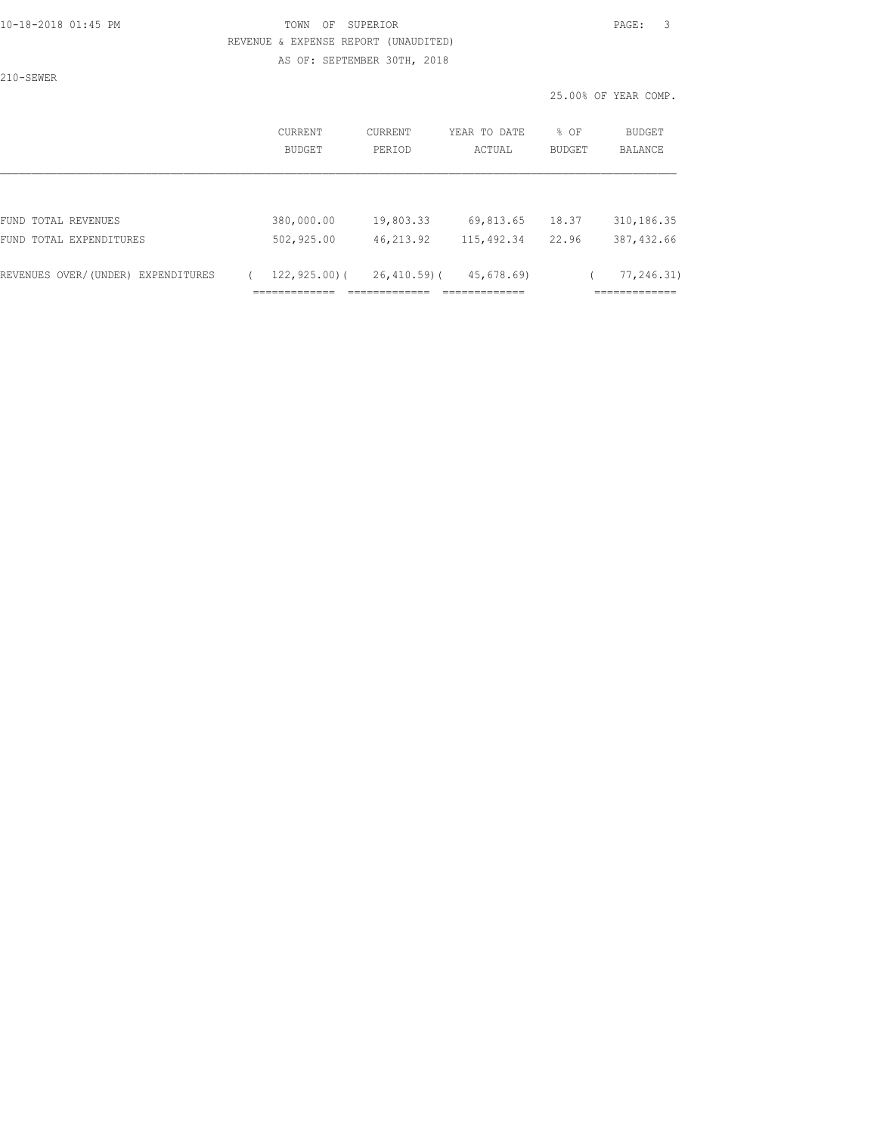## 10-18-2018 01:45 PM TOWN OF SUPERIOR PAGE: 3 REVENUE & EXPENSE REPORT (UNAUDITED)

AS OF: SEPTEMBER 30TH, 2018

210-SEWER

|                                    |                          |                   |                        |                       | 25.00% OF YEAR COMP.     |  |
|------------------------------------|--------------------------|-------------------|------------------------|-----------------------|--------------------------|--|
|                                    | CURRENT<br><b>BUDGET</b> | CURRENT<br>PERIOD | YEAR TO DATE<br>ACTUAL | % OF<br><b>BUDGET</b> | BUDGET<br><b>BALANCE</b> |  |
|                                    |                          |                   |                        |                       |                          |  |
| FUND TOTAL REVENUES                | 380,000.00               | 19,803.33         | 69,813.65              | 18.37                 | 310, 186.35              |  |
| FUND TOTAL EXPENDITURES            | 502,925.00               | 46, 213.92        | 115,492.34             | 22.96                 | 387, 432.66              |  |
| REVENUES OVER/(UNDER) EXPENDITURES | $122, 925.00$ (          | 26,410.59)(       | 45,678.69)             |                       | 77,246.31)               |  |

============= ============= ============= =============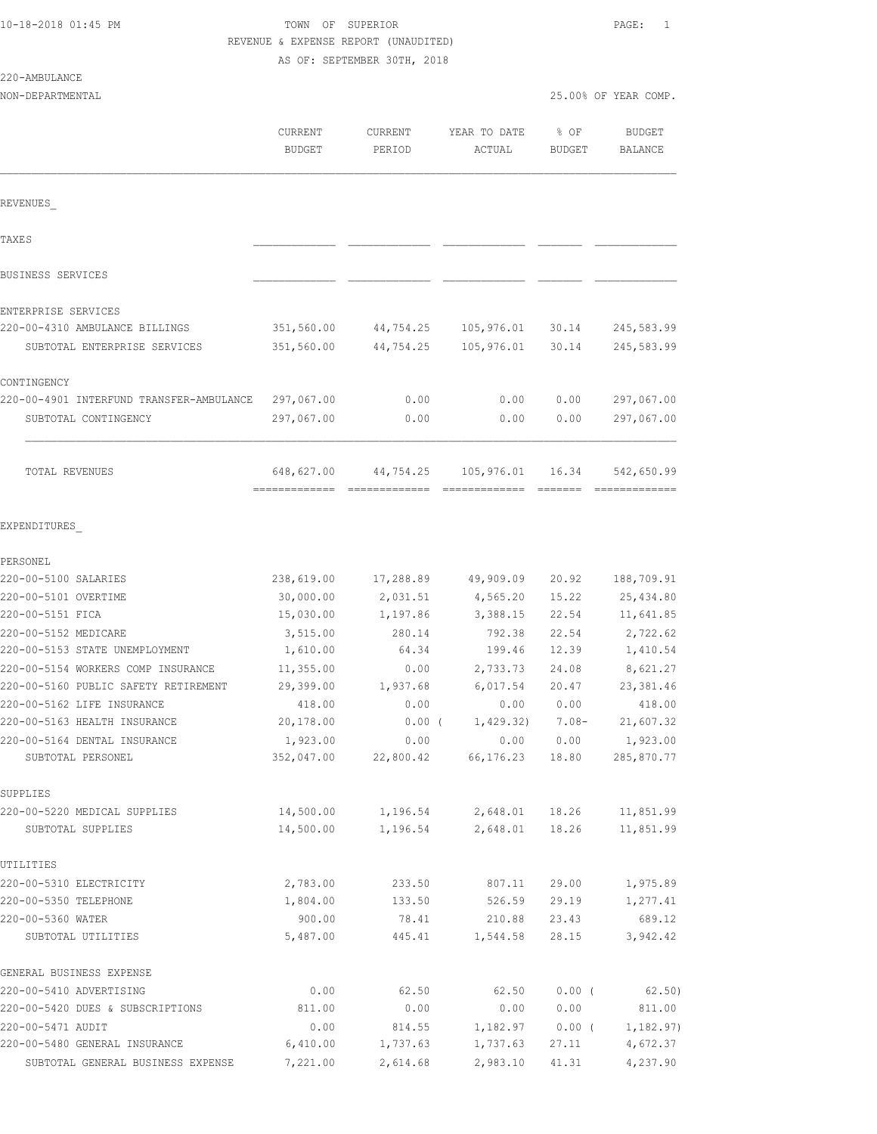|  |  |  |  |  |  |  |  |  |  |  | 10-18-2018 01:45 PM |
|--|--|--|--|--|--|--|--|--|--|--|---------------------|
|--|--|--|--|--|--|--|--|--|--|--|---------------------|

# TOWN OF SUPERIOR **PAGE:** 1 REVENUE & EXPENSE REPORT (UNAUDITED)

AS OF: SEPTEMBER 30TH, 2018

| 220-AMBULANCE |  |
|---------------|--|
|---------------|--|

| NON-DEPARTMENTAL                                           |                          |                      |                        |                       | 25.00% OF YEAR COMP.     |
|------------------------------------------------------------|--------------------------|----------------------|------------------------|-----------------------|--------------------------|
|                                                            | CURRENT<br><b>BUDGET</b> | CURRENT<br>PERIOD    | YEAR TO DATE<br>ACTUAL | % OF<br><b>BUDGET</b> | <b>BUDGET</b><br>BALANCE |
| REVENUES                                                   |                          |                      |                        |                       |                          |
| <b>TAXES</b>                                               |                          |                      |                        |                       |                          |
| BUSINESS SERVICES                                          |                          |                      |                        |                       |                          |
| ENTERPRISE SERVICES                                        |                          |                      |                        |                       |                          |
| 220-00-4310 AMBULANCE BILLINGS                             | 351,560.00               | 44,754.25            | 105,976.01             | 30.14                 | 245,583.99               |
| SUBTOTAL ENTERPRISE SERVICES                               | 351,560.00               | 44,754.25            | 105,976.01             | 30.14                 | 245,583.99               |
| CONTINGENCY                                                |                          |                      |                        |                       |                          |
| 220-00-4901 INTERFUND TRANSFER-AMBULANCE                   | 297,067.00               | 0.00                 | 0.00                   | 0.00                  | 297,067.00               |
| SUBTOTAL CONTINGENCY                                       | 297,067.00               | 0.00                 | 0.00                   | 0.00                  | 297,067.00               |
| TOTAL REVENUES                                             | 648,627.00               | 44,754.25            | 105,976.01             | 16.34                 | 542,650.99               |
| EXPENDITURES                                               |                          |                      |                        |                       |                          |
| PERSONEL                                                   |                          |                      |                        |                       |                          |
| 220-00-5100 SALARIES                                       | 238,619.00               | 17,288.89            | 49,909.09              | 20.92                 | 188,709.91               |
| 220-00-5101 OVERTIME                                       | 30,000.00                | 2,031.51             | 4,565.20               | 15.22                 | 25, 434.80               |
| 220-00-5151 FICA                                           | 15,030.00                | 1,197.86             | 3,388.15               | 22.54                 | 11,641.85                |
| 220-00-5152 MEDICARE                                       | 3,515.00                 | 280.14               | 792.38                 | 22.54                 | 2,722.62                 |
| 220-00-5153 STATE UNEMPLOYMENT                             | 1,610.00                 | 64.34                | 199.46                 | 12.39                 | 1,410.54                 |
| 220-00-5154 WORKERS COMP INSURANCE                         | 11,355.00                | 0.00                 | 2,733.73               | 24.08                 | 8,621.27                 |
| 220-00-5160 PUBLIC SAFETY RETIREMENT                       | 29,399.00                | 1,937.68             | 6,017.54               | 20.47                 | 23, 381.46               |
| 220-00-5162 LIFE INSURANCE<br>220-00-5163 HEALTH INSURANCE | 418.00<br>20,178.00      | 0.00<br>$0.00$ (     | 0.00<br>1,429.32)      | 0.00<br>$7.08-$       | 418.00<br>21,607.32      |
| 220-00-5164 DENTAL INSURANCE                               | 1,923.00                 | 0.00                 | 0.00                   | 0.00                  | 1,923.00                 |
| SUBTOTAL PERSONEL                                          | 352,047.00               | 22,800.42            | 66,176.23              | 18.80                 | 285,870.77               |
| SUPPLIES                                                   |                          |                      |                        |                       |                          |
| 220-00-5220 MEDICAL SUPPLIES<br>SUBTOTAL SUPPLIES          | 14,500.00<br>14,500.00   | 1,196.54<br>1,196.54 | 2,648.01<br>2,648.01   | 18.26<br>18.26        | 11,851.99<br>11,851.99   |
| UTILITIES                                                  |                          |                      |                        |                       |                          |
| 220-00-5310 ELECTRICITY                                    | 2,783.00                 | 233.50               | 807.11                 | 29.00                 | 1,975.89                 |
| 220-00-5350 TELEPHONE                                      | 1,804.00                 | 133.50               | 526.59                 | 29.19                 | 1,277.41                 |
| 220-00-5360 WATER                                          | 900.00                   | 78.41                | 210.88                 | 23.43                 | 689.12                   |
| SUBTOTAL UTILITIES                                         | 5,487.00                 | 445.41               | 1,544.58               | 28.15                 | 3,942.42                 |
| GENERAL BUSINESS EXPENSE                                   |                          |                      |                        |                       |                          |
| 220-00-5410 ADVERTISING                                    | 0.00                     | 62.50                | 62.50                  | 0.00(                 | 62.50)                   |
| 220-00-5420 DUES & SUBSCRIPTIONS                           | 811.00                   | 0.00                 | 0.00                   | 0.00                  | 811.00                   |
| 220-00-5471 AUDIT                                          | 0.00                     | 814.55               | 1,182.97               | $0.00$ (              | 1, 182.97)               |

220-00-5480 GENERAL INSURANCE 6,410.00 1,737.63 1,737.63 27.11 4,672.37 SUBTOTAL GENERAL BUSINESS EXPENSE 7,221.00 2,614.68 2,983.10 41.31 4,237.90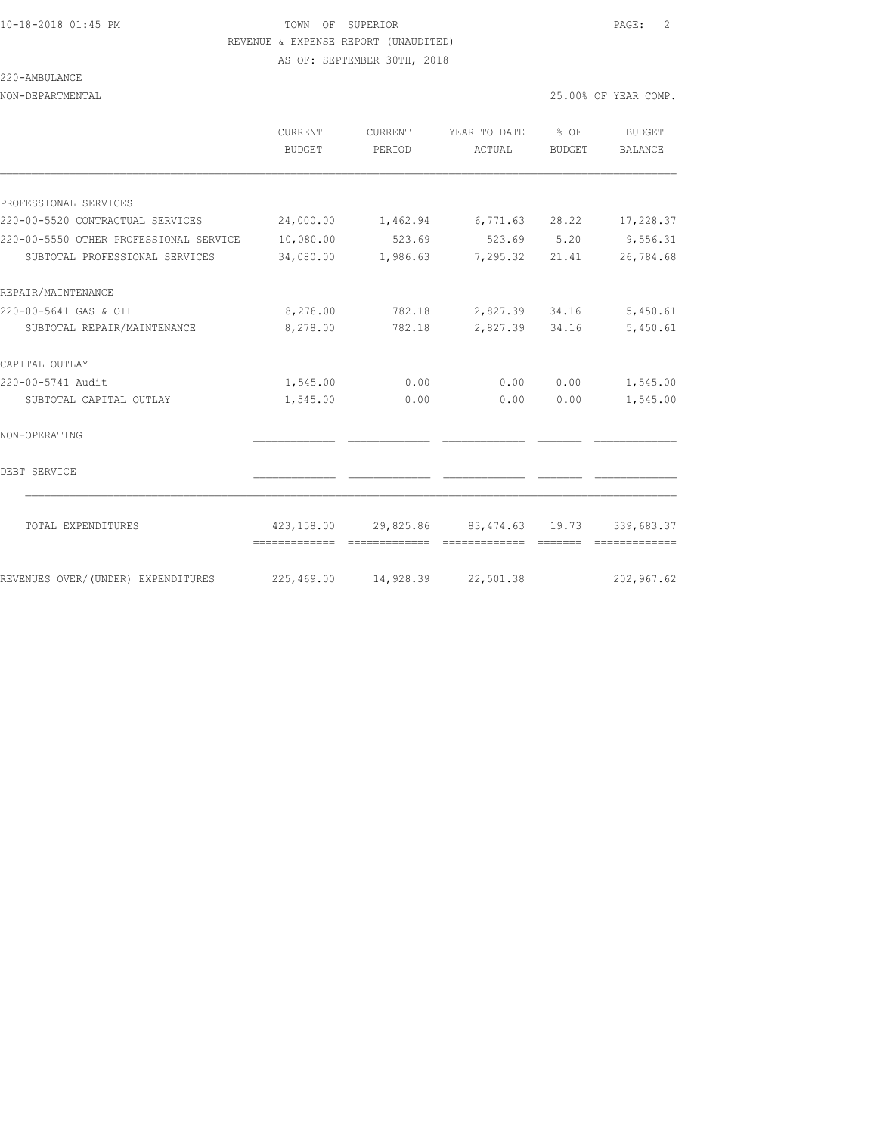### 10-18-2018 01:45 PM TOWN OF SUPERIOR PAGE: 2 REVENUE & EXPENSE REPORT (UNAUDITED)

AS OF: SEPTEMBER 30TH, 2018

220-AMBULANCE

|                                        | CURRENT<br>BUDGET              | CURRENT<br>PERIOD | YEAR TO DATE<br>ACTUAL                              | % OF<br>BUDGET | BUDGET<br><b>BALANCE</b>                                                                                                                                                                                                                                                                                                                                                                                                                                                               |
|----------------------------------------|--------------------------------|-------------------|-----------------------------------------------------|----------------|----------------------------------------------------------------------------------------------------------------------------------------------------------------------------------------------------------------------------------------------------------------------------------------------------------------------------------------------------------------------------------------------------------------------------------------------------------------------------------------|
|                                        |                                |                   |                                                     |                |                                                                                                                                                                                                                                                                                                                                                                                                                                                                                        |
| PROFESSIONAL SERVICES                  |                                |                   |                                                     |                |                                                                                                                                                                                                                                                                                                                                                                                                                                                                                        |
| 220-00-5520 CONTRACTUAL SERVICES       | 24,000.00                      | 1,462.94          | 6,771.63 28.22                                      |                | 17,228.37                                                                                                                                                                                                                                                                                                                                                                                                                                                                              |
| 220-00-5550 OTHER PROFESSIONAL SERVICE | 10,080.00                      | 523.69            | 523.69 5.20                                         |                | 9,556.31                                                                                                                                                                                                                                                                                                                                                                                                                                                                               |
| SUBTOTAL PROFESSIONAL SERVICES         | 34,080.00                      | 1,986.63          | 7,295.32 21.41                                      |                | 26,784.68                                                                                                                                                                                                                                                                                                                                                                                                                                                                              |
| REPAIR/MAINTENANCE                     |                                |                   |                                                     |                |                                                                                                                                                                                                                                                                                                                                                                                                                                                                                        |
| 220-00-5641 GAS & OIL                  | 8,278.00                       |                   | 782.18 2,827.39 34.16                               |                | 5,450.61                                                                                                                                                                                                                                                                                                                                                                                                                                                                               |
| SUBTOTAL REPAIR/MAINTENANCE            | 8,278.00                       | 782.18            | 2,827.39                                            | 34.16          | 5,450.61                                                                                                                                                                                                                                                                                                                                                                                                                                                                               |
| CAPITAL OUTLAY                         |                                |                   |                                                     |                |                                                                                                                                                                                                                                                                                                                                                                                                                                                                                        |
| 220-00-5741 Audit                      | 1,545.00                       | 0.00              | 0.00                                                | 0.00           | 1,545.00                                                                                                                                                                                                                                                                                                                                                                                                                                                                               |
| SUBTOTAL CAPITAL OUTLAY                | 1,545.00                       | 0.00              | 0.00                                                | 0.00           | 1,545.00                                                                                                                                                                                                                                                                                                                                                                                                                                                                               |
| NON-OPERATING                          |                                |                   |                                                     |                |                                                                                                                                                                                                                                                                                                                                                                                                                                                                                        |
| DEBT SERVICE                           |                                |                   |                                                     |                |                                                                                                                                                                                                                                                                                                                                                                                                                                                                                        |
| TOTAL EXPENDITURES                     |                                |                   | 423, 158.00 29, 825.86 83, 474.63 19.73 339, 683.37 |                |                                                                                                                                                                                                                                                                                                                                                                                                                                                                                        |
|                                        |                                |                   |                                                     |                | $\begin{array}{cccccccccc} \multicolumn{2}{c}{} & \multicolumn{2}{c}{} & \multicolumn{2}{c}{} & \multicolumn{2}{c}{} & \multicolumn{2}{c}{} & \multicolumn{2}{c}{} & \multicolumn{2}{c}{} & \multicolumn{2}{c}{} & \multicolumn{2}{c}{} & \multicolumn{2}{c}{} & \multicolumn{2}{c}{} & \multicolumn{2}{c}{} & \multicolumn{2}{c}{} & \multicolumn{2}{c}{} & \multicolumn{2}{c}{} & \multicolumn{2}{c}{} & \multicolumn{2}{c}{} & \multicolumn{2}{c}{} & \multicolumn{2}{c}{} & \mult$ |
| REVENUES OVER/(UNDER) EXPENDITURES     | 225,469.00 14,928.39 22,501.38 |                   |                                                     |                | 202,967.62                                                                                                                                                                                                                                                                                                                                                                                                                                                                             |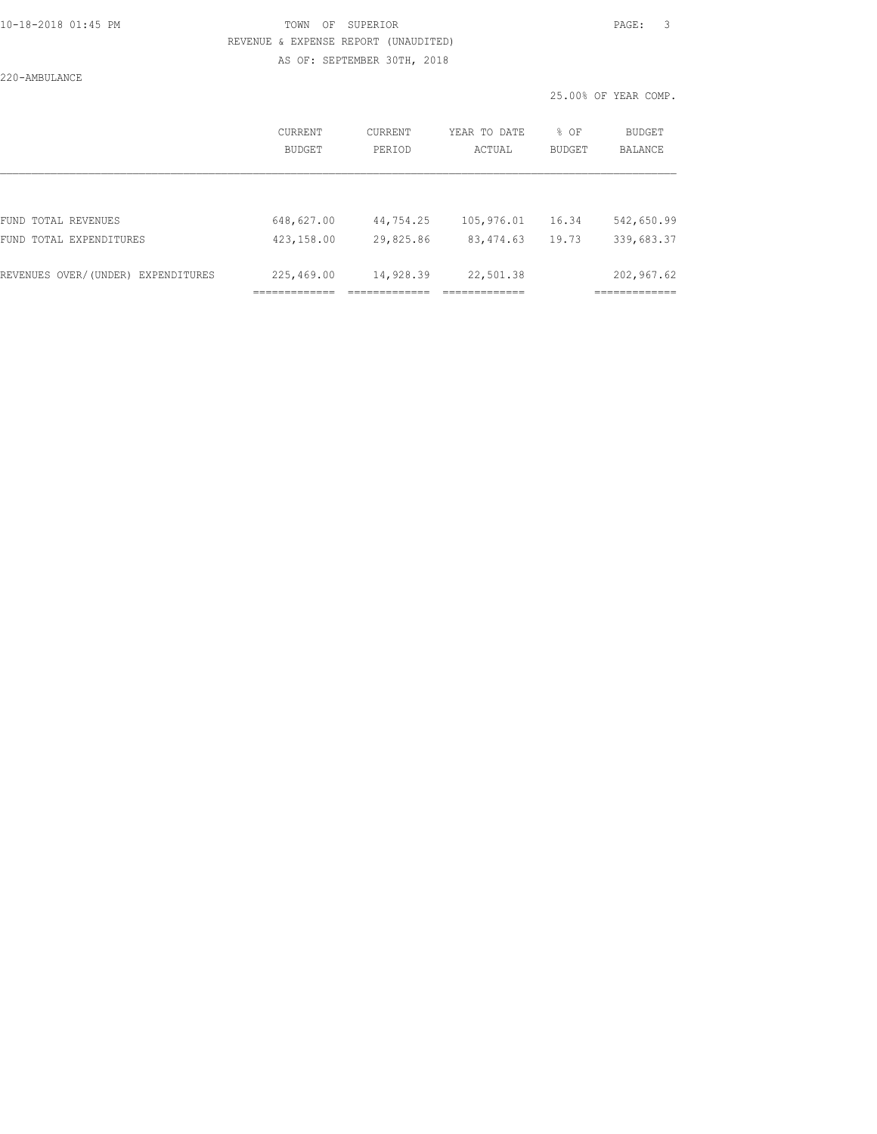## 10-18-2018 01:45 PM TOWN OF SUPERIOR PAGE: 3 REVENUE & EXPENSE REPORT (UNAUDITED)

AS OF: SEPTEMBER 30TH, 2018

220-AMBULANCE

25.00% OF YEAR COMP.

|                                    | CURRENT<br><b>BUDGET</b> | CURRENT<br>PERIOD | YEAR TO DATE<br>ACTUAL | % OF<br><b>BUDGET</b> | BUDGET<br><b>BALANCE</b> |
|------------------------------------|--------------------------|-------------------|------------------------|-----------------------|--------------------------|
|                                    |                          |                   |                        |                       |                          |
| FUND TOTAL REVENUES                | 648,627.00               | 44,754.25         | 105,976.01             | 16.34                 | 542,650.99               |
| FUND TOTAL EXPENDITURES            | 423,158.00               | 29,825.86         | 83, 474.63             | 19.73                 | 339,683.37               |
| REVENUES OVER/(UNDER) EXPENDITURES | 225,469.00               | 14,928.39         | 22,501.38              |                       | 202,967.62               |
|                                    |                          |                   |                        |                       |                          |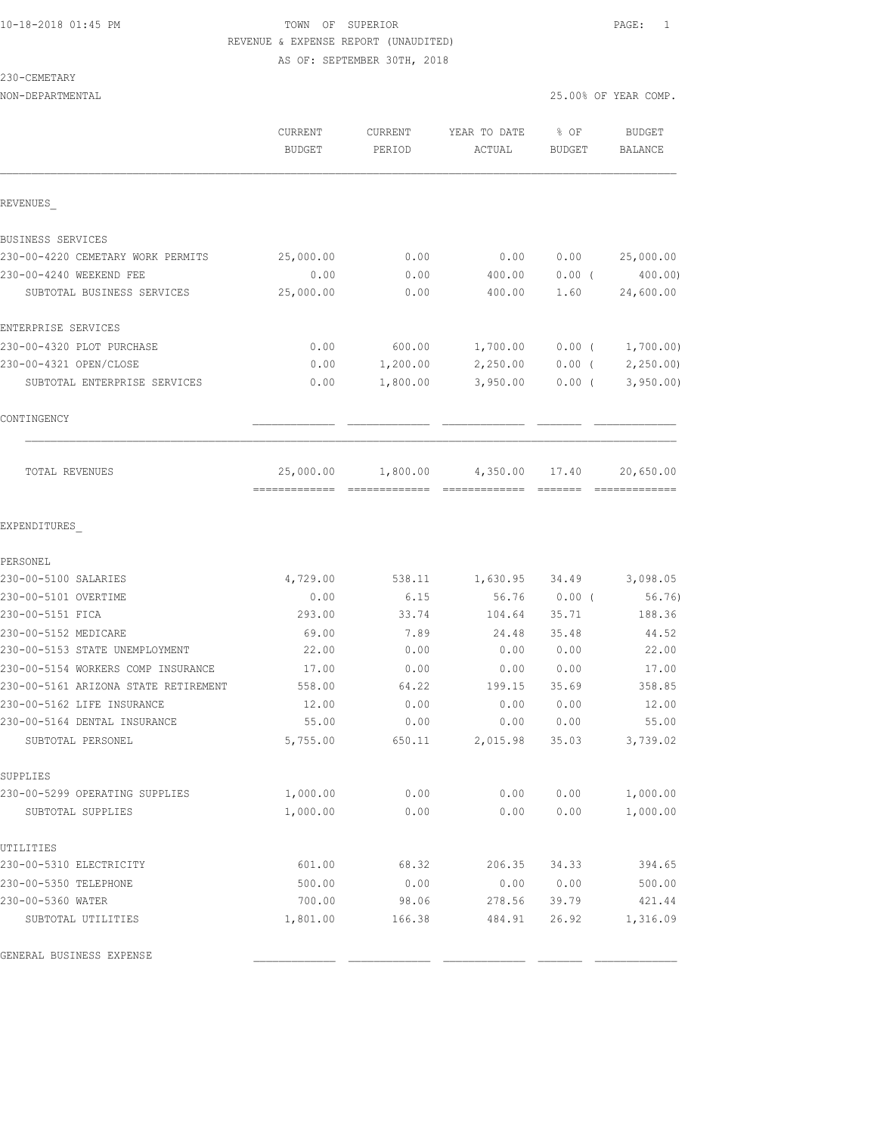#### 10-18-2018 01:45 PM TOWN OF SUPERIOR PAGE: 1 REVENUE & EXPENSE REPORT (UNAUDITED) AS OF: SEPTEMBER 30TH, 2018

| 230-CEMETARY |  |
|--------------|--|
|              |  |

|                                                   | CURRENT<br><b>BUDGET</b>                   | CURRENT<br>PERIOD | YEAR TO DATE<br>ACTUAL                                                                                                                                                                                                                                                                                                                                                                                                                                                                             | % OF<br><b>BUDGET</b> | <b>BUDGET</b><br>BALANCE   |
|---------------------------------------------------|--------------------------------------------|-------------------|----------------------------------------------------------------------------------------------------------------------------------------------------------------------------------------------------------------------------------------------------------------------------------------------------------------------------------------------------------------------------------------------------------------------------------------------------------------------------------------------------|-----------------------|----------------------------|
| REVENUES                                          |                                            |                   |                                                                                                                                                                                                                                                                                                                                                                                                                                                                                                    |                       |                            |
| BUSINESS SERVICES                                 |                                            |                   |                                                                                                                                                                                                                                                                                                                                                                                                                                                                                                    |                       |                            |
| 230-00-4220 CEMETARY WORK PERMITS                 | 25,000.00                                  | 0.00              | 0.00                                                                                                                                                                                                                                                                                                                                                                                                                                                                                               | 0.00                  | 25,000.00                  |
| 230-00-4240 WEEKEND FEE                           | 0.00                                       | 0.00              | 400.00                                                                                                                                                                                                                                                                                                                                                                                                                                                                                             | 0.00(                 | 400.00                     |
| SUBTOTAL BUSINESS SERVICES                        | 25,000.00                                  | 0.00              | 400.00                                                                                                                                                                                                                                                                                                                                                                                                                                                                                             | 1.60                  | 24,600.00                  |
| ENTERPRISE SERVICES                               |                                            |                   |                                                                                                                                                                                                                                                                                                                                                                                                                                                                                                    |                       |                            |
| 230-00-4320 PLOT PURCHASE                         | 0.00                                       | 600.00            | 1,700.00                                                                                                                                                                                                                                                                                                                                                                                                                                                                                           | $0.00$ (              | 1,700.00)                  |
| 230-00-4321 OPEN/CLOSE                            | 0.00                                       | 1,200.00          | 2,250.00                                                                                                                                                                                                                                                                                                                                                                                                                                                                                           | $0.00$ (              | 2,250.00                   |
| SUBTOTAL ENTERPRISE SERVICES                      | 0.00                                       | 1,800.00          | 3,950.00                                                                                                                                                                                                                                                                                                                                                                                                                                                                                           | $0.00$ (              | 3,950.00                   |
| CONTINGENCY                                       |                                            |                   |                                                                                                                                                                                                                                                                                                                                                                                                                                                                                                    |                       |                            |
| TOTAL REVENUES                                    | 25,000.00<br>-------------- -------------- | 1,800.00          | 4,350.00<br>$\begin{array}{cccccccccccccc} \multicolumn{2}{c}{} & \multicolumn{2}{c}{} & \multicolumn{2}{c}{} & \multicolumn{2}{c}{} & \multicolumn{2}{c}{} & \multicolumn{2}{c}{} & \multicolumn{2}{c}{} & \multicolumn{2}{c}{} & \multicolumn{2}{c}{} & \multicolumn{2}{c}{} & \multicolumn{2}{c}{} & \multicolumn{2}{c}{} & \multicolumn{2}{c}{} & \multicolumn{2}{c}{} & \multicolumn{2}{c}{} & \multicolumn{2}{c}{} & \multicolumn{2}{c}{} & \multicolumn{2}{c}{} & \multicolumn{2}{c}{} & \$ | 17.40<br>--------     | 20,650.00<br>============= |
| EXPENDITURES                                      |                                            |                   |                                                                                                                                                                                                                                                                                                                                                                                                                                                                                                    |                       |                            |
| PERSONEL                                          |                                            |                   |                                                                                                                                                                                                                                                                                                                                                                                                                                                                                                    |                       |                            |
| 230-00-5100 SALARIES                              | 4,729.00                                   | 538.11            | 1,630.95                                                                                                                                                                                                                                                                                                                                                                                                                                                                                           | 34.49                 | 3,098.05                   |
| 230-00-5101 OVERTIME                              | 0.00                                       | 6.15              | 56.76                                                                                                                                                                                                                                                                                                                                                                                                                                                                                              | 0.00(                 | 56.76)                     |
| 230-00-5151 FICA                                  | 293.00                                     | 33.74             | 104.64                                                                                                                                                                                                                                                                                                                                                                                                                                                                                             | 35.71                 | 188.36                     |
| 230-00-5152 MEDICARE                              | 69.00                                      | 7.89              | 24.48                                                                                                                                                                                                                                                                                                                                                                                                                                                                                              | 35.48                 | 44.52                      |
| 230-00-5153 STATE UNEMPLOYMENT                    | 22.00                                      | 0.00              | 0.00                                                                                                                                                                                                                                                                                                                                                                                                                                                                                               | 0.00                  | 22.00                      |
| 230-00-5154 WORKERS COMP INSURANCE                | 17.00                                      | 0.00              | 0.00                                                                                                                                                                                                                                                                                                                                                                                                                                                                                               | 0.00                  | 17.00                      |
| 230-00-5161 ARIZONA STATE RETIREMENT              | 558.00                                     | 64.22             | 199.15                                                                                                                                                                                                                                                                                                                                                                                                                                                                                             | 35.69                 | 358.85                     |
| 230-00-5162 LIFE INSURANCE                        | 12.00                                      | 0.00              | 0.00                                                                                                                                                                                                                                                                                                                                                                                                                                                                                               | 0.00                  | 12.00                      |
| 230-00-5164 DENTAL INSURANCE<br>SUBTOTAL PERSONEL | 55.00<br>5,755.00                          | 0.00<br>650.11    | 0.00<br>2,015.98                                                                                                                                                                                                                                                                                                                                                                                                                                                                                   | 0.00<br>35.03         | 55.00<br>3,739.02          |
|                                                   |                                            |                   |                                                                                                                                                                                                                                                                                                                                                                                                                                                                                                    |                       |                            |
| SUPPLIES<br>230-00-5299 OPERATING SUPPLIES        | 1,000.00                                   | 0.00              | 0.00                                                                                                                                                                                                                                                                                                                                                                                                                                                                                               | 0.00                  | 1,000.00                   |
|                                                   | 1,000.00                                   | 0.00              | 0.00                                                                                                                                                                                                                                                                                                                                                                                                                                                                                               | 0.00                  | 1,000.00                   |
| SUBTOTAL SUPPLIES                                 |                                            |                   |                                                                                                                                                                                                                                                                                                                                                                                                                                                                                                    |                       |                            |
| UTILITIES                                         |                                            |                   |                                                                                                                                                                                                                                                                                                                                                                                                                                                                                                    |                       |                            |
| 230-00-5310 ELECTRICITY                           | 601.00                                     | 68.32             | 206.35                                                                                                                                                                                                                                                                                                                                                                                                                                                                                             | 34.33                 | 394.65                     |
| 230-00-5350 TELEPHONE<br>230-00-5360 WATER        | 500.00<br>700.00                           | 0.00<br>98.06     | 0.00<br>278.56                                                                                                                                                                                                                                                                                                                                                                                                                                                                                     | 0.00<br>39.79         | 500.00<br>421.44           |
| SUBTOTAL UTILITIES                                | 1,801.00                                   | 166.38            | 484.91                                                                                                                                                                                                                                                                                                                                                                                                                                                                                             | 26.92                 | 1,316.09                   |

GENERAL BUSINESS EXPENSE \_\_\_\_\_\_\_\_\_\_\_\_\_ \_\_\_\_\_\_\_\_\_\_\_\_\_ \_\_\_\_\_\_\_\_\_\_\_\_\_ \_\_\_\_\_\_\_ \_\_\_\_\_\_\_\_\_\_\_\_\_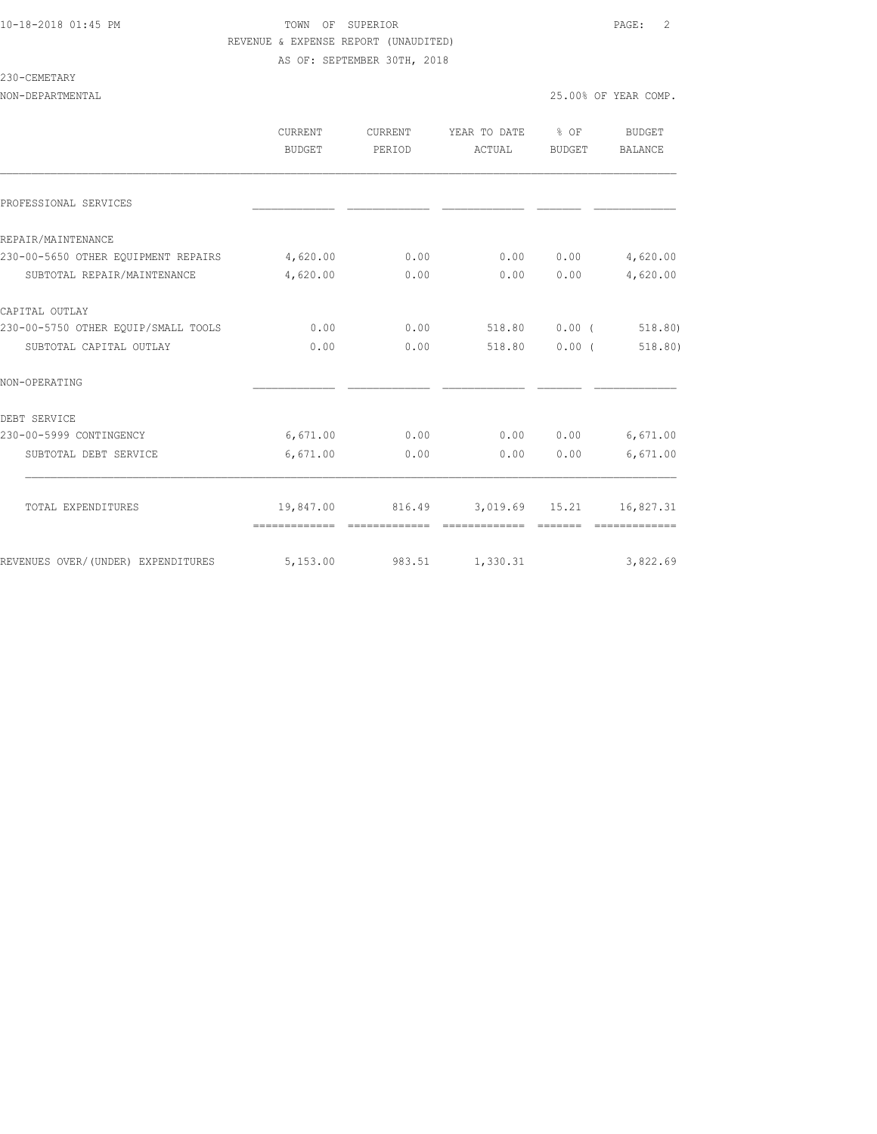# 10-18-2018 01:45 PM TOWN OF SUPERIOR PAGE: 2 REVENUE & EXPENSE REPORT (UNAUDITED)

AS OF: SEPTEMBER 30TH, 2018

230-CEMETARY

|                                     | CURRENT<br>BUDGET | CURRENT<br>PERIOD | YEAR TO DATE<br>ACTUAL | $\frac{6}{3}$ OF<br>BUDGET | BUDGET<br><b>BALANCE</b> |
|-------------------------------------|-------------------|-------------------|------------------------|----------------------------|--------------------------|
| PROFESSIONAL SERVICES               |                   |                   |                        |                            |                          |
| REPAIR/MAINTENANCE                  |                   |                   |                        |                            |                          |
| 230-00-5650 OTHER EOUIPMENT REPAIRS | 4,620.00          | 0.00              | 0.00                   | 0.00                       | 4,620.00                 |
| SUBTOTAL REPAIR/MAINTENANCE         | 4,620.00          | 0.00              | 0.00                   | 0.00                       | 4,620.00                 |
| CAPITAL OUTLAY                      |                   |                   |                        |                            |                          |
| 230-00-5750 OTHER EQUIP/SMALL TOOLS | 0.00              | 0.00              | 518.80                 | $0.00$ (                   | 518.80)                  |
| SUBTOTAL CAPITAL OUTLAY             | 0.00              | 0.00              | 518.80                 | 0.00(                      | 518.80)                  |
| NON-OPERATING                       |                   |                   |                        |                            |                          |
| DEBT SERVICE                        |                   |                   |                        |                            |                          |
| 230-00-5999 CONTINGENCY             | 6,671.00          | 0.00              | 0.00                   | 0.00                       | 6,671.00                 |
| SUBTOTAL DEBT SERVICE               | 6,671.00          | 0.00              | 0.00                   | 0.00                       | 6,671.00                 |
| TOTAL EXPENDITURES                  | 19,847.00         |                   | 816.49 3,019.69 15.21  |                            | 16,827.31                |
|                                     | =============     | =============     | =============          |                            | =============            |
| REVENUES OVER/ (UNDER) EXPENDITURES | 5,153.00          |                   | 983.51 1,330.31        |                            | 3,822.69                 |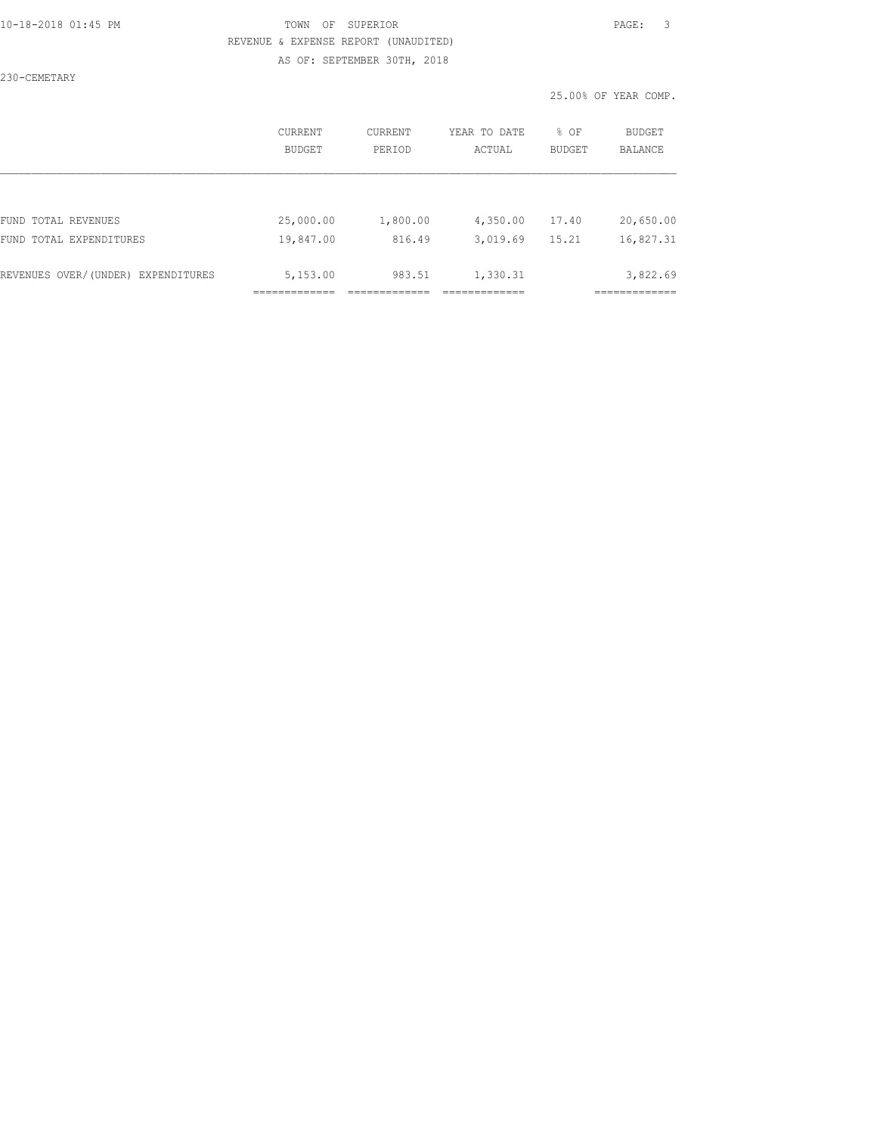## 10-18-2018 01:45 PM TOWN OF SUPERIOR PAGE: 3 REVENUE & EXPENSE REPORT (UNAUDITED)

AS OF: SEPTEMBER 30TH, 2018

230-CEMETARY

25.00% OF YEAR COMP.

|                                    | <b>CURRENT</b><br><b>BUDGET</b> | CURRENT<br>PERIOD | YEAR TO DATE<br>ACTUAL | % OF<br><b>BUDGET</b> | BUDGET<br><b>BALANCE</b> |
|------------------------------------|---------------------------------|-------------------|------------------------|-----------------------|--------------------------|
|                                    |                                 |                   |                        |                       |                          |
| FUND TOTAL REVENUES                | 25,000.00                       | 1,800.00          | 4,350.00               | 17.40                 | 20,650.00                |
| FUND TOTAL EXPENDITURES            | 19,847.00                       | 816.49            | 3,019.69               | 15.21                 | 16,827.31                |
|                                    |                                 |                   |                        |                       |                          |
| REVENUES OVER/(UNDER) EXPENDITURES | 5,153.00                        | 983.51            | 1,330.31               |                       | 3,822.69                 |
|                                    |                                 |                   |                        |                       |                          |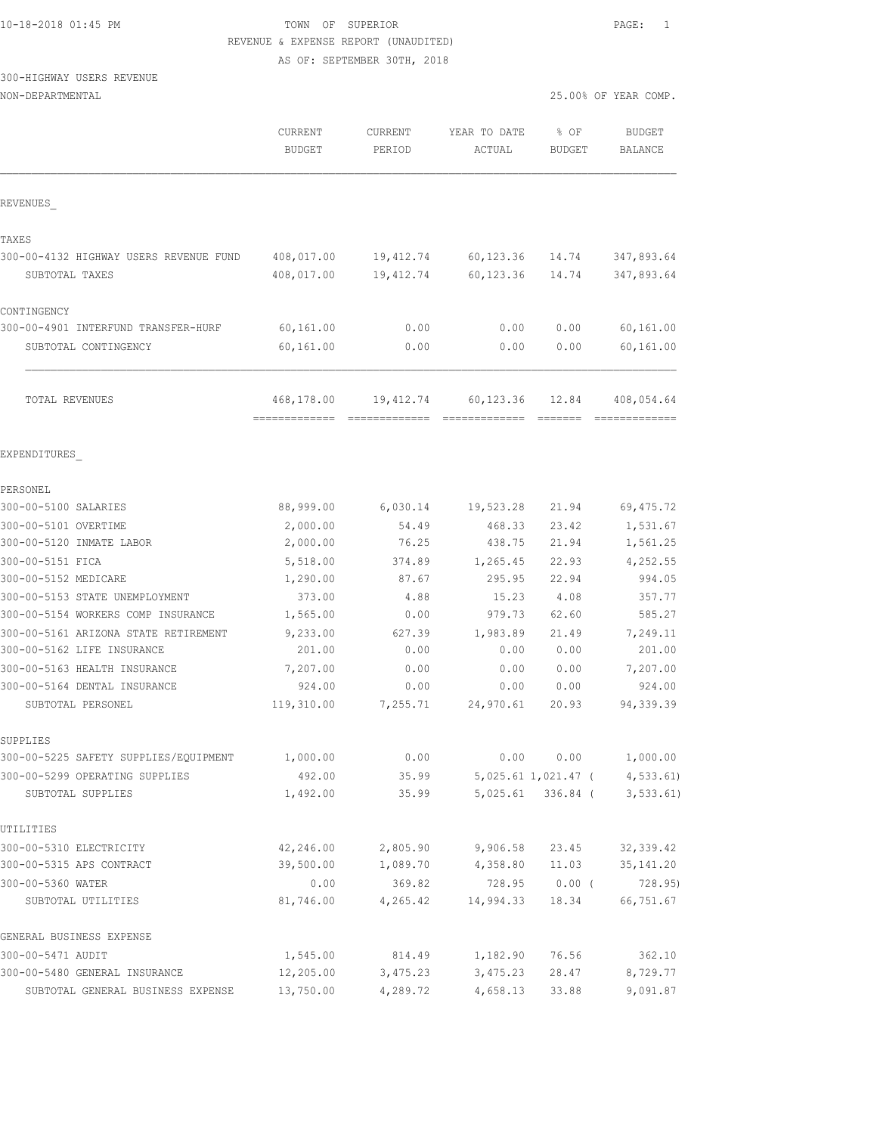## 10-18-2018 01:45 PM TOWN OF SUPERIOR PAGE: 1 REVENUE & EXPENSE REPORT (UNAUDITED)

AS OF: SEPTEMBER 30TH, 2018

### 300-HIGHWAY USERS REVENUE

| NON-DEPARTMENTAL                                 |                          |                   |                        |                     | 25.00% OF YEAR COMP.     |
|--------------------------------------------------|--------------------------|-------------------|------------------------|---------------------|--------------------------|
|                                                  | CURRENT<br><b>BUDGET</b> | CURRENT<br>PERIOD | YEAR TO DATE<br>ACTUAL | % OF<br>BUDGET      | <b>BUDGET</b><br>BALANCE |
| REVENUES                                         |                          |                   |                        |                     |                          |
| TAXES                                            |                          |                   |                        |                     |                          |
| 300-00-4132 HIGHWAY USERS REVENUE FUND           | 408,017.00               | 19, 412.74        | 60, 123.36             | 14.74               | 347,893.64               |
| SUBTOTAL TAXES                                   | 408,017.00               | 19, 412.74        | 60,123.36              | 14.74               | 347,893.64               |
| CONTINGENCY                                      |                          |                   |                        |                     |                          |
| 300-00-4901 INTERFUND TRANSFER-HURF              | 60, 161.00               | 0.00              | 0.00                   | 0.00                | 60, 161.00               |
| SUBTOTAL CONTINGENCY                             | 60,161.00                | 0.00              | 0.00                   | 0.00                | 60,161.00                |
| TOTAL REVENUES                                   | 468,178.00               | 19,412.74         | 60,123.36              | 12.84               | 408,054.64               |
|                                                  |                          |                   |                        |                     |                          |
| EXPENDITURES                                     |                          |                   |                        |                     |                          |
| PERSONEL                                         |                          |                   |                        |                     |                          |
| 300-00-5100 SALARIES                             | 88,999.00                | 6,030.14          | 19,523.28              | 21.94               | 69, 475.72               |
| 300-00-5101 OVERTIME<br>300-00-5120 INMATE LABOR | 2,000.00                 | 54.49<br>76.25    | 468.33                 | 23.42               | 1,531.67                 |
| 300-00-5151 FICA                                 | 2,000.00<br>5,518.00     |                   | 438.75                 | 21.94               | 1,561.25<br>4,252.55     |
| 300-00-5152 MEDICARE                             | 1,290.00                 | 374.89<br>87.67   | 1,265.45<br>295.95     | 22.93<br>22.94      | 994.05                   |
| 300-00-5153 STATE UNEMPLOYMENT                   | 373.00                   | 4.88              | 15.23                  | 4.08                | 357.77                   |
| 300-00-5154 WORKERS COMP INSURANCE               | 1,565.00                 | 0.00              | 979.73                 | 62.60               | 585.27                   |
| 300-00-5161 ARIZONA STATE RETIREMENT             | 9,233.00                 | 627.39            | 1,983.89               | 21.49               | 7,249.11                 |
| 300-00-5162 LIFE INSURANCE                       | 201.00                   | 0.00              | 0.00                   | 0.00                | 201.00                   |
| 300-00-5163 HEALTH INSURANCE                     | 7,207.00                 | 0.00              | 0.00                   | 0.00                | 7,207.00                 |
| 300-00-5164 DENTAL INSURANCE                     | 924.00                   | 0.00              | 0.00                   | 0.00                | 924.00                   |
| SUBTOTAL PERSONEL                                | 119,310.00               | 7,255.71          | 24,970.61              | 20.93               | 94,339.39                |
| SUPPLIES                                         |                          |                   |                        |                     |                          |
| 300-00-5225 SAFETY SUPPLIES/EQUIPMENT            | 1,000.00                 | 0.00              | 0.00                   | 0.00                | 1,000.00                 |
| 300-00-5299 OPERATING SUPPLIES                   | 492.00                   | 35.99             |                        | 5,025.61 1,021.47 ( | 4,533.61)                |
| SUBTOTAL SUPPLIES                                | 1,492.00                 | 35.99             |                        | 5,025.61 336.84 (   | 3, 533.61)               |
| UTILITIES                                        |                          |                   |                        |                     |                          |
| 300-00-5310 ELECTRICITY                          | 42,246.00                | 2,805.90          | 9,906.58               | 23.45               | 32, 339.42               |
| 300-00-5315 APS CONTRACT                         | 39,500.00                | 1,089.70          | 4,358.80               | 11.03               | 35, 141.20               |
| 300-00-5360 WATER                                | 0.00                     | 369.82            | 728.95                 | $0.00$ (            | 728.95                   |
| SUBTOTAL UTILITIES                               | 81,746.00                | 4,265.42          | 14,994.33              | 18.34               | 66,751.67                |
| GENERAL BUSINESS EXPENSE                         |                          |                   |                        |                     |                          |
| 300-00-5471 AUDIT                                | 1,545.00                 | 814.49            | 1,182.90               | 76.56               | 362.10                   |
| 300-00-5480 GENERAL INSURANCE                    | 12,205.00                | 3,475.23          | 3,475.23               | 28.47               | 8,729.77                 |
| SUBTOTAL GENERAL BUSINESS EXPENSE                | 13,750.00                | 4,289.72          | 4,658.13               | 33.88               | 9,091.87                 |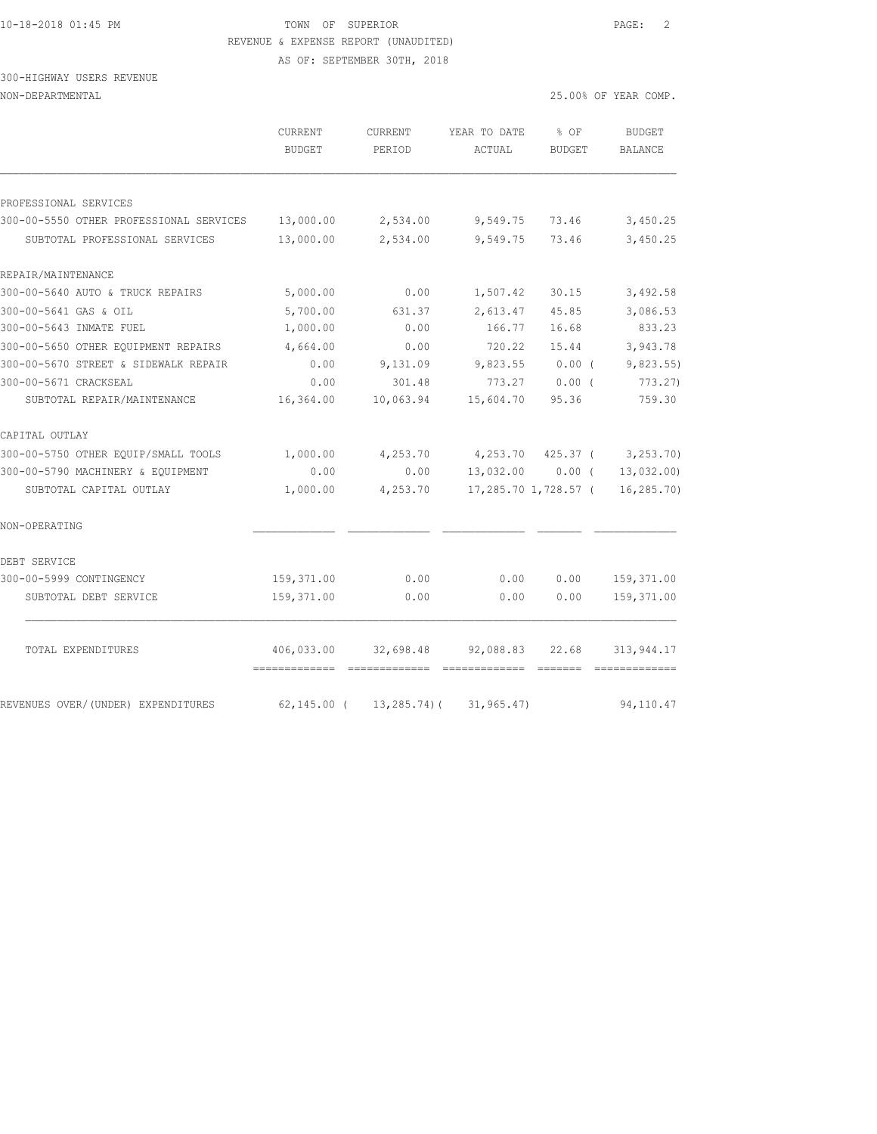### 10-18-2018 01:45 PM TOWN OF SUPERIOR PAGE: 2 REVENUE & EXPENSE REPORT (UNAUDITED)

AS OF: SEPTEMBER 30TH, 2018

# 300-HIGHWAY USERS REVENUE

| NON-DEPARTMENTAL |
|------------------|
|------------------|

| NON-DEPARTMENTAL                        |                          |                   |                        |                          | 25.00% OF YEAR COMP.            |
|-----------------------------------------|--------------------------|-------------------|------------------------|--------------------------|---------------------------------|
|                                         | CURRENT<br><b>BUDGET</b> | CURRENT<br>PERIOD | YEAR TO DATE<br>ACTUAL | % OF<br><b>BUDGET</b>    | <b>BUDGET</b><br><b>BALANCE</b> |
|                                         |                          |                   |                        |                          |                                 |
| PROFESSIONAL SERVICES                   |                          |                   |                        |                          |                                 |
| 300-00-5550 OTHER PROFESSIONAL SERVICES | 13,000.00                | 2,534.00          | 9,549.75               | 73.46                    | 3,450.25                        |
| SUBTOTAL PROFESSIONAL SERVICES          | 13,000.00                | 2,534.00          | 9,549.75               | 73.46                    | 3,450.25                        |
| REPAIR/MAINTENANCE                      |                          |                   |                        |                          |                                 |
| 300-00-5640 AUTO & TRUCK REPAIRS        | 5,000.00                 | 0.00              | 1,507.42               | 30.15                    | 3,492.58                        |
| 300-00-5641 GAS & OIL                   | 5,700.00                 | 631.37            | 2,613.47               | 45.85                    | 3,086.53                        |
| 300-00-5643 INMATE FUEL                 | 1,000.00                 | 0.00              | 166.77                 | 16.68                    | 833.23                          |
| 300-00-5650 OTHER EQUIPMENT REPAIRS     | 4,664.00                 | 0.00              | 720.22                 | 15.44                    | 3,943.78                        |
| 300-00-5670 STREET & SIDEWALK REPAIR    | 0.00                     | 9,131.09          | 9,823.55               | $0.00$ (                 | 9,823.55                        |
| 300-00-5671 CRACKSEAL                   | 0.00                     | 301.48            | 773.27                 | 0.00(                    | 773.27                          |
| SUBTOTAL REPAIR/MAINTENANCE             | 16,364.00                | 10,063.94         | 15,604.70              | 95.36                    | 759.30                          |
| CAPITAL OUTLAY                          |                          |                   |                        |                          |                                 |
| 300-00-5750 OTHER EQUIP/SMALL TOOLS     | 1,000.00                 | 4,253.70          |                        | 4,253.70 425.37 (        | 3,253.70)                       |
| 300-00-5790 MACHINERY & EQUIPMENT       | 0.00                     | 0.00              |                        | 13,032.00 0.00 (         | 13,032.00                       |
| SUBTOTAL CAPITAL OUTLAY                 | 1,000.00                 | 4,253.70          |                        | 17,285.70 1,728.57 (     | 16, 285, 70                     |
| NON-OPERATING                           |                          |                   |                        |                          |                                 |
| DEBT SERVICE                            |                          |                   |                        |                          |                                 |
| 300-00-5999 CONTINGENCY                 | 159,371.00               | 0.00              | 0.00                   | 0.00                     | 159,371.00                      |
| SUBTOTAL DEBT SERVICE                   | 159,371.00               | 0.00              | 0.00                   | 0.00                     | 159, 371.00                     |
| TOTAL EXPENDITURES                      | 406,033.00               | 32,698.48         | 92,088.83              | 22.68<br><b>CONSIDER</b> | 313,944.17<br>--------------    |
| REVENUES OVER/(UNDER) EXPENDITURES      | $62, 145.00$ (           | $13, 285.74$ ) (  | 31, 965.47)            |                          | 94, 110.47                      |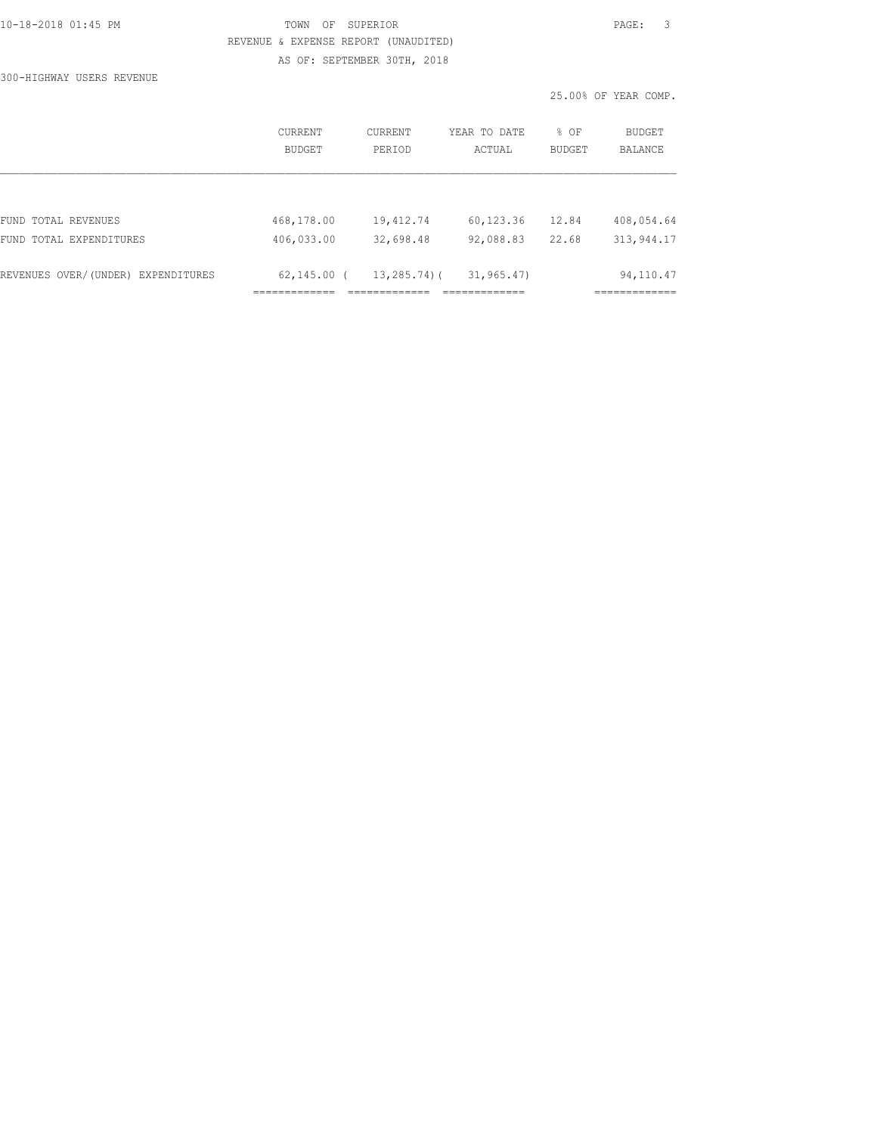### 10-18-2018 01:45 PM TOWN OF SUPERIOR PAGE: 3 REVENUE & EXPENSE REPORT (UNAUDITED) AS OF: SEPTEMBER 30TH, 2018

300-HIGHWAY USERS REVENUE

|                                    |                          |                          |                              |                       | 25.00% OF YEAR COMP.      |
|------------------------------------|--------------------------|--------------------------|------------------------------|-----------------------|---------------------------|
|                                    | CURRENT<br><b>BUDGET</b> | <b>CURRENT</b><br>PERIOD | YEAR TO DATE<br>ACTUAL       | % OF<br><b>BUDGET</b> | <b>BUDGET</b><br>BALANCE  |
|                                    |                          |                          |                              |                       |                           |
| FUND TOTAL REVENUES                | 468,178.00               | 19,412.74                | 60,123.36                    | 12.84                 | 408,054.64                |
| FUND TOTAL EXPENDITURES            | 406,033.00               | 32,698.48                | 92,088.83                    | 22.68                 | 313, 944.17               |
| REVENUES OVER/(UNDER) EXPENDITURES | 62,145.00 (              | 13,285.74)(              | 31, 965, 47)<br>------------ |                       | 94,110.47<br>:=========== |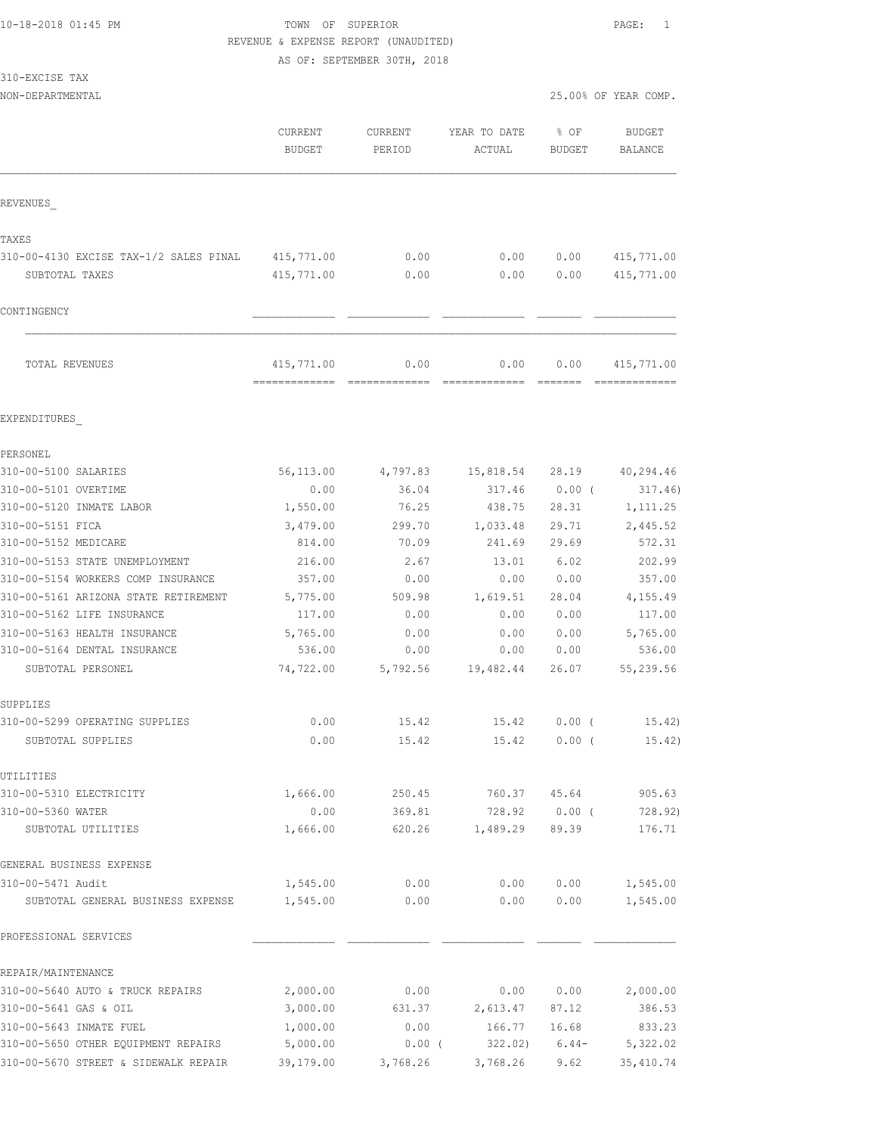310-EXCISE TAX

## 10-18-2018 01:45 PM TOWN OF SUPERIOR PAGE: 1 REVENUE & EXPENSE REPORT (UNAUDITED)

AS OF: SEPTEMBER 30TH, 2018

NON-DEPARTMENTAL 25.00% OF YEAR COMP.

|                                                        | <b>CURRENT</b><br><b>BUDGET</b> | <b>CURRENT</b><br>PERIOD | YEAR TO DATE<br>ACTUAL | % OF<br>BUDGET    | <b>BUDGET</b><br>BALANCE |
|--------------------------------------------------------|---------------------------------|--------------------------|------------------------|-------------------|--------------------------|
| REVENUES                                               |                                 |                          |                        |                   |                          |
| TAXES                                                  |                                 |                          |                        |                   |                          |
| 310-00-4130 EXCISE TAX-1/2 SALES PINAL                 | 415,771.00                      | 0.00                     | 0.00                   | 0.00              | 415,771.00               |
| SUBTOTAL TAXES                                         | 415,771.00                      | 0.00                     | 0.00                   | 0.00              | 415,771.00               |
| CONTINGENCY                                            |                                 |                          |                        |                   |                          |
| TOTAL REVENUES                                         | 415,771.00                      | 0.00                     | 0.00                   | 0.00              | 415,771.00               |
|                                                        | -------------                   | - cooccooccooc           |                        |                   |                          |
| EXPENDITURES                                           |                                 |                          |                        |                   |                          |
| PERSONEL                                               |                                 |                          |                        |                   |                          |
| 310-00-5100 SALARIES                                   | 56,113.00                       | 4,797.83                 | 15,818.54              | 28.19             | 40,294.46                |
| 310-00-5101 OVERTIME                                   | 0.00                            | 36.04                    | 317.46                 | $0.00$ (          | 317.46)                  |
| 310-00-5120 INMATE LABOR                               | 1,550.00                        | 76.25                    | 438.75                 | 28.31             | 1, 111.25                |
| 310-00-5151 FICA                                       | 3,479.00                        | 299.70                   | 1,033.48               | 29.71             | 2,445.52                 |
| 310-00-5152 MEDICARE                                   | 814.00                          | 70.09                    | 241.69                 | 29.69             | 572.31                   |
| 310-00-5153 STATE UNEMPLOYMENT                         | 216.00                          | 2.67                     | 13.01                  | 6.02              | 202.99                   |
| 310-00-5154 WORKERS COMP INSURANCE                     | 357.00                          | 0.00                     | 0.00                   | 0.00              | 357.00                   |
| 310-00-5161 ARIZONA STATE RETIREMENT                   | 5,775.00                        | 509.98                   | 1,619.51               | 28.04             | 4,155.49                 |
| 310-00-5162 LIFE INSURANCE                             | 117.00                          | 0.00                     | 0.00                   | 0.00              | 117.00                   |
| 310-00-5163 HEALTH INSURANCE                           | 5,765.00                        | 0.00                     | 0.00                   | 0.00              | 5,765.00                 |
| 310-00-5164 DENTAL INSURANCE                           | 536.00                          | 0.00                     | 0.00                   | 0.00              | 536.00                   |
| SUBTOTAL PERSONEL                                      | 74,722.00                       | 5,792.56                 | 19,482.44              | 26.07             | 55,239.56                |
| SUPPLIES                                               |                                 |                          |                        |                   |                          |
| 310-00-5299 OPERATING SUPPLIES                         | 0.00                            | 15.42                    | 15.42                  | $0.00$ (          | 15.42)                   |
| SUBTOTAL SUPPLIES                                      | 0.00                            | 15.42                    | 15.42                  | $0.00$ (          | 15.42)                   |
| UTILITIES                                              |                                 |                          |                        |                   |                          |
| 310-00-5310 ELECTRICITY                                | 1,666.00                        | 250.45                   | 760.37                 | 45.64             | 905.63                   |
| 310-00-5360 WATER<br>SUBTOTAL UTILITIES                | 0.00<br>1,666.00                | 369.81<br>620.26         | 728.92<br>1,489.29     | $0.00$ (<br>89.39 | 728.92)<br>176.71        |
|                                                        |                                 |                          |                        |                   |                          |
| GENERAL BUSINESS EXPENSE                               |                                 |                          |                        |                   |                          |
| 310-00-5471 Audit<br>SUBTOTAL GENERAL BUSINESS EXPENSE | 1,545.00<br>1,545.00            | 0.00<br>0.00             | 0.00<br>0.00           | 0.00<br>0.00      | 1,545.00<br>1,545.00     |
| PROFESSIONAL SERVICES                                  |                                 |                          |                        |                   |                          |
| REPAIR/MAINTENANCE                                     |                                 |                          |                        |                   |                          |
| 310-00-5640 AUTO & TRUCK REPAIRS                       | 2,000.00                        | 0.00                     | 0.00                   | 0.00              | 2,000.00                 |
| 310-00-5641 GAS & OIL                                  | 3,000.00                        | 631.37                   | 2,613.47               | 87.12             | 386.53                   |
| 310-00-5643 INMATE FUEL                                | 1,000.00                        | 0.00                     | 166.77                 | 16.68             | 833.23                   |
| 310-00-5650 OTHER EQUIPMENT REPAIRS                    | 5,000.00                        | 0.00(                    | 322.02)                | $6.44-$           | 5,322.02                 |
| 310-00-5670 STREET & SIDEWALK REPAIR                   | 39,179.00                       | 3,768.26                 | 3,768.26               | 9.62              | 35, 410.74               |
|                                                        |                                 |                          |                        |                   |                          |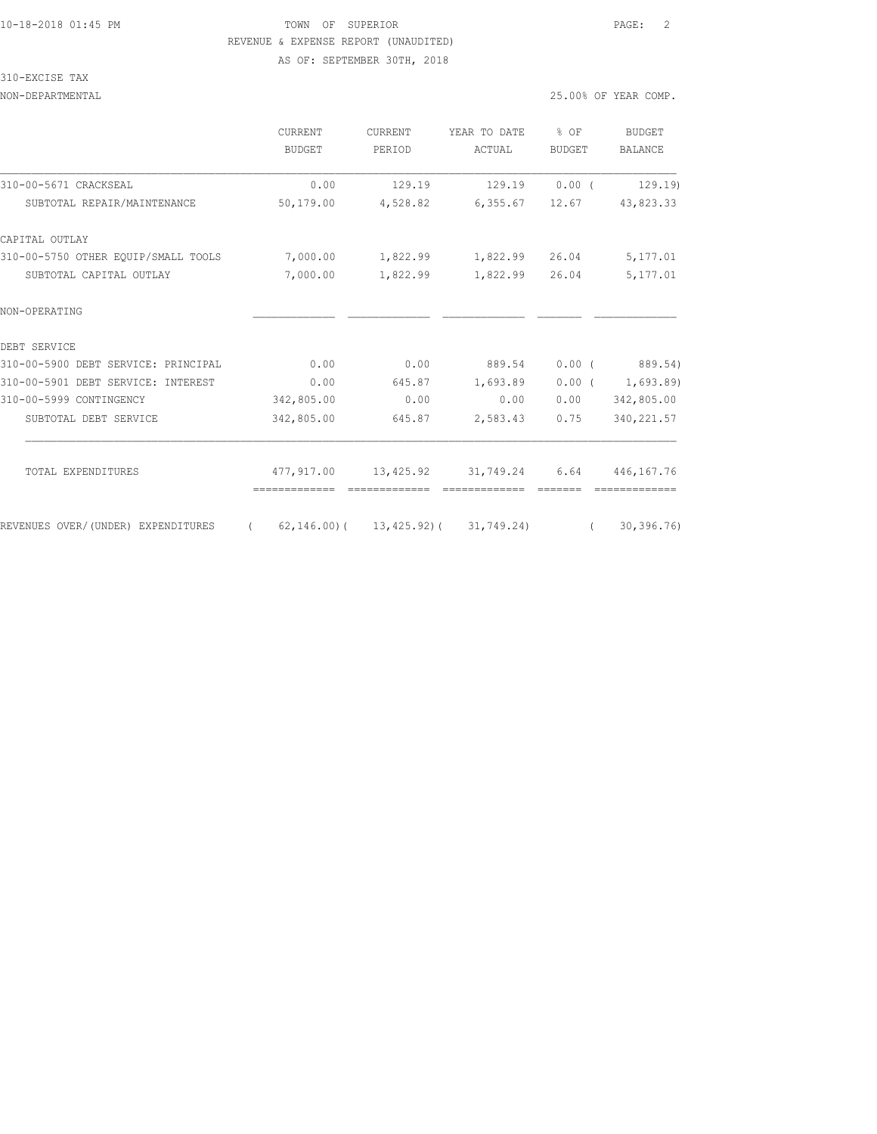### 10-18-2018 01:45 PM TOWN OF SUPERIOR PAGE: 2 REVENUE & EXPENSE REPORT (UNAUDITED)

AS OF: SEPTEMBER 30TH, 2018

#### 310-EXCISE TAX

NON-DEPARTMENTAL 25

|  |  |  | 5.00% OF YEAR COMP. |
|--|--|--|---------------------|
|  |  |  |                     |

|                                                                        | <b>CURRENT</b><br>BUDGET | <b>CURRENT</b><br>PERIOD | YEAR TO DATE<br>ACTUAL                             | % OF<br>BUDGET | BUDGET<br><b>BALANCE</b> |
|------------------------------------------------------------------------|--------------------------|--------------------------|----------------------------------------------------|----------------|--------------------------|
| 310-00-5671 CRACKSEAL                                                  | 0.00                     | 129.19                   | 129.19                                             | $0.00$ (       | 129.19                   |
| SUBTOTAL REPAIR/MAINTENANCE                                            | 50,179.00                |                          | 4,528.82 6,355.67 12.67                            |                | 43,823.33                |
| CAPITAL OUTLAY                                                         |                          |                          |                                                    |                |                          |
| 310-00-5750 OTHER EOUIP/SMALL TOOLS                                    | 7,000.00                 |                          | 1,822.99 1,822.99                                  | 26.04          | 5,177.01                 |
| SUBTOTAL CAPITAL OUTLAY                                                | 7,000.00                 | 1,822.99                 | 1,822.99                                           | 26.04          | 5,177.01                 |
| NON-OPERATING                                                          |                          |                          |                                                    |                |                          |
| DEBT SERVICE                                                           |                          |                          |                                                    |                |                          |
| 310-00-5900 DEBT SERVICE: PRINCIPAL                                    | 0.00                     | 0.00                     | 889.54                                             |                | $0.00$ ( 889.54)         |
| 310-00-5901 DEBT SERVICE: INTEREST                                     | 0.00                     | 645.87                   | 1,693.89                                           |                | $0.00$ ( 1,693.89)       |
| 310-00-5999 CONTINGENCY                                                | 342,805.00               | 0.00                     | 0.00                                               | 0.00           | 342,805.00               |
| SUBTOTAL DEBT SERVICE                                                  | 342,805.00               | 645.87                   | 2,583.43                                           | 0.75           | 340, 221.57              |
| TOTAL EXPENDITURES                                                     |                          |                          | 477,917.00  13,425.92  31,749.24  6.64  446,167.76 |                |                          |
|                                                                        |                          |                          |                                                    |                |                          |
| REVENUES OVER/(UNDER) EXPENDITURES (62,146.00)(13,425.92)(31,749.24) ( |                          |                          |                                                    |                | 30,396.76)               |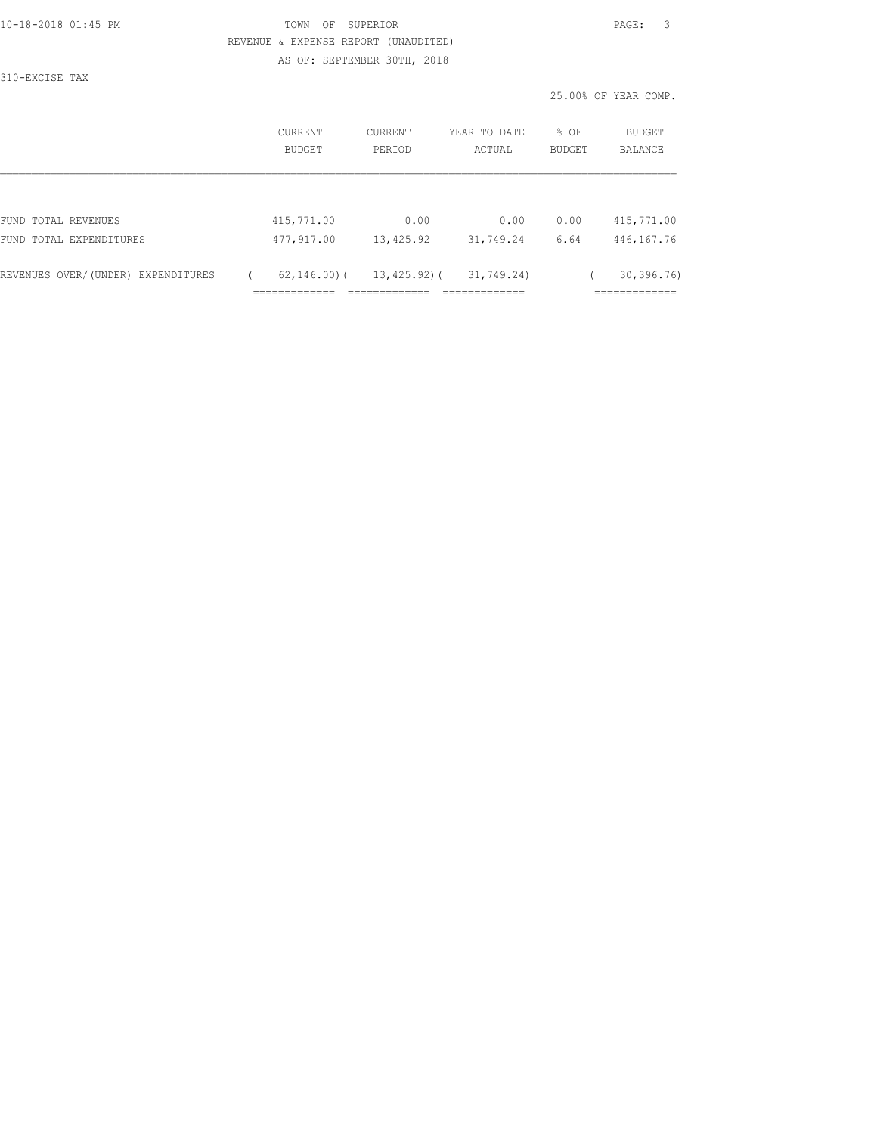|  |  |  |  | 10-18-2018 01:45 PM |  |
|--|--|--|--|---------------------|--|
|  |  |  |  |                     |  |

# TOWN OF SUPERIOR **PAGE:** 3 REVENUE & EXPENSE REPORT (UNAUDITED)

AS OF: SEPTEMBER 30TH, 2018

310-EXCISE TAX

|                                    |                                 |                   |                             |                       | 25.00% OF YEAR COMP.          |
|------------------------------------|---------------------------------|-------------------|-----------------------------|-----------------------|-------------------------------|
|                                    | CURRENT<br>BUDGET               | CURRENT<br>PERIOD | YEAR TO DATE<br>ACTUAL      | % OF<br><b>BUDGET</b> | BUDGET<br><b>BALANCE</b>      |
|                                    |                                 |                   |                             |                       |                               |
| FUND TOTAL REVENUES                | 415,771.00                      | 0.00              | 0.00                        | 0.00                  | 415,771.00                    |
| FUND TOTAL EXPENDITURES            | 477,917.00                      | 13,425.92         | 31,749.24                   | 6.64                  | 446,167.76                    |
| REVENUES OVER/(UNDER) EXPENDITURES | $62, 146, 00$ (<br>============ | 13,425.92)(       | 31,749.24)<br>.============ |                       | 30, 396, 76)<br>;============ |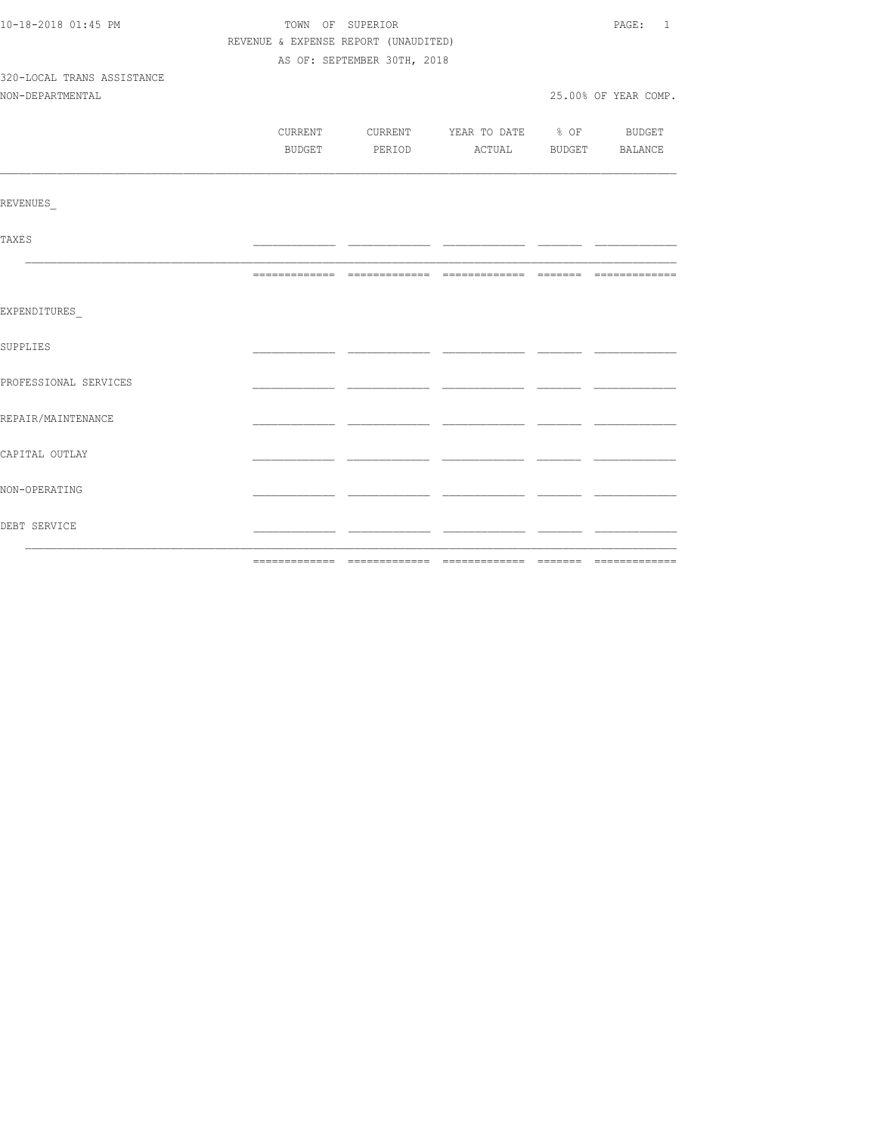| 10-18-2018 01:45 PM        | TOWN OF SUPERIOR                     | PAGE: 1                     |                                          |  |                      |
|----------------------------|--------------------------------------|-----------------------------|------------------------------------------|--|----------------------|
|                            | REVENUE & EXPENSE REPORT (UNAUDITED) |                             |                                          |  |                      |
|                            |                                      | AS OF: SEPTEMBER 30TH, 2018 |                                          |  |                      |
| 320-LOCAL TRANS ASSISTANCE |                                      |                             |                                          |  |                      |
| NON-DEPARTMENTAL           |                                      |                             |                                          |  | 25.00% OF YEAR COMP. |
|                            |                                      |                             |                                          |  |                      |
|                            |                                      |                             | CURRENT CURRENT YEAR TO DATE % OF BUDGET |  |                      |
|                            |                                      |                             | BUDGET PERIOD ACTUAL BUDGET BALANCE      |  |                      |
|                            |                                      |                             |                                          |  |                      |
|                            |                                      |                             |                                          |  |                      |
| REVENUES                   |                                      |                             |                                          |  |                      |
|                            |                                      |                             |                                          |  |                      |
| TAXE S                     |                                      |                             |                                          |  |                      |
|                            |                                      |                             |                                          |  |                      |
|                            |                                      |                             |                                          |  |                      |
|                            |                                      |                             |                                          |  |                      |
| EXPENDITURES               |                                      |                             |                                          |  |                      |
|                            |                                      |                             |                                          |  |                      |
| SUPPLIES                   |                                      |                             |                                          |  |                      |
|                            |                                      |                             |                                          |  |                      |
| PROFESSIONAL SERVICES      |                                      |                             |                                          |  |                      |
|                            |                                      |                             |                                          |  |                      |
| REPAIR/MAINTENANCE         |                                      |                             |                                          |  |                      |
|                            |                                      |                             |                                          |  |                      |
| CAPITAL OUTLAY             |                                      |                             |                                          |  |                      |
|                            |                                      |                             |                                          |  |                      |
| NON-OPERATING              |                                      |                             |                                          |  |                      |
|                            |                                      |                             |                                          |  |                      |
| DEBT SERVICE               |                                      |                             |                                          |  |                      |
|                            |                                      |                             |                                          |  |                      |
|                            |                                      |                             |                                          |  |                      |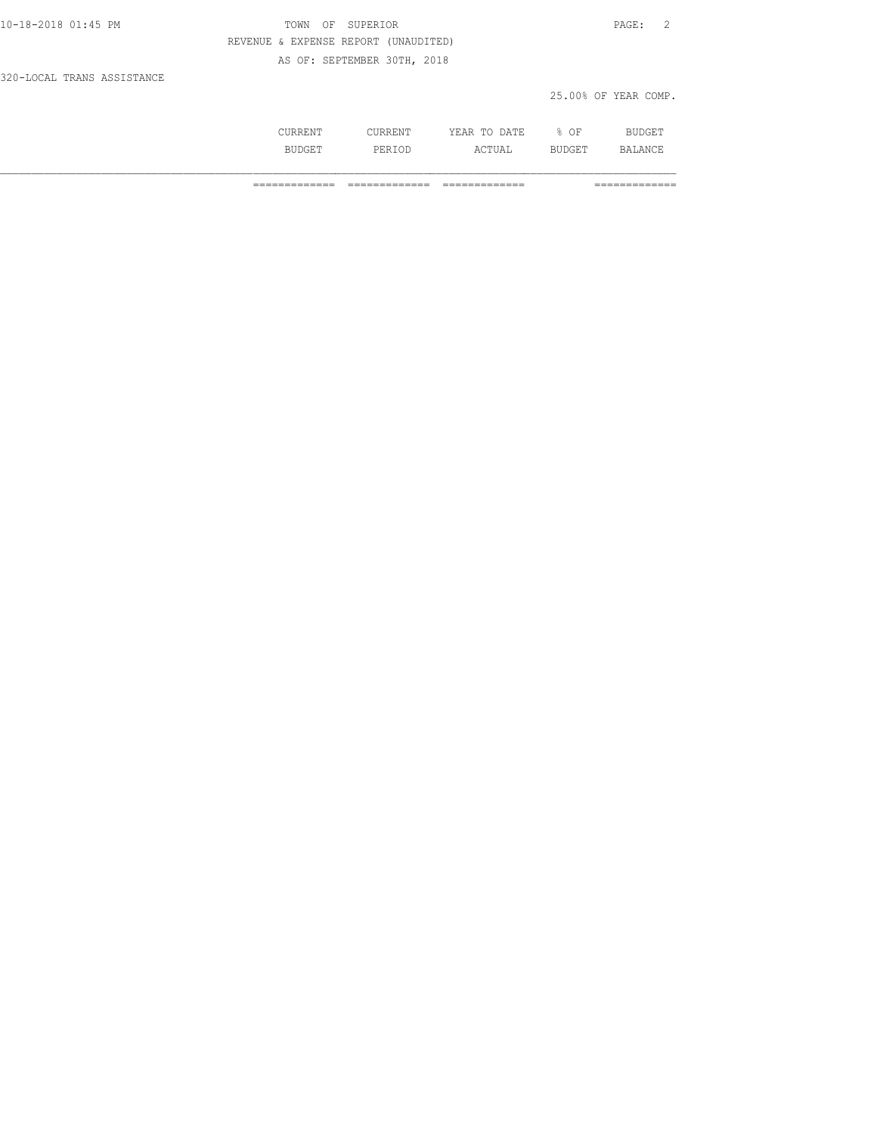| 10-18-2018 01:45 PM        | TOWN OF SUPERIOR                     | $\texttt{PAGE}$ :    |
|----------------------------|--------------------------------------|----------------------|
|                            | REVENUE & EXPENSE REPORT (UNAUDITED) |                      |
|                            | AS OF: SEPTEMBER 30TH, 2018          |                      |
| 320-LOCAL TRANS ASSISTANCE |                                      |                      |
|                            |                                      | 25.00% OF YEAR COMP. |

| ⊥∖⊥∖ ⊥⊥ ⊥ ⊥ | .<br>- - - - - - - - - - | ັບ<br>١Δ<br>-----<br>---- | ΟF          | ⊷⊶                   |
|-------------|--------------------------|---------------------------|-------------|----------------------|
| ---         | ם סמ<br>------           | Λ<br>UAL                  | -- -- -- -- | $\Delta$ NICT<br>◝◡∸ |

============= ============= ============= =============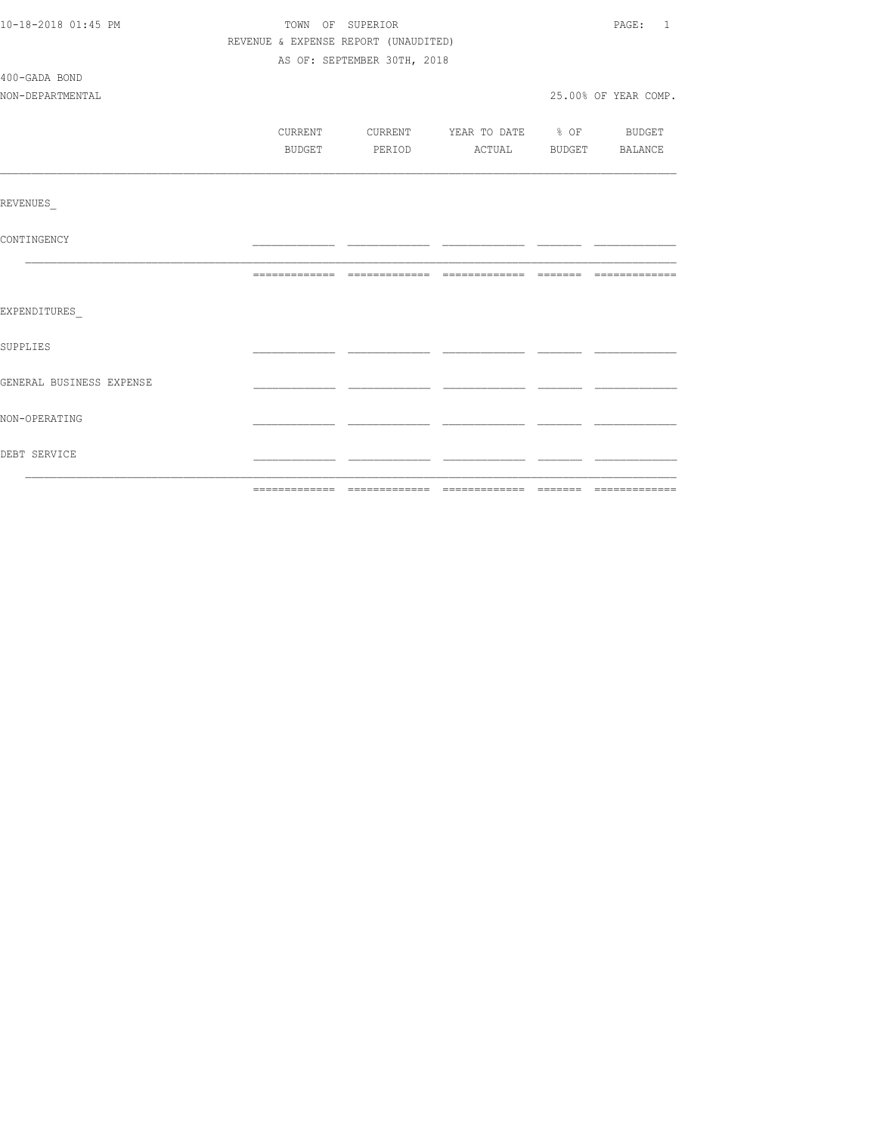| 10-18-2018 01:45 PM         | TOWN OF SUPERIOR                     |  |                                  |  |                      |  |  |  |
|-----------------------------|--------------------------------------|--|----------------------------------|--|----------------------|--|--|--|
|                             | REVENUE & EXPENSE REPORT (UNAUDITED) |  |                                  |  |                      |  |  |  |
| AS OF: SEPTEMBER 30TH, 2018 |                                      |  |                                  |  |                      |  |  |  |
| 400-GADA BOND               |                                      |  |                                  |  |                      |  |  |  |
| NON-DEPARTMENTAL            |                                      |  |                                  |  | 25.00% OF YEAR COMP. |  |  |  |
|                             |                                      |  |                                  |  |                      |  |  |  |
|                             | CURRENT                              |  | CURRENT YEAR TO DATE % OF BUDGET |  |                      |  |  |  |
|                             | BUDGET                               |  | PERIOD ACTUAL BUDGET BALANCE     |  |                      |  |  |  |
|                             |                                      |  |                                  |  |                      |  |  |  |
| REVENUES                    |                                      |  |                                  |  |                      |  |  |  |
|                             |                                      |  |                                  |  |                      |  |  |  |
| <b>CONTINGENCY</b>          |                                      |  |                                  |  |                      |  |  |  |
|                             |                                      |  |                                  |  |                      |  |  |  |
|                             |                                      |  |                                  |  |                      |  |  |  |
|                             |                                      |  |                                  |  |                      |  |  |  |
| EXPENDITURES                |                                      |  |                                  |  |                      |  |  |  |
|                             |                                      |  |                                  |  |                      |  |  |  |
| <b>SUPPLIES</b>             |                                      |  |                                  |  |                      |  |  |  |
|                             |                                      |  |                                  |  |                      |  |  |  |
| GENERAL BUSINESS EXPENSE    |                                      |  |                                  |  |                      |  |  |  |
|                             |                                      |  |                                  |  |                      |  |  |  |
| NON-OPERATING               |                                      |  |                                  |  |                      |  |  |  |
|                             |                                      |  |                                  |  |                      |  |  |  |
| DEBT SERVICE                |                                      |  |                                  |  |                      |  |  |  |
|                             |                                      |  |                                  |  |                      |  |  |  |
|                             |                                      |  |                                  |  |                      |  |  |  |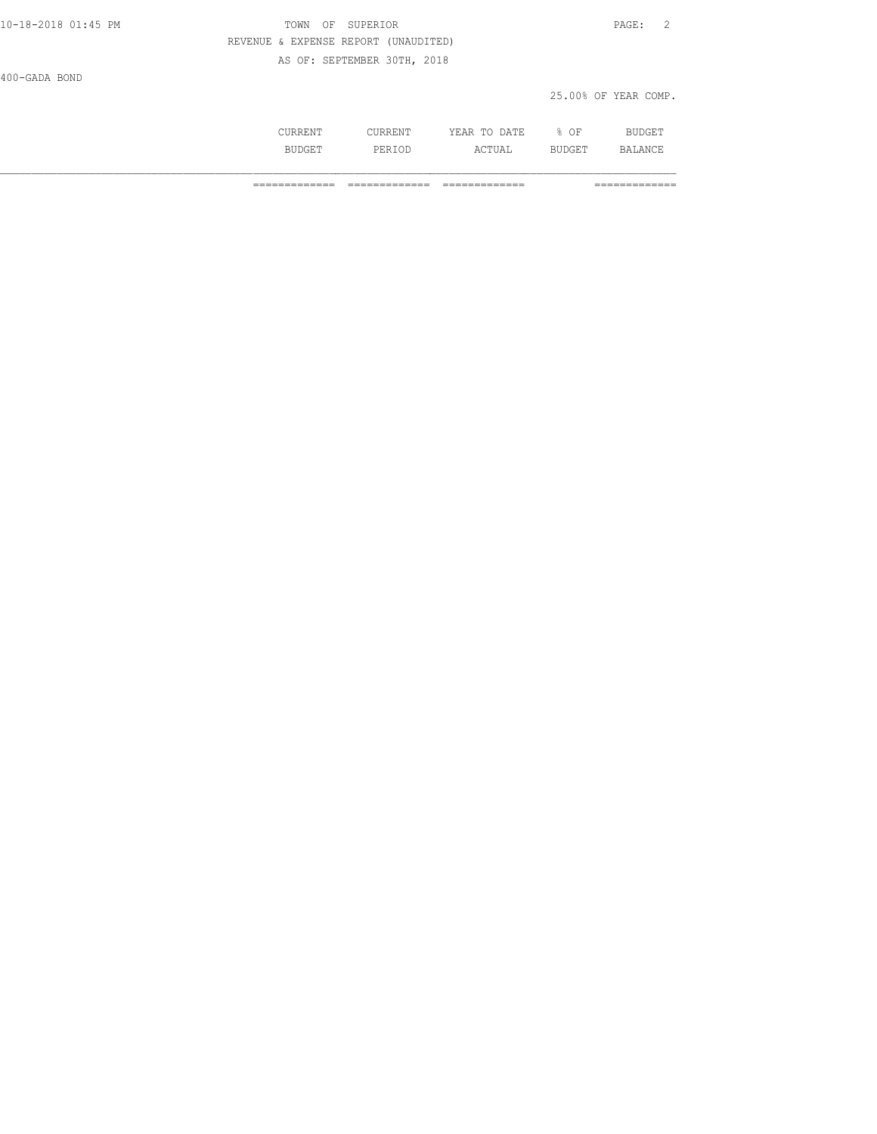| 10-18-2018 01:45 PM | TOWN OF SUPERIOR                     | PAGE: 2              |
|---------------------|--------------------------------------|----------------------|
|                     | REVENUE & EXPENSE REPORT (UNAUDITED) |                      |
|                     | AS OF: SEPTEMBER 30TH, 2018          |                      |
| 400-GADA BOND       |                                      |                      |
|                     |                                      | 25.00% OF YEAR COMP. |

| --- | .       | NA TF<br>. .<br>. .<br>----<br>----- | ∩ஈ<br>ັ |  |
|-----|---------|--------------------------------------|---------|--|
|     | י ים כ∟ | $\cdots$<br>---                      | ---     |  |

============= ============= ============= =============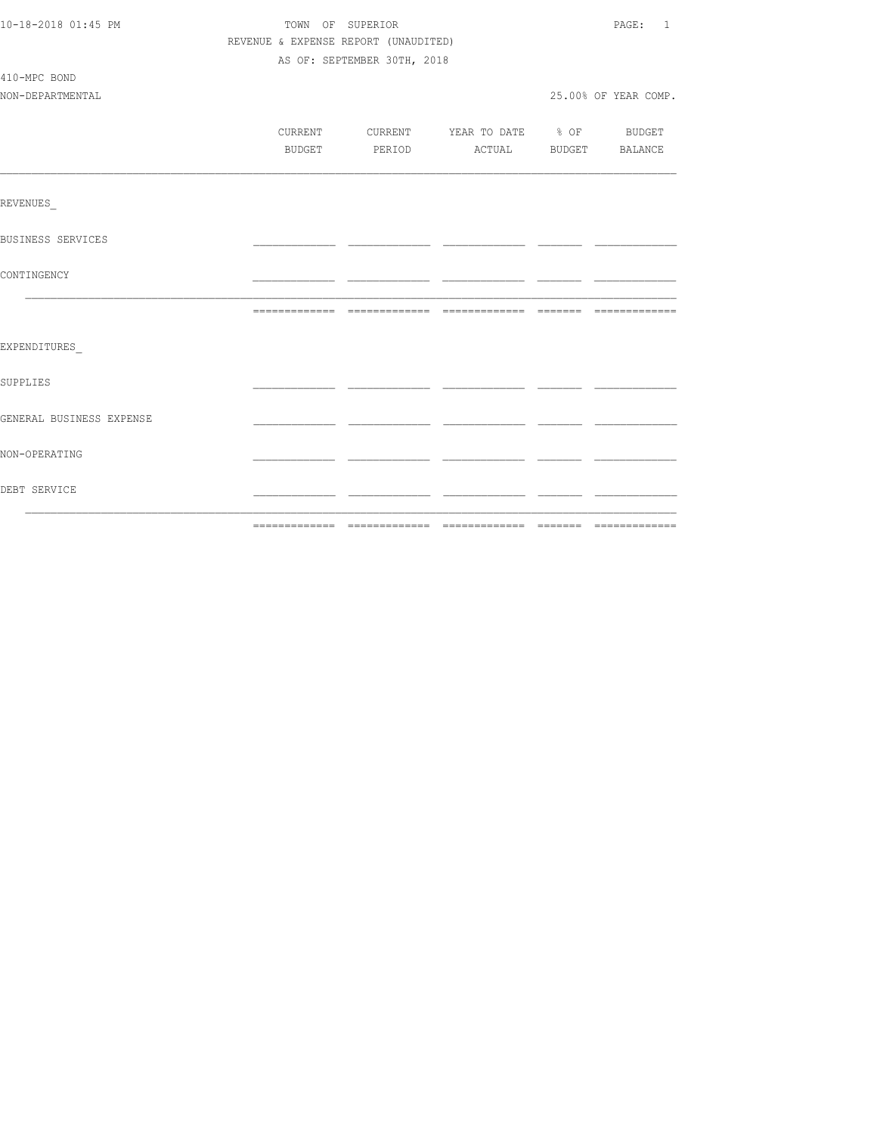| 10-18-2018 01:45 PM      | TOWN OF SUPERIOR                     |                                          |  | PAGE: 1              |  |  |  |
|--------------------------|--------------------------------------|------------------------------------------|--|----------------------|--|--|--|
|                          | REVENUE & EXPENSE REPORT (UNAUDITED) |                                          |  |                      |  |  |  |
|                          | AS OF: SEPTEMBER 30TH, 2018          |                                          |  |                      |  |  |  |
| 410-MPC BOND             |                                      |                                          |  |                      |  |  |  |
| NON-DEPARTMENTAL         |                                      |                                          |  | 25.00% OF YEAR COMP. |  |  |  |
|                          |                                      |                                          |  |                      |  |  |  |
|                          |                                      | CURRENT CURRENT YEAR TO DATE % OF BUDGET |  |                      |  |  |  |
|                          |                                      | BUDGET PERIOD ACTUAL BUDGET BALANCE      |  |                      |  |  |  |
|                          |                                      |                                          |  |                      |  |  |  |
| REVENUES                 |                                      |                                          |  |                      |  |  |  |
| BUSINESS SERVICES        |                                      |                                          |  |                      |  |  |  |
| CONTINGENCY              |                                      |                                          |  |                      |  |  |  |
|                          |                                      |                                          |  |                      |  |  |  |
| EXPENDITURES             |                                      |                                          |  |                      |  |  |  |
| <b>SUPPLIES</b>          |                                      |                                          |  |                      |  |  |  |
| GENERAL BUSINESS EXPENSE |                                      |                                          |  |                      |  |  |  |
| NON-OPERATING            |                                      |                                          |  |                      |  |  |  |
| DEBT SERVICE             |                                      |                                          |  |                      |  |  |  |
|                          |                                      |                                          |  |                      |  |  |  |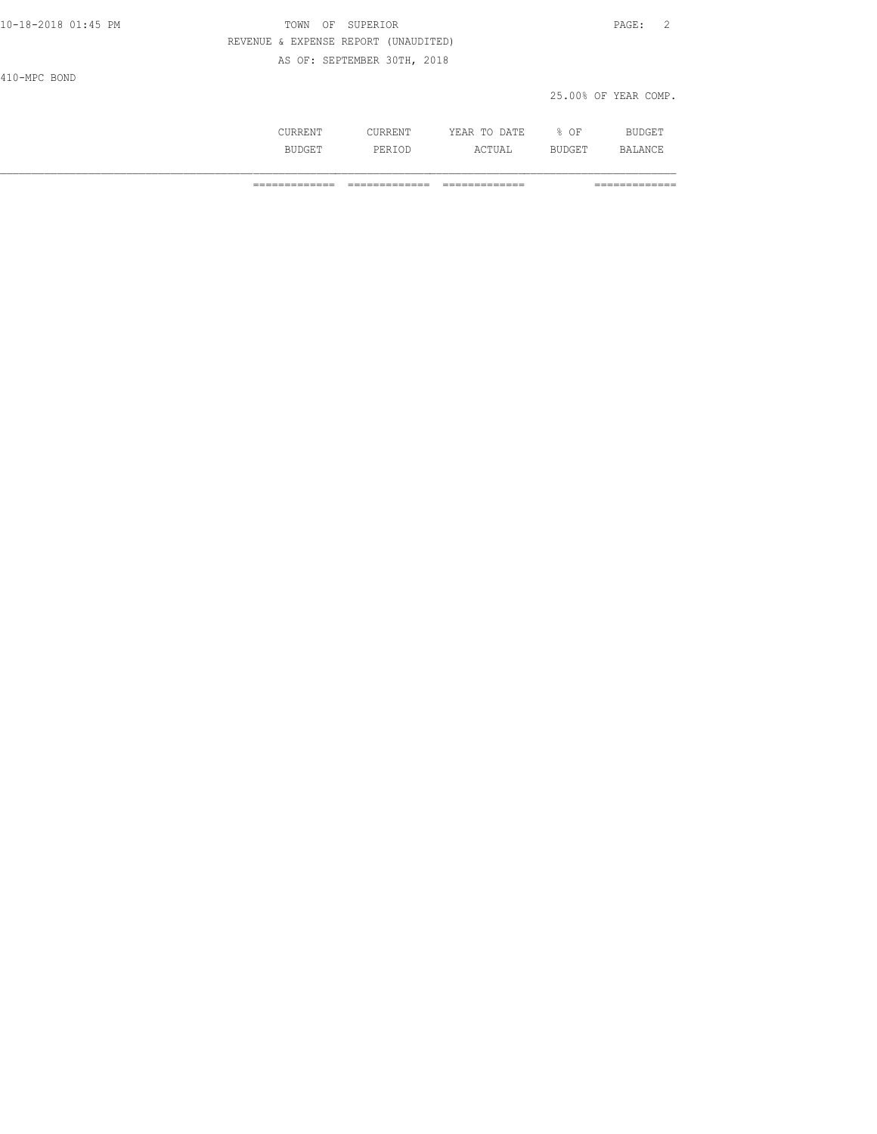| 10-18-2018 01:45 PM | TOWN                     | SUPERIOR<br>OF              |              |      | PAGE:<br>$\overline{2}$ |
|---------------------|--------------------------|-----------------------------|--------------|------|-------------------------|
|                     | REVENUE & EXPENSE REPORT | (UNAUDITED)                 |              |      |                         |
|                     |                          | AS OF: SEPTEMBER 30TH, 2018 |              |      |                         |
| 410-MPC BOND        |                          |                             |              |      |                         |
|                     |                          |                             |              |      | 25.00% OF YEAR COMP.    |
|                     | CURRENT                  | CURRENT                     | YEAR TO DATE | % OF | <b>BUDGET</b>           |

BUDGET PERIOD ACTUAL BUDGET BALANCE

============= ============= ============= =============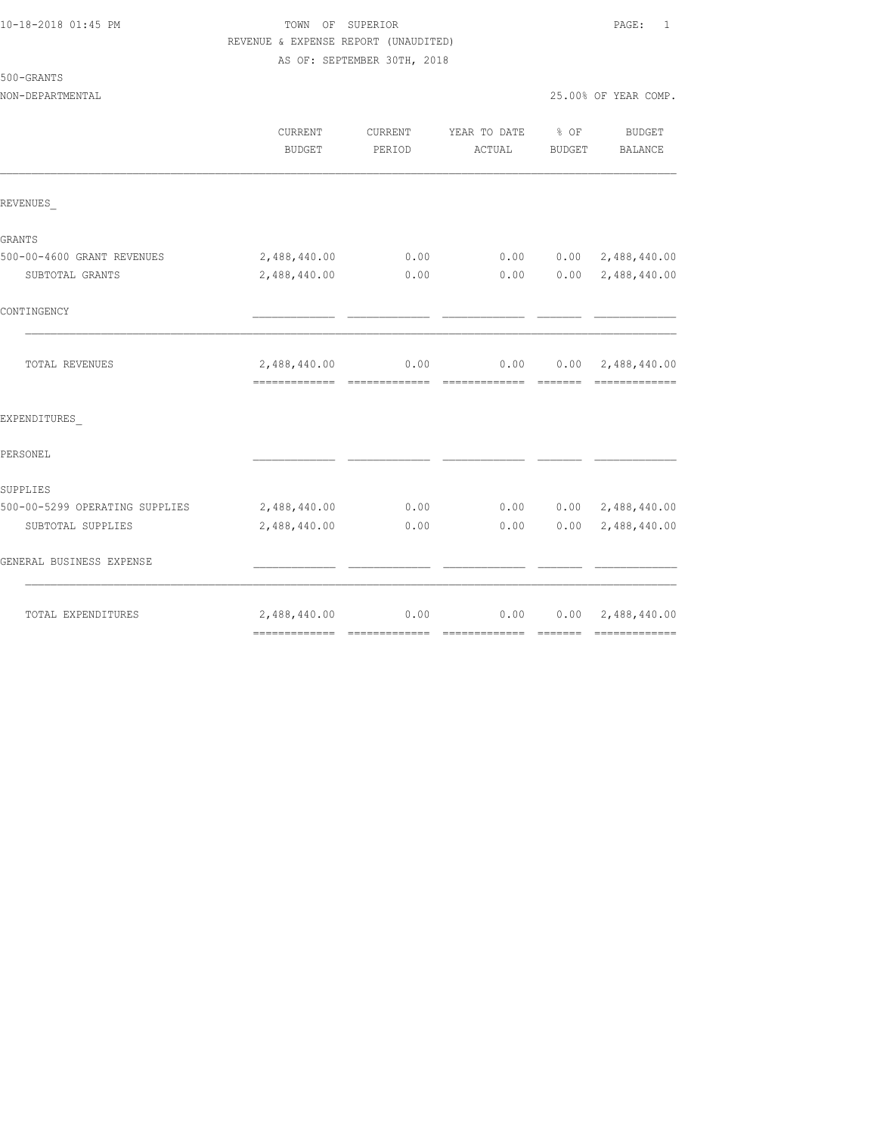500-GRANTS

#### 10-18-2018 01:45 PM TOWN OF SUPERIOR PAGE: 1 REVENUE & EXPENSE REPORT (UNAUDITED) AS OF: SEPTEMBER 30TH, 2018

NON-DEPARTMENTAL 25.00% OF YEAR COMP.

|                                | CURRENT<br><b>BUDGET</b> | CURRENT<br>PERIOD | YEAR TO DATE % OF<br>ACTUAL                      | BUDGET | <b>BUDGET</b><br>BALANCE     |
|--------------------------------|--------------------------|-------------------|--------------------------------------------------|--------|------------------------------|
| REVENUES                       |                          |                   |                                                  |        |                              |
| GRANTS                         |                          |                   |                                                  |        |                              |
| 500-00-4600 GRANT REVENUES     | 2,488,440.00             | 0.00              | 0.00                                             |        | $0.00 \quad 2,488,440.00$    |
| SUBTOTAL GRANTS                | 2,488,440.00             | 0.00              | 0.00                                             |        | $0.00 \quad 2,488,440.00$    |
| CONTINGENCY                    |                          |                   |                                                  |        |                              |
| TOTAL REVENUES                 | 2,488,440.00             | 0.00              | $0.00$ $0.00$ $2,488,440.00$<br>- ============== |        |                              |
| EXPENDITURES                   |                          |                   |                                                  |        |                              |
| PERSONEL                       |                          |                   |                                                  |        |                              |
| SUPPLIES                       |                          |                   |                                                  |        |                              |
| 500-00-5299 OPERATING SUPPLIES | 2,488,440.00             | 0.00              |                                                  |        | $0.00$ $0.00$ $2,488,440.00$ |
| SUBTOTAL SUPPLIES              | 2,488,440.00             | 0.00              | 0.00                                             | 0.00   | 2,488,440.00                 |
| GENERAL BUSINESS EXPENSE       |                          |                   |                                                  |        |                              |
| TOTAL EXPENDITURES             | 2,488,440.00             | 0.00              | 0.00                                             |        | $0.00 \quad 2,488,440.00$    |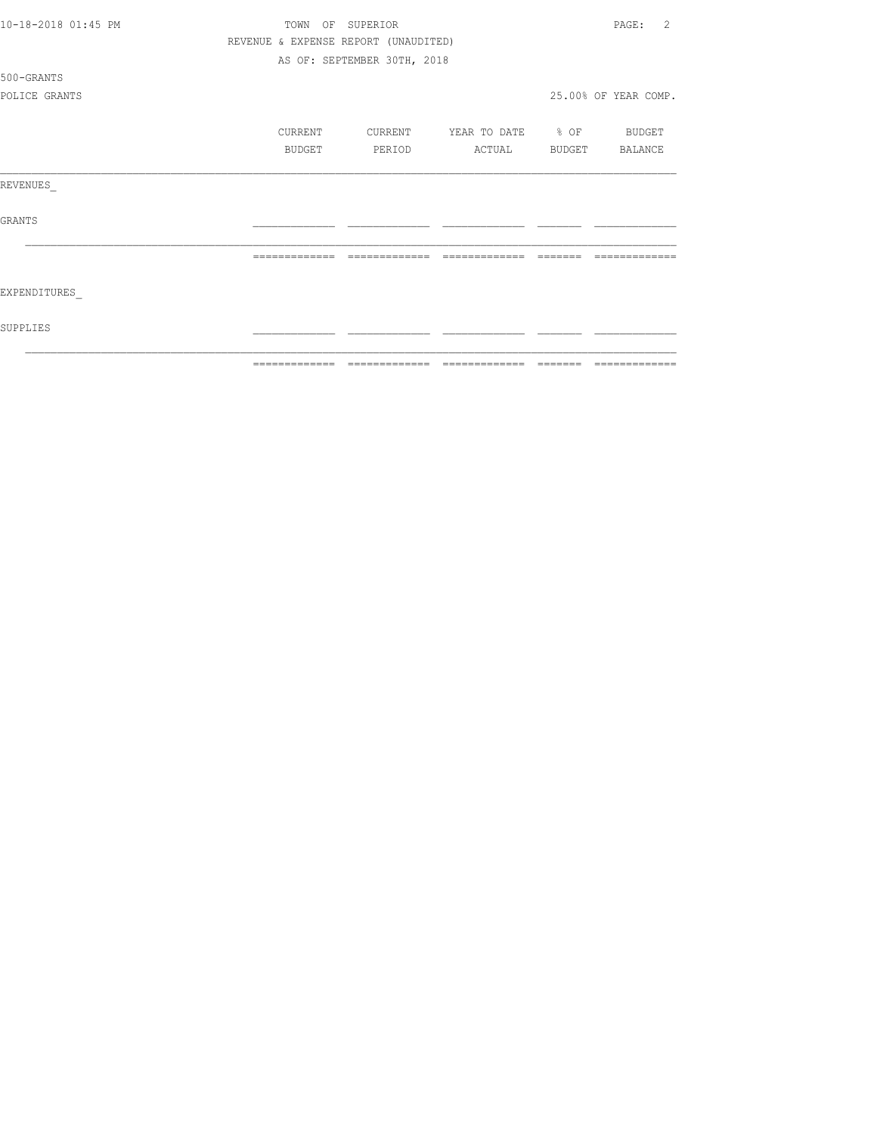|                     | ============= | =====                                | $\begin{array}{cccccccccc} \multicolumn{2}{c}{} & \multicolumn{2}{c}{} & \multicolumn{2}{c}{} & \multicolumn{2}{c}{} & \multicolumn{2}{c}{} & \multicolumn{2}{c}{} & \multicolumn{2}{c}{} & \multicolumn{2}{c}{} & \multicolumn{2}{c}{} & \multicolumn{2}{c}{} & \multicolumn{2}{c}{} & \multicolumn{2}{c}{} & \multicolumn{2}{c}{} & \multicolumn{2}{c}{} & \multicolumn{2}{c}{} & \multicolumn{2}{c}{} & \multicolumn{2}{c}{} & \multicolumn{2}{c}{} & \multicolumn{2}{c}{} & \mult$ | ====== |                      |
|---------------------|---------------|--------------------------------------|----------------------------------------------------------------------------------------------------------------------------------------------------------------------------------------------------------------------------------------------------------------------------------------------------------------------------------------------------------------------------------------------------------------------------------------------------------------------------------------|--------|----------------------|
| SUPPLIES            |               |                                      |                                                                                                                                                                                                                                                                                                                                                                                                                                                                                        |        |                      |
| EXPENDITURES        |               |                                      |                                                                                                                                                                                                                                                                                                                                                                                                                                                                                        |        |                      |
|                     |               | -------------                        |                                                                                                                                                                                                                                                                                                                                                                                                                                                                                        |        |                      |
| <b>GRANTS</b>       |               |                                      |                                                                                                                                                                                                                                                                                                                                                                                                                                                                                        |        |                      |
| REVENUES            |               |                                      |                                                                                                                                                                                                                                                                                                                                                                                                                                                                                        |        |                      |
|                     | BUDGET        | PERIOD                               | ACTUAL                                                                                                                                                                                                                                                                                                                                                                                                                                                                                 | BUDGET | BALANCE              |
|                     | CURRENT       | CURRENT                              | YEAR TO DATE % OF                                                                                                                                                                                                                                                                                                                                                                                                                                                                      |        | BUDGET               |
| POLICE GRANTS       |               |                                      |                                                                                                                                                                                                                                                                                                                                                                                                                                                                                        |        | 25.00% OF YEAR COMP. |
| 500-GRANTS          |               |                                      |                                                                                                                                                                                                                                                                                                                                                                                                                                                                                        |        |                      |
|                     |               | AS OF: SEPTEMBER 30TH, 2018          |                                                                                                                                                                                                                                                                                                                                                                                                                                                                                        |        |                      |
|                     |               | REVENUE & EXPENSE REPORT (UNAUDITED) |                                                                                                                                                                                                                                                                                                                                                                                                                                                                                        |        |                      |
| 10-18-2018 01:45 PM | OF<br>TOWN    | SUPERIOR                             |                                                                                                                                                                                                                                                                                                                                                                                                                                                                                        |        | PAGE:<br>2           |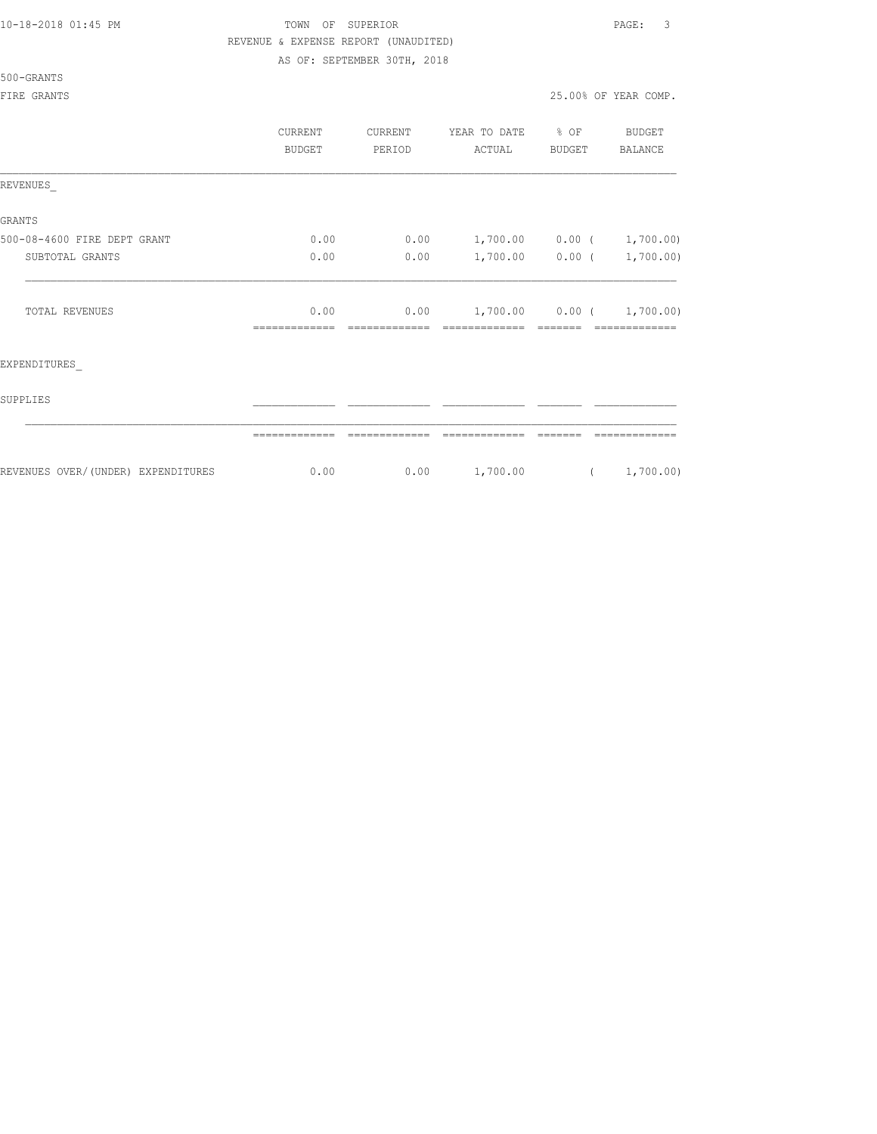| 10-18-2018 01:45 PM |  |  |  |  |  |  |  |  |  |  |  |
|---------------------|--|--|--|--|--|--|--|--|--|--|--|
|---------------------|--|--|--|--|--|--|--|--|--|--|--|

# TOWN OF SUPERIOR **PAGE:** 3 REVENUE & EXPENSE REPORT (UNAUDITED)

AS OF: SEPTEMBER 30TH, 2018

| 500-GRANTS |
|------------|
|------------|

#### FIRE GRANTS 25

|  |  | 5.00% OF YEAR COMP. |
|--|--|---------------------|
|  |  |                     |

|                                     | CURRENT<br><b>BUDGET</b> | CURRENT<br>PERIOD | YEAR TO DATE<br>ACTUAL | $\frac{6}{6}$ OF<br>BUDGET | BUDGET<br>BALANCE |
|-------------------------------------|--------------------------|-------------------|------------------------|----------------------------|-------------------|
| REVENUES                            |                          |                   |                        |                            |                   |
| <b>GRANTS</b>                       |                          |                   |                        |                            |                   |
| 500-08-4600 FIRE DEPT GRANT         | 0.00                     | 0.00              | $1,700.00$ 0.00 (      |                            | 1,700.00)         |
| SUBTOTAL GRANTS                     | 0.00                     | 0.00              |                        | $1,700.00$ 0.00 (          | 1,700.00)         |
| TOTAL REVENUES                      | 0.00                     | 0.00              |                        | $1,700.00$ 0.00 (          | 1,700.00)         |
| EXPENDITURES                        |                          |                   |                        |                            |                   |
| SUPPLIES                            |                          |                   |                        |                            |                   |
|                                     |                          |                   |                        |                            |                   |
| REVENUES OVER/ (UNDER) EXPENDITURES | 0.00                     | 0.00              | 1,700.00               | $\overline{a}$             | 1,700.00)         |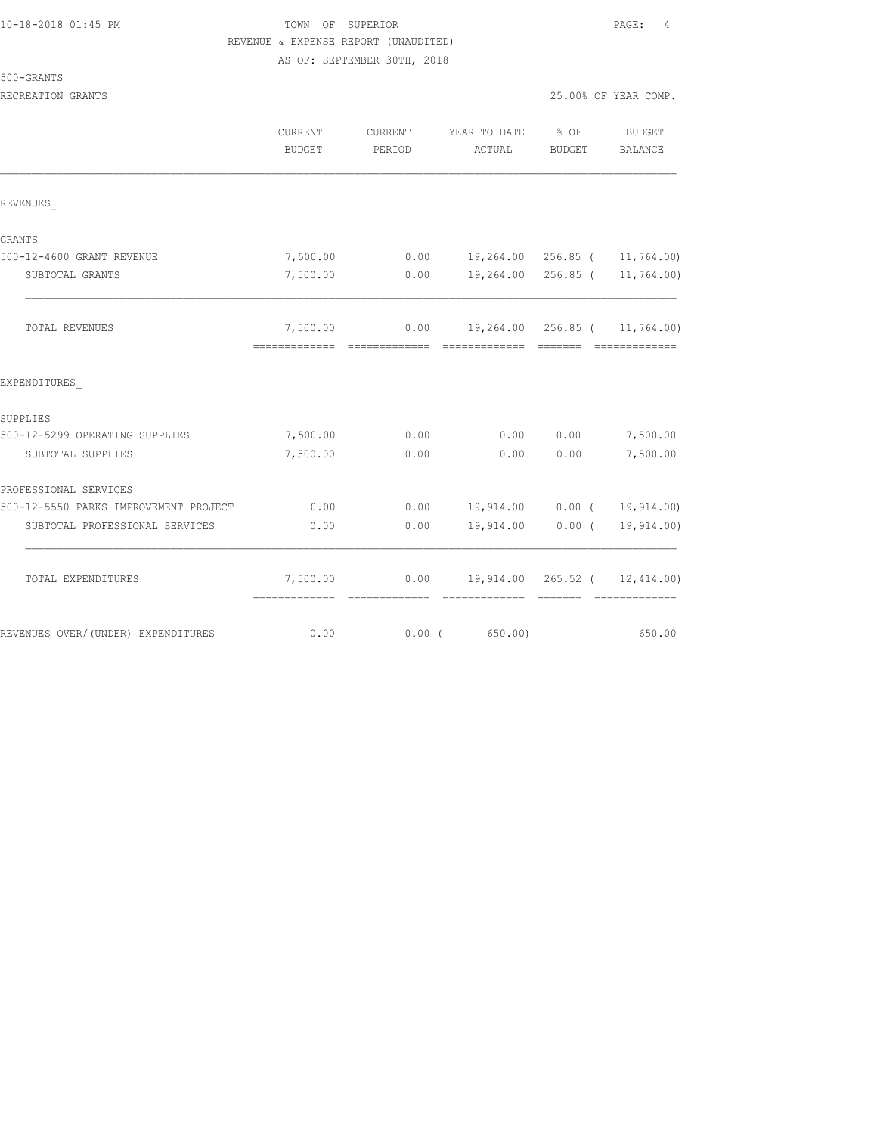|  |  |  |  |  |  |  |  |  | 10-18-2018 01:45 PM |  |
|--|--|--|--|--|--|--|--|--|---------------------|--|
|--|--|--|--|--|--|--|--|--|---------------------|--|

# TOWN OF SUPERIOR **PAGE:** 4 REVENUE & EXPENSE REPORT (UNAUDITED)

AS OF: SEPTEMBER 30TH, 2018

500-GRANTS

| RECREATION GRANTS                     |                                             |                   |                                      |                  | 25.00% OF YEAR COMP.            |
|---------------------------------------|---------------------------------------------|-------------------|--------------------------------------|------------------|---------------------------------|
|                                       | <b>CURRENT</b><br><b>BUDGET</b>             | CURRENT<br>PERIOD | YEAR TO DATE<br>ACTUAL               | $8$ OF<br>BUDGET | <b>BUDGET</b><br><b>BALANCE</b> |
| REVENUES                              |                                             |                   |                                      |                  |                                 |
| GRANTS                                |                                             |                   |                                      |                  |                                 |
| 500-12-4600 GRANT REVENUE             | 7,500.00                                    |                   | $0.00$ 19,264.00 256.85 ( 11,764.00) |                  |                                 |
| SUBTOTAL GRANTS                       | 7,500.00                                    | 0.00              |                                      |                  | 19,264.00 256.85 ( 11,764.00)   |
| TOTAL REVENUES                        | 7,500.00                                    |                   | $0.00$ 19,264.00 256.85 ( 11,764.00) |                  |                                 |
| EXPENDITURES                          |                                             |                   |                                      |                  |                                 |
| SUPPLIES                              |                                             |                   |                                      |                  |                                 |
| 500-12-5299 OPERATING SUPPLIES        | 7,500.00                                    | 0.00              |                                      |                  | $0.00$ $0.00$ $7,500.00$        |
| SUBTOTAL SUPPLIES                     | 7,500.00                                    | 0.00              | 0.00                                 | 0.00             | 7,500.00                        |
| PROFESSIONAL SERVICES                 |                                             |                   |                                      |                  |                                 |
| 500-12-5550 PARKS IMPROVEMENT PROJECT | 0.00                                        |                   | $0.00$ 19,914.00 0.00 ( 19,914.00)   |                  |                                 |
| SUBTOTAL PROFESSIONAL SERVICES        | 0.00                                        | 0.00              | 19,914.00                            |                  | $0.00$ ( $19,914.00$ )          |
| TOTAL EXPENDITURES                    | 7,500.00<br>=============================== |                   | $0.00$ 19,914.00 265.52 ( 12,414.00) |                  |                                 |
| REVENUES OVER/(UNDER) EXPENDITURES    | 0.00                                        | $0.00$ (          | 650.00)                              |                  | 650.00                          |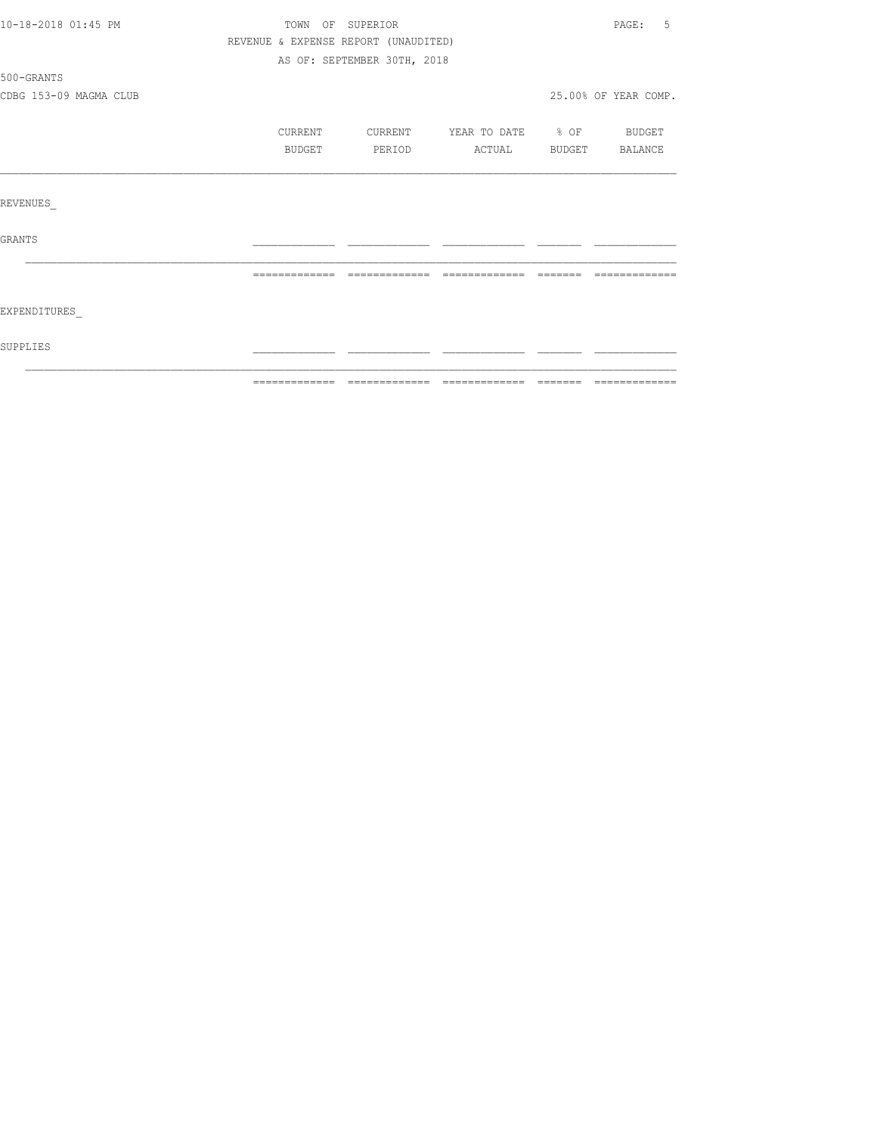| 10-18-2018 01:45 PM    |                                      | TOWN OF SUPERIOR            |                                  |                                                                  | PAGE:<br>5           |
|------------------------|--------------------------------------|-----------------------------|----------------------------------|------------------------------------------------------------------|----------------------|
|                        | REVENUE & EXPENSE REPORT (UNAUDITED) |                             |                                  |                                                                  |                      |
|                        |                                      | AS OF: SEPTEMBER 30TH, 2018 |                                  |                                                                  |                      |
| 500-GRANTS             |                                      |                             |                                  |                                                                  |                      |
| CDBG 153-09 MAGMA CLUB |                                      |                             |                                  |                                                                  | 25.00% OF YEAR COMP. |
|                        | CURRENT                              |                             | CURRENT YEAR TO DATE % OF BUDGET |                                                                  |                      |
|                        | BUDGET                               | PERIOD                      | ACTUAL BUDGET BALANCE            |                                                                  |                      |
|                        |                                      |                             |                                  |                                                                  |                      |
| REVENUES               |                                      |                             |                                  |                                                                  |                      |
| GRANTS                 |                                      |                             |                                  |                                                                  |                      |
|                        | =============                        | =============               |                                  | $\qquad \qquad \equiv \equiv \equiv \equiv \equiv \equiv \equiv$ |                      |
|                        |                                      |                             |                                  |                                                                  |                      |
| EXPENDITURES           |                                      |                             |                                  |                                                                  |                      |
| SUPPLIES               |                                      |                             |                                  |                                                                  |                      |
|                        |                                      |                             |                                  |                                                                  |                      |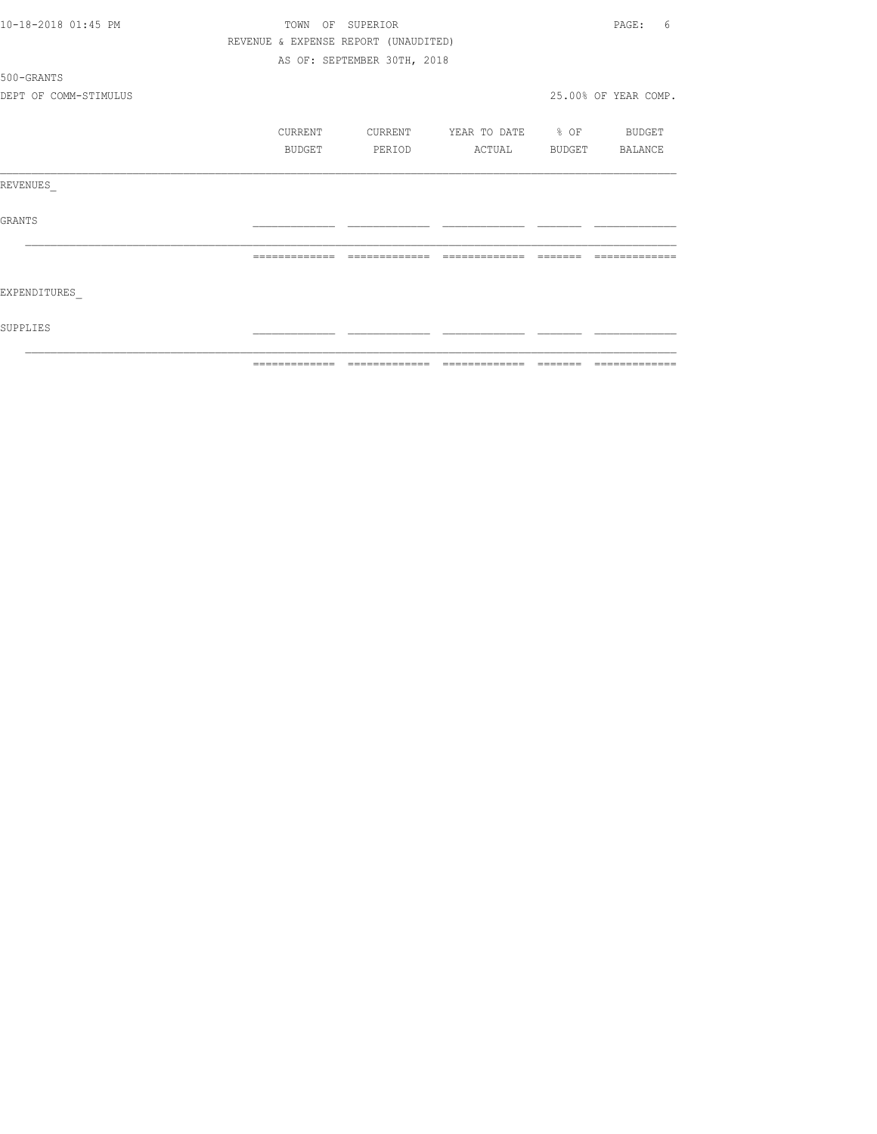| 10-18-2018 01:45 PM   |                                      | TOWN OF SUPERIOR                |                                                                                                                                                                                                                                                                                                                                                                                                                                                                                        |                 | PAGE:<br>6           |
|-----------------------|--------------------------------------|---------------------------------|----------------------------------------------------------------------------------------------------------------------------------------------------------------------------------------------------------------------------------------------------------------------------------------------------------------------------------------------------------------------------------------------------------------------------------------------------------------------------------------|-----------------|----------------------|
|                       | REVENUE & EXPENSE REPORT (UNAUDITED) |                                 |                                                                                                                                                                                                                                                                                                                                                                                                                                                                                        |                 |                      |
|                       |                                      | AS OF: SEPTEMBER 30TH, 2018     |                                                                                                                                                                                                                                                                                                                                                                                                                                                                                        |                 |                      |
| 500-GRANTS            |                                      |                                 |                                                                                                                                                                                                                                                                                                                                                                                                                                                                                        |                 |                      |
| DEPT OF COMM-STIMULUS |                                      |                                 |                                                                                                                                                                                                                                                                                                                                                                                                                                                                                        |                 | 25.00% OF YEAR COMP. |
|                       | CURRENT                              | CURRENT                         | YEAR TO DATE % OF BUDGET                                                                                                                                                                                                                                                                                                                                                                                                                                                               |                 |                      |
|                       | BUDGET                               | PERIOD                          | ACTUAL                                                                                                                                                                                                                                                                                                                                                                                                                                                                                 | BUDGET BALANCE  |                      |
| REVENUES              |                                      |                                 |                                                                                                                                                                                                                                                                                                                                                                                                                                                                                        |                 |                      |
| GRANTS                |                                      |                                 |                                                                                                                                                                                                                                                                                                                                                                                                                                                                                        |                 |                      |
|                       |                                      | =============================== | $\begin{array}{cccccccccccccc} \multicolumn{2}{c}{} & \multicolumn{2}{c}{} & \multicolumn{2}{c}{} & \multicolumn{2}{c}{} & \multicolumn{2}{c}{} & \multicolumn{2}{c}{} & \multicolumn{2}{c}{} & \multicolumn{2}{c}{} & \multicolumn{2}{c}{} & \multicolumn{2}{c}{} & \multicolumn{2}{c}{} & \multicolumn{2}{c}{} & \multicolumn{2}{c}{} & \multicolumn{2}{c}{} & \multicolumn{2}{c}{} & \multicolumn{2}{c}{} & \multicolumn{2}{c}{} & \multicolumn{2}{c}{} & \multicolumn{2}{c}{} & \$ | <b>CONSIDER</b> | =============        |
| EXPENDITURES          |                                      |                                 |                                                                                                                                                                                                                                                                                                                                                                                                                                                                                        |                 |                      |
| SUPPLIES              |                                      |                                 |                                                                                                                                                                                                                                                                                                                                                                                                                                                                                        |                 |                      |
|                       | -------------                        |                                 |                                                                                                                                                                                                                                                                                                                                                                                                                                                                                        |                 | --------------       |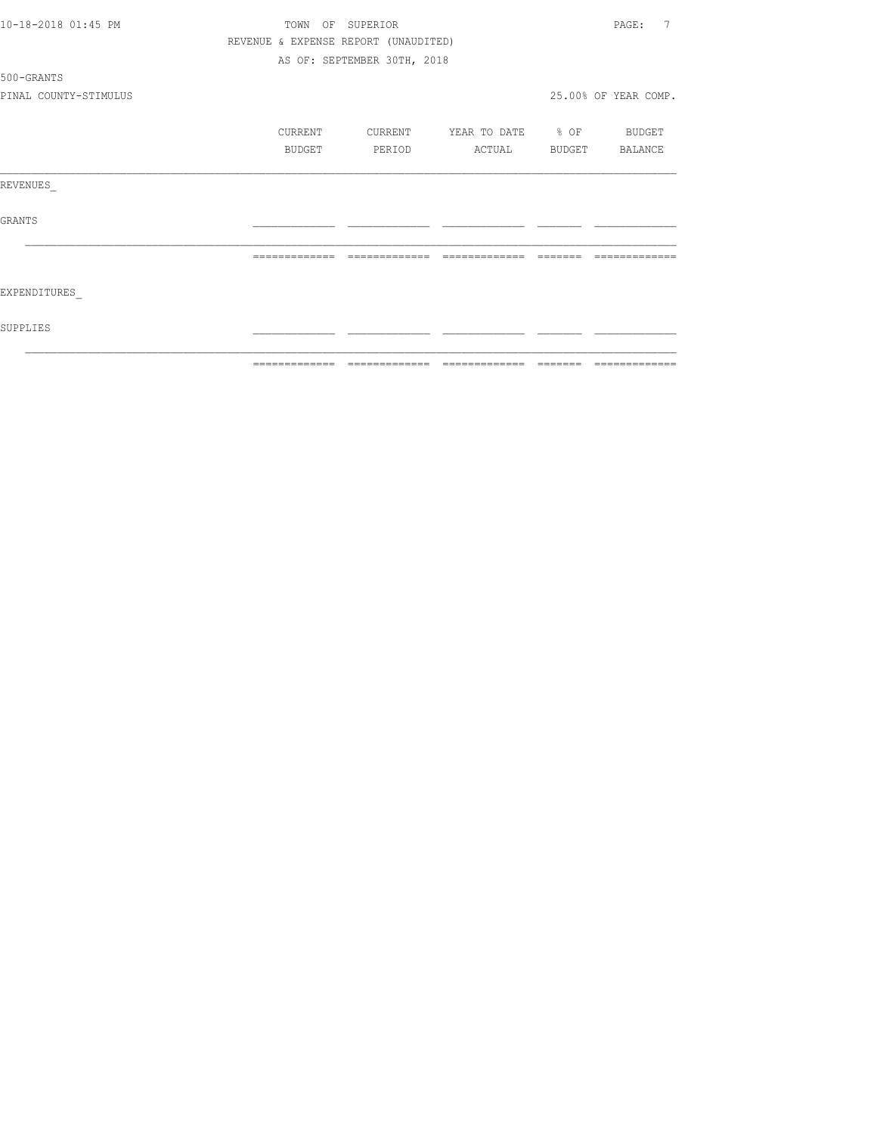| 10-18-2018 01:45 PM   | TOWN          | OF SUPERIOR                          |                   |                                                                                                                                                                                                                                                                                                                                                                                                                                                                                                                          | 7<br>PAGE:           |
|-----------------------|---------------|--------------------------------------|-------------------|--------------------------------------------------------------------------------------------------------------------------------------------------------------------------------------------------------------------------------------------------------------------------------------------------------------------------------------------------------------------------------------------------------------------------------------------------------------------------------------------------------------------------|----------------------|
|                       |               | REVENUE & EXPENSE REPORT (UNAUDITED) |                   |                                                                                                                                                                                                                                                                                                                                                                                                                                                                                                                          |                      |
|                       |               | AS OF: SEPTEMBER 30TH, 2018          |                   |                                                                                                                                                                                                                                                                                                                                                                                                                                                                                                                          |                      |
| 500-GRANTS            |               |                                      |                   |                                                                                                                                                                                                                                                                                                                                                                                                                                                                                                                          |                      |
| PINAL COUNTY-STIMULUS |               |                                      |                   |                                                                                                                                                                                                                                                                                                                                                                                                                                                                                                                          | 25.00% OF YEAR COMP. |
|                       | CURRENT       | CURRENT                              | YEAR TO DATE % OF |                                                                                                                                                                                                                                                                                                                                                                                                                                                                                                                          | <b>BUDGET</b>        |
|                       | <b>BUDGET</b> | PERIOD                               | ACTUAL            |                                                                                                                                                                                                                                                                                                                                                                                                                                                                                                                          | BUDGET BALANCE       |
| REVENUES              |               |                                      |                   |                                                                                                                                                                                                                                                                                                                                                                                                                                                                                                                          |                      |
| GRANTS                |               |                                      |                   |                                                                                                                                                                                                                                                                                                                                                                                                                                                                                                                          |                      |
|                       | ============= | =============                        |                   | $\qquad \qquad = \qquad \qquad = \qquad \qquad = \qquad \qquad = \qquad \qquad = \qquad \qquad = \qquad \qquad = \qquad \qquad = \qquad \qquad = \qquad \qquad = \qquad \qquad = \qquad \qquad = \qquad \qquad = \qquad \qquad = \qquad \qquad = \qquad \qquad = \qquad \qquad = \qquad \qquad = \qquad \qquad = \qquad \qquad = \qquad \qquad = \qquad \qquad = \qquad \qquad = \qquad \qquad = \qquad \qquad = \qquad \qquad = \qquad \qquad = \qquad \qquad = \qquad \qquad = \qquad \qquad = \qquad \qquad = \qquad$ | -------------        |
| EXPENDITURES          |               |                                      |                   |                                                                                                                                                                                                                                                                                                                                                                                                                                                                                                                          |                      |
| SUPPLIES              |               |                                      |                   |                                                                                                                                                                                                                                                                                                                                                                                                                                                                                                                          |                      |
|                       | ------------- |                                      |                   |                                                                                                                                                                                                                                                                                                                                                                                                                                                                                                                          | --------------       |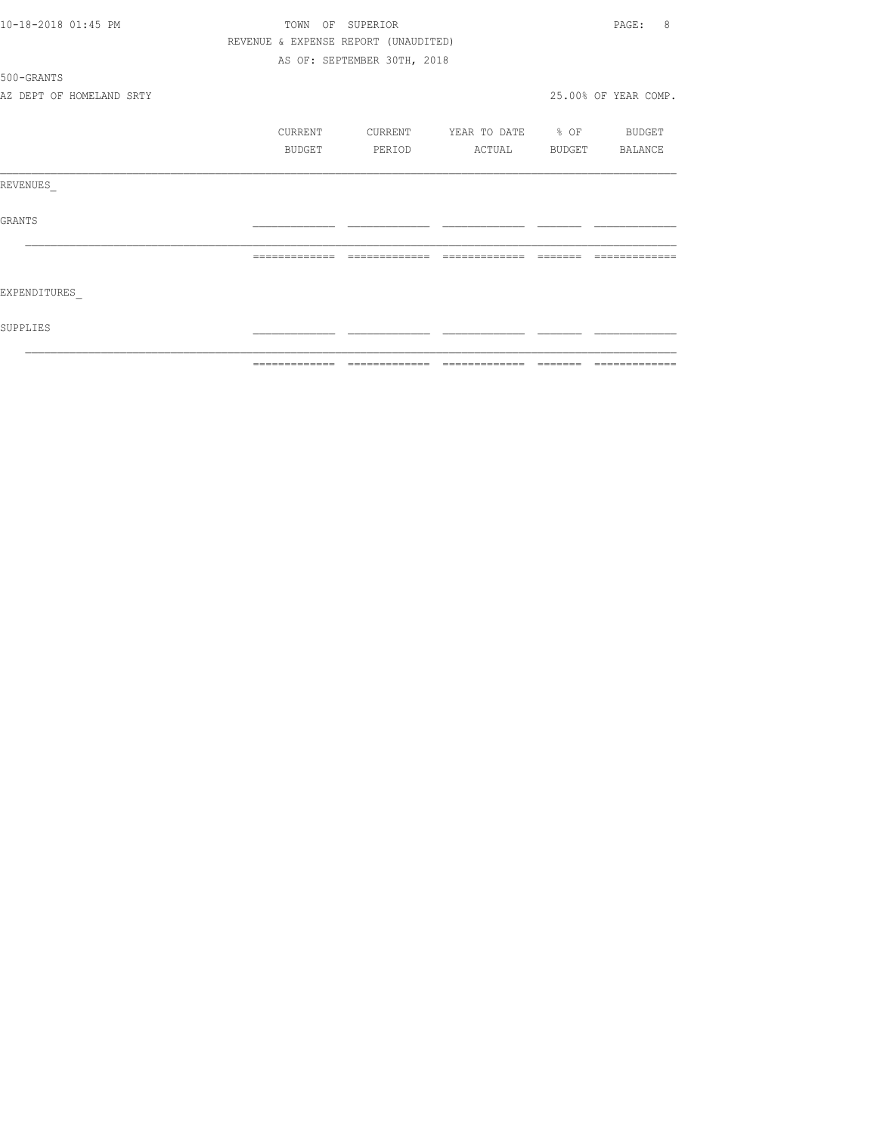|                     |                          |         | =============================        |                   |          | -------------        |
|---------------------|--------------------------|---------|--------------------------------------|-------------------|----------|----------------------|
| SUPPLIES            |                          |         |                                      |                   |          |                      |
| EXPENDITURES        |                          |         |                                      |                   |          |                      |
|                     |                          |         |                                      |                   | -------- |                      |
| GRANTS              |                          |         |                                      |                   |          |                      |
| REVENUES            |                          |         |                                      |                   |          |                      |
|                     |                          | BUDGET  | PERIOD                               | ACTUAL            |          | BUDGET BALANCE       |
|                     |                          | CURRENT | CURRENT                              | YEAR TO DATE % OF |          | BUDGET               |
|                     | AZ DEPT OF HOMELAND SRTY |         |                                      |                   |          | 25.00% OF YEAR COMP. |
| 500-GRANTS          |                          |         |                                      |                   |          |                      |
|                     |                          |         | AS OF: SEPTEMBER 30TH, 2018          |                   |          |                      |
|                     |                          |         | REVENUE & EXPENSE REPORT (UNAUDITED) |                   |          |                      |
| 10-18-2018 01:45 PM |                          |         | TOWN OF SUPERIOR                     |                   |          | 8<br>PAGE:           |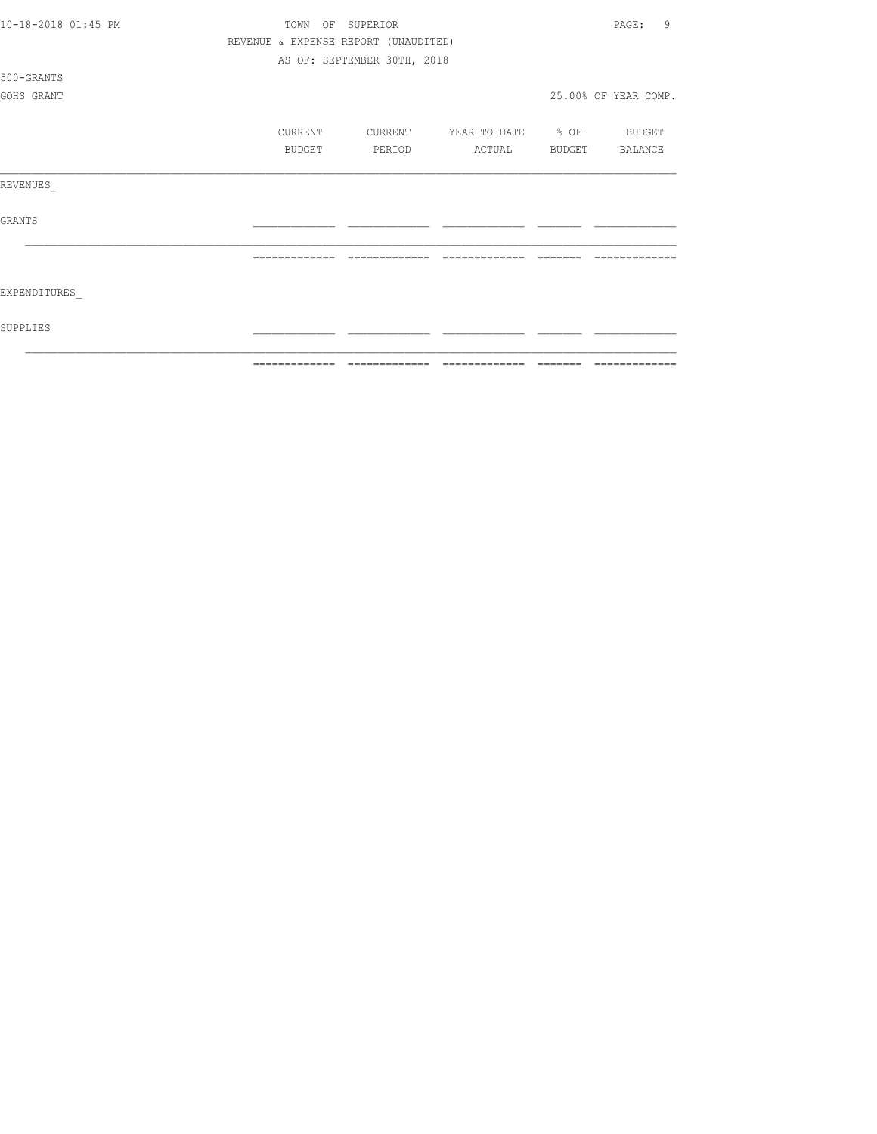|                     | FEEEEEEEEEEE                         | ======                      | =============     | ======= | =====                |  |  |
|---------------------|--------------------------------------|-----------------------------|-------------------|---------|----------------------|--|--|
| SUPPLIES            |                                      |                             |                   |         |                      |  |  |
| EXPENDITURES        |                                      |                             |                   |         |                      |  |  |
|                     | -------------                        | -------------               | -------------     |         |                      |  |  |
| GRANTS              |                                      |                             |                   |         |                      |  |  |
| REVENUES            |                                      |                             |                   |         |                      |  |  |
|                     | BUDGET                               | PERIOD                      | ACTUAL            | BUDGET  | BALANCE              |  |  |
|                     | CURRENT                              | CURRENT                     | YEAR TO DATE % OF |         | BUDGET               |  |  |
| GOHS GRANT          |                                      |                             |                   |         | 25.00% OF YEAR COMP. |  |  |
| 500-GRANTS          |                                      |                             |                   |         |                      |  |  |
|                     |                                      | AS OF: SEPTEMBER 30TH, 2018 |                   |         |                      |  |  |
|                     | REVENUE & EXPENSE REPORT (UNAUDITED) |                             |                   |         |                      |  |  |
| 10-18-2018 01:45 PM | TOWN                                 | OF SUPERIOR                 |                   |         |                      |  |  |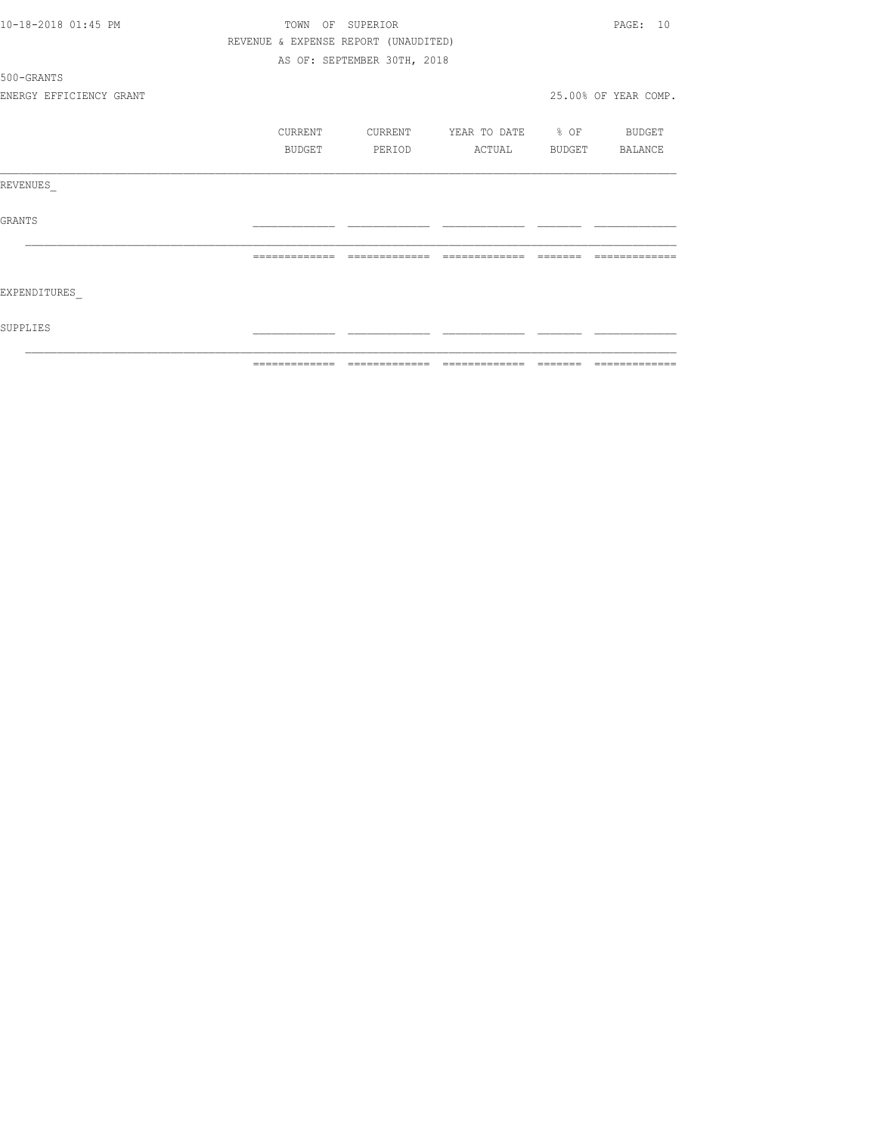|                         |               |         |                                      |                          | -------------        |
|-------------------------|---------------|---------|--------------------------------------|--------------------------|----------------------|
| SUPPLIES                |               |         |                                      |                          |                      |
| EXPENDITURES            |               |         |                                      |                          |                      |
|                         | ============= |         | =============                        | =============            |                      |
| GRANTS                  |               |         |                                      |                          |                      |
| REVENUES                |               |         |                                      |                          |                      |
|                         |               | BUDGET  | PERIOD                               | ACTUAL                   | BUDGET BALANCE       |
|                         |               | CURRENT | CURRENT                              | YEAR TO DATE % OF BUDGET |                      |
| ENERGY EFFICIENCY GRANT |               |         |                                      |                          | 25.00% OF YEAR COMP. |
| 500-GRANTS              |               |         |                                      |                          |                      |
|                         |               |         | AS OF: SEPTEMBER 30TH, 2018          |                          |                      |
|                         |               |         | REVENUE & EXPENSE REPORT (UNAUDITED) |                          |                      |
| 10-18-2018 01:45 PM     |               | TOWN    | OF SUPERIOR                          |                          | PAGE: 10             |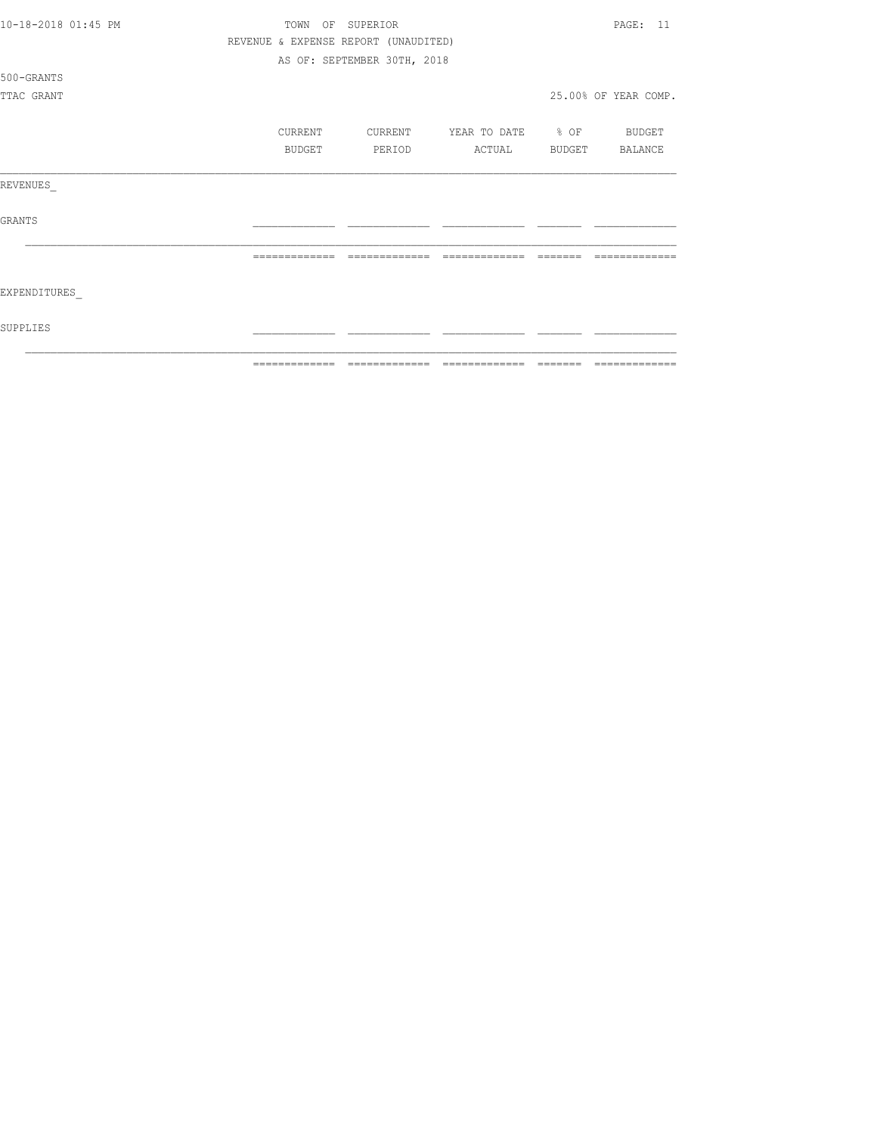|                     | =============    | $\qquad \qquad = \qquad \qquad = \qquad \qquad =$ |                                  | $=$ $=$ $=$ $=$ $=$ $=$ | =============        |
|---------------------|------------------|---------------------------------------------------|----------------------------------|-------------------------|----------------------|
| SUPPLIES            |                  |                                                   |                                  |                         |                      |
| EXPENDITURES        |                  |                                                   |                                  |                         |                      |
|                     |                  |                                                   |                                  |                         |                      |
| <b>GRANTS</b>       |                  |                                                   |                                  |                         |                      |
| REVENUES            |                  |                                                   |                                  |                         |                      |
|                     | BUDGET           | PERIOD                                            | ACTUAL BUDGET BALANCE            |                         |                      |
|                     | CURRENT          |                                                   | CURRENT YEAR TO DATE % OF BUDGET |                         |                      |
| TTAC GRANT          |                  |                                                   |                                  |                         | 25.00% OF YEAR COMP. |
| 500-GRANTS          |                  |                                                   |                                  |                         |                      |
|                     |                  | AS OF: SEPTEMBER 30TH, 2018                       |                                  |                         |                      |
|                     |                  | REVENUE & EXPENSE REPORT (UNAUDITED)              |                                  |                         |                      |
| 10-18-2018 01:45 PM | TOWN OF SUPERIOR |                                                   |                                  |                         | PAGE: 11             |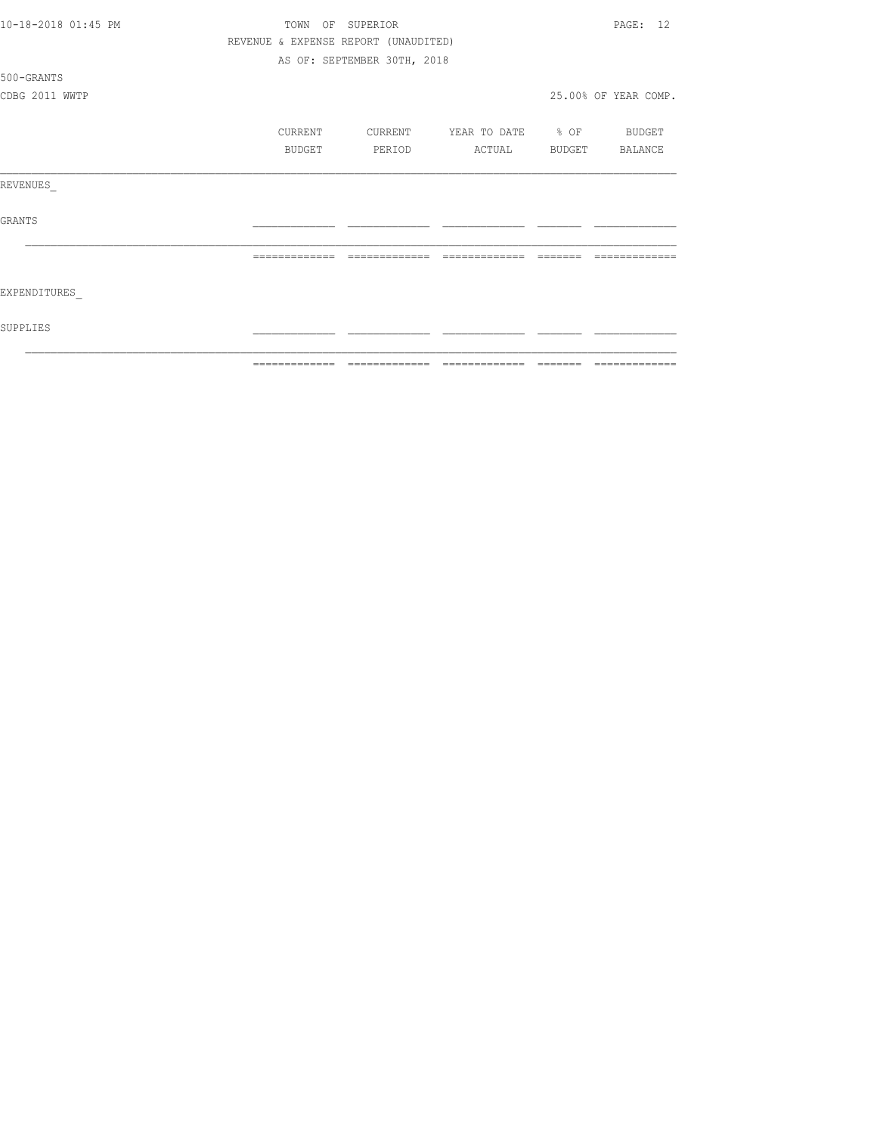|                     | ============= | ======                               | $\begin{array}{cccccccccccccc} \multicolumn{2}{c}{} & \multicolumn{2}{c}{} & \multicolumn{2}{c}{} & \multicolumn{2}{c}{} & \multicolumn{2}{c}{} & \multicolumn{2}{c}{} & \multicolumn{2}{c}{} & \multicolumn{2}{c}{} & \multicolumn{2}{c}{} & \multicolumn{2}{c}{} & \multicolumn{2}{c}{} & \multicolumn{2}{c}{} & \multicolumn{2}{c}{} & \multicolumn{2}{c}{} & \multicolumn{2}{c}{} & \multicolumn{2}{c}{} & \multicolumn{2}{c}{} & \multicolumn{2}{c}{} & \multicolumn{2}{c}{} & \$ | $=$ $=$ $=$ $=$ $=$ $=$ |                      |
|---------------------|---------------|--------------------------------------|----------------------------------------------------------------------------------------------------------------------------------------------------------------------------------------------------------------------------------------------------------------------------------------------------------------------------------------------------------------------------------------------------------------------------------------------------------------------------------------|-------------------------|----------------------|
| SUPPLIES            |               |                                      |                                                                                                                                                                                                                                                                                                                                                                                                                                                                                        |                         |                      |
| EXPENDITURES        |               |                                      |                                                                                                                                                                                                                                                                                                                                                                                                                                                                                        |                         |                      |
|                     |               | -------------                        |                                                                                                                                                                                                                                                                                                                                                                                                                                                                                        |                         |                      |
| <b>GRANTS</b>       |               |                                      |                                                                                                                                                                                                                                                                                                                                                                                                                                                                                        |                         |                      |
| REVENUES            |               |                                      |                                                                                                                                                                                                                                                                                                                                                                                                                                                                                        |                         |                      |
|                     | BUDGET        | PERIOD                               | ACTUAL                                                                                                                                                                                                                                                                                                                                                                                                                                                                                 | BUDGET                  | BALANCE              |
|                     | CURRENT       | CURRENT                              | YEAR TO DATE % OF                                                                                                                                                                                                                                                                                                                                                                                                                                                                      |                         | BUDGET               |
| CDBG 2011 WWTP      |               |                                      |                                                                                                                                                                                                                                                                                                                                                                                                                                                                                        |                         | 25.00% OF YEAR COMP. |
| 500-GRANTS          |               |                                      |                                                                                                                                                                                                                                                                                                                                                                                                                                                                                        |                         |                      |
|                     |               | AS OF: SEPTEMBER 30TH, 2018          |                                                                                                                                                                                                                                                                                                                                                                                                                                                                                        |                         |                      |
|                     |               | REVENUE & EXPENSE REPORT (UNAUDITED) |                                                                                                                                                                                                                                                                                                                                                                                                                                                                                        |                         |                      |
| 10-18-2018 01:45 PM | OF<br>TOWN    | SUPERIOR                             |                                                                                                                                                                                                                                                                                                                                                                                                                                                                                        |                         | PAGE: 12             |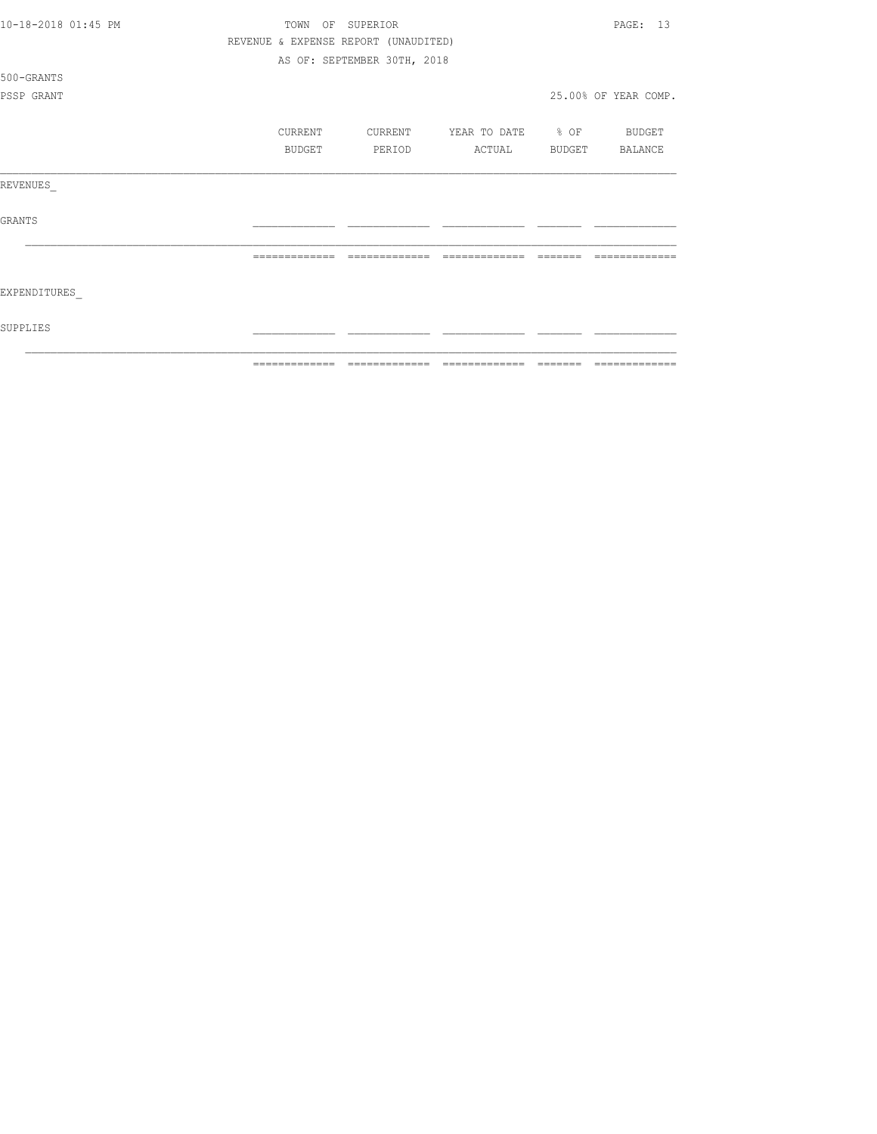|                     | $\begin{array}{cccccccccc} \multicolumn{2}{c}{} & \multicolumn{2}{c}{} & \multicolumn{2}{c}{} & \multicolumn{2}{c}{} & \multicolumn{2}{c}{} & \multicolumn{2}{c}{} & \multicolumn{2}{c}{} & \multicolumn{2}{c}{} & \multicolumn{2}{c}{} & \multicolumn{2}{c}{} & \multicolumn{2}{c}{} & \multicolumn{2}{c}{} & \multicolumn{2}{c}{} & \multicolumn{2}{c}{} & \multicolumn{2}{c}{} & \multicolumn{2}{c}{} & \multicolumn{2}{c}{} & \multicolumn{2}{c}{} & \multicolumn{2}{c}{} & \mult$ | ======                      |                   | ======= | =============        |
|---------------------|----------------------------------------------------------------------------------------------------------------------------------------------------------------------------------------------------------------------------------------------------------------------------------------------------------------------------------------------------------------------------------------------------------------------------------------------------------------------------------------|-----------------------------|-------------------|---------|----------------------|
| SUPPLIES            |                                                                                                                                                                                                                                                                                                                                                                                                                                                                                        |                             |                   |         |                      |
| EXPENDITURES        |                                                                                                                                                                                                                                                                                                                                                                                                                                                                                        |                             |                   |         |                      |
|                     | -------------                                                                                                                                                                                                                                                                                                                                                                                                                                                                          | -------------               | =============     |         |                      |
| GRANTS              |                                                                                                                                                                                                                                                                                                                                                                                                                                                                                        |                             |                   |         |                      |
| REVENUES            |                                                                                                                                                                                                                                                                                                                                                                                                                                                                                        |                             |                   |         |                      |
|                     | BUDGET                                                                                                                                                                                                                                                                                                                                                                                                                                                                                 | PERIOD                      | ACTUAL            | BUDGET  | BALANCE              |
|                     | CURRENT                                                                                                                                                                                                                                                                                                                                                                                                                                                                                | CURRENT                     | YEAR TO DATE % OF |         | BUDGET               |
| PSSP GRANT          |                                                                                                                                                                                                                                                                                                                                                                                                                                                                                        |                             |                   |         | 25.00% OF YEAR COMP. |
| 500-GRANTS          |                                                                                                                                                                                                                                                                                                                                                                                                                                                                                        |                             |                   |         |                      |
|                     |                                                                                                                                                                                                                                                                                                                                                                                                                                                                                        | AS OF: SEPTEMBER 30TH, 2018 |                   |         |                      |
|                     | REVENUE & EXPENSE REPORT (UNAUDITED)                                                                                                                                                                                                                                                                                                                                                                                                                                                   |                             |                   |         |                      |
| 10-18-2018 01:45 PM | TOWN                                                                                                                                                                                                                                                                                                                                                                                                                                                                                   | OF SUPERIOR                 |                   |         | PAGE: 13             |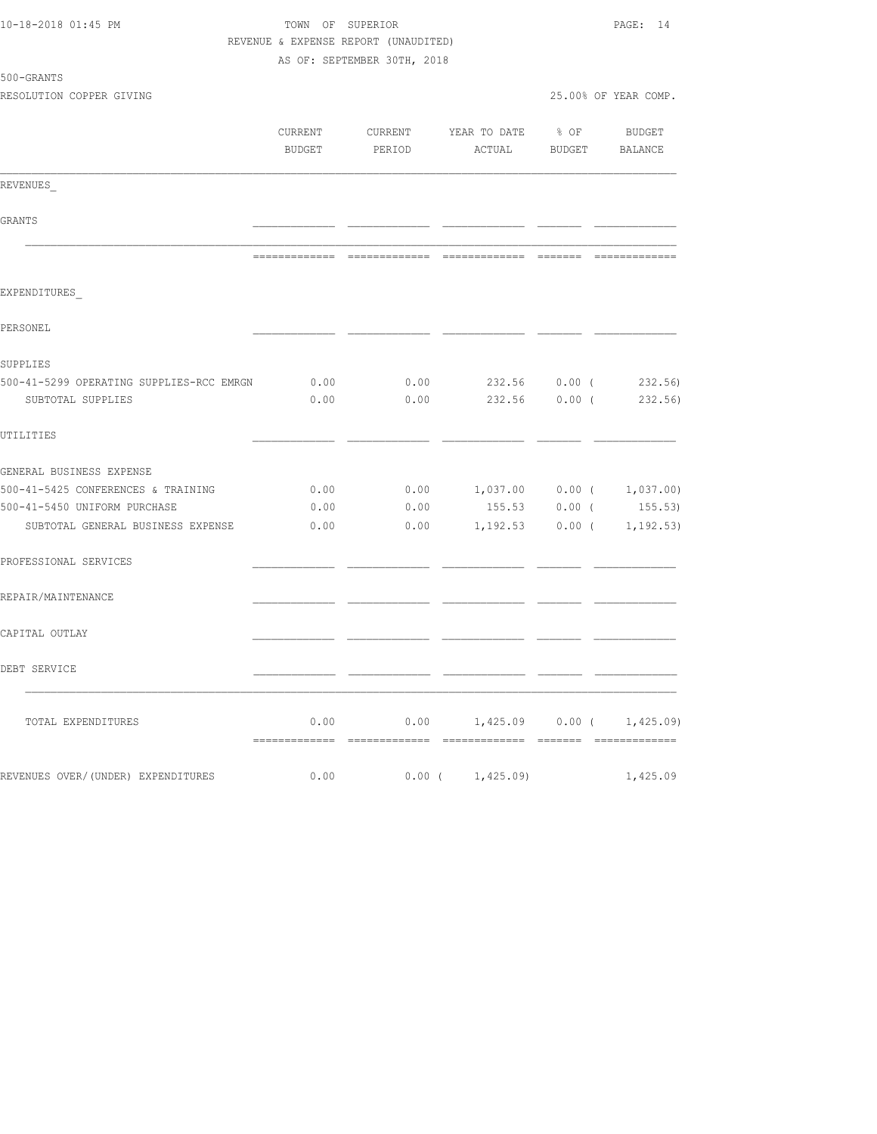| 10-18-2018 01:45 PM<br>REVENUE & EXPENSE REPORT (UNAUDITED) | AS OF: SEPTEMBER 30TH, 2018 |                | PAGE: 14                                                                                                                                                                                                                                                                                                                                                                                                                                                                      |                       |                             |
|-------------------------------------------------------------|-----------------------------|----------------|-------------------------------------------------------------------------------------------------------------------------------------------------------------------------------------------------------------------------------------------------------------------------------------------------------------------------------------------------------------------------------------------------------------------------------------------------------------------------------|-----------------------|-----------------------------|
| 500-GRANTS                                                  |                             |                |                                                                                                                                                                                                                                                                                                                                                                                                                                                                               |                       |                             |
| RESOLUTION COPPER GIVING                                    |                             |                |                                                                                                                                                                                                                                                                                                                                                                                                                                                                               |                       | 25.00% OF YEAR COMP.        |
|                                                             | CURRENT                     | CURRENT        | YEAR TO DATE % OF                                                                                                                                                                                                                                                                                                                                                                                                                                                             |                       | BUDGET                      |
|                                                             | BUDGET                      | PERIOD         |                                                                                                                                                                                                                                                                                                                                                                                                                                                                               | ACTUAL BUDGET BALANCE |                             |
| REVENUES                                                    |                             |                |                                                                                                                                                                                                                                                                                                                                                                                                                                                                               |                       |                             |
| GRANTS                                                      |                             |                |                                                                                                                                                                                                                                                                                                                                                                                                                                                                               |                       |                             |
|                                                             | =============               | -------------- | $\begin{array}{c} \multicolumn{2}{c} {\textbf 1} & \multicolumn{2}{c} {\textbf 2} & \multicolumn{2}{c} {\textbf 3} & \multicolumn{2}{c} {\textbf 4} & \multicolumn{2}{c} {\textbf 5} & \multicolumn{2}{c} {\textbf 6} & \multicolumn{2}{c} {\textbf 7} & \multicolumn{2}{c} {\textbf 8} & \multicolumn{2}{c} {\textbf 9} & \multicolumn{2}{c} {\textbf 1} & \multicolumn{2}{c} {\textbf 1} & \multicolumn{2}{c} {\textbf 1} & \multicolumn{2}{c} {\textbf 1} & \multicolumn{$ | --------              | =============               |
| EXPENDITURES                                                |                             |                |                                                                                                                                                                                                                                                                                                                                                                                                                                                                               |                       |                             |
| PERSONEL                                                    |                             |                |                                                                                                                                                                                                                                                                                                                                                                                                                                                                               |                       |                             |
| SUPPLIES                                                    |                             |                |                                                                                                                                                                                                                                                                                                                                                                                                                                                                               |                       |                             |
| 500-41-5299 OPERATING SUPPLIES-RCC EMRGN                    | 0.00                        |                | $0.00$ 232.56 $0.00$ ( 232.56)                                                                                                                                                                                                                                                                                                                                                                                                                                                |                       |                             |
| SUBTOTAL SUPPLIES                                           | 0.00                        |                | $0.00$ 232.56 0.00 (                                                                                                                                                                                                                                                                                                                                                                                                                                                          |                       | 232.56)                     |
| UTILITIES                                                   |                             |                |                                                                                                                                                                                                                                                                                                                                                                                                                                                                               |                       |                             |
| GENERAL BUSINESS EXPENSE                                    |                             |                |                                                                                                                                                                                                                                                                                                                                                                                                                                                                               |                       |                             |
| 500-41-5425 CONFERENCES & TRAINING                          | 0.00                        | 0.00           | 1,037.00   0.00 $1,037.00$                                                                                                                                                                                                                                                                                                                                                                                                                                                    |                       |                             |
| 500-41-5450 UNIFORM PURCHASE                                | 0.00                        | 0.00           |                                                                                                                                                                                                                                                                                                                                                                                                                                                                               | 155.53 0.00 (         | 155.53)                     |
| SUBTOTAL GENERAL BUSINESS EXPENSE                           | 0.00                        | 0.00           | $1,192.53$ 0.00 ( 1,192.53)                                                                                                                                                                                                                                                                                                                                                                                                                                                   |                       |                             |
| PROFESSIONAL SERVICES                                       |                             |                |                                                                                                                                                                                                                                                                                                                                                                                                                                                                               |                       |                             |
| REPAIR/MAINTENANCE                                          |                             |                |                                                                                                                                                                                                                                                                                                                                                                                                                                                                               |                       |                             |
| CAPITAL OUTLAY                                              |                             |                |                                                                                                                                                                                                                                                                                                                                                                                                                                                                               |                       |                             |
| DEBT SERVICE                                                |                             |                |                                                                                                                                                                                                                                                                                                                                                                                                                                                                               |                       |                             |
| TOTAL EXPENDITURES                                          | 0.00                        |                | $0.00$ 1,425.09 0.00 ( 1,425.09)                                                                                                                                                                                                                                                                                                                                                                                                                                              |                       |                             |
| REVENUES OVER/ (UNDER) EXPENDITURES                         | 0.00                        | $0.00$ (       | 1,425.09)                                                                                                                                                                                                                                                                                                                                                                                                                                                                     |                       | - =============<br>1,425.09 |
|                                                             |                             |                |                                                                                                                                                                                                                                                                                                                                                                                                                                                                               |                       |                             |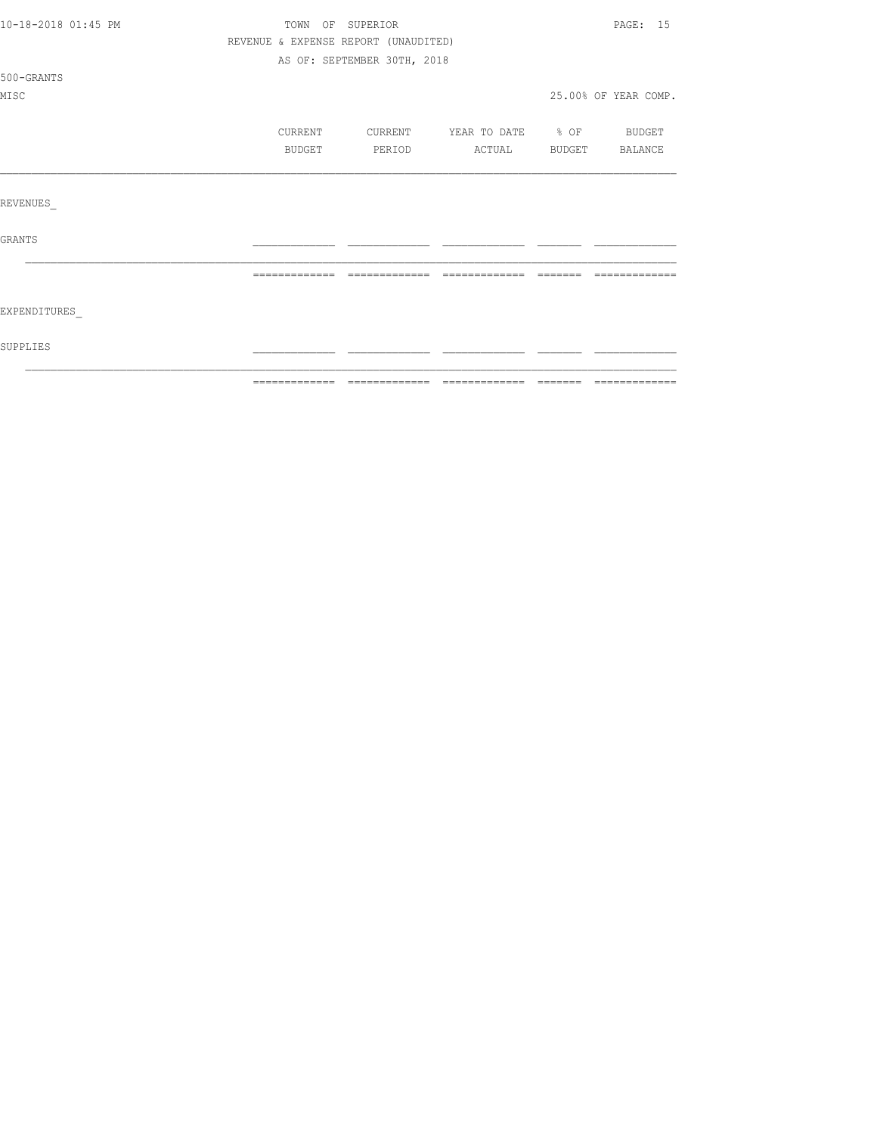| 10-18-2018 01:45 PM | TOWN          | OF SUPERIOR                          |                                  |                                                                                                                                                                                                                                                                                                                                                                                                                                                                                                                          | PAGE: 15             |
|---------------------|---------------|--------------------------------------|----------------------------------|--------------------------------------------------------------------------------------------------------------------------------------------------------------------------------------------------------------------------------------------------------------------------------------------------------------------------------------------------------------------------------------------------------------------------------------------------------------------------------------------------------------------------|----------------------|
|                     |               | REVENUE & EXPENSE REPORT (UNAUDITED) |                                  |                                                                                                                                                                                                                                                                                                                                                                                                                                                                                                                          |                      |
|                     |               | AS OF: SEPTEMBER 30TH, 2018          |                                  |                                                                                                                                                                                                                                                                                                                                                                                                                                                                                                                          |                      |
| 500-GRANTS          |               |                                      |                                  |                                                                                                                                                                                                                                                                                                                                                                                                                                                                                                                          |                      |
| MISC                |               |                                      |                                  |                                                                                                                                                                                                                                                                                                                                                                                                                                                                                                                          | 25.00% OF YEAR COMP. |
|                     |               |                                      |                                  |                                                                                                                                                                                                                                                                                                                                                                                                                                                                                                                          |                      |
|                     | CURRENT       |                                      | CURRENT YEAR TO DATE % OF BUDGET |                                                                                                                                                                                                                                                                                                                                                                                                                                                                                                                          |                      |
|                     | BUDGET        | PERIOD                               | ACTUAL                           | <b>BUDGET</b>                                                                                                                                                                                                                                                                                                                                                                                                                                                                                                            | BALANCE              |
|                     |               |                                      |                                  |                                                                                                                                                                                                                                                                                                                                                                                                                                                                                                                          |                      |
| REVENUES            |               |                                      |                                  |                                                                                                                                                                                                                                                                                                                                                                                                                                                                                                                          |                      |
| GRANTS              |               |                                      |                                  |                                                                                                                                                                                                                                                                                                                                                                                                                                                                                                                          |                      |
|                     |               |                                      |                                  |                                                                                                                                                                                                                                                                                                                                                                                                                                                                                                                          |                      |
|                     | ============= | - ==============                     | =============                    | $\qquad \qquad = \qquad \qquad = \qquad \qquad = \qquad \qquad = \qquad \qquad = \qquad \qquad = \qquad \qquad = \qquad \qquad = \qquad \qquad = \qquad \qquad = \qquad \qquad = \qquad \qquad = \qquad \qquad = \qquad \qquad = \qquad \qquad = \qquad \qquad = \qquad \qquad = \qquad \qquad = \qquad \qquad = \qquad \qquad = \qquad \qquad = \qquad \qquad = \qquad \qquad = \qquad \qquad = \qquad \qquad = \qquad \qquad = \qquad \qquad = \qquad \qquad = \qquad \qquad = \qquad \qquad = \qquad \qquad = \qquad$ | =============        |
| EXPENDITURES        |               |                                      |                                  |                                                                                                                                                                                                                                                                                                                                                                                                                                                                                                                          |                      |
| SUPPLIES            |               |                                      |                                  |                                                                                                                                                                                                                                                                                                                                                                                                                                                                                                                          |                      |
|                     |               |                                      |                                  |                                                                                                                                                                                                                                                                                                                                                                                                                                                                                                                          |                      |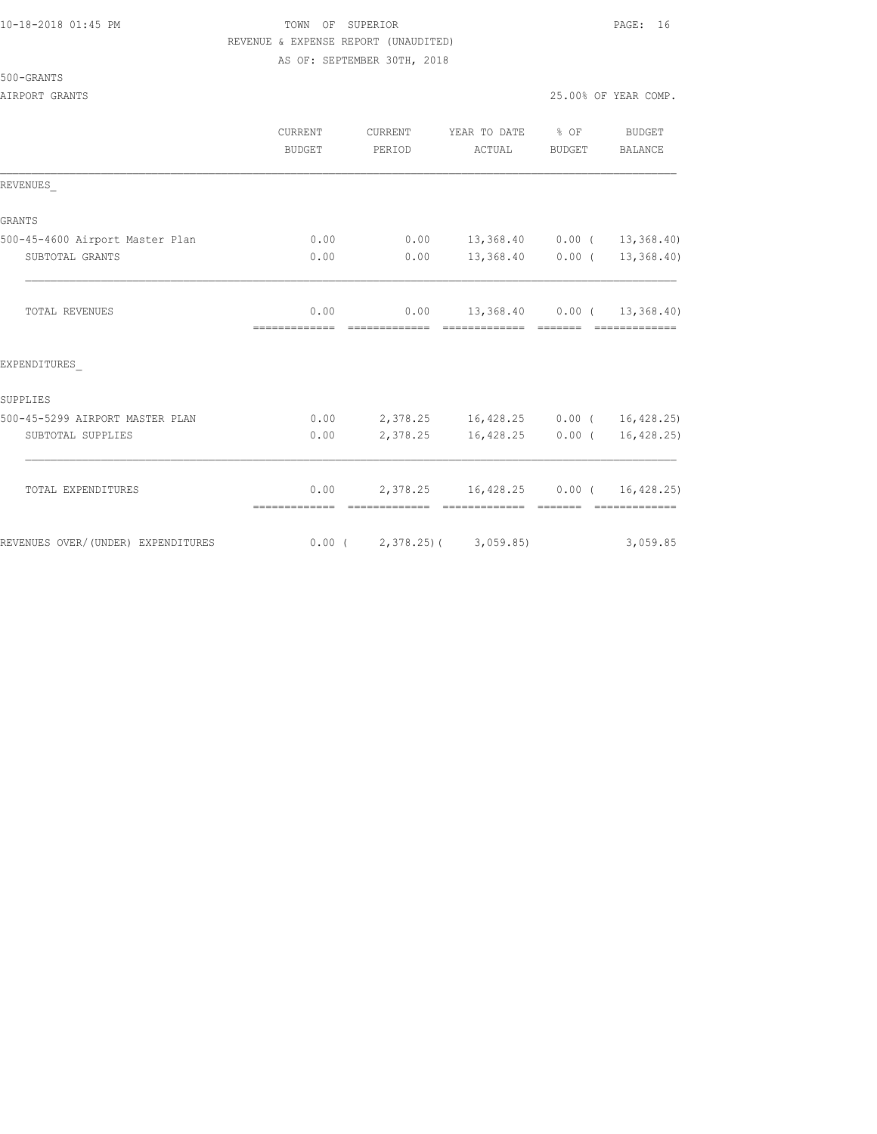# 10-18-2018 01:45 PM TOWN OF SUPERIOR PAGE: 16 REVENUE & EXPENSE REPORT (UNAUDITED)

AS OF: SEPTEMBER 30TH, 2018

| 500-GRANTS |  |
|------------|--|
|------------|--|

|                                    | <b>CURRENT</b><br>BUDGET | PERIOD        | CURRENT YEAR TO DATE % OF BUDGET<br>ACTUAL                   | BUDGET                                                                                                                                                                                                                                                                                                                                                                                                                                                                                                                                                                                        | BALANCE        |
|------------------------------------|--------------------------|---------------|--------------------------------------------------------------|-----------------------------------------------------------------------------------------------------------------------------------------------------------------------------------------------------------------------------------------------------------------------------------------------------------------------------------------------------------------------------------------------------------------------------------------------------------------------------------------------------------------------------------------------------------------------------------------------|----------------|
| REVENUES                           |                          |               |                                                              |                                                                                                                                                                                                                                                                                                                                                                                                                                                                                                                                                                                               |                |
| <b>GRANTS</b>                      |                          |               |                                                              |                                                                                                                                                                                                                                                                                                                                                                                                                                                                                                                                                                                               |                |
| 500-45-4600 Airport Master Plan    | 0.00                     |               | $0.00$ 13,368.40 0.00 ( 13,368.40)                           |                                                                                                                                                                                                                                                                                                                                                                                                                                                                                                                                                                                               |                |
| SUBTOTAL GRANTS                    | 0.00                     |               | $0.00$ 13,368.40 0.00 ( 13,368.40)                           |                                                                                                                                                                                                                                                                                                                                                                                                                                                                                                                                                                                               |                |
| TOTAL REVENUES                     | 0.00<br>-------------    |               | $0.00$ 13,368.40 0.00 ( 13,368.40)                           |                                                                                                                                                                                                                                                                                                                                                                                                                                                                                                                                                                                               |                |
| EXPENDITURES                       |                          |               |                                                              |                                                                                                                                                                                                                                                                                                                                                                                                                                                                                                                                                                                               |                |
| SUPPLIES                           |                          |               |                                                              |                                                                                                                                                                                                                                                                                                                                                                                                                                                                                                                                                                                               |                |
| 500-45-5299 AIRPORT MASTER PLAN    |                          |               | $0.00$ 2,378.25 16,428.25 0.00 ( 16,428.25)                  |                                                                                                                                                                                                                                                                                                                                                                                                                                                                                                                                                                                               |                |
| SUBTOTAL SUPPLIES                  | 0.00                     |               | 2,378.25 16,428.25 0.00 ( 16,428.25)                         |                                                                                                                                                                                                                                                                                                                                                                                                                                                                                                                                                                                               |                |
| TOTAL EXPENDITURES                 | -------------            | ============= | $0.00$ 2,378.25 16,428.25 0.00 ( 16,428.25)<br>------------- | $\qquad \qquad \overline{\qquad \qquad }=\overline{\qquad \qquad }=\overline{\qquad \qquad }=\overline{\qquad \qquad }=\overline{\qquad \qquad }=\overline{\qquad \qquad }=\overline{\qquad \qquad }=\overline{\qquad \qquad }=\overline{\qquad \qquad }=\overline{\qquad \qquad }=\overline{\qquad \qquad }=\overline{\qquad \qquad }=\overline{\qquad \qquad }=\overline{\qquad \qquad }=\overline{\qquad \qquad }=\overline{\qquad \qquad }=\overline{\qquad \qquad }=\overline{\qquad \qquad }=\overline{\qquad \qquad }=\overline{\qquad \qquad }=\overline{\qquad \qquad }=\overline{\$ | - cooccooccooc |
| REVENUES OVER/(UNDER) EXPENDITURES |                          |               | $0.00$ ( 2,378.25) ( 3,059.85)                               |                                                                                                                                                                                                                                                                                                                                                                                                                                                                                                                                                                                               | 3,059.85       |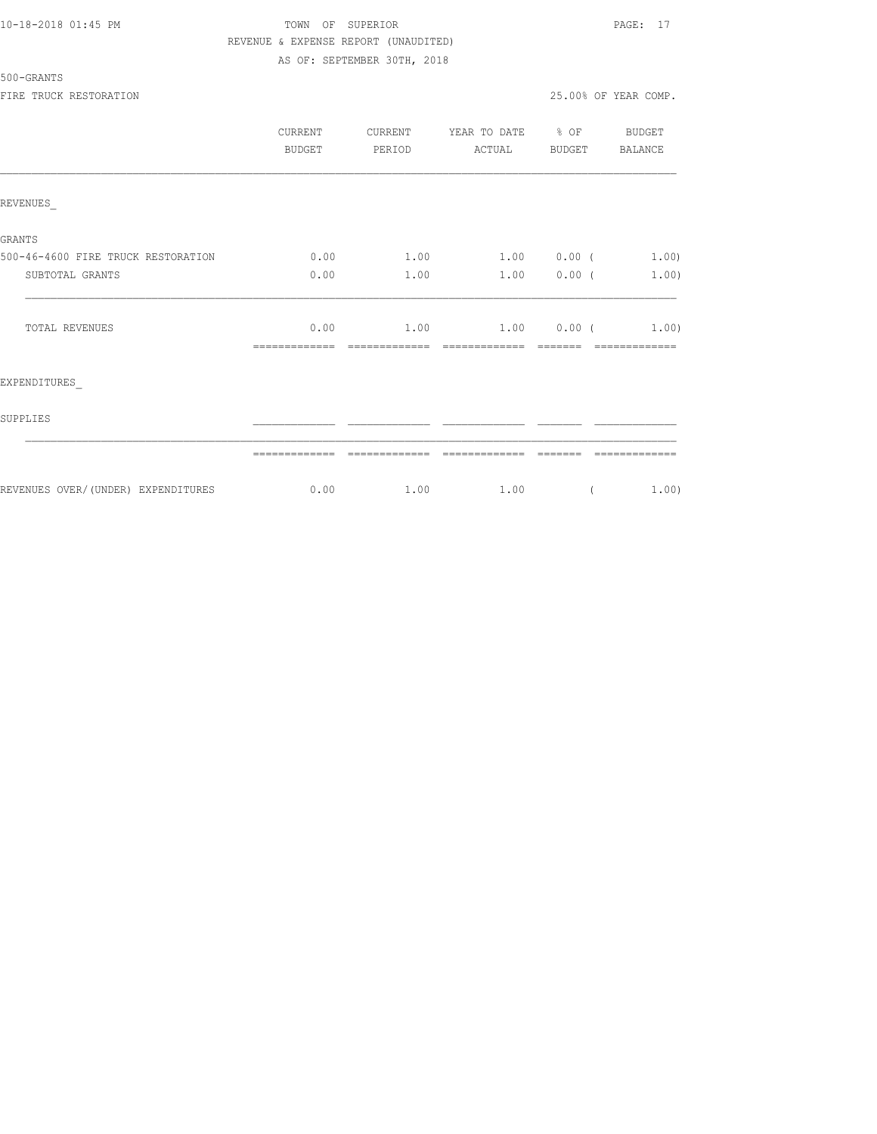### TOWN OF SUPERIOR **Example 2018** PAGE: 17 REVENUE & EXPENSE REPORT (UNAUDITED) AS OF: SEPTEMBER 30TH, 2018

500-GRANTS

FIRE TRUCK RESTORATION **EXECUTE:**  $25.00\%$  OF YEAR COMP.

|                                    | <b>CURRENT</b><br>BUDGET | <b>CURRENT</b><br>PERIOD | YEAR TO DATE % OF<br>ACTUAL | BUDGET        | BUDGET<br>BALANCE        |
|------------------------------------|--------------------------|--------------------------|-----------------------------|---------------|--------------------------|
| REVENUES                           |                          |                          |                             |               |                          |
| <b>GRANTS</b>                      |                          |                          |                             |               |                          |
| 500-46-4600 FIRE TRUCK RESTORATION | 0.00                     | 1.00                     |                             |               | $1.00$ $0.00$ ( $1.00$ ) |
| SUBTOTAL GRANTS                    | 0.00                     | 1.00                     |                             | $1.00$ 0.00 ( | 1.00)                    |
| <b>TOTAL REVENUES</b>              | 0.00                     | 1.00                     | 1.00 0.00                   |               | 1,00)                    |
| EXPENDITURES                       |                          |                          |                             |               |                          |
| SUPPLIES                           |                          |                          |                             |               |                          |
|                                    | -------------            |                          |                             |               |                          |
| REVENUES OVER/(UNDER) EXPENDITURES | 0.00                     |                          | $1.00$ $1.00$               |               | 1.00)                    |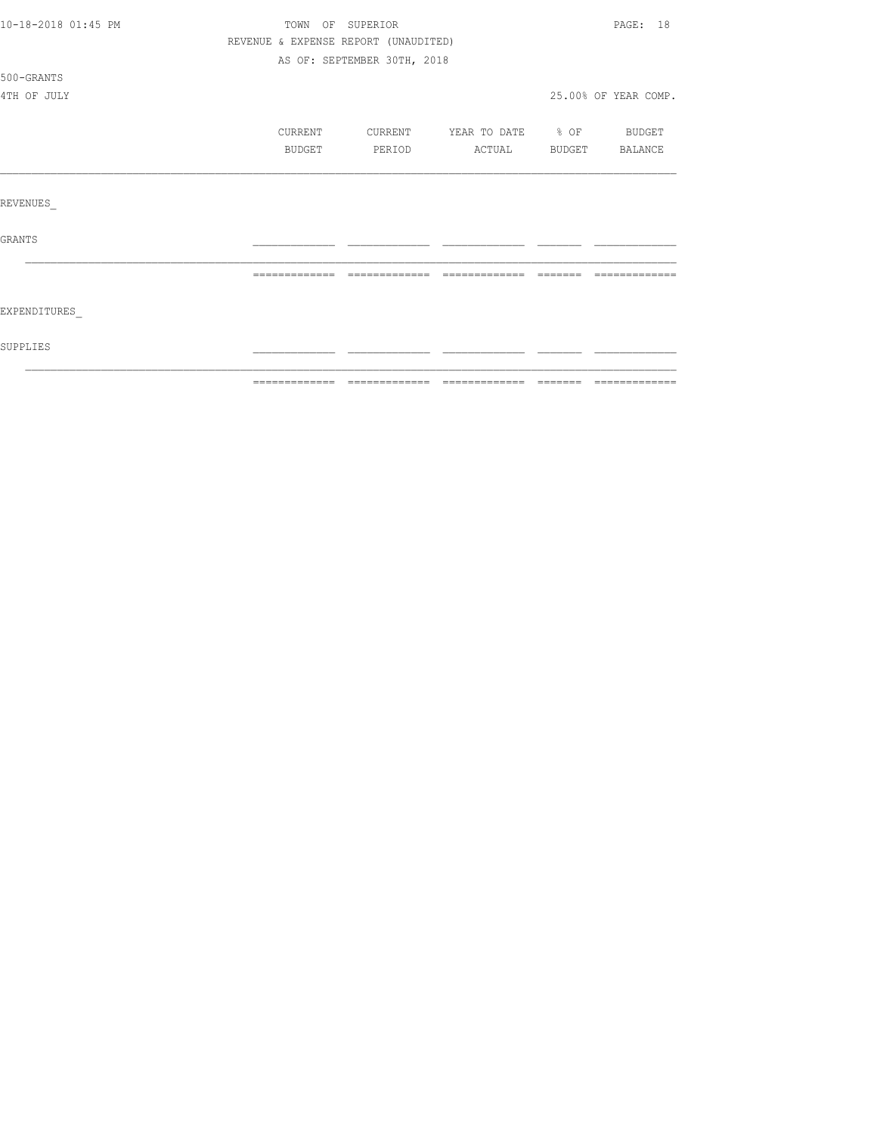| 10-18-2018 01:45 PM | TOWN OF SUPERIOR                     |                             |                          |          |               |  |  |  |
|---------------------|--------------------------------------|-----------------------------|--------------------------|----------|---------------|--|--|--|
|                     | REVENUE & EXPENSE REPORT (UNAUDITED) |                             |                          |          |               |  |  |  |
|                     |                                      | AS OF: SEPTEMBER 30TH, 2018 |                          |          |               |  |  |  |
| 500-GRANTS          |                                      |                             |                          |          |               |  |  |  |
| 4TH OF JULY         | 25.00% OF YEAR COMP.                 |                             |                          |          |               |  |  |  |
|                     |                                      |                             |                          |          |               |  |  |  |
|                     | CURRENT                              | CURRENT                     | YEAR TO DATE % OF BUDGET |          |               |  |  |  |
|                     | BUDGET                               | PERIOD                      | ACTUAL BUDGET BALANCE    |          |               |  |  |  |
|                     |                                      |                             |                          |          |               |  |  |  |
|                     |                                      |                             |                          |          |               |  |  |  |
| REVENUES            |                                      |                             |                          |          |               |  |  |  |
|                     |                                      |                             |                          |          |               |  |  |  |
| GRANTS              |                                      |                             |                          |          |               |  |  |  |
|                     |                                      |                             |                          |          |               |  |  |  |
|                     |                                      |                             |                          | -------- | ------------- |  |  |  |
|                     |                                      |                             |                          |          |               |  |  |  |
| EXPENDITURES        |                                      |                             |                          |          |               |  |  |  |
|                     |                                      |                             |                          |          |               |  |  |  |
| SUPPLIES            |                                      |                             |                          |          |               |  |  |  |
|                     |                                      |                             |                          |          |               |  |  |  |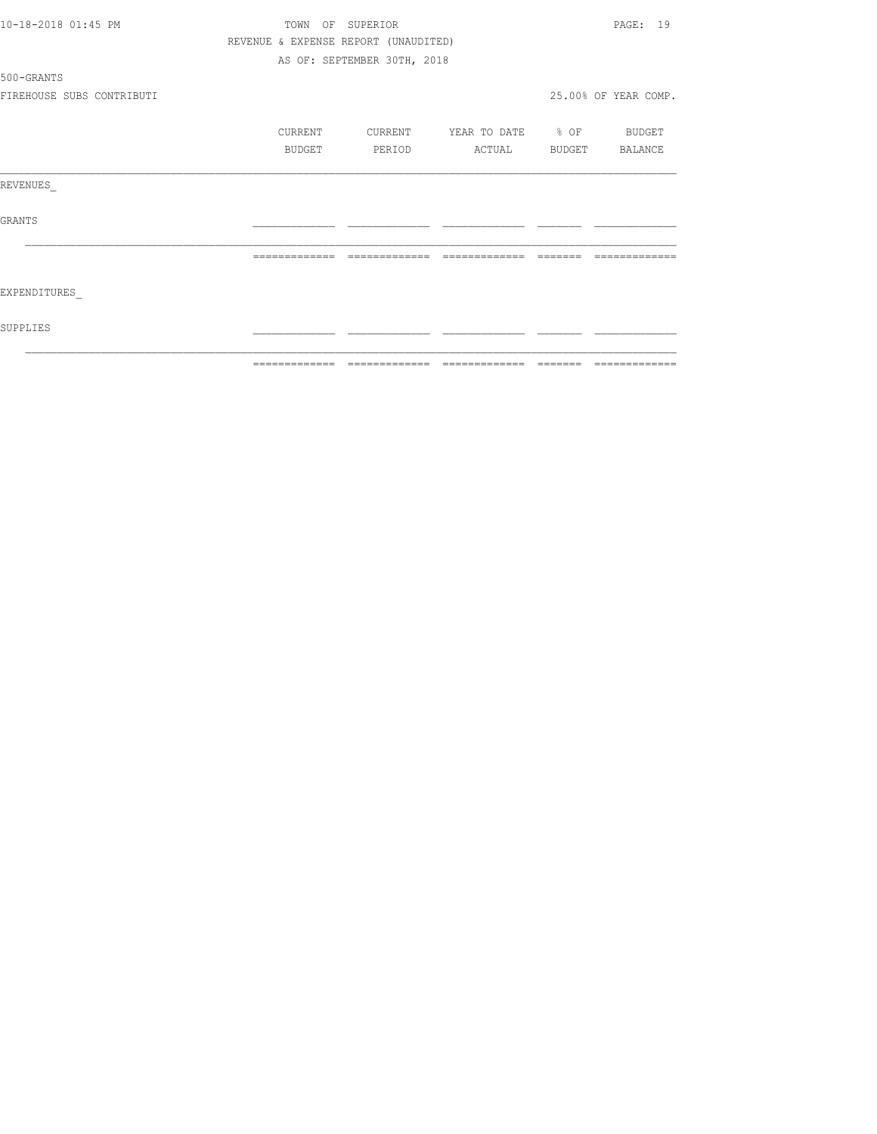| 10-18-2018 01:45 PM       |                | TOWN OF SUPERIOR                     |                          | PAGE: 19             |
|---------------------------|----------------|--------------------------------------|--------------------------|----------------------|
|                           |                | REVENUE & EXPENSE REPORT (UNAUDITED) |                          |                      |
|                           |                | AS OF: SEPTEMBER 30TH, 2018          |                          |                      |
| 500-GRANTS                |                |                                      |                          |                      |
| FIREHOUSE SUBS CONTRIBUTI |                |                                      |                          | 25.00% OF YEAR COMP. |
|                           | CURRENT        | CURRENT                              | YEAR TO DATE % OF BUDGET |                      |
|                           | BUDGET         | PERIOD                               | ACTUAL BUDGET BALANCE    |                      |
| REVENUES                  |                |                                      |                          |                      |
| GRANTS                    |                |                                      |                          |                      |
|                           |                |                                      |                          | --------------       |
| EXPENDITURES              |                |                                      |                          |                      |
| SUPPLIES                  |                |                                      |                          |                      |
|                           | -------------- |                                      |                          |                      |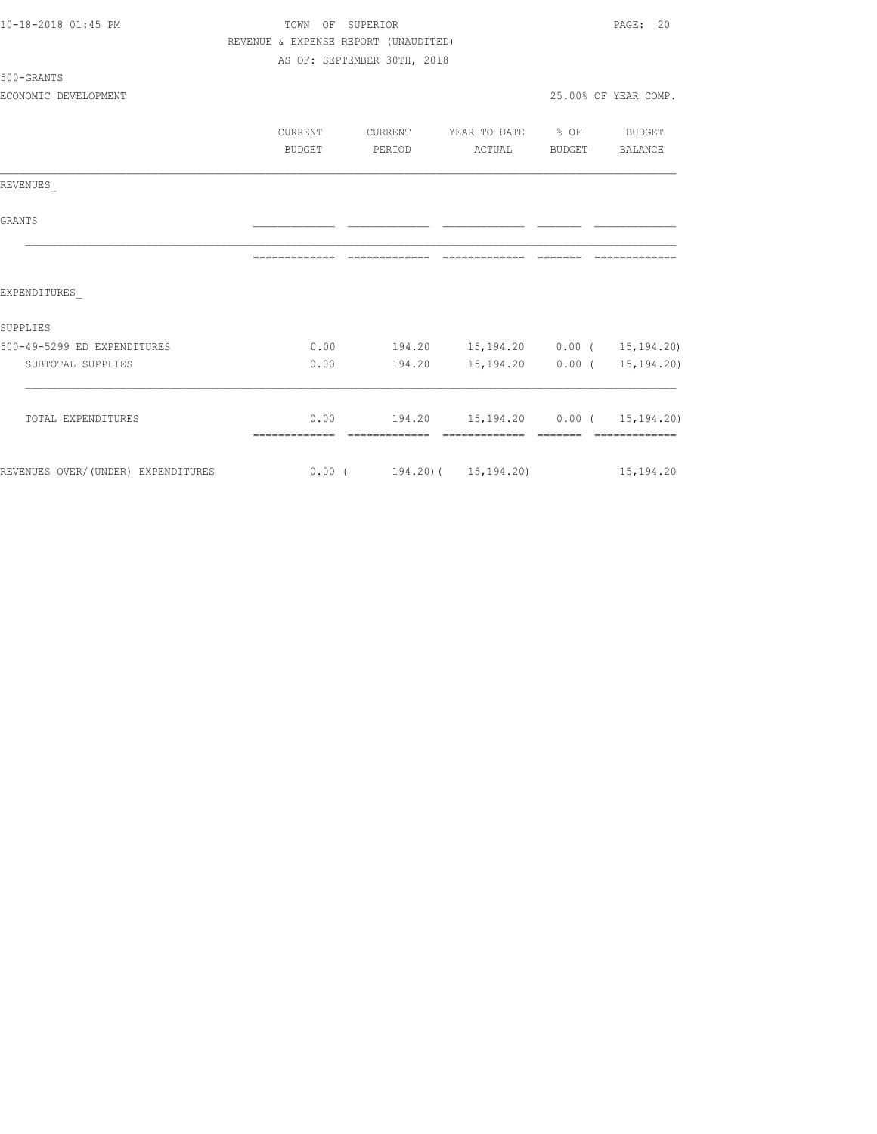| 10-18-2018 01:45 PM                | TOWN OF SUPERIOR                              |                                           |                                  |                | PAGE: 20             |
|------------------------------------|-----------------------------------------------|-------------------------------------------|----------------------------------|----------------|----------------------|
|                                    | REVENUE & EXPENSE REPORT (UNAUDITED)          |                                           |                                  |                |                      |
|                                    |                                               | AS OF: SEPTEMBER 30TH, 2018               |                                  |                |                      |
| 500-GRANTS                         |                                               |                                           |                                  |                |                      |
| ECONOMIC DEVELOPMENT               |                                               |                                           |                                  |                | 25.00% OF YEAR COMP. |
|                                    | CURRENT                                       | CURRENT                                   | YEAR TO DATE % OF BUDGET         |                |                      |
|                                    | BUDGET                                        | PERIOD                                    | ACTUAL                           | BUDGET BALANCE |                      |
| REVENUES                           |                                               |                                           |                                  |                |                      |
| GRANTS                             |                                               |                                           |                                  |                |                      |
|                                    |                                               |                                           |                                  |                |                      |
| EXPENDITURES                       |                                               |                                           |                                  |                |                      |
| SUPPLIES                           |                                               |                                           |                                  |                |                      |
| 500-49-5299 ED EXPENDITURES        | 0.00                                          | 194.20  15,194.20  0.00  ( 15,194.20)     |                                  |                |                      |
| SUBTOTAL SUPPLIES                  | 0.00                                          | 194.20                                    | 15, 194. 20  0.00 ( 15, 194. 20) |                |                      |
| TOTAL EXPENDITURES                 |                                               | $0.00$ 194.20 15,194.20 0.00 ( 15,194.20) |                                  |                |                      |
| REVENUES OVER/(UNDER) EXPENDITURES | $0.00$ ( $194.20$ ) ( $15,194.20$ $15,194.20$ |                                           |                                  |                |                      |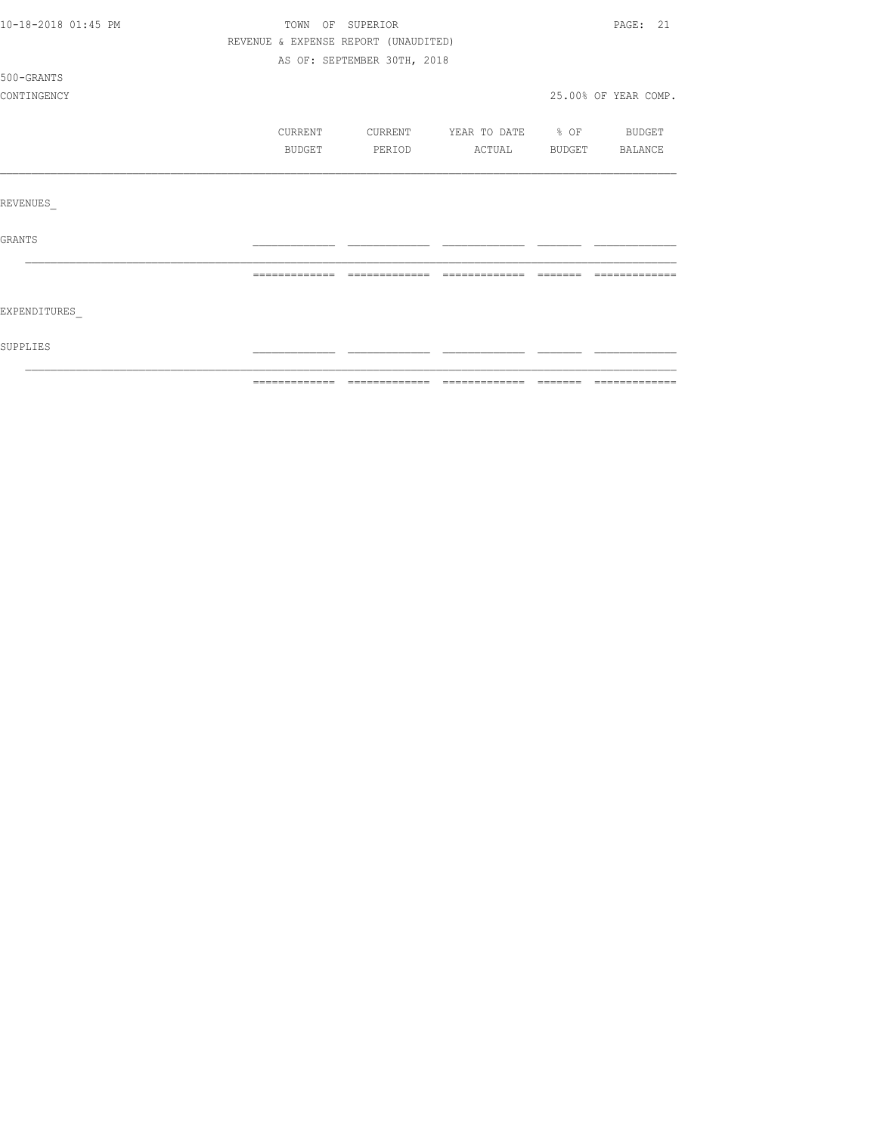| 10-18-2018 01:45 PM | TOWN OF SUPERIOR |                                      |                   |          | PAGE: 21             |
|---------------------|------------------|--------------------------------------|-------------------|----------|----------------------|
|                     |                  | REVENUE & EXPENSE REPORT (UNAUDITED) |                   |          |                      |
|                     |                  | AS OF: SEPTEMBER 30TH, 2018          |                   |          |                      |
| 500-GRANTS          |                  |                                      |                   |          |                      |
| CONTINGENCY         |                  |                                      |                   |          | 25.00% OF YEAR COMP. |
|                     | CURRENT          | CURRENT                              | YEAR TO DATE % OF |          | BUDGET               |
|                     | BUDGET           | PERIOD                               | ACTUAL            | BUDGET   | BALANCE              |
|                     |                  |                                      |                   |          |                      |
| REVENUES            |                  |                                      |                   |          |                      |
| GRANTS              |                  |                                      |                   |          |                      |
|                     | =============    | =============                        | =============     | -------- | -------------        |
|                     |                  |                                      |                   |          |                      |
| EXPENDITURES        |                  |                                      |                   |          |                      |
| SUPPLIES            |                  |                                      |                   |          |                      |
|                     |                  |                                      |                   |          |                      |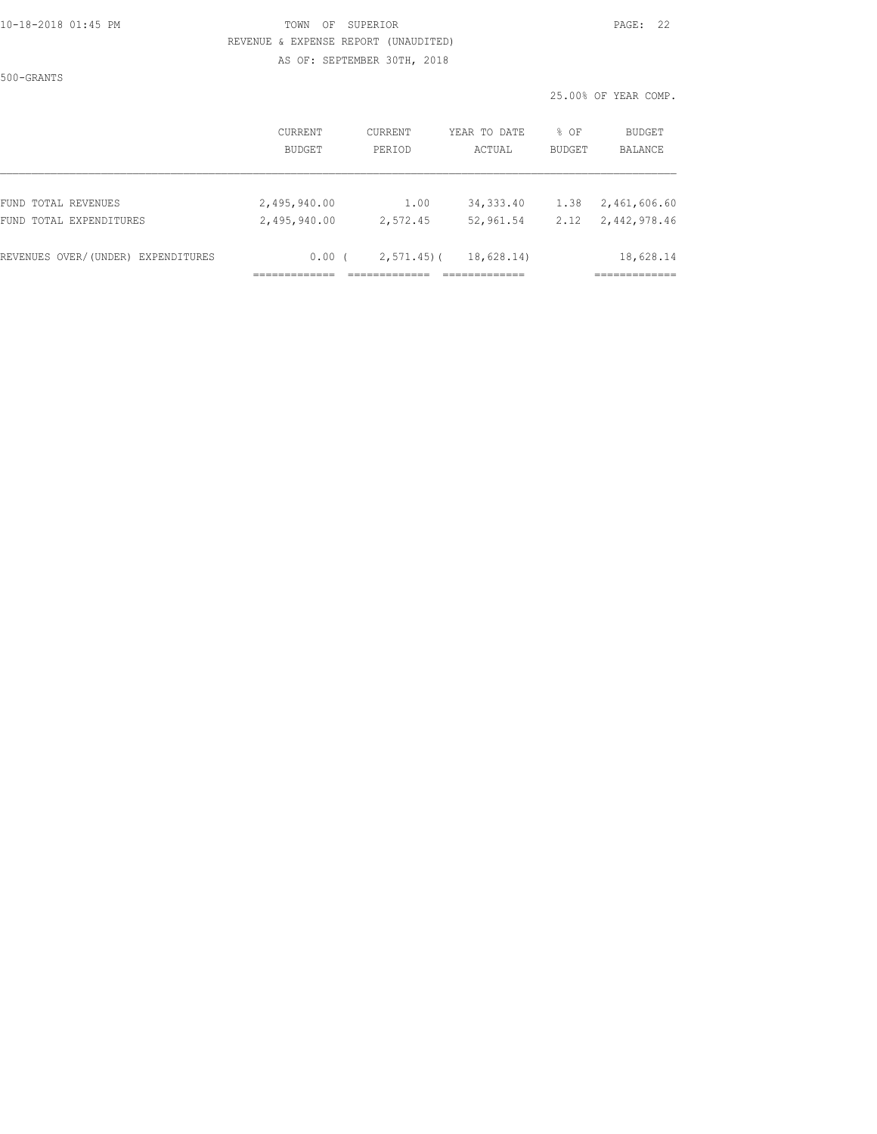### 10-18-2018 01:45 PM TOWN OF SUPERIOR PAGE: 22 REVENUE & EXPENSE REPORT (UNAUDITED)

AS OF: SEPTEMBER 30TH, 2018

500-GRANTS

25.00% OF YEAR COMP.

|                                    | CURRENT      | <b>CURRENT</b>   | YEAR TO DATE | % OF          | BUDGET       |
|------------------------------------|--------------|------------------|--------------|---------------|--------------|
|                                    | BUDGET       | PERIOD           | ACTUAL       | <b>BUDGET</b> | BALANCE      |
| FUND TOTAL REVENUES                | 2,495,940.00 | 1.00             | 34, 333, 40  | 1.38          | 2,461,606.60 |
| FUND TOTAL EXPENDITURES            | 2,495,940.00 | 2,572.45         | 52,961.54    | 2.12          | 2,442,978.46 |
| REVENUES OVER/(UNDER) EXPENDITURES | 0.00(        | $2, 571, 45$ ) ( | 18,628.14)   |               | 18,628.14    |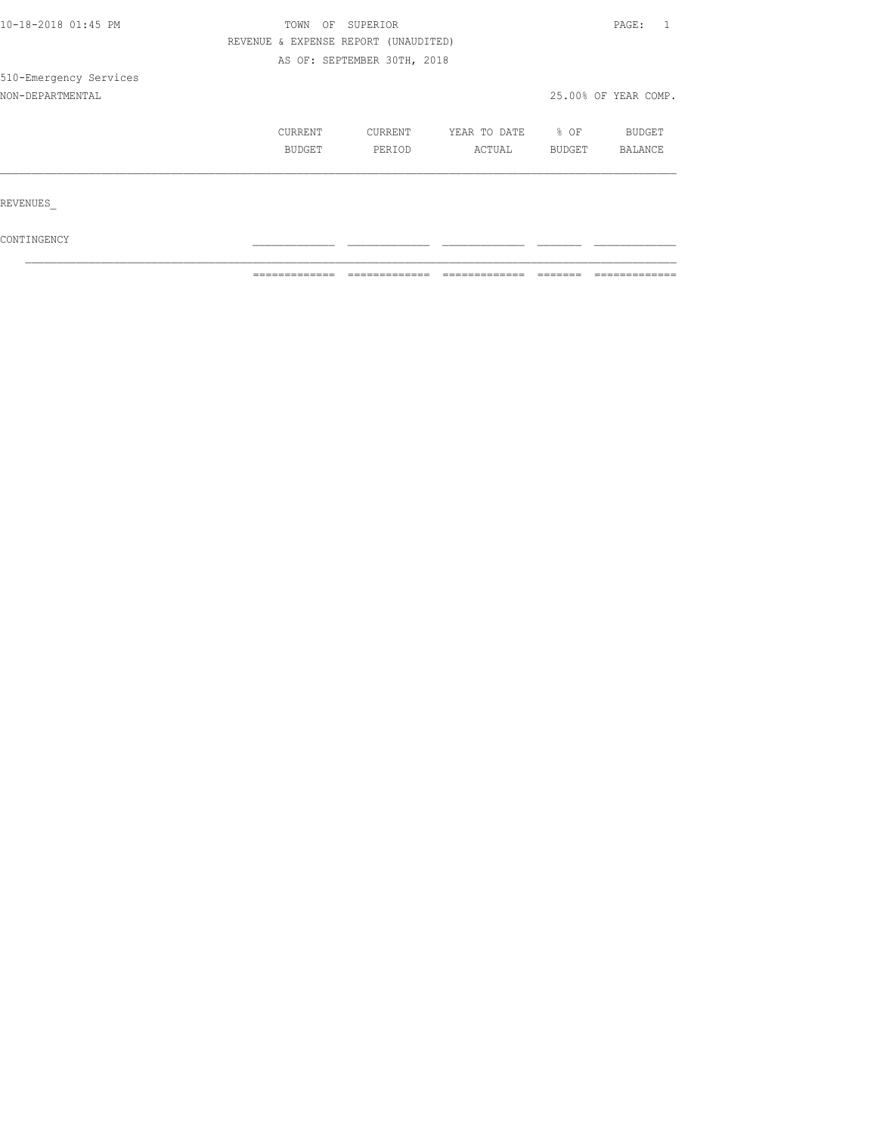| 10-18-2018 01:45 PM    | TOWN<br>OF        | SUPERIOR                             |                        | PAGE:<br>25.00% OF YEAR COMP.<br>$8$ OF<br>BUDGET |                          |  |
|------------------------|-------------------|--------------------------------------|------------------------|---------------------------------------------------|--------------------------|--|
|                        |                   | REVENUE & EXPENSE REPORT (UNAUDITED) |                        |                                                   |                          |  |
|                        |                   | AS OF: SEPTEMBER 30TH, 2018          |                        |                                                   |                          |  |
| 510-Emergency Services |                   |                                      |                        |                                                   |                          |  |
| NON-DEPARTMENTAL       |                   |                                      |                        |                                                   |                          |  |
|                        | CURRENT<br>BUDGET | CURRENT<br>PERIOD                    | YEAR TO DATE<br>ACTUAL |                                                   | <b>BUDGET</b><br>BALANCE |  |
| REVENUES               |                   |                                      |                        |                                                   |                          |  |
| CONTINGENCY            |                   |                                      |                        |                                                   |                          |  |

 $\mathcal{L}_\text{max}$ ============= ============= ============= ======= =============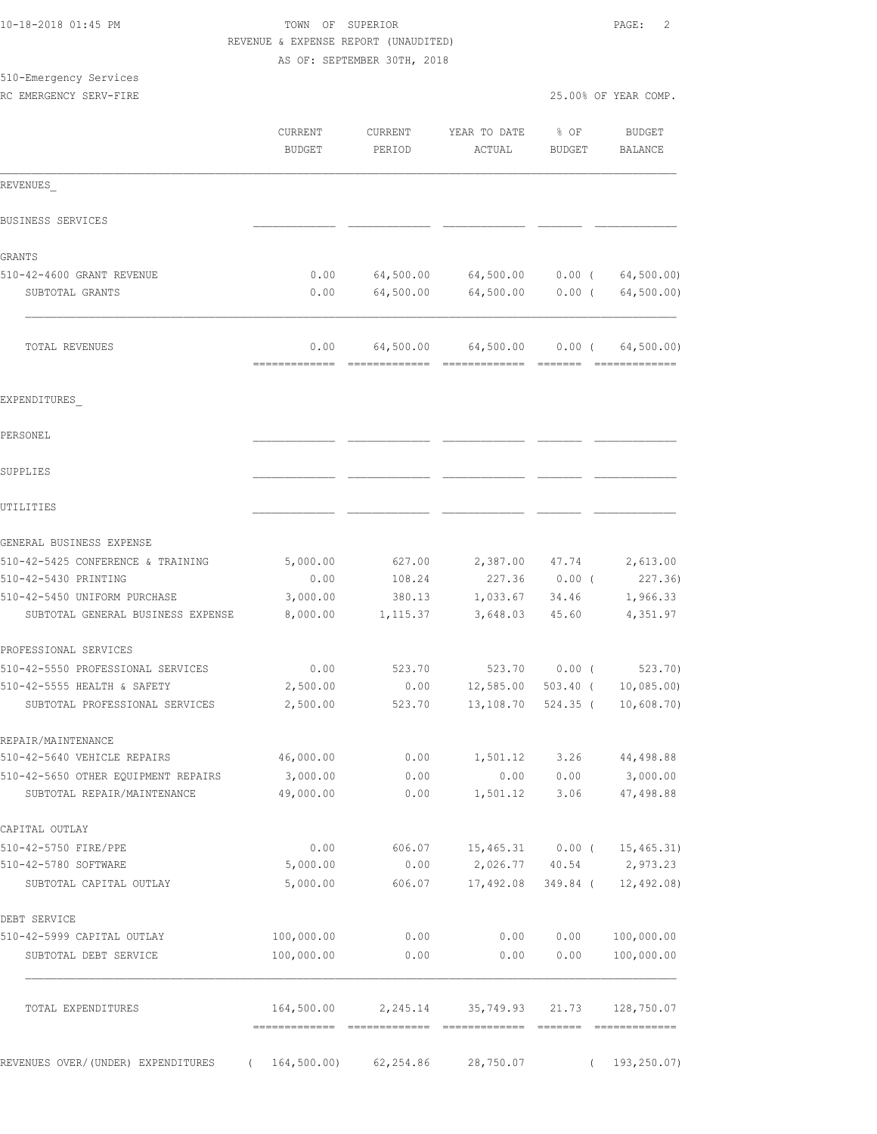# TOWN OF SUPERIOR **PAGE:** 2 REVENUE & EXPENSE REPORT (UNAUDITED)

AS OF: SEPTEMBER 30TH, 2018

| 510-Emergency Services |  |
|------------------------|--|
|                        |  |

| RC EMERGENCY SERV-FIRE                                             |                                 |                   |                        | 25.00% OF YEAR COMP. |                                 |
|--------------------------------------------------------------------|---------------------------------|-------------------|------------------------|----------------------|---------------------------------|
|                                                                    | <b>CURRENT</b><br><b>BUDGET</b> | CURRENT<br>PERIOD | YEAR TO DATE<br>ACTUAL | % OF<br>BUDGET       | <b>BUDGET</b><br><b>BALANCE</b> |
| REVENUES                                                           |                                 |                   |                        |                      |                                 |
| BUSINESS SERVICES                                                  |                                 |                   |                        |                      |                                 |
| GRANTS                                                             |                                 |                   |                        |                      |                                 |
| 510-42-4600 GRANT REVENUE                                          | 0.00                            | 64,500.00         | 64,500.00              | $0.00$ (             | 64, 500.00)                     |
| SUBTOTAL GRANTS                                                    | 0.00                            | 64,500.00         | 64,500.00              | $0.00$ (             | 64, 500.00)                     |
| TOTAL REVENUES                                                     | 0.00                            | 64,500.00         | 64,500.00              | $0.00$ (             | 64,500.00)                      |
| EXPENDITURES                                                       |                                 |                   |                        |                      |                                 |
| PERSONEL                                                           |                                 |                   |                        |                      |                                 |
| SUPPLIES                                                           |                                 |                   |                        |                      |                                 |
| UTILITIES                                                          |                                 |                   |                        |                      |                                 |
| GENERAL BUSINESS EXPENSE                                           |                                 |                   |                        |                      |                                 |
| 510-42-5425 CONFERENCE & TRAINING                                  | 5,000.00                        | 627.00            | 2,387.00 47.74         |                      | 2,613.00                        |
| 510-42-5430 PRINTING                                               | 0.00                            | 108.24            |                        | 227.36 0.00 (        | 227.36)                         |
| 510-42-5450 UNIFORM PURCHASE                                       | 3,000.00                        | 380.13            | 1,033.67               | 34.46                | 1,966.33                        |
| SUBTOTAL GENERAL BUSINESS EXPENSE                                  | 8,000.00                        | 1,115.37          | 3,648.03               | 45.60                | 4,351.97                        |
| PROFESSIONAL SERVICES                                              |                                 |                   |                        |                      |                                 |
| 510-42-5550 PROFESSIONAL SERVICES                                  | 0.00                            | 523.70            | 523.70                 | $0.00$ (             | 523.70)                         |
| 510-42-5555 HEALTH & SAFETY                                        | 2,500.00                        | 0.00              | 12,585.00              | 503.40 (             | 10,085.00                       |
| SUBTOTAL PROFESSIONAL SERVICES                                     | 2,500.00                        | 523.70            | 13,108.70              | $524.35$ (           | 10,608.70)                      |
| REPAIR/MAINTENANCE                                                 |                                 |                   |                        |                      |                                 |
| 510-42-5640 VEHICLE REPAIRS                                        | 46,000.00                       | 0.00              | 1,501.12               | 3.26                 | 44,498.88                       |
| 510-42-5650 OTHER EQUIPMENT REPAIRS<br>SUBTOTAL REPAIR/MAINTENANCE | 3,000.00<br>49,000.00           | 0.00<br>0.00      | 0.00<br>1,501.12       | 0.00<br>3.06         | 3,000.00<br>47,498.88           |
| CAPITAL OUTLAY                                                     |                                 |                   |                        |                      |                                 |
| 510-42-5750 FIRE/PPE                                               | 0.00                            | 606.07            | 15,465.31              | $0.00$ (             | 15, 465.31)                     |
| 510-42-5780 SOFTWARE                                               | 5,000.00                        | 0.00              | 2,026.77               | 40.54                | 2,973.23                        |
| SUBTOTAL CAPITAL OUTLAY                                            | 5,000.00                        | 606.07            | 17,492.08              | 349.84 (             | 12,492.08                       |
| DEBT SERVICE                                                       |                                 |                   |                        |                      |                                 |
| 510-42-5999 CAPITAL OUTLAY                                         | 100,000.00                      | 0.00              | 0.00                   | 0.00                 | 100,000.00                      |
| SUBTOTAL DEBT SERVICE                                              | 100,000.00                      | 0.00              | 0.00                   | 0.00                 | 100,000.00                      |
| TOTAL EXPENDITURES                                                 | 164,500.00                      | 2,245.14          | 35,749.93              | 21.73                | 128,750.07                      |
|                                                                    |                                 |                   |                        |                      |                                 |

REVENUES OVER/(UNDER) EXPENDITURES ( 164,500.00) 62,254.86 28,750.07 ( 193,250.07)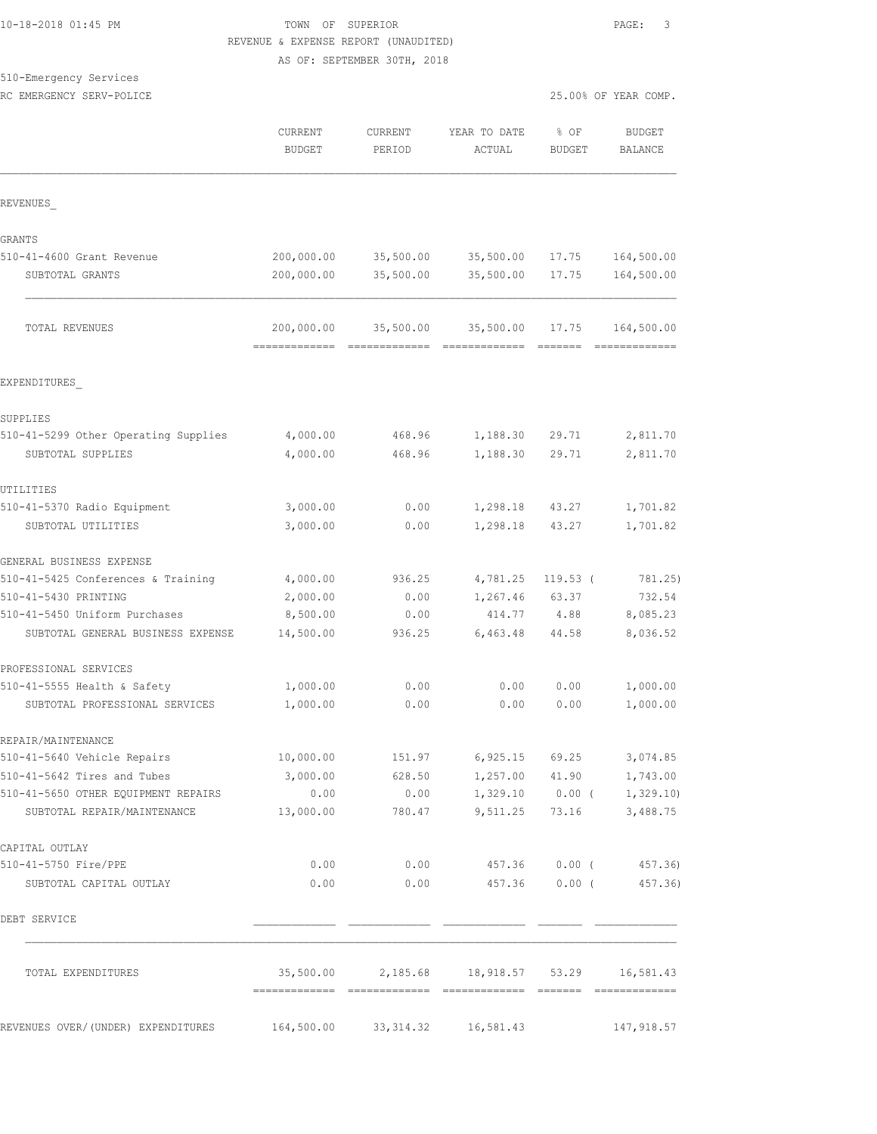## 10-18-2018 01:45 PM TOWN OF SUPERIOR PAGE: 3 REVENUE & EXPENSE REPORT (UNAUDITED)

AS OF: SEPTEMBER 30TH, 2018

#### 510-Emergency Services

| RC EMERGENCY SERV-POLICE                                           |                      |                   |                                    | 25.00% OF YEAR COMP. |                            |
|--------------------------------------------------------------------|----------------------|-------------------|------------------------------------|----------------------|----------------------------|
|                                                                    | CURRENT<br>BUDGET    | CURRENT<br>PERIOD | YEAR TO DATE<br>ACTUAL             | % OF<br>BUDGET       | <b>BUDGET</b><br>BALANCE   |
| REVENUES                                                           |                      |                   |                                    |                      |                            |
| GRANTS                                                             |                      |                   |                                    |                      |                            |
| 510-41-4600 Grant Revenue                                          | 200,000.00           | 35,500.00         | 35,500.00                          | 17.75                | 164,500.00                 |
| SUBTOTAL GRANTS                                                    | 200,000.00           | 35,500.00         | 35,500.00                          | 17.75                | 164,500.00                 |
| TOTAL REVENUES                                                     | 200,000.00           | 35,500.00         | 35,500.00                          | 17.75                | 164,500.00                 |
| EXPENDITURES                                                       |                      |                   |                                    |                      |                            |
| SUPPLIES                                                           |                      |                   |                                    |                      |                            |
| 510-41-5299 Other Operating Supplies                               | 4,000.00             | 468.96            | 1,188.30                           | 29.71                | 2,811.70                   |
| SUBTOTAL SUPPLIES                                                  | 4,000.00             | 468.96            | 1,188.30                           | 29.71                | 2,811.70                   |
| UTILITIES                                                          |                      |                   |                                    |                      |                            |
| 510-41-5370 Radio Equipment                                        | 3,000.00             | 0.00              | 1,298.18                           | 43.27                | 1,701.82                   |
| SUBTOTAL UTILITIES                                                 | 3,000.00             | 0.00              | 1,298.18                           | 43.27                | 1,701.82                   |
| GENERAL BUSINESS EXPENSE                                           |                      |                   |                                    |                      |                            |
| 510-41-5425 Conferences & Training                                 | 4,000.00             | 936.25            | 4,781.25                           | $119.53$ (           | 781.25)                    |
| 510-41-5430 PRINTING                                               | 2,000.00             | 0.00              | 1,267.46                           | 63.37                | 732.54                     |
| 510-41-5450 Uniform Purchases                                      | 8,500.00             | 0.00              | 414.77                             | 4.88                 | 8,085.23                   |
| SUBTOTAL GENERAL BUSINESS EXPENSE                                  | 14,500.00            | 936.25            | 6,463.48                           | 44.58                | 8,036.52                   |
| PROFESSIONAL SERVICES                                              |                      |                   |                                    |                      |                            |
| 510-41-5555 Health & Safety                                        | 1,000.00             | 0.00              | 0.00                               | 0.00                 | 1,000.00                   |
| SUBTOTAL PROFESSIONAL SERVICES                                     | 1,000.00             | 0.00              | 0.00                               | 0.00                 | 1,000.00                   |
| REPAIR/MAINTENANCE                                                 |                      |                   |                                    |                      |                            |
| 510-41-5640 Vehicle Repairs                                        | 10,000.00            | 151.97            | 6,925.15                           | 69.25                | 3,074.85                   |
| 510-41-5642 Tires and Tubes                                        | 3,000.00             | 628.50            | 1,257.00                           | 41.90                | 1,743.00                   |
| 510-41-5650 OTHER EQUIPMENT REPAIRS<br>SUBTOTAL REPAIR/MAINTENANCE | 0.00<br>13,000.00    | 0.00<br>780.47    | 1,329.10 0.00 (<br>9,511.25        |                      | 1,329.10<br>73.16 3,488.75 |
|                                                                    |                      |                   |                                    |                      |                            |
| CAPITAL OUTLAY<br>510-41-5750 Fire/PPE                             | 0.00                 | 0.00              |                                    | 457.36 0.00 (        | 457.36)                    |
| SUBTOTAL CAPITAL OUTLAY                                            | 0.00                 |                   | $0.00$ 457.36 0.00 (               |                      | 457.36)                    |
| DEBT SERVICE                                                       |                      |                   |                                    |                      |                            |
| TOTAL EXPENDITURES                                                 |                      |                   | 35,500.00 2,185.68 18,918.57 53.29 |                      | 16,581.43                  |
| REVENUES OVER/(UNDER) EXPENDITURES                                 | 164,500.00 33,314.32 |                   | 16,581.43                          |                      | 147,918.57                 |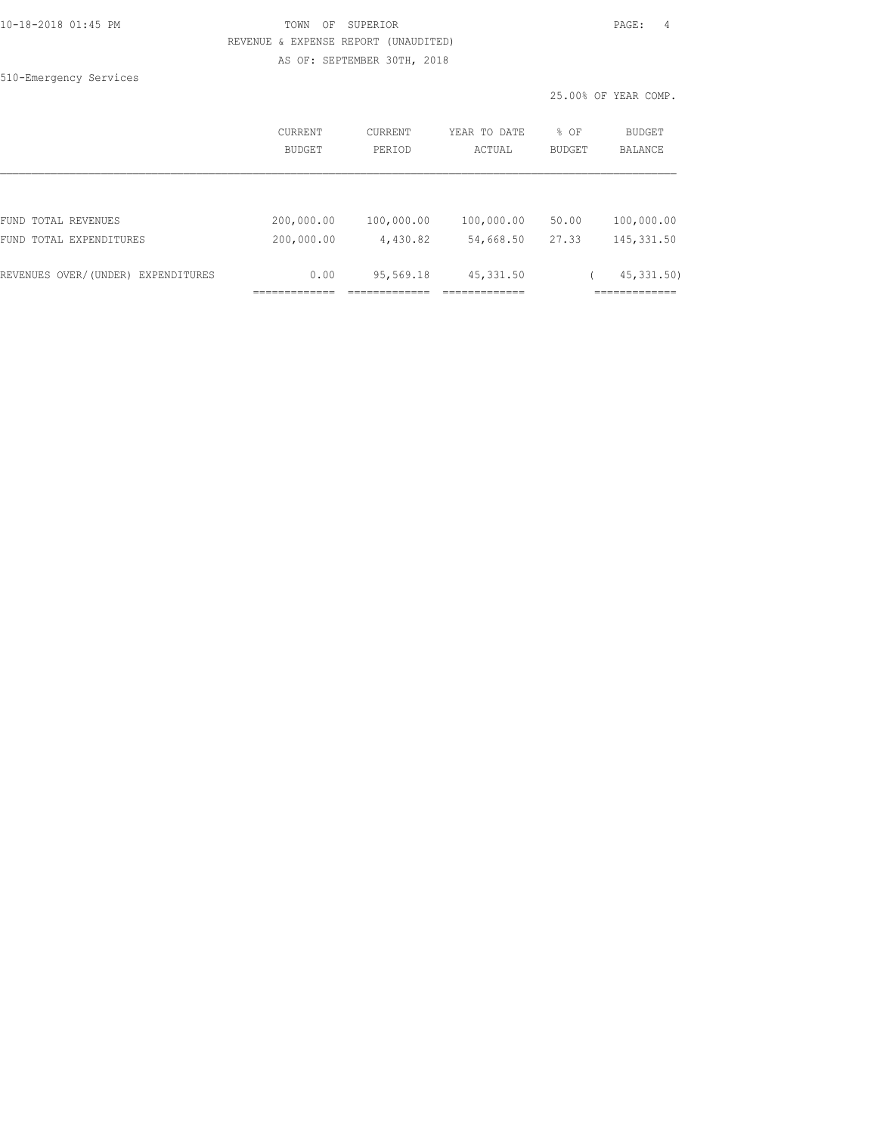#### 10-18-2018 01:45 PM TOWN OF SUPERIOR PAGE: 4 REVENUE & EXPENSE REPORT (UNAUDITED) AS OF: SEPTEMBER 30TH, 2018

510-Emergency Services

25.00% OF YEAR COMP.

|                                    | <b>CURRENT</b><br><b>BUDGET</b> | <b>CURRENT</b><br>PERIOD | YEAR TO DATE<br>ACTUAL | % OF<br><b>BUDGET</b> | <b>BUDGET</b><br><b>BALANCE</b> |
|------------------------------------|---------------------------------|--------------------------|------------------------|-----------------------|---------------------------------|
|                                    |                                 |                          |                        |                       |                                 |
| FUND TOTAL REVENUES                | 200,000.00                      | 100,000.00               | 100,000.00             | 50.00                 | 100,000.00                      |
| FUND TOTAL EXPENDITURES            | 200,000.00                      | 4,430.82                 | 54,668.50              | 27.33                 | 145, 331.50                     |
| REVENUES OVER/(UNDER) EXPENDITURES | 0.00                            | 95,569.18                | 45, 331.50             |                       | 45, 331.50)                     |
|                                    |                                 |                          |                        |                       |                                 |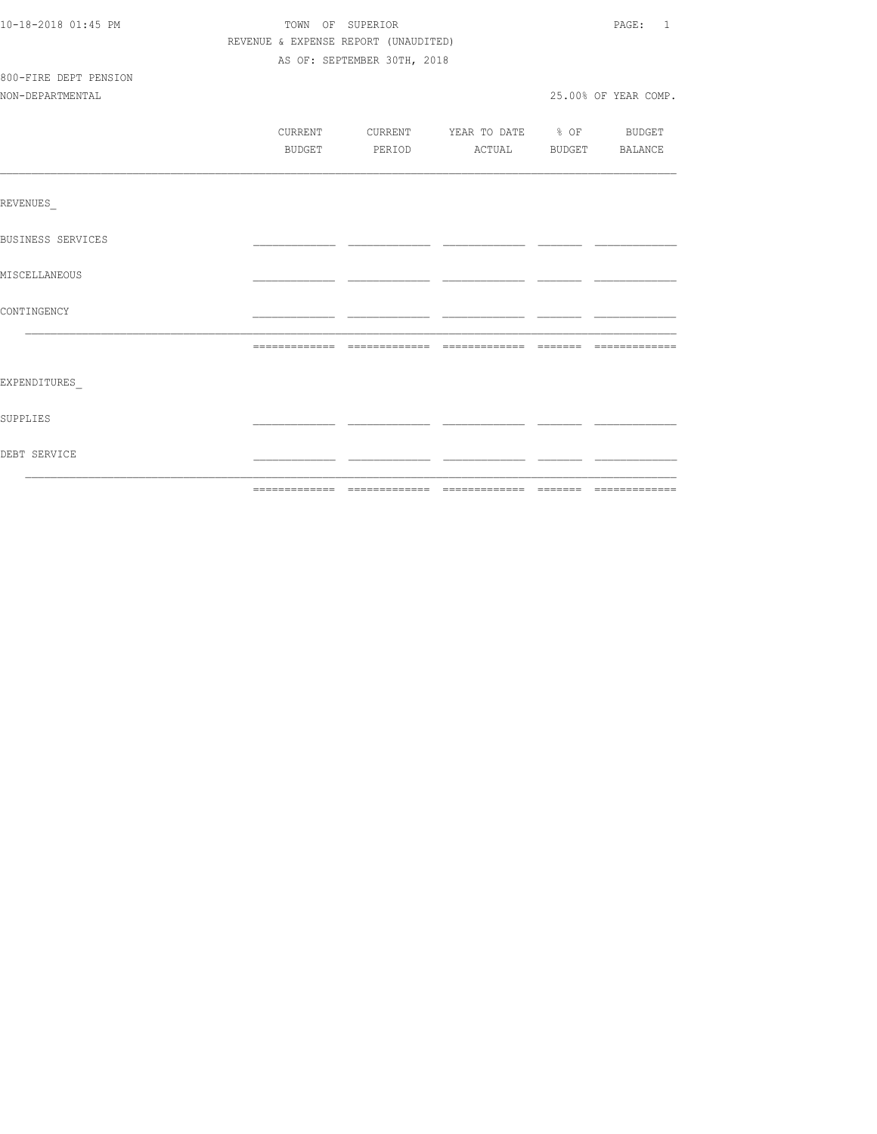| DEBT SERVICE          |                                      |                                                                          |  |                      |
|-----------------------|--------------------------------------|--------------------------------------------------------------------------|--|----------------------|
| SUPPLIES              |                                      |                                                                          |  |                      |
| EXPENDITURES          |                                      |                                                                          |  |                      |
|                       |                                      |                                                                          |  |                      |
| CONTINGENCY           |                                      |                                                                          |  |                      |
| MISCELLANEOUS         |                                      |                                                                          |  |                      |
| BUSINESS SERVICES     |                                      |                                                                          |  |                      |
| REVENUES              |                                      |                                                                          |  |                      |
|                       |                                      |                                                                          |  |                      |
|                       | BUDGET                               | CURRENT CURRENT YEAR TO DATE % OF BUDGET<br>PERIOD ACTUAL BUDGET BALANCE |  |                      |
| NON-DEPARTMENTAL      |                                      |                                                                          |  | 25.00% OF YEAR COMP. |
| 800-FIRE DEPT PENSION |                                      | AS OF: SEPTEMBER 30TH, 2018                                              |  |                      |
|                       | REVENUE & EXPENSE REPORT (UNAUDITED) |                                                                          |  |                      |
| 10-18-2018 01:45 PM   |                                      | TOWN OF SUPERIOR                                                         |  | PAGE: 1              |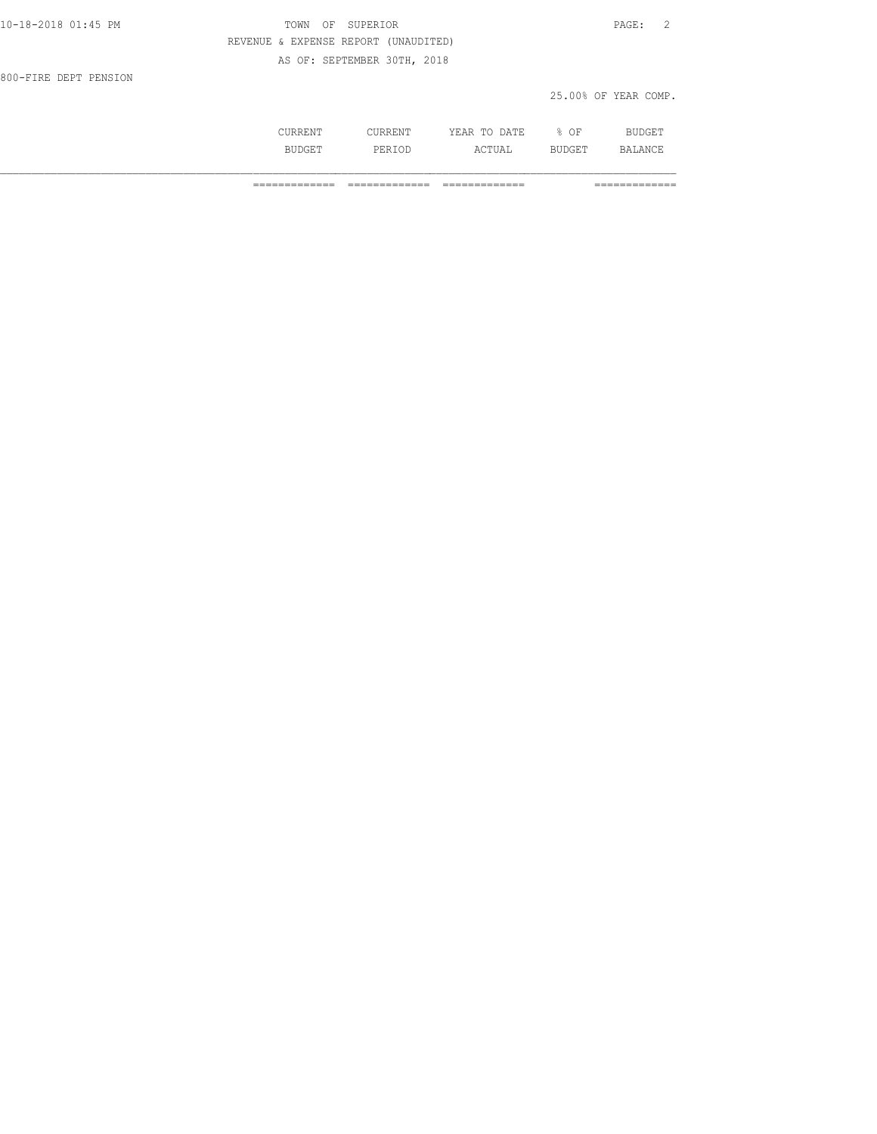| 10-18-2018 01:45 PM   | TOWN OF SUPERIOR                     | PAGE:                | $\overline{2}$ |
|-----------------------|--------------------------------------|----------------------|----------------|
|                       | REVENUE & EXPENSE REPORT (UNAUDITED) |                      |                |
|                       | AS OF: SEPTEMBER 30TH, 2018          |                      |                |
| 800-FIRE DEPT PENSION |                                      |                      |                |
|                       |                                      | 25.00% OF YEAR COMP. |                |
|                       |                                      |                      |                |

 CURRENT CURRENT YEAR TO DATE % OF BUDGET BUDGET PERIOD ACTUAL BUDGET BALANCE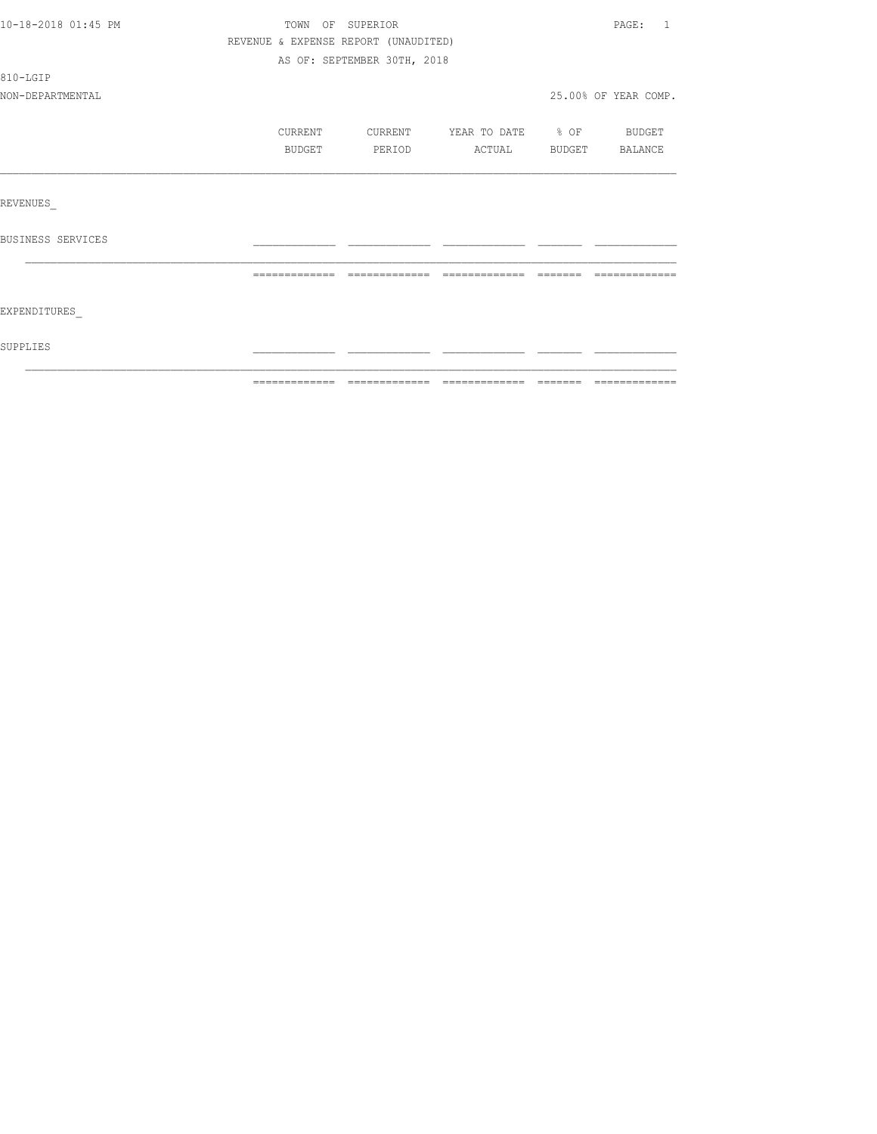| 10-18-2018 01:45 PM | TOWN OF SUPERIOR                     |                             |                          |                | PAGE:<br>-1          |
|---------------------|--------------------------------------|-----------------------------|--------------------------|----------------|----------------------|
|                     | REVENUE & EXPENSE REPORT (UNAUDITED) |                             |                          |                |                      |
|                     |                                      | AS OF: SEPTEMBER 30TH, 2018 |                          |                |                      |
| 810-LGIP            |                                      |                             |                          |                |                      |
| NON-DEPARTMENTAL    |                                      |                             |                          |                | 25.00% OF YEAR COMP. |
|                     | CURRENT                              | CURRENT                     | YEAR TO DATE % OF BUDGET |                |                      |
|                     | BUDGET                               | PERIOD                      | ACTUAL                   | BUDGET BALANCE |                      |
|                     |                                      |                             |                          |                |                      |
| REVENUES            |                                      |                             |                          |                |                      |
| BUSINESS SERVICES   |                                      |                             |                          |                |                      |
|                     | -------------                        | -------------               | =============            |                |                      |
| EXPENDITURES        |                                      |                             |                          |                |                      |
| SUPPLIES            |                                      |                             |                          |                |                      |
|                     |                                      |                             |                          |                |                      |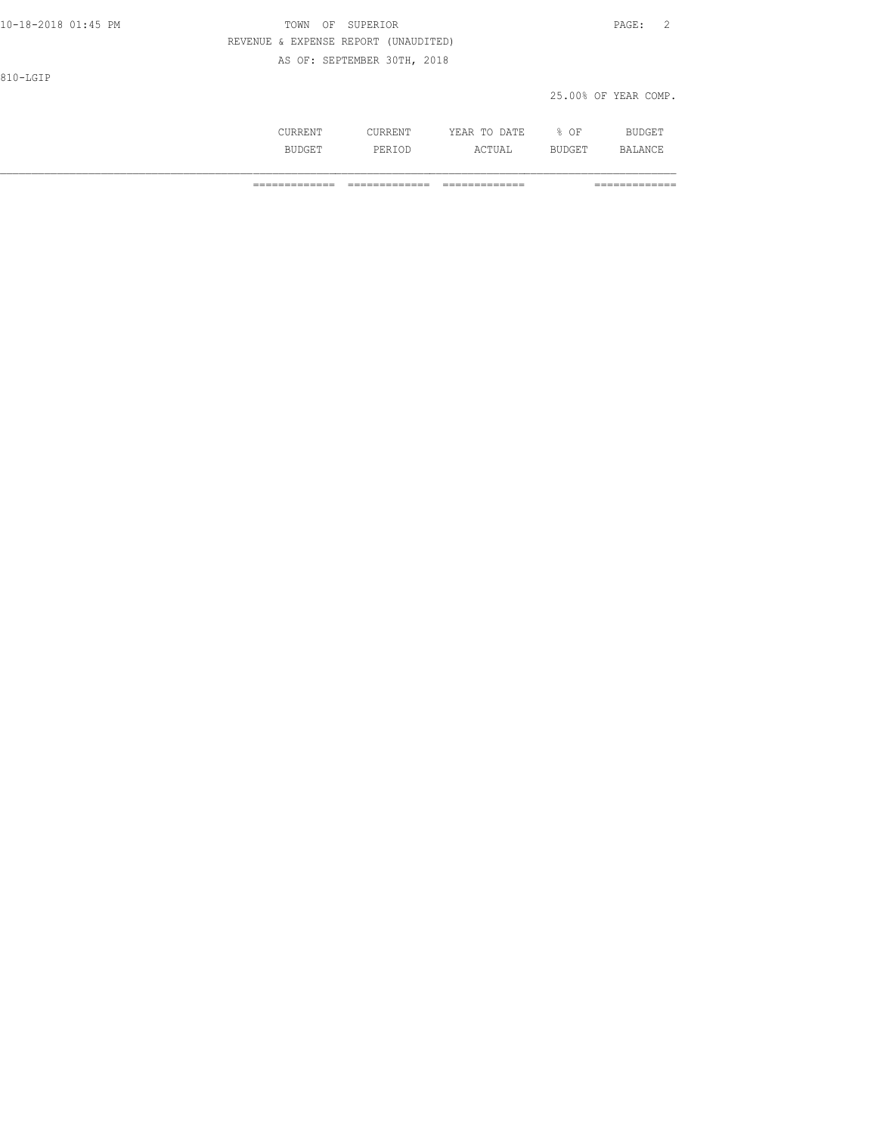| 10-18-2018 01:45 PM | TOWN<br>SUPERIOR<br>OF               | PAGE:<br>- 2         |
|---------------------|--------------------------------------|----------------------|
|                     | REVENUE & EXPENSE REPORT (UNAUDITED) |                      |
|                     | AS OF: SEPTEMBER 30TH, 2018          |                      |
| 810-LGIP            |                                      |                      |
|                     |                                      | 25.00% OF YEAR COMP. |
|                     |                                      |                      |

CURRENT CURRENT YEAR TO DATE % OF BUDGET

BUDGET PERIOD ACTUAL BUDGET BALANCE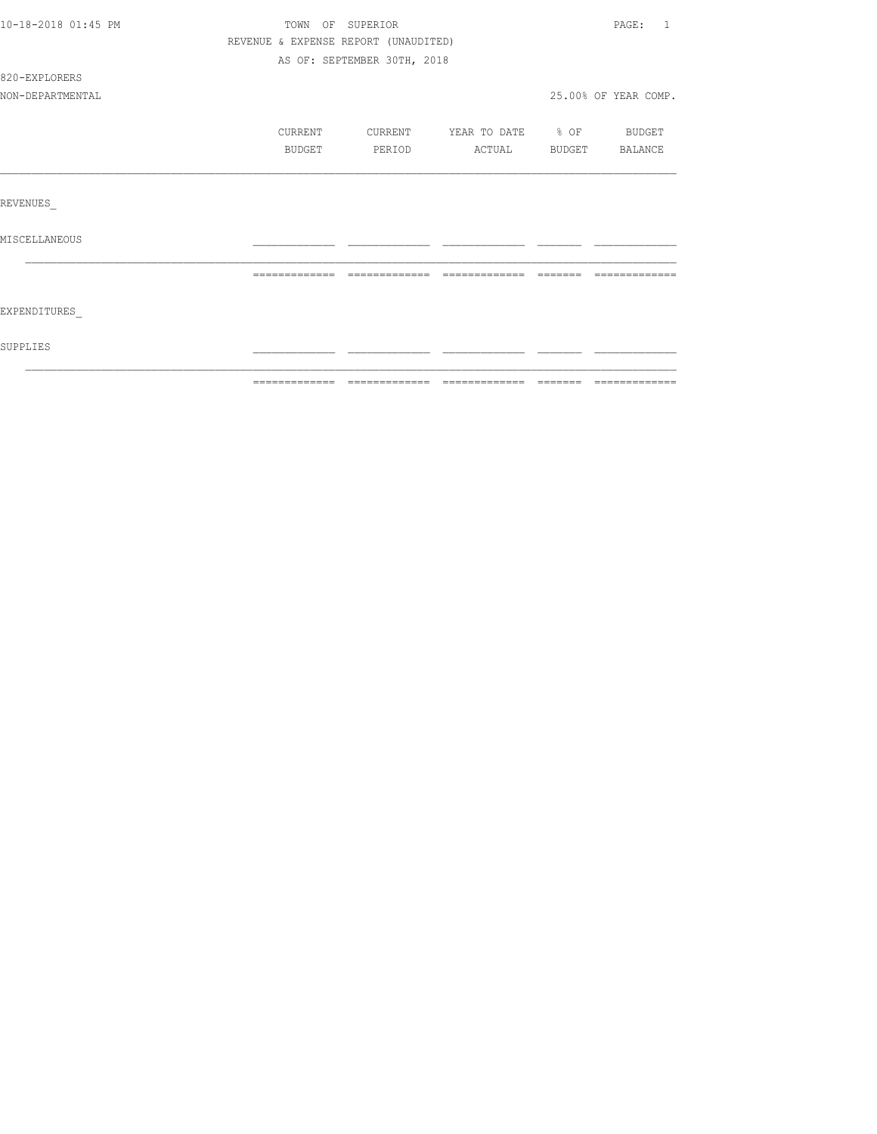| 10-18-2018 01:45 PM | PAGE:<br>TOWN OF SUPERIOR            |                             |                                  |                |                      |
|---------------------|--------------------------------------|-----------------------------|----------------------------------|----------------|----------------------|
|                     | REVENUE & EXPENSE REPORT (UNAUDITED) |                             |                                  |                |                      |
|                     |                                      | AS OF: SEPTEMBER 30TH, 2018 |                                  |                |                      |
| 820-EXPLORERS       |                                      |                             |                                  |                |                      |
| NON-DEPARTMENTAL    |                                      |                             |                                  |                | 25.00% OF YEAR COMP. |
|                     | CURRENT                              |                             | CURRENT YEAR TO DATE % OF BUDGET |                |                      |
|                     | BUDGET                               | PERIOD                      | ACTUAL                           | BUDGET BALANCE |                      |
|                     |                                      |                             |                                  |                |                      |
| REVENUES            |                                      |                             |                                  |                |                      |
| MISCELLANEOUS       |                                      |                             |                                  |                |                      |
|                     | -------------                        | --------------              | =============                    | _______        | -------------        |
|                     |                                      |                             |                                  |                |                      |
| EXPENDITURES        |                                      |                             |                                  |                |                      |
| SUPPLIES            |                                      |                             |                                  |                |                      |
|                     |                                      |                             |                                  |                |                      |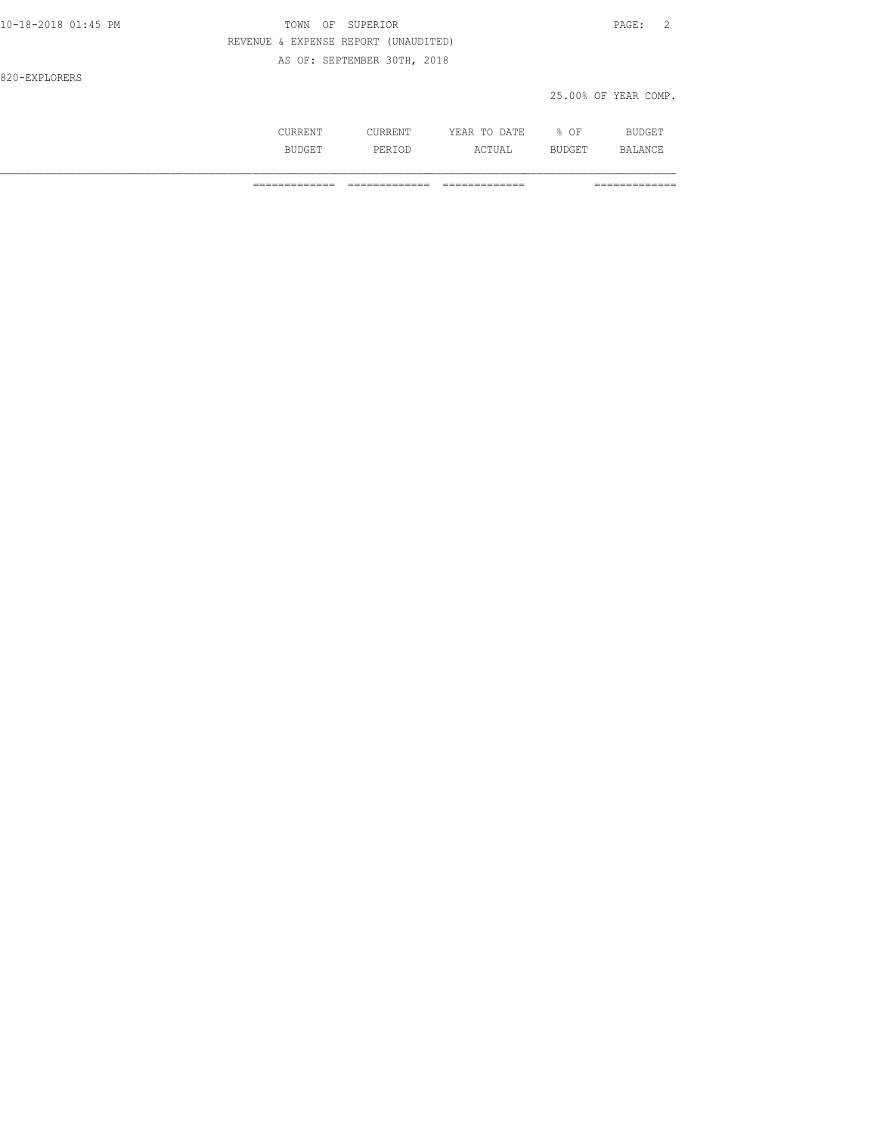| 10-18-2018 01:45 PM | SUPERIOR<br>TOWN<br>OF               | 2<br>PAGE:           |
|---------------------|--------------------------------------|----------------------|
|                     | REVENUE & EXPENSE REPORT (UNAUDITED) |                      |
|                     | AS OF: SEPTEMBER 30TH, 2018          |                      |
| 820-EXPLORERS       |                                      |                      |
|                     |                                      | 25.00% OF YEAR COMP. |
|                     |                                      |                      |

| 'NNLIV 1      | .              | DATE<br><b>MT</b><br>ں ^<br>----<br>----- | ΟF        | BU<br>$   -$<br>н.<br>$\mathbf{u} = \mathbf{u}$ |
|---------------|----------------|-------------------------------------------|-----------|-------------------------------------------------|
| вı<br>DUDGE 1 | ו הם<br>エロハエヘレ | ıΔ<br>A                                   | н,<br>. H | $ -$<br>75 N.P.<br>12 ∧<br>ᆜᄼᄓᄼ                 |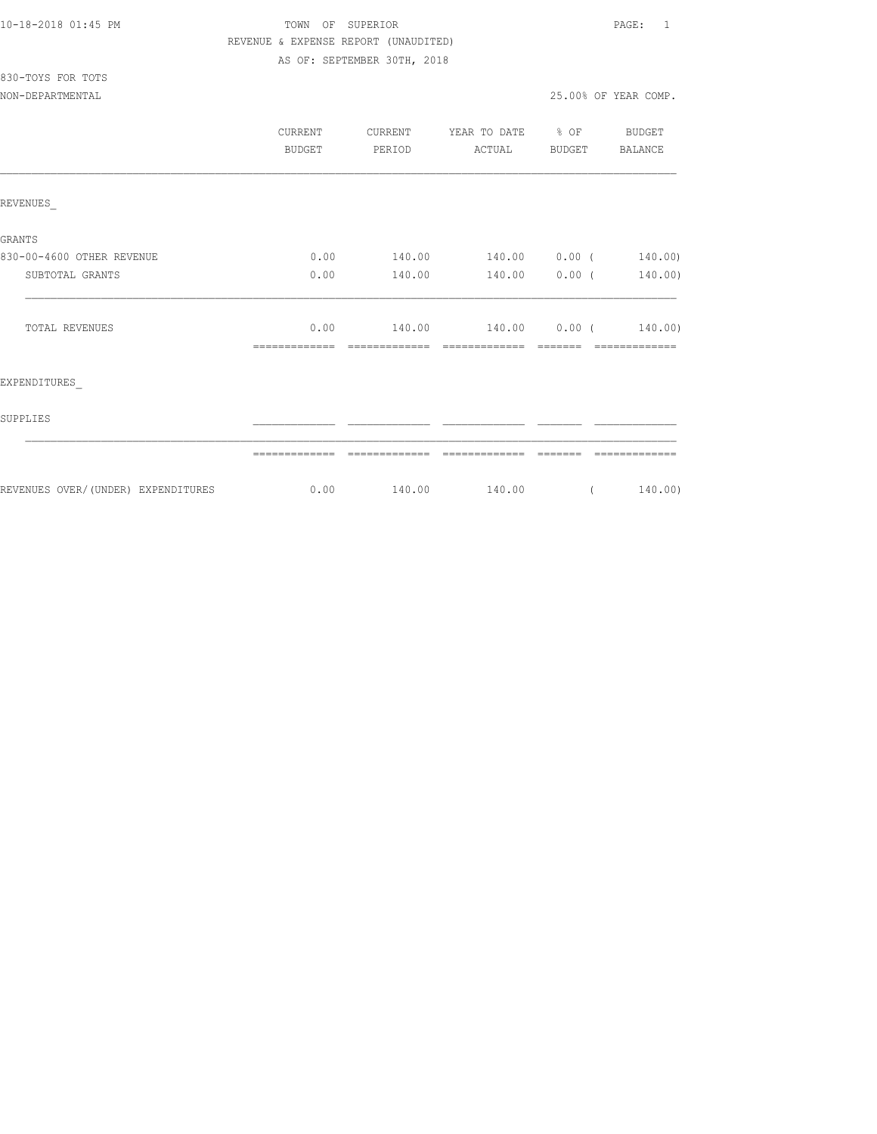830-TOYS FOR TOTS

### TOWN OF SUPERIOR **PAGE:** 1 REVENUE & EXPENSE REPORT (UNAUDITED) AS OF: SEPTEMBER 30TH, 2018

NON-DEPARTMENTAL 25.00% OF YEAR COMP.

|                                    | <b>CURRENT</b><br>BUDGET | CURRENT<br>PERIOD       | YEAR TO DATE % OF<br>ACTUAL           | BUDGET        | BUDGET<br>BALANCE |
|------------------------------------|--------------------------|-------------------------|---------------------------------------|---------------|-------------------|
| REVENUES                           |                          |                         |                                       |               |                   |
| <b>GRANTS</b>                      |                          |                         |                                       |               |                   |
| 830-00-4600 OTHER REVENUE          | 0.00                     | 140.00                  | 140.00 0.00 (140.00)                  |               |                   |
| SUBTOTAL GRANTS                    | 0.00                     | 140.00                  |                                       | 140.00 0.00 ( | 140.00)           |
| <b>TOTAL REVENUES</b>              | 0.00<br>=============    | 140.00<br>============= | 140.00 0.00 (140.00)<br>============= | <b>BEECEE</b> | =============     |
| EXPENDITURES                       |                          |                         |                                       |               |                   |
| SUPPLIES                           |                          |                         |                                       |               |                   |
|                                    |                          |                         |                                       |               |                   |
| REVENUES OVER/(UNDER) EXPENDITURES | 0.00                     |                         | 140.00 140.00                         |               | (140.00)          |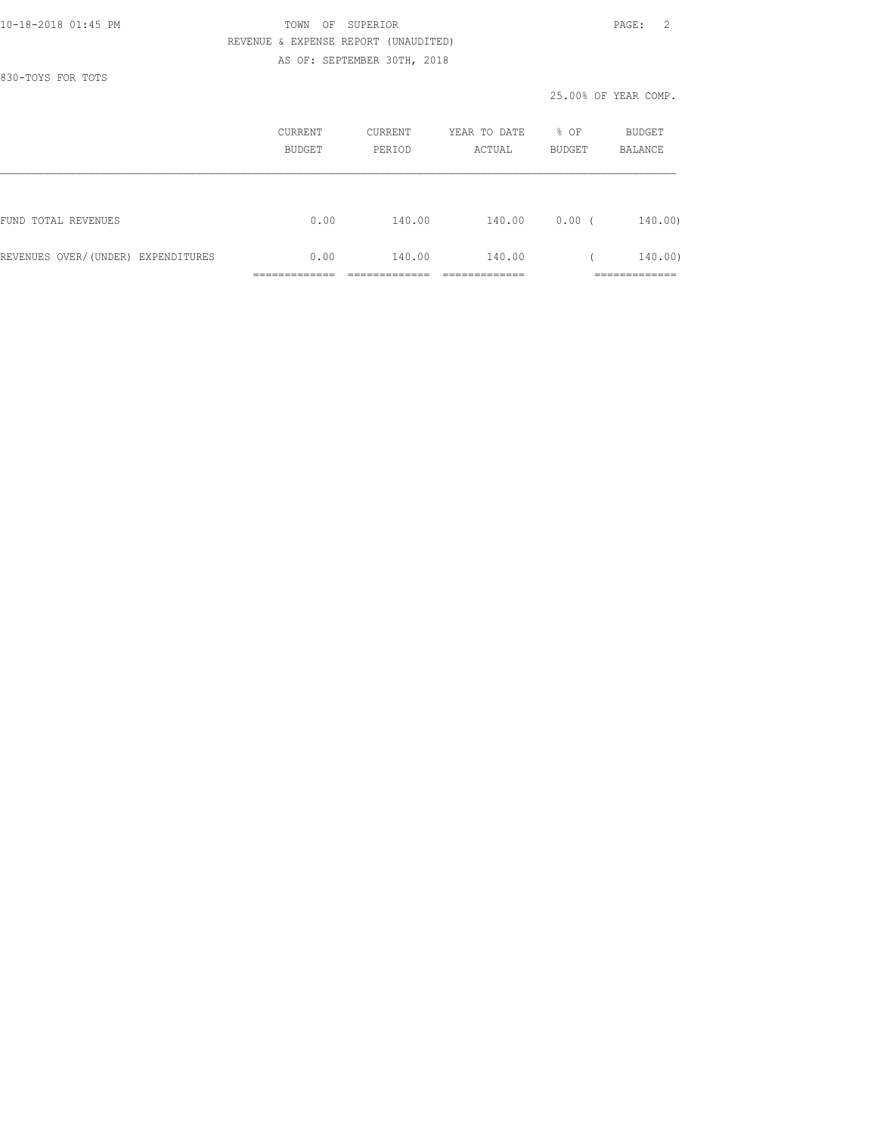| 10-18-2018 01:45 PM                | OF<br>SUPERIOR<br>TOWN               |                             |                   |               |                      |
|------------------------------------|--------------------------------------|-----------------------------|-------------------|---------------|----------------------|
|                                    | REVENUE & EXPENSE REPORT (UNAUDITED) |                             |                   |               |                      |
|                                    |                                      | AS OF: SEPTEMBER 30TH, 2018 |                   |               |                      |
| 830-TOYS FOR TOTS                  |                                      |                             |                   |               |                      |
|                                    |                                      |                             |                   |               | 25.00% OF YEAR COMP. |
|                                    | CURRENT                              | CURRENT                     | YEAR TO DATE % OF |               | BUDGET               |
|                                    | BUDGET                               | PERIOD                      | ACTUAL            | BUDGET        | BALANCE              |
|                                    |                                      |                             |                   |               |                      |
| FUND TOTAL REVENUES                | 0.00                                 | 140.00                      |                   | 140.00 0.00 ( | 140.00)              |
| REVENUES OVER/(UNDER) EXPENDITURES | 0.00                                 | 140.00                      | 140.00            |               | 140.00)              |
|                                    |                                      |                             |                   |               |                      |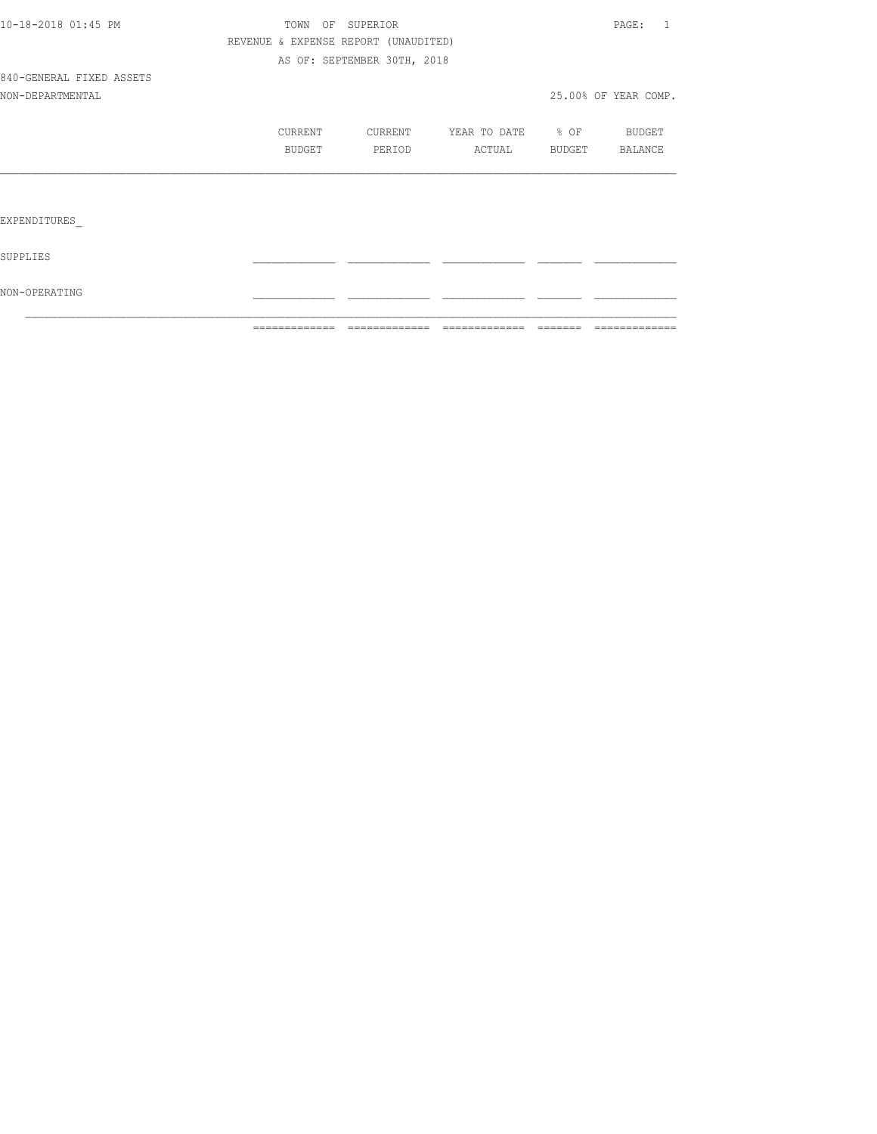|                          |                                      | -------------- -------------- | =============                    | --------       | =============        |
|--------------------------|--------------------------------------|-------------------------------|----------------------------------|----------------|----------------------|
| NON-OPERATING            |                                      |                               |                                  |                |                      |
| SUPPLIES                 |                                      |                               |                                  |                |                      |
| EXPENDITURES             |                                      |                               |                                  |                |                      |
|                          |                                      |                               |                                  |                |                      |
|                          | BUDGET                               | PERIOD                        | ACTUAL                           | BUDGET BALANCE |                      |
|                          | CURRENT                              |                               | CURRENT YEAR TO DATE % OF BUDGET |                |                      |
| NON-DEPARTMENTAL         |                                      |                               |                                  |                | 25.00% OF YEAR COMP. |
| 840-GENERAL FIXED ASSETS |                                      |                               |                                  |                |                      |
|                          |                                      | AS OF: SEPTEMBER 30TH, 2018   |                                  |                |                      |
|                          | REVENUE & EXPENSE REPORT (UNAUDITED) |                               |                                  |                |                      |
| 10-18-2018 01:45 PM      |                                      | TOWN OF SUPERIOR              |                                  |                | PAGE: 1              |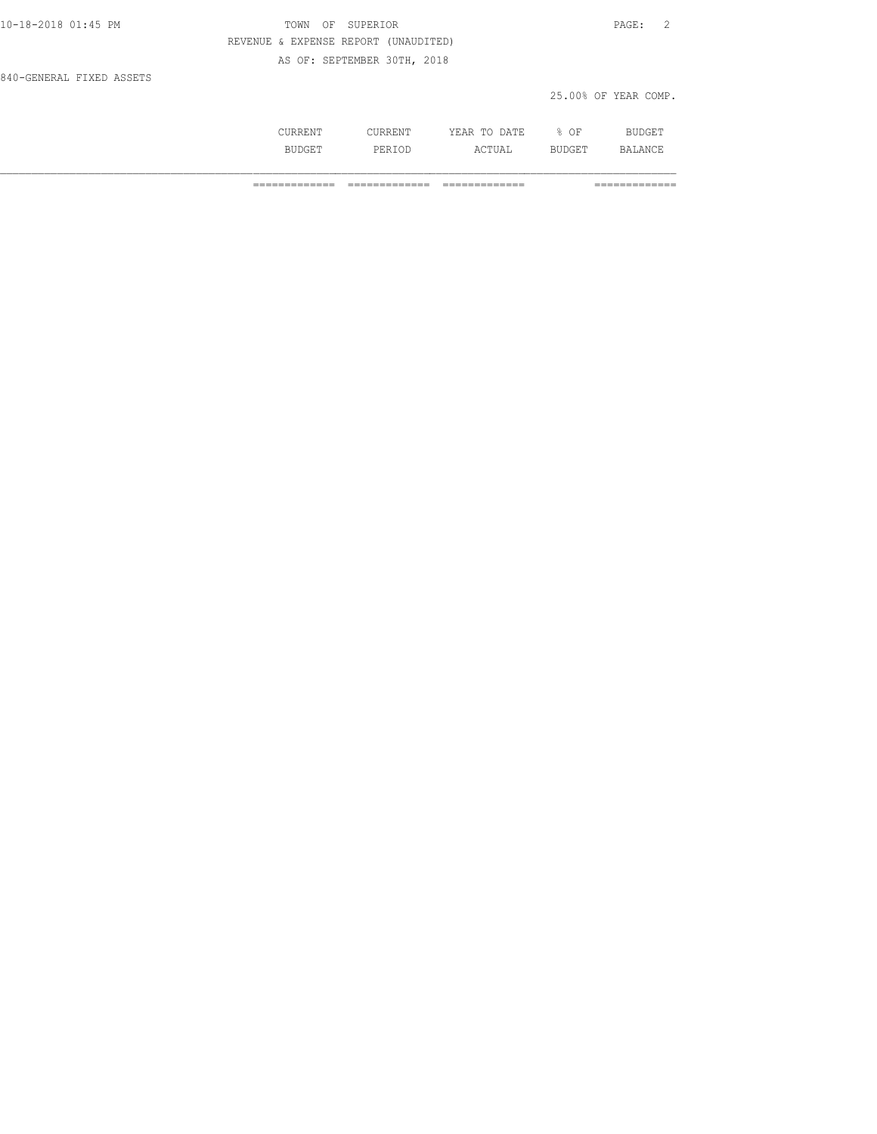| 10-18-2018 01:45 PM      | OF SUPERIOR<br>TOWN                  | PAGE:                | - 2 |
|--------------------------|--------------------------------------|----------------------|-----|
|                          | REVENUE & EXPENSE REPORT (UNAUDITED) |                      |     |
|                          | AS OF: SEPTEMBER 30TH, 2018          |                      |     |
| 840-GENERAL FIXED ASSETS |                                      |                      |     |
|                          |                                      | 25.00% OF YEAR COMP. |     |
|                          |                                      |                      |     |

| .           |        | .<br><b>Imm</b><br>ìΑ<br>----<br>----- | ΟF | $\cdot$ $\cdot$ $\cdot$<br>◡⊥ |
|-------------|--------|----------------------------------------|----|-------------------------------|
| . .<br>---- | - 21 - | $\sim$ m.<br>UAL                       |    | ιn<br>$-1$                    |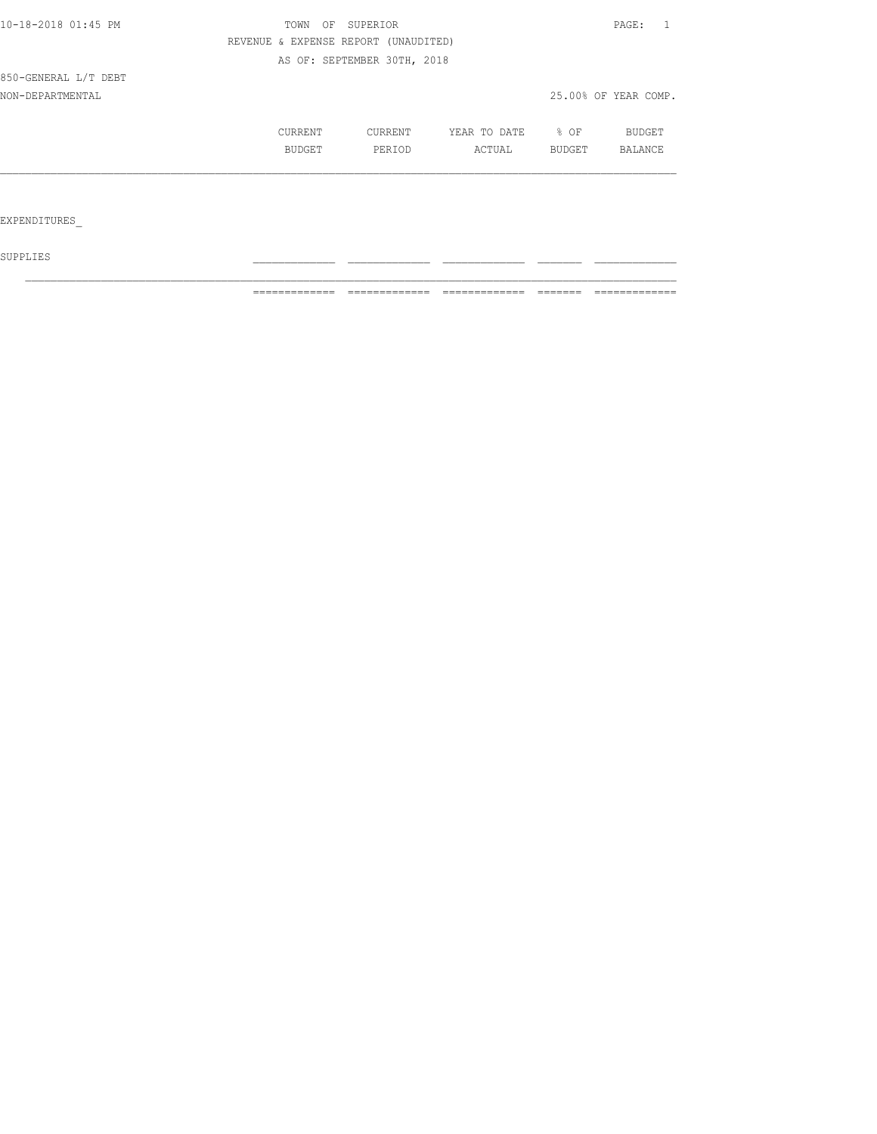| 10-18-2018 01:45 PM  | TOWN<br>OF                           | SUPERIOR                    |              |        | $\mathtt{PAGE}$ :    |
|----------------------|--------------------------------------|-----------------------------|--------------|--------|----------------------|
|                      | REVENUE & EXPENSE REPORT (UNAUDITED) |                             |              |        |                      |
|                      |                                      | AS OF: SEPTEMBER 30TH, 2018 |              |        |                      |
| 850-GENERAL L/T DEBT |                                      |                             |              |        |                      |
| NON-DEPARTMENTAL     |                                      |                             |              |        | 25.00% OF YEAR COMP. |
|                      | CURRENT                              | CURRENT                     | YEAR TO DATE | % OF   | BUDGET               |
|                      | BUDGET                               | PERIOD                      | ACTUAL       | BUDGET | BALANCE              |
|                      |                                      |                             |              |        |                      |
|                      |                                      |                             |              |        |                      |
| EXPENDITURES         |                                      |                             |              |        |                      |

 ${\tt SUPPLIES}$